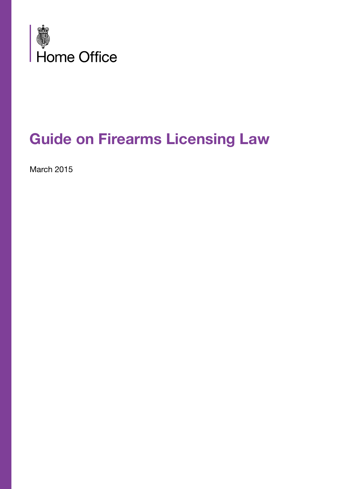

# **Guide on Firearms Licensing Law**

March 2015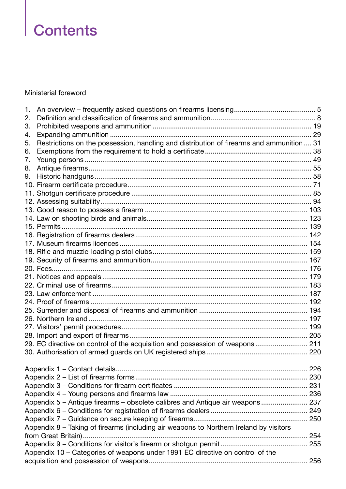# **Contents**

#### Ministerial foreword

| 1. |                                                                                          |  |
|----|------------------------------------------------------------------------------------------|--|
| 2. |                                                                                          |  |
| 3. |                                                                                          |  |
| 4. |                                                                                          |  |
| 5. | Restrictions on the possession, handling and distribution of firearms and ammunition  31 |  |
| 6. |                                                                                          |  |
| 7. |                                                                                          |  |
| 8. |                                                                                          |  |
| 9. |                                                                                          |  |
|    |                                                                                          |  |
|    |                                                                                          |  |
|    |                                                                                          |  |
|    |                                                                                          |  |
|    |                                                                                          |  |
|    |                                                                                          |  |
|    |                                                                                          |  |
|    |                                                                                          |  |
|    |                                                                                          |  |
|    |                                                                                          |  |
|    |                                                                                          |  |
|    |                                                                                          |  |
|    |                                                                                          |  |
|    |                                                                                          |  |
|    |                                                                                          |  |
|    |                                                                                          |  |
|    |                                                                                          |  |
|    |                                                                                          |  |
|    |                                                                                          |  |
|    | 29. EC directive on control of the acquisition and possession of weapons 211             |  |
|    |                                                                                          |  |
|    |                                                                                          |  |
|    |                                                                                          |  |
|    |                                                                                          |  |
|    |                                                                                          |  |
|    | Appendix 5 - Antique firearms - obsolete calibres and Antique air weapons 237            |  |
|    |                                                                                          |  |
|    |                                                                                          |  |
|    | Appendix 8 - Taking of firearms (including air weapons to Northern Ireland by visitors   |  |
|    |                                                                                          |  |
|    |                                                                                          |  |
|    | Appendix 10 - Categories of weapons under 1991 EC directive on control of the            |  |
|    |                                                                                          |  |
|    |                                                                                          |  |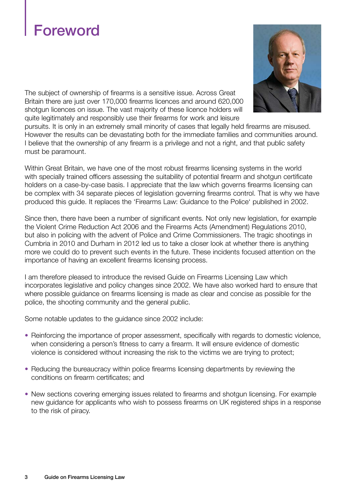# **Foreword**



The subject of ownership of firearms is a sensitive issue. Across Great Britain there are just over 170,000 firearms licences and around 620,000 shotgun licences on issue. The vast majority of these licence holders will quite legitimately and responsibly use their firearms for work and leisure

pursuits. It is only in an extremely small minority of cases that legally held firearms are misused. However the results can be devastating both for the immediate families and communities around. I believe that the ownership of any firearm is a privilege and not a right, and that public safety must be paramount.

Within Great Britain, we have one of the most robust firearms licensing systems in the world with specially trained officers assessing the suitability of potential firearm and shotgun certificate holders on a case-by-case basis. I appreciate that the law which governs firearms licensing can be complex with 34 separate pieces of legislation governing firearms control. That is why we have produced this guide. It replaces the 'Firearms Law: Guidance to the Police' published in 2002.

Since then, there have been a number of significant events. Not only new legislation, for example the Violent Crime Reduction Act 2006 and the Firearms Acts (Amendment) Regulations 2010, but also in policing with the advent of Police and Crime Commissioners. The tragic shootings in Cumbria in 2010 and Durham in 2012 led us to take a closer look at whether there is anything more we could do to prevent such events in the future. These incidents focused attention on the importance of having an excellent firearms licensing process.

I am therefore pleased to introduce the revised Guide on Firearms Licensing Law which incorporates legislative and policy changes since 2002. We have also worked hard to ensure that where possible guidance on firearms licensing is made as clear and concise as possible for the police, the shooting community and the general public.

Some notable updates to the guidance since 2002 include:

- Reinforcing the importance of proper assessment, specifically with regards to domestic violence, when considering a person's fitness to carry a firearm. It will ensure evidence of domestic violence is considered without increasing the risk to the victims we are trying to protect;
- Reducing the bureaucracy within police firearms licensing departments by reviewing the conditions on firearm certificates; and
- New sections covering emerging issues related to firearms and shotgun licensing. For example new guidance for applicants who wish to possess firearms on UK registered ships in a response to the risk of piracy.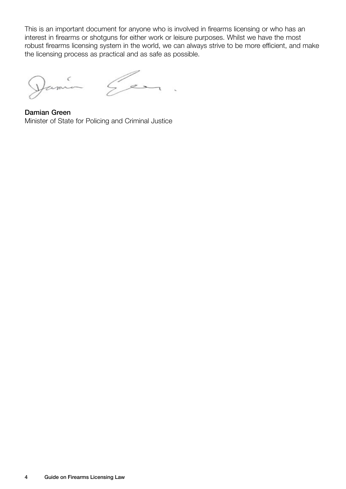This is an important document for anyone who is involved in firearms licensing or who has an interest in firearms or shotguns for either work or leisure purposes. Whilst we have the most robust firearms licensing system in the world, we can always strive to be more efficient, and make the licensing process as practical and as safe as possible.

Jamia

Gen

Damian Green Minister of State for Policing and Criminal Justice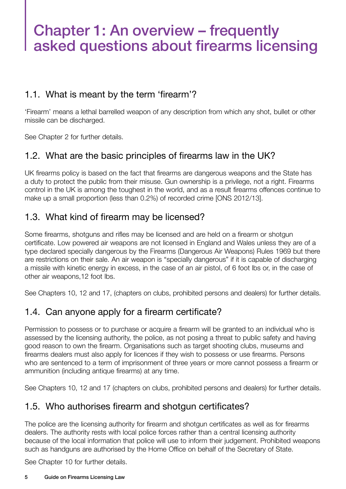# Chapter 1: An overview – frequently asked questions about firearms licensing

#### 1.1. What is meant by the term 'firearm'?

'Firearm' means a lethal barrelled weapon of any description from which any shot, bullet or other missile can be discharged.

See Chapter 2 for further details.

## 1.2. What are the basic principles of firearms law in the UK?

UK firearms policy is based on the fact that firearms are dangerous weapons and the State has a duty to protect the public from their misuse. Gun ownership is a privilege, not a right. Firearms control in the UK is among the toughest in the world, and as a result firearms offences continue to make up a small proportion (less than 0.2%) of recorded crime [ONS 2012/13].

### 1.3. What kind of firearm may be licensed?

Some firearms, shotguns and rifles may be licensed and are held on a firearm or shotgun certificate. Low powered air weapons are not licensed in England and Wales unless they are of a type declared specially dangerous by the Firearms (Dangerous Air Weapons) Rules 1969 but there are restrictions on their sale. An air weapon is "specially dangerous" if it is capable of discharging a missile with kinetic energy in excess, in the case of an air pistol, of 6 foot lbs or, in the case of other air weapons,12 foot lbs.

See Chapters 10, 12 and 17, (chapters on clubs, prohibited persons and dealers) for further details.

### 1.4. Can anyone apply for a firearm certificate?

Permission to possess or to purchase or acquire a firearm will be granted to an individual who is assessed by the licensing authority, the police, as not posing a threat to public safety and having good reason to own the firearm. Organisations such as target shooting clubs, museums and firearms dealers must also apply for licences if they wish to possess or use firearms. Persons who are sentenced to a term of imprisonment of three years or more cannot possess a firearm or ammunition (including antique firearms) at any time.

See Chapters 10, 12 and 17 (chapters on clubs, prohibited persons and dealers) for further details.

### 1.5. Who authorises firearm and shotgun certificates?

The police are the licensing authority for firearm and shotgun certificates as well as for firearms dealers. The authority rests with local police forces rather than a central licensing authority because of the local information that police will use to inform their judgement. Prohibited weapons such as handguns are authorised by the Home Office on behalf of the Secretary of State.

See Chapter 10 for further details.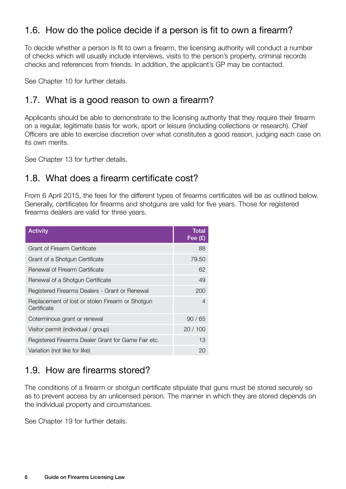## 1.6. How do the police decide if a person is fit to own a firearm?

To decide whether a person is fit to own a firearm, the licensing authority will conduct a number of checks which will usually include interviews, visits to the person's property, criminal records checks and references from friends. In addition, the applicant's GP may be contacted.

See Chapter 10 for further details.

#### 1.7. What is a good reason to own a firearm?

Applicants should be able to demonstrate to the licensing authority that they require their firearm on a regular, legitimate basis for work, sport or leisure (including collections or research). Chief Officers are able to exercise discretion over what constitutes a good reason, judging each case on its own merits.

See Chapter 13 for further details.

#### 1.8. What does a firearm certificate cost?

From 6 April 2015, the fees for the different types of firearms certificates will be as outlined below. Generally, certificates for firearms and shotguns are valid for five years. Those for registered firearms dealers are valid for three years.

| <b>Activity</b>                                                 | <b>Total</b><br>Fee $(E)$ |
|-----------------------------------------------------------------|---------------------------|
| Grant of Firearm Certificate                                    | 88                        |
| Grant of a Shotgun Certificate                                  | 79.50                     |
| Renewal of Firearm Certificate                                  | 62                        |
| Renewal of a Shotgun Certificate                                | 49                        |
| Registered Firearms Dealers - Grant or Renewal                  | 200                       |
| Replacement of lost or stolen Firearm or Shotgun<br>Certificate | 4                         |
| Coterminous grant or renewal                                    | 90/65                     |
| Visitor permit (individual / group)                             | 20/100                    |
| Registered Firearms Dealer Grant for Game Fair etc.             | 13                        |
| Variation (not like for like)                                   | 20                        |

### 1.9. How are firearms stored?

The conditions of a firearm or shotgun certificate stipulate that guns must be stored securely so as to prevent access by an unlicensed person. The manner in which they are stored depends on the individual property and circumstances.

See Chapter 19 for further details.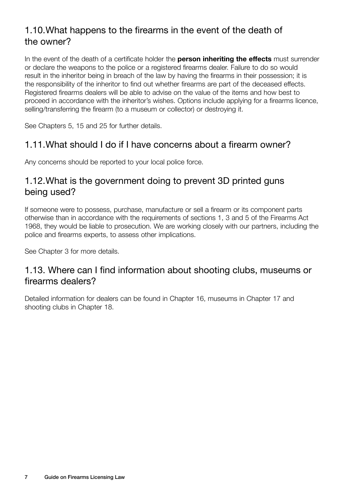## 1.10. What happens to the firearms in the event of the death of the owner?

In the event of the death of a certificate holder the **person inheriting the effects** must surrender or declare the weapons to the police or a registered firearms dealer. Failure to do so would result in the inheritor being in breach of the law by having the firearms in their possession; it is the responsibility of the inheritor to find out whether firearms are part of the deceased effects. Registered firearms dealers will be able to advise on the value of the items and how best to proceed in accordance with the inheritor's wishes. Options include applying for a firearms licence, selling/transferring the firearm (to a museum or collector) or destroying it.

See Chapters 5, 15 and 25 for further details.

### 1.11. What should I do if I have concerns about a firearm owner?

Any concerns should be reported to your local police force.

#### 1.12.What is the government doing to prevent 3D printed guns being used?

If someone were to possess, purchase, manufacture or sell a firearm or its component parts otherwise than in accordance with the requirements of sections 1, 3 and 5 of the Firearms Act 1968, they would be liable to prosecution. We are working closely with our partners, including the police and firearms experts, to assess other implications.

See Chapter 3 for more details.

#### 1.13. Where can I find information about shooting clubs, museums or firearms dealers?

Detailed information for dealers can be found in Chapter 16, museums in Chapter 17 and shooting clubs in Chapter 18.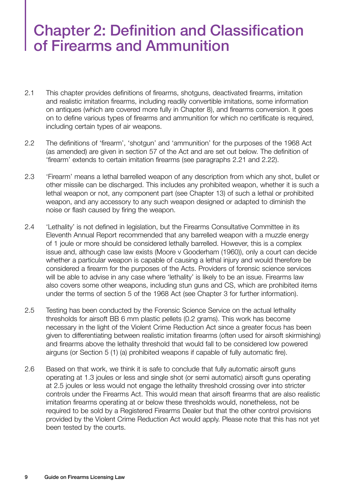# Chapter 2: Definition and Classification of Firearms and Ammunition

- 2.1 This chapter provides definitions of firearms, shotguns, deactivated firearms, imitation and realistic imitation firearms, including readily convertible imitations, some information on antiques (which are covered more fully in Chapter 8), and firearms conversion. It goes on to define various types of firearms and ammunition for which no certificate is required, including certain types of air weapons.
- 2.2 The definitions of 'firearm', 'shotgun' and 'ammunition' for the purposes of the 1968 Act (as amended) are given in section 57 of the Act and are set out below. The definition of 'firearm' extends to certain imitation firearms (see paragraphs 2.21 and 2.22).
- 2.3 'Firearm' means a lethal barrelled weapon of any description from which any shot, bullet or other missile can be discharged. This includes any prohibited weapon, whether it is such a lethal weapon or not, any component part (see Chapter 13) of such a lethal or prohibited weapon, and any accessory to any such weapon designed or adapted to diminish the noise or flash caused by firing the weapon.
- 2.4 'Lethality' is not defined in legislation, but the Firearms Consultative Committee in its Eleventh Annual Report recommended that any barrelled weapon with a muzzle energy of 1 joule or more should be considered lethally barrelled. However, this is a complex issue and, although case law exists (Moore v Gooderham (1960)), only a court can decide whether a particular weapon is capable of causing a lethal injury and would therefore be considered a firearm for the purposes of the Acts. Providers of forensic science services will be able to advise in any case where 'lethality' is likely to be an issue. Firearms law also covers some other weapons, including stun guns and CS, which are prohibited items under the terms of section 5 of the 1968 Act (see Chapter 3 for further information).
- 2.5 Testing has been conducted by the Forensic Science Service on the actual lethality thresholds for airsoft BB 6 mm plastic pellets (0.2 grams). This work has become necessary in the light of the Violent Crime Reduction Act since a greater focus has been given to differentiating between realistic imitation firearms (often used for airsoft skirmishing) and firearms above the lethality threshold that would fall to be considered low powered airguns (or Section 5 (1) (a) prohibited weapons if capable of fully automatic fire).
- 2.6 Based on that work, we think it is safe to conclude that fully automatic airsoft guns operating at 1.3 joules or less and single shot (or semi automatic) airsoft guns operating at 2.5 joules or less would not engage the lethality threshold crossing over into stricter controls under the Firearms Act. This would mean that airsoft firearms that are also realistic imitation firearms operating at or below these thresholds would, nonetheless, not be required to be sold by a Registered Firearms Dealer but that the other control provisions provided by the Violent Crime Reduction Act would apply. Please note that this has not yet been tested by the courts.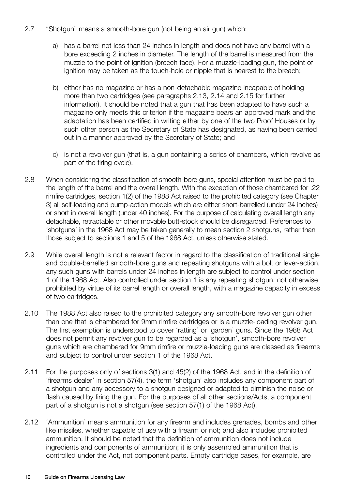- 2.7 "Shotgun" means a smooth-bore gun (not being an air gun) which:
	- a) has a barrel not less than 24 inches in length and does not have any barrel with a bore exceeding 2 inches in diameter. The length of the barrel is measured from the muzzle to the point of ignition (breech face). For a muzzle-loading gun, the point of ignition may be taken as the touch-hole or nipple that is nearest to the breach;
	- b) either has no magazine or has a non-detachable magazine incapable of holding more than two cartridges (see paragraphs 2.13, 2.14 and 2.15 for further information). It should be noted that a gun that has been adapted to have such a magazine only meets this criterion if the magazine bears an approved mark and the adaptation has been certified in writing either by one of the two Proof Houses or by such other person as the Secretary of State has designated, as having been carried out in a manner approved by the Secretary of State; and
	- c) is not a revolver gun (that is, a gun containing a series of chambers, which revolve as part of the firing cycle).
- 2.8 When considering the classification of smooth-bore guns, special attention must be paid to the length of the barrel and the overall length. With the exception of those chambered for .22 rimfire cartridges, section 1(2) of the 1988 Act raised to the prohibited category (see Chapter 3) all self-loading and pump-action models which are either short-barrelled (under 24 inches) or short in overall length (under 40 inches). For the purpose of calculating overall length any detachable, retractable or other movable butt-stock should be disregarded. References to 'shotguns' in the 1968 Act may be taken generally to mean section 2 shotguns, rather than those subject to sections 1 and 5 of the 1968 Act, unless otherwise stated.
- 2.9 While overall length is not a relevant factor in regard to the classification of traditional single and double-barrelled smooth-bore guns and repeating shotguns with a bolt or lever-action, any such guns with barrels under 24 inches in length are subject to control under section 1 of the 1968 Act. Also controlled under section 1 is any repeating shotgun, not otherwise prohibited by virtue of its barrel length or overall length, with a magazine capacity in excess of two cartridges.
- 2.10 The 1988 Act also raised to the prohibited category any smooth-bore revolver gun other than one that is chambered for 9mm rimfire cartridges or is a muzzle-loading revolver gun. The first exemption is understood to cover 'ratting' or 'garden' guns. Since the 1988 Act does not permit any revolver gun to be regarded as a 'shotgun', smooth-bore revolver guns which are chambered for 9mm rimfire or muzzle-loading guns are classed as firearms and subject to control under section 1 of the 1968 Act.
- 2.11 For the purposes only of sections 3(1) and 45(2) of the 1968 Act, and in the definition of 'firearms dealer' in section 57(4), the term 'shotgun' also includes any component part of a shotgun and any accessory to a shotgun designed or adapted to diminish the noise or flash caused by firing the gun. For the purposes of all other sections/Acts, a component part of a shotgun is not a shotgun (see section 57(1) of the 1968 Act).
- 2.12 'Ammunition' means ammunition for any firearm and includes grenades, bombs and other like missiles, whether capable of use with a firearm or not; and also includes prohibited ammunition. It should be noted that the definition of ammunition does not include ingredients and components of ammunition; it is only assembled ammunition that is controlled under the Act, not component parts. Empty cartridge cases, for example, are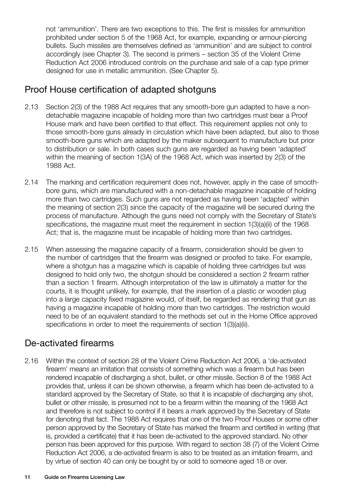not 'ammunition'. There are two exceptions to this. The first is missiles for ammunition prohibited under section 5 of the 1968 Act, for example, expanding or armour-piercing bullets. Such missiles are themselves defined as 'ammunition' and are subject to control accordingly (see Chapter 3). The second is primers – section 35 of the Violent Crime Reduction Act 2006 introduced controls on the purchase and sale of a cap type primer designed for use in metallic ammunition. (See Chapter 5).

### Proof House certification of adapted shotguns

- 2.13 Section 2(3) of the 1988 Act requires that any smooth-bore gun adapted to have a nondetachable magazine incapable of holding more than two cartridges must bear a Proof House mark and have been certified to that effect. This requirement applies not only to those smooth-bore guns already in circulation which have been adapted, but also to those smooth-bore guns which are adapted by the maker subsequent to manufacture but prior to distribution or sale. In both cases such guns are regarded as having been 'adapted' within the meaning of section 1(3A) of the 1968 Act, which was inserted by 2(3) of the 1988 Act.
- 2.14 The marking and certification requirement does not, however, apply in the case of smoothbore guns, which are manufactured with a non-detachable magazine incapable of holding more than two cartridges. Such guns are not regarded as having been 'adapted' within the meaning of section 2(3) since the capacity of the magazine will be secured during the process of manufacture. Although the guns need not comply with the Secretary of State's specifications, the magazine must meet the requirement in section 1(3)(a)(ii) of the 1968 Act; that is, the magazine must be incapable of holding more than two cartridges.
- 2.15 When assessing the magazine capacity of a firearm, consideration should be given to the number of cartridges that the firearm was designed or proofed to take. For example, where a shotgun has a magazine which is capable of holding three cartridges but was designed to hold only two, the shotgun should be considered a section 2 firearm rather than a section 1 firearm. Although interpretation of the law is ultimately a matter for the courts, it is thought unlikely, for example, that the insertion of a plastic or wooden plug into a large capacity fixed magazine would, of itself, be regarded as rendering that gun as having a magazine incapable of holding more than two cartridges. The restriction would need to be of an equivalent standard to the methods set out in the Home Office approved specifications in order to meet the requirements of section 1(3)(a)(ii).

#### De-activated firearms

2.16 Within the context of section 28 of the Violent Crime Reduction Act 2006, a 'de-activated firearm' means an imitation that consists of something which was a firearm but has been rendered incapable of discharging a shot, bullet, or other missile. Section 8 of the 1988 Act provides that, unless it can be shown otherwise, a firearm which has been de-activated to a standard approved by the Secretary of State, so that it is incapable of discharging any shot, bullet or other missile, is presumed not to be a firearm within the meaning of the 1968 Act and therefore is not subject to control if it bears a mark approved by the Secretary of State for denoting that fact. The 1988 Act requires that one of the two Proof Houses or some other person approved by the Secretary of State has marked the firearm and certified in writing (that is, provided a certificate) that it has been de-activated to the approved standard. No other person has been approved for this purpose. With regard to section 38 (7) of the Violent Crime Reduction Act 2006, a de-activated firearm is also to be treated as an imitation firearm, and by virtue of section 40 can only be bought by or sold to someone aged 18 or over.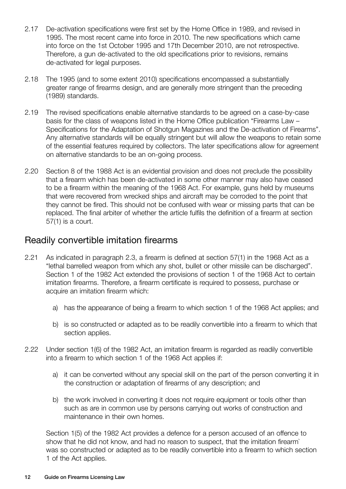- 2.17 De-activation specifications were first set by the Home Office in 1989, and revised in 1995. The most recent came into force in 2010. The new specifications which came into force on the 1st October 1995 and 17th December 2010, are not retrospective. Therefore, a gun de-activated to the old specifications prior to revisions, remains de-activated for legal purposes.
- 2.18 The 1995 (and to some extent 2010) specifications encompassed a substantially greater range of firearms design, and are generally more stringent than the preceding (1989) standards.
- 2.19 The revised specifications enable alternative standards to be agreed on a case-by-case basis for the class of weapons listed in the Home Office publication "Firearms Law – Specifications for the Adaptation of Shotgun Magazines and the De-activation of Firearms". Any alternative standards will be equally stringent but will allow the weapons to retain some of the essential features required by collectors. The later specifications allow for agreement on alternative standards to be an on-going process.
- 2.20 Section 8 of the 1988 Act is an evidential provision and does not preclude the possibility that a firearm which has been de-activated in some other manner may also have ceased to be a firearm within the meaning of the 1968 Act. For example, guns held by museums that were recovered from wrecked ships and aircraft may be corroded to the point that they cannot be fired. This should not be confused with wear or missing parts that can be replaced. The final arbiter of whether the article fulfils the definition of a firearm at section 57(1) is a court.

#### Readily convertible imitation firearms

- 2.21 As indicated in paragraph 2.3, a firearm is defined at section 57(1) in the 1968 Act as a "lethal barrelled weapon from which any shot, bullet or other missile can be discharged". Section 1 of the 1982 Act extended the provisions of section 1 of the 1968 Act to certain imitation firearms. Therefore, a firearm certificate is required to possess, purchase or acquire an imitation firearm which:
	- a) has the appearance of being a firearm to which section 1 of the 1968 Act applies; and
	- b) is so constructed or adapted as to be readily convertible into a firearm to which that section applies.
- 2.22 Under section 1(6) of the 1982 Act, an imitation firearm is regarded as readily convertible into a firearm to which section 1 of the 1968 Act applies if:
	- a) it can be converted without any special skill on the part of the person converting it in the construction or adaptation of firearms of any description; and
	- b) the work involved in converting it does not require equipment or tools other than such as are in common use by persons carrying out works of construction and maintenance in their own homes.

Section 1(5) of the 1982 Act provides a defence for a person accused of an offence to show that he did not know, and had no reason to suspect, that the imitation firearm` was so constructed or adapted as to be readily convertible into a firearm to which section 1 of the Act applies.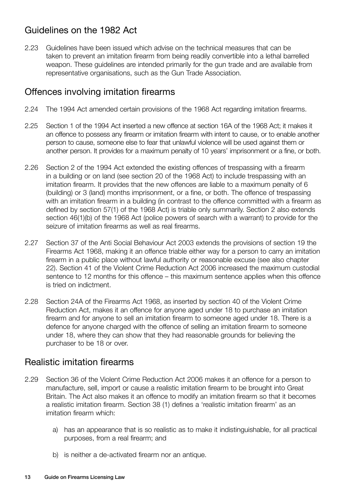## Guidelines on the 1982 Act

2.23 Guidelines have been issued which advise on the technical measures that can be taken to prevent an imitation firearm from being readily convertible into a lethal barrelled weapon. These guidelines are intended primarily for the gun trade and are available from representative organisations, such as the Gun Trade Association.

#### Offences involving imitation firearms

- 2.24 The 1994 Act amended certain provisions of the 1968 Act regarding imitation firearms.
- 2.25 Section 1 of the 1994 Act inserted a new offence at section 16A of the 1968 Act; it makes it an offence to possess any firearm or imitation firearm with intent to cause, or to enable another person to cause, someone else to fear that unlawful violence will be used against them or another person. It provides for a maximum penalty of 10 years' imprisonment or a fine, or both.
- 2.26 Section 2 of the 1994 Act extended the existing offences of trespassing with a firearm in a building or on land (see section 20 of the 1968 Act) to include trespassing with an imitation firearm. It provides that the new offences are liable to a maximum penalty of 6 (building) or 3 (land) months imprisonment, or a fine, or both. The offence of trespassing with an imitation firearm in a building (in contrast to the offence committed with a firearm as defined by section 57(1) of the 1968 Act) is triable only summarily. Section 2 also extends section 46(1)(b) of the 1968 Act (police powers of search with a warrant) to provide for the seizure of imitation firearms as well as real firearms.
- 2.27 Section 37 of the Anti Social Behaviour Act 2003 extends the provisions of section 19 the Firearms Act 1968, making it an offence triable either way for a person to carry an imitation firearm in a public place without lawful authority or reasonable excuse (see also chapter 22). Section 41 of the Violent Crime Reduction Act 2006 increased the maximum custodial sentence to 12 months for this offence – this maximum sentence applies when this offence is tried on indictment.
- 2.28 Section 24A of the Firearms Act 1968, as inserted by section 40 of the Violent Crime Reduction Act, makes it an offence for anyone aged under 18 to purchase an imitation firearm and for anyone to sell an imitation firearm to someone aged under 18. There is a defence for anyone charged with the offence of selling an imitation firearm to someone under 18, where they can show that they had reasonable grounds for believing the purchaser to be 18 or over.

#### Realistic imitation firearms

- 2.29 Section 36 of the Violent Crime Reduction Act 2006 makes it an offence for a person to manufacture, sell, import or cause a realistic imitation firearm to be brought into Great Britain. The Act also makes it an offence to modify an imitation firearm so that it becomes a realistic imitation firearm. Section 38 (1) defines a 'realistic imitation firearm' as an imitation firearm which:
	- a) has an appearance that is so realistic as to make it indistinguishable, for all practical purposes, from a real firearm; and
	- b) is neither a de-activated firearm nor an antique.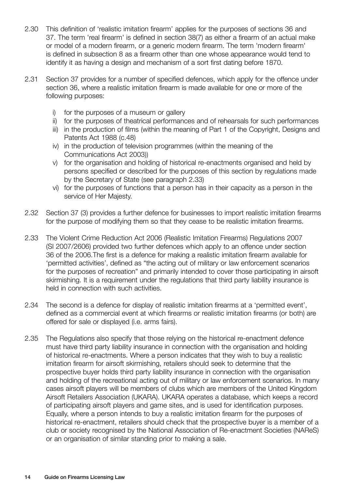- 2.30 This definition of 'realistic imitation firearm' applies for the purposes of sections 36 and 37. The term 'real firearm' is defined in section 38(7) as either a firearm of an actual make or model of a modern firearm, or a generic modern firearm. The term 'modern firearm' is defined in subsection 8 as a firearm other than one whose appearance would tend to identify it as having a design and mechanism of a sort first dating before 1870.
- 2.31 Section 37 provides for a number of specified defences, which apply for the offence under section 36, where a realistic imitation firearm is made available for one or more of the following purposes:
	- i) for the purposes of a museum or gallery
	- ii) for the purposes of theatrical performances and of rehearsals for such performances
	- iii) in the production of films (within the meaning of Part 1 of the Copyright, Designs and Patents Act 1988 (c.48)
	- iv) in the production of television programmes (within the meaning of the Communications Act 2003))
	- v) for the organisation and holding of historical re-enactments organised and held by persons specified or described for the purposes of this section by regulations made by the Secretary of State (see paragraph 2.33)
	- vi) for the purposes of functions that a person has in their capacity as a person in the service of Her Majesty.
- 2.32 Section 37 (3) provides a further defence for businesses to import realistic imitation firearms for the purpose of modifying them so that they cease to be realistic imitation firearms.
- 2.33 The Violent Crime Reduction Act 2006 (Realistic Imitation Firearms) Regulations 2007 (SI 2007/2606) provided two further defences which apply to an offence under section 36 of the 2006.The first is a defence for making a realistic imitation firearm available for 'permitted activities', defined as "the acting out of military or law enforcement scenarios for the purposes of recreation" and primarily intended to cover those participating in airsoft skirmishing. It is a requirement under the requlations that third party liability insurance is held in connection with such activities.
- 2.34 The second is a defence for display of realistic imitation firearms at a 'permitted event', defined as a commercial event at which firearms or realistic imitation firearms (or both) are offered for sale or displayed (i.e. arms fairs).
- 2.35 The Regulations also specify that those relying on the historical re-enactment defence must have third party liability insurance in connection with the organisation and holding of historical re-enactments. Where a person indicates that they wish to buy a realistic imitation firearm for airsoft skirmishing, retailers should seek to determine that the prospective buyer holds third party liability insurance in connection with the organisation and holding of the recreational acting out of military or law enforcement scenarios. In many cases airsoft players will be members of clubs which are members of the United Kingdom Airsoft Retailers Association (UKARA). UKARA operates a database, which keeps a record of participating airsoft players and game sites, and is used for identification purposes. Equally, where a person intends to buy a realistic imitation firearm for the purposes of historical re-enactment, retailers should check that the prospective buyer is a member of a club or society recognised by the National Association of Re-enactment Societies (NAReS) or an organisation of similar standing prior to making a sale.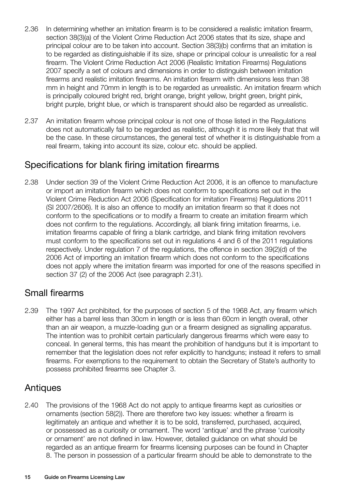- 2.36 In determining whether an imitation firearm is to be considered a realistic imitation firearm, section 38(3)(a) of the Violent Crime Reduction Act 2006 states that its size, shape and principal colour are to be taken into account. Section 38(3)(b) confirms that an imitation is to be regarded as distinguishable if its size, shape or principal colour is unrealistic for a real firearm. The Violent Crime Reduction Act 2006 (Realistic Imitation Firearms) Regulations 2007 specify a set of colours and dimensions in order to distinguish between imitation firearms and realistic imitation firearms. An imitation firearm with dimensions less than 38 mm in height and 70mm in length is to be regarded as unrealistic. An imitation firearm which is principally coloured bright red, bright orange, bright yellow, bright green, bright pink, bright purple, bright blue, or which is transparent should also be regarded as unrealistic.
- 2.37 An imitation firearm whose principal colour is not one of those listed in the Regulations does not automatically fail to be regarded as realistic, although it is more likely that that will be the case. In these circumstances, the general test of whether it is distinguishable from a real firearm, taking into account its size, colour etc. should be applied.

#### Specifications for blank firing imitation firearms

2.38 Under section 39 of the Violent Crime Reduction Act 2006, it is an offence to manufacture or import an imitation firearm which does not conform to specifications set out in the Violent Crime Reduction Act 2006 (Specification for imitation Firearms) Regulations 2011 (SI 2007/2606). It is also an offence to modify an imitation firearm so that it does not conform to the specifications or to modify a firearm to create an imitation firearm which does not confirm to the regulations. Accordingly, all blank firing imitation firearms, i.e. imitation firearms capable of firing a blank cartridge, and blank firing imitation revolvers must conform to the specifications set out in regulations 4 and 6 of the 2011 regulations respectively. Under regulation 7 of the regulations, the offence in section 39(2)(d) of the 2006 Act of importing an imitation firearm which does not conform to the specifications does not apply where the imitation firearm was imported for one of the reasons specified in section 37 (2) of the 2006 Act (see paragraph 2.31).

#### Small firearms

2.39 The 1997 Act prohibited, for the purposes of section 5 of the 1968 Act, any firearm which either has a barrel less than 30cm in length or is less than 60cm in length overall, other than an air weapon, a muzzle-loading gun or a firearm designed as signalling apparatus. The intention was to prohibit certain particularly dangerous firearms which were easy to conceal. In general terms, this has meant the prohibition of handguns but it is important to remember that the legislation does not refer explicitly to handguns; instead it refers to small firearms. For exemptions to the requirement to obtain the Secretary of State's authority to possess prohibited firearms see Chapter 3.

#### Antiques

2.40 The provisions of the 1968 Act do not apply to antique firearms kept as curiosities or ornaments (section 58(2)). There are therefore two key issues: whether a firearm is legitimately an antique and whether it is to be sold, transferred, purchased, acquired, or possessed as a curiosity or ornament. The word 'antique' and the phrase 'curiosity or ornament' are not defined in law. However, detailed guidance on what should be regarded as an antique firearm for firearms licensing purposes can be found in Chapter 8. The person in possession of a particular firearm should be able to demonstrate to the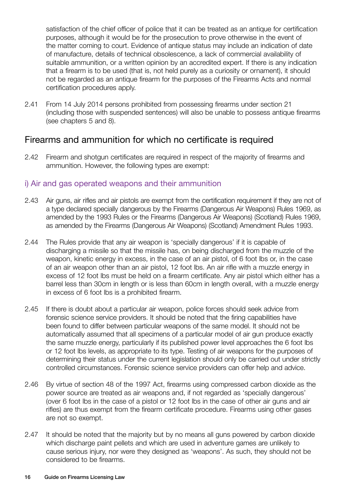satisfaction of the chief officer of police that it can be treated as an antique for certification purposes, although it would be for the prosecution to prove otherwise in the event of the matter coming to court. Evidence of antique status may include an indication of date of manufacture, details of technical obsolescence, a lack of commercial availability of suitable ammunition, or a written opinion by an accredited expert. If there is any indication that a firearm is to be used (that is, not held purely as a curiosity or ornament), it should not be regarded as an antique firearm for the purposes of the Firearms Acts and normal certification procedures apply.

2.41 From 14 July 2014 persons prohibited from possessing firearms under section 21 (including those with suspended sentences) will also be unable to possess antique firearms (see chapters 5 and 8).

#### Firearms and ammunition for which no certificate is required

2.42 Firearm and shotgun certificates are required in respect of the majority of firearms and ammunition. However, the following types are exempt:

#### i) Air and gas operated weapons and their ammunition

- 2.43 Air guns, air rifles and air pistols are exempt from the certification requirement if they are not of a type declared specially dangerous by the Firearms (Dangerous Air Weapons) Rules 1969, as amended by the 1993 Rules or the Firearms (Dangerous Air Weapons) (Scotland) Rules 1969, as amended by the Firearms (Dangerous Air Weapons) (Scotland) Amendment Rules 1993.
- 2.44 The Rules provide that any air weapon is 'specially dangerous' if it is capable of discharging a missile so that the missile has, on being discharged from the muzzle of the weapon, kinetic energy in excess, in the case of an air pistol, of 6 foot lbs or, in the case of an air weapon other than an air pistol, 12 foot lbs. An air rifle with a muzzle energy in excess of 12 foot lbs must be held on a firearm certificate. Any air pistol which either has a barrel less than 30cm in length or is less than 60cm in length overall, with a muzzle energy in excess of 6 foot lbs is a prohibited firearm.
- 2.45 If there is doubt about a particular air weapon, police forces should seek advice from forensic science service providers. It should be noted that the firing capabilities have been found to differ between particular weapons of the same model. It should not be automatically assumed that all specimens of a particular model of air gun produce exactly the same muzzle energy, particularly if its published power level approaches the 6 foot lbs or 12 foot lbs levels, as appropriate to its type. Testing of air weapons for the purposes of determining their status under the current legislation should only be carried out under strictly controlled circumstances. Forensic science service providers can offer help and advice.
- 2.46 By virtue of section 48 of the 1997 Act, firearms using compressed carbon dioxide as the power source are treated as air weapons and, if not regarded as 'specially dangerous' (over 6 foot lbs in the case of a pistol or 12 foot lbs in the case of other air guns and air rifles) are thus exempt from the firearm certificate procedure. Firearms using other gases are not so exempt.
- 2.47 It should be noted that the majority but by no means all guns powered by carbon dioxide which discharge paint pellets and which are used in adventure games are unlikely to cause serious injury, nor were they designed as 'weapons'. As such, they should not be considered to be firearms.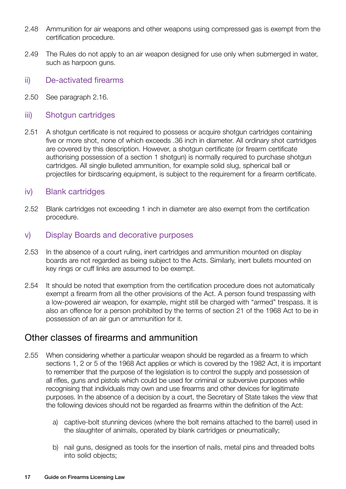- 2.48 Ammunition for air weapons and other weapons using compressed gas is exempt from the certification procedure.
- 2.49 The Rules do not apply to an air weapon designed for use only when submerged in water, such as harpoon guns.
- ii) De-activated firearms
- 2.50 See paragraph 2.16.

#### iii) Shotgun cartridges

2.51 A shotgun certificate is not required to possess or acquire shotgun cartridges containing five or more shot, none of which exceeds .36 inch in diameter. All ordinary shot cartridges are covered by this description. However, a shotgun certificate (or firearm certificate authorising possession of a section 1 shotgun) is normally required to purchase shotgun cartridges. All single bulleted ammunition, for example solid slug, spherical ball or projectiles for birdscaring equipment, is subject to the requirement for a firearm certificate.

#### iv) Blank cartridges

2.52 Blank cartridges not exceeding 1 inch in diameter are also exempt from the certification procedure.

#### v) Display Boards and decorative purposes

- 2.53 In the absence of a court ruling, inert cartridges and ammunition mounted on display boards are not regarded as being subject to the Acts. Similarly, inert bullets mounted on key rings or cuff links are assumed to be exempt.
- 2.54 It should be noted that exemption from the certification procedure does not automatically exempt a firearm from all the other provisions of the Act. A person found trespassing with a low-powered air weapon, for example, might still be charged with "armed" trespass. It is also an offence for a person prohibited by the terms of section 21 of the 1968 Act to be in possession of an air gun or ammunition for it.

#### Other classes of firearms and ammunition

- 2.55 When considering whether a particular weapon should be regarded as a firearm to which sections 1, 2 or 5 of the 1968 Act applies or which is covered by the 1982 Act, it is important to remember that the purpose of the legislation is to control the supply and possession of all rifles, guns and pistols which could be used for criminal or subversive purposes while recognising that individuals may own and use firearms and other devices for legitimate purposes. In the absence of a decision by a court, the Secretary of State takes the view that the following devices should not be regarded as firearms within the definition of the Act:
	- a) captive-bolt stunning devices (where the bolt remains attached to the barrel) used in the slaughter of animals, operated by blank cartridges or pneumatically;
	- b) nail guns, designed as tools for the insertion of nails, metal pins and threaded bolts into solid objects;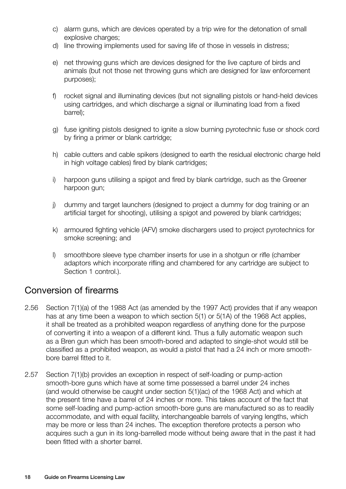- c) alarm guns, which are devices operated by a trip wire for the detonation of small explosive charges:
- d) line throwing implements used for saving life of those in vessels in distress;
- e) net throwing guns which are devices designed for the live capture of birds and animals (but not those net throwing guns which are designed for law enforcement purposes);
- f) rocket signal and illuminating devices (but not signalling pistols or hand-held devices using cartridges, and which discharge a signal or illuminating load from a fixed barrel);
- g) fuse igniting pistols designed to ignite a slow burning pyrotechnic fuse or shock cord by firing a primer or blank cartridge;
- h) cable cutters and cable spikers (designed to earth the residual electronic charge held in high voltage cables) fired by blank cartridges;
- i) harpoon guns utilising a spigot and fired by blank cartridge, such as the Greener harpoon gun;
- j) dummy and target launchers (designed to project a dummy for dog training or an artificial target for shooting), utilising a spigot and powered by blank cartridges;
- k) armoured fighting vehicle (AFV) smoke dischargers used to project pyrotechnics for smoke screening; and
- l) smoothbore sleeve type chamber inserts for use in a shotgun or rifle (chamber adaptors which incorporate rifling and chambered for any cartridge are subject to Section 1 control.).

### Conversion of firearms

- 2.56 Section 7(1)(a) of the 1988 Act (as amended by the 1997 Act) provides that if any weapon has at any time been a weapon to which section 5(1) or 5(1A) of the 1968 Act applies, it shall be treated as a prohibited weapon regardless of anything done for the purpose of converting it into a weapon of a different kind. Thus a fully automatic weapon such as a Bren gun which has been smooth-bored and adapted to single-shot would still be classified as a prohibited weapon, as would a pistol that had a 24 inch or more smoothbore barrel fitted to it.
- 2.57 Section 7(1)(b) provides an exception in respect of self-loading or pump-action smooth-bore guns which have at some time possessed a barrel under 24 inches (and would otherwise be caught under section 5(1)(ac) of the 1968 Act) and which at the present time have a barrel of 24 inches or more. This takes account of the fact that some self-loading and pump-action smooth-bore guns are manufactured so as to readily accommodate, and with equal facility, interchangeable barrels of varying lengths, which may be more or less than 24 inches. The exception therefore protects a person who acquires such a gun in its long-barrelled mode without being aware that in the past it had been fitted with a shorter barrel.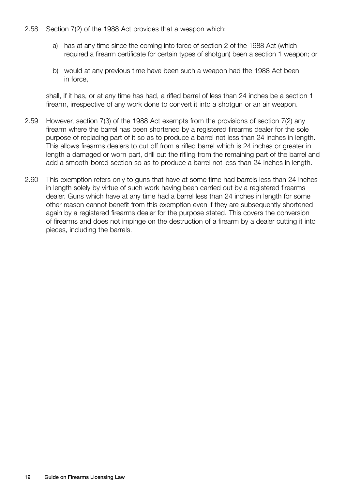#### 2.58 Section 7(2) of the 1988 Act provides that a weapon which:

- a) has at any time since the coming into force of section 2 of the 1988 Act (which required a firearm certificate for certain types of shotgun) been a section 1 weapon; or
- b) would at any previous time have been such a weapon had the 1988 Act been in force,

shall, if it has, or at any time has had, a rifled barrel of less than 24 inches be a section 1 firearm, irrespective of any work done to convert it into a shotgun or an air weapon.

- 2.59 However, section 7(3) of the 1988 Act exempts from the provisions of section 7(2) any firearm where the barrel has been shortened by a registered firearms dealer for the sole purpose of replacing part of it so as to produce a barrel not less than 24 inches in length. This allows firearms dealers to cut off from a rifled barrel which is 24 inches or greater in length a damaged or worn part, drill out the rifling from the remaining part of the barrel and add a smooth-bored section so as to produce a barrel not less than 24 inches in length.
- 2.60 This exemption refers only to guns that have at some time had barrels less than 24 inches in length solely by virtue of such work having been carried out by a registered firearms dealer. Guns which have at any time had a barrel less than 24 inches in length for some other reason cannot benefit from this exemption even if they are subsequently shortened again by a registered firearms dealer for the purpose stated. This covers the conversion of firearms and does not impinge on the destruction of a firearm by a dealer cutting it into pieces, including the barrels.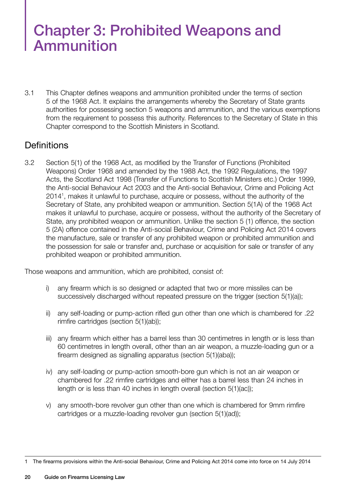# Chapter 3: Prohibited Weapons and Ammunition

3.1 This Chapter defines weapons and ammunition prohibited under the terms of section 5 of the 1968 Act. It explains the arrangements whereby the Secretary of State grants authorities for possessing section 5 weapons and ammunition, and the various exemptions from the requirement to possess this authority. References to the Secretary of State in this Chapter correspond to the Scottish Ministers in Scotland.

#### **Definitions**

3.2 Section 5(1) of the 1968 Act, as modified by the Transfer of Functions (Prohibited Weapons) Order 1968 and amended by the 1988 Act, the 1992 Regulations, the 1997 Acts, the Scotland Act 1998 (Transfer of Functions to Scottish Ministers etc.) Order 1999, the Anti-social Behaviour Act 2003 and the Anti-social Behaviour, Crime and Policing Act 20141 , makes it unlawful to purchase, acquire or possess, without the authority of the Secretary of State, any prohibited weapon or ammunition. Section 5(1A) of the 1968 Act makes it unlawful to purchase, acquire or possess, without the authority of the Secretary of State, any prohibited weapon or ammunition. Unlike the section 5 (1) offence, the section 5 (2A) offence contained in the Anti-social Behaviour, Crime and Policing Act 2014 covers the manufacture, sale or transfer of any prohibited weapon or prohibited ammunition and the possession for sale or transfer and, purchase or acquisition for sale or transfer of any prohibited weapon or prohibited ammunition.

Those weapons and ammunition, which are prohibited, consist of:

- i) any firearm which is so designed or adapted that two or more missiles can be successively discharged without repeated pressure on the trigger (section 5(1)(a));
- ii) any self-loading or pump-action rifled gun other than one which is chambered for .22 rimfire cartridges (section 5(1)(ab));
- iii) any firearm which either has a barrel less than 30 centimetres in length or is less than 60 centimetres in length overall, other than an air weapon, a muzzle-loading gun or a firearm designed as signalling apparatus (section 5(1)(aba));
- iv) any self-loading or pump-action smooth-bore gun which is not an air weapon or chambered for .22 rimfire cartridges and either has a barrel less than 24 inches in length or is less than 40 inches in length overall (section 5(1)(ac));
- v) any smooth-bore revolver gun other than one which is chambered for 9mm rimfire cartridges or a muzzle-loading revolver gun (section 5(1)(ad));

<sup>1</sup> The firearms provisions within the Anti-social Behaviour, Crime and Policing Act 2014 come into force on 14 July 2014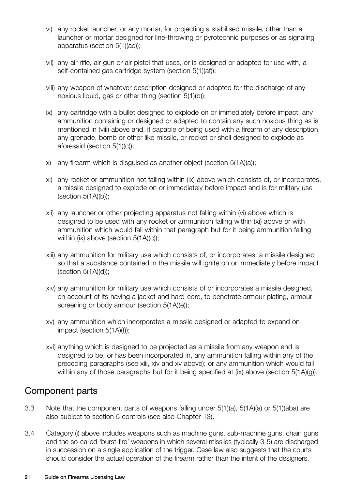- vi) any rocket launcher, or any mortar, for projecting a stabilised missile, other than a launcher or mortar designed for line-throwing or pyrotechnic purposes or as signaling apparatus (section 5(1)(ae));
- vii) any air rifle, air gun or air pistol that uses, or is designed or adapted for use with, a self-contained gas cartridge system (section 5(1)(af));
- viii) any weapon of whatever description designed or adapted for the discharge of any noxious liquid, gas or other thing (section 5(1)(b));
- ix) any cartridge with a bullet designed to explode on or immediately before impact, any ammunition containing or designed or adapted to contain any such noxious thing as is mentioned in (viii) above and, if capable of being used with a firearm of any description, any grenade, bomb or other like missile, or rocket or shell designed to explode as aforesaid (section 5(1)(c));
- x) any firearm which is disguised as another object (section 5(1A)(a));
- xi) any rocket or ammunition not falling within (ix) above which consists of, or incorporates, a missile designed to explode on or immediately before impact and is for military use  $(section 5(1A)(b));$
- xii) any launcher or other projecting apparatus not falling within (vi) above which is designed to be used with any rocket or ammunition falling within (xi) above or with ammunition which would fall within that paragraph but for it being ammunition falling within (ix) above (section 5(1A)(c));
- xiii) any ammunition for military use which consists of, or incorporates, a missile designed so that a substance contained in the missile will ignite on or immediately before impact  $(section 5(1A)(d))$ ;
- xiv) any ammunition for military use which consists of or incorporates a missile designed, on account of its having a jacket and hard-core, to penetrate armour plating, armour screening or body armour (section 5(1A)(e));
- xv) any ammunition which incorporates a missile designed or adapted to expand on impact (section 5(1A)(f));
- xvi) anything which is designed to be projected as a missile from any weapon and is designed to be, or has been incorporated in, any ammunition falling within any of the preceding paragraphs (see xiii, xiv and xv above); or any ammunition which would fall within any of those paragraphs but for it being specified at (ix) above (section 5(1A)(g)).

#### Component parts

- 3.3 Note that the component parts of weapons falling under 5(1)(a), 5(1A)(a) or 5(1)(aba) are also subject to section 5 controls (see also Chapter 13).
- 3.4 Category (i) above includes weapons such as machine guns, sub-machine guns, chain guns and the so-called 'burst-fire' weapons in which several missiles (typically 3-5) are discharged in succession on a single application of the trigger. Case law also suggests that the courts should consider the actual operation of the firearm rather than the intent of the designers.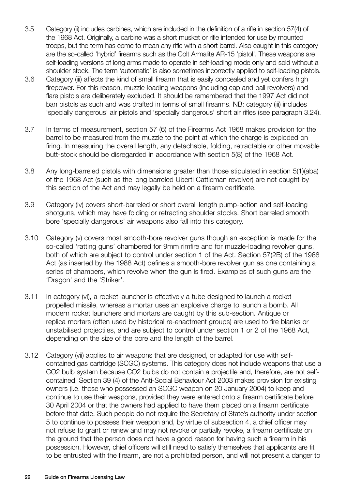- 3.5 Category (ii) includes carbines, which are included in the definition of a rifle in section 57(4) of the 1968 Act. Originally, a carbine was a short musket or rifle intended for use by mounted troops, but the term has come to mean any rifle with a short barrel. Also caught in this category are the so-called 'hybrid' firearms such as the Colt Armalite AR-15 'pistol'. These weapons are self-loading versions of long arms made to operate in self-loading mode only and sold without a shoulder stock. The term 'automatic' is also sometimes incorrectly applied to self-loading pistols.
- 3.6 Category (iii) affects the kind of small firearm that is easily concealed and yet confers high firepower. For this reason, muzzle-loading weapons (including cap and ball revolvers) and flare pistols are deliberately excluded. It should be remembered that the 1997 Act did not ban pistols as such and was drafted in terms of small firearms. NB: category (iii) includes 'specially dangerous' air pistols and 'specially dangerous' short air rifles (see paragraph 3.24).
- 3.7 In terms of measurement, section 57 (6) of the Firearms Act 1968 makes provision for the barrel to be measured from the muzzle to the point at which the charge is exploded on firing. In measuring the overall length, any detachable, folding, retractable or other movable butt-stock should be disregarded in accordance with section 5(8) of the 1968 Act.
- 3.8 Any long-barreled pistols with dimensions greater than those stipulated in section 5(1)(aba) of the 1968 Act (such as the long barreled Uberti Cattleman revolver) are not caught by this section of the Act and may legally be held on a firearm certificate.
- 3.9 Category (iv) covers short-barreled or short overall length pump-action and self-loading shotguns, which may have folding or retracting shoulder stocks. Short barreled smooth bore 'specially dangerous' air weapons also fall into this category.
- 3.10 Category (v) covers most smooth-bore revolver guns though an exception is made for the so-called 'ratting guns' chambered for 9mm rimfire and for muzzle-loading revolver guns, both of which are subject to control under section 1 of the Act. Section 57(2B) of the 1968 Act (as inserted by the 1988 Act) defines a smooth-bore revolver gun as one containing a series of chambers, which revolve when the gun is fired. Examples of such guns are the 'Dragon' and the 'Striker'.
- 3.11 In category (vi), a rocket launcher is effectively a tube designed to launch a rocketpropelled missile, whereas a mortar uses an explosive charge to launch a bomb. All modern rocket launchers and mortars are caught by this sub-section. Antique or replica mortars (often used by historical re-enactment groups) are used to fire blanks or unstabilised projectiles, and are subject to control under section 1 or 2 of the 1968 Act, depending on the size of the bore and the length of the barrel.
- 3.12 Category (vii) applies to air weapons that are designed, or adapted for use with selfcontained gas cartridge (SCGC) systems. This category does not include weapons that use a CO2 bulb system because CO2 bulbs do not contain a projectile and, therefore, are not selfcontained. Section 39 (4) of the Anti-Social Behaviour Act 2003 makes provision for existing owners (i.e. those who possessed an SCGC weapon on 20 January 2004) to keep and continue to use their weapons, provided they were entered onto a firearm certificate before 30 April 2004 or that the owners had applied to have them placed on a firearm certificate before that date. Such people do not require the Secretary of State's authority under section 5 to continue to possess their weapon and, by virtue of subsection 4, a chief officer may not refuse to grant or renew and may not revoke or partially revoke, a firearm certificate on the ground that the person does not have a good reason for having such a firearm in his possession. However, chief officers will still need to satisfy themselves that applicants are fit to be entrusted with the firearm, are not a prohibited person, and will not present a danger to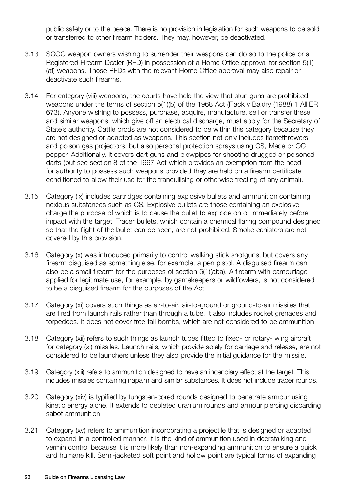public safety or to the peace. There is no provision in legislation for such weapons to be sold or transferred to other firearm holders. They may, however, be deactivated.

- 3.13 SCGC weapon owners wishing to surrender their weapons can do so to the police or a Registered Firearm Dealer (RFD) in possession of a Home Office approval for section 5(1) (af) weapons. Those RFDs with the relevant Home Office approval may also repair or deactivate such firearms.
- 3.14 For category (viii) weapons, the courts have held the view that stun guns are prohibited weapons under the terms of section 5(1)(b) of the 1968 Act (Flack v Baldry (1988) 1 All.ER 673). Anyone wishing to possess, purchase, acquire, manufacture, sell or transfer these and similar weapons, which give off an electrical discharge, must apply for the Secretary of State's authority. Cattle prods are not considered to be within this category because they are not designed or adapted as weapons. This section not only includes flamethrowers and poison gas projectors, but also personal protection sprays using CS, Mace or OC pepper. Additionally, it covers dart guns and blowpipes for shooting drugged or poisoned darts (but see section 8 of the 1997 Act which provides an exemption from the need for authority to possess such weapons provided they are held on a firearm certificate conditioned to allow their use for the tranquilising or otherwise treating of any animal).
- 3.15 Category (ix) includes cartridges containing explosive bullets and ammunition containing noxious substances such as CS. Explosive bullets are those containing an explosive charge the purpose of which is to cause the bullet to explode on or immediately before impact with the target. Tracer bullets, which contain a chemical flaring compound designed so that the flight of the bullet can be seen, are not prohibited. Smoke canisters are not covered by this provision.
- 3.16 Category (x) was introduced primarily to control walking stick shotguns, but covers any firearm disguised as something else, for example, a pen pistol. A disguised firearm can also be a small firearm for the purposes of section 5(1)(aba). A firearm with camouflage applied for legitimate use, for example, by gamekeepers or wildfowlers, is not considered to be a disguised firearm for the purposes of the Act.
- 3.17 Category (xi) covers such things as air-to-air, air-to-ground or ground-to-air missiles that are fired from launch rails rather than through a tube. It also includes rocket grenades and torpedoes. It does not cover free-fall bombs, which are not considered to be ammunition.
- 3.18 Category (xii) refers to such things as launch tubes fitted to fixed- or rotary- wing aircraft for category (xi) missiles. Launch rails, which provide solely for carriage and release, are not considered to be launchers unless they also provide the initial guidance for the missile.
- 3.19 Category (xiii) refers to ammunition designed to have an incendiary effect at the target. This includes missiles containing napalm and similar substances. It does not include tracer rounds.
- 3.20 Category (xiv) is typified by tungsten-cored rounds designed to penetrate armour using kinetic energy alone. It extends to depleted uranium rounds and armour piercing discarding sabot ammunition.
- 3.21 Category (xv) refers to ammunition incorporating a projectile that is designed or adapted to expand in a controlled manner. It is the kind of ammunition used in deerstalking and vermin control because it is more likely than non-expanding ammunition to ensure a quick and humane kill. Semi-jacketed soft point and hollow point are typical forms of expanding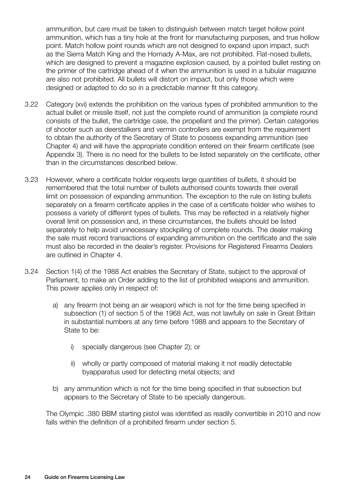ammunition, but care must be taken to distinguish between match target hollow point ammunition, which has a tiny hole at the front for manufacturing purposes, and true hollow point. Match hollow point rounds which are not designed to expand upon impact, such as the Sierra Match King and the Hornady A-Max, are not prohibited. Flat-nosed bullets, which are designed to prevent a magazine explosion caused, by a pointed bullet resting on the primer of the cartridge ahead of it when the ammunition is used in a tubular magazine are also not prohibited. All bullets will distort on impact, but only those which were designed or adapted to do so in a predictable manner fit this category.

- 3.22 Category (xvi) extends the prohibition on the various types of prohibited ammunition to the actual bullet or missile itself, not just the complete round of ammunition (a complete round consists of the bullet, the cartridge case, the propellant and the primer). Certain categories of shooter such as deerstalkers and vermin controllers are exempt from the requirement to obtain the authority of the Secretary of State to possess expanding ammunition (see Chapter 4) and will have the appropriate condition entered on their firearm certificate (see Appendix 3). There is no need for the bullets to be listed separately on the certificate, other than in the circumstances described below.
- 3.23 However, where a certificate holder requests large quantities of bullets, it should be remembered that the total number of bullets authorised counts towards their overall limit on possession of expanding ammunition. The exception to the rule on listing bullets separately on a firearm certificate applies in the case of a certificate holder who wishes to possess a variety of different types of bullets. This may be reflected in a relatively higher overall limit on possession and, in these circumstances, the bullets should be listed separately to help avoid unnecessary stockpiling of complete rounds. The dealer making the sale must record transactions of expanding ammunition on the certificate and the sale must also be recorded in the dealer's register. Provisions for Registered Firearms Dealers are outlined in Chapter 4.
- 3.24 Section 1(4) of the 1988 Act enables the Secretary of State, subject to the approval of Parliament, to make an Order adding to the list of prohibited weapons and ammunition. This power applies only in respect of:
	- a) any firearm (not being an air weapon) which is not for the time being specified in subsection (1) of section 5 of the 1968 Act, was not lawfully on sale in Great Britain in substantial numbers at any time before 1988 and appears to the Secretary of State to be:
		- i) specially dangerous (see Chapter 2); or
		- ii) wholly or partly composed of material making it not readily detectable byapparatus used for detecting metal objects; and
	- b) any ammunition which is not for the time being specified in that subsection but appears to the Secretary of State to be specially dangerous.

The Olympic .380 BBM starting pistol was identified as readily convertible in 2010 and now falls within the definition of a prohibited firearm under section 5.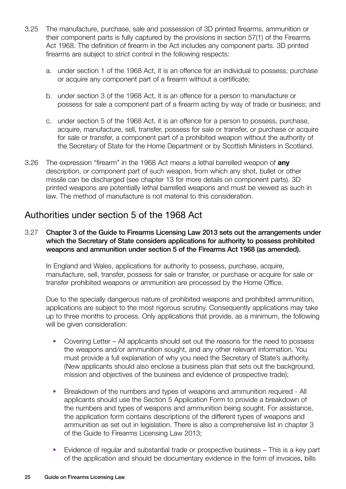- 3.25 The manufacture, purchase, sale and possession of 3D printed firearms, ammunition or their component parts is fully captured by the provisions in section 57(1) of the Firearms Act 1968. The definition of firearm in the Act includes any component parts. 3D printed firearms are subject to strict control in the following respects:
	- a. under section 1 of the 1968 Act, it is an offence for an individual to possess, purchase or acquire any component part of a firearm without a certificate;
	- b. under section 3 of the 1968 Act, it is an offence for a person to manufacture or possess for sale a component part of a firearm acting by way of trade or business; and
	- c. under section 5 of the 1968 Act, it is an offence for a person to possess, purchase, acquire, manufacture, sell, transfer, possess for sale or transfer, or purchase or acquire for sale or transfer, a component part of a prohibited weapon without the authority of the Secretary of State for the Home Department or by Scottish Ministers in Scotland.
- 3.26 The expression "firearm" in the 1968 Act means a lethal barrelled weapon of **any** description, or component part of such weapon, from which any shot, bullet or other missile can be discharged (see chapter 13 for more details on component parts). 3D printed weapons are potentially lethal barrelled weapons and must be viewed as such in law. The method of manufacture is not material to this consideration.

#### Authorities under section 5 of the 1968 Act

3.27 Chapter 3 of the Guide to Firearms Licensing Law 2013 sets out the arrangements under which the Secretary of State considers applications for authority to possess prohibited weapons and ammunition under section 5 of the Firearms Act 1968 (as amended).

In England and Wales, applications for authority to possess, purchase, acquire, manufacture, sell, transfer, possess for sale or transfer, or purchase or acquire for sale or transfer prohibited weapons or ammunition are processed by the Home Office.

Due to the specially dangerous nature of prohibited weapons and prohibited ammunition, applications are subject to the most rigorous scrutiny. Consequently applications may take up to three months to process. Only applications that provide, as a minimum, the following will be given consideration:

- Covering Letter All applicants should set out the reasons for the need to possess the weapons and/or ammunition sought, and any other relevant information. You must provide a full explanation of why you need the Secretary of State's authority. (New applicants should also enclose a business plan that sets out the background, mission and objectives of the business and evidence of prospective trade);
- Breakdown of the numbers and types of weapons and ammunition required All applicants should use the Section 5 Application Form to provide a breakdown of the numbers and types of weapons and ammunition being sought. For assistance, the application form contains descriptions of the different types of weapons and ammunition as set out in legislation. There is also a comprehensive list in chapter 3 of the Guide to Firearms Licensing Law 2013;
- Evidence of regular and substantial trade or prospective business This is a key part of the application and should be documentary evidence in the form of invoices, bills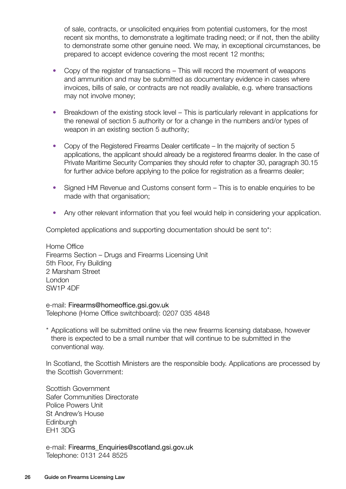of sale, contracts, or unsolicited enquiries from potential customers, for the most recent six months, to demonstrate a legitimate trading need; or if not, then the ability to demonstrate some other genuine need. We may, in exceptional circumstances, be prepared to accept evidence covering the most recent 12 months;

- Copy of the register of transactions This will record the movement of weapons and ammunition and may be submitted as documentary evidence in cases where invoices, bills of sale, or contracts are not readily available, e.g. where transactions may not involve money;
- Breakdown of the existing stock level This is particularly relevant in applications for the renewal of section 5 authority or for a change in the numbers and/or types of weapon in an existing section 5 authority;
- Copy of the Registered Firearms Dealer certificate In the majority of section 5 applications, the applicant should already be a registered firearms dealer. In the case of Private Maritime Security Companies they should refer to chapter 30, paragraph 30.15 for further advice before applying to the police for registration as a firearms dealer;
- Signed HM Revenue and Customs consent form This is to enable enquiries to be made with that organisation;
- Any other relevant information that you feel would help in considering your application.

Completed applications and supporting documentation should be sent to\*:

Home Office Firearms Section – Drugs and Firearms Licensing Unit 5th Floor, Fry Building 2 Marsham Street London SW1P 4DF

e-mail: [Firearms@homeoffice.gsi.gov.uk](mailto:Firearms%40homeoffice.gsi.gov.uk?subject=) Telephone (Home Office switchboard): 0207 035 4848

\* Applications will be submitted online via the new firearms licensing database, however there is expected to be a small number that will continue to be submitted in the conventional way.

In Scotland, the Scottish Ministers are the responsible body. Applications are processed by the Scottish Government:

Scottish Government Safer Communities Directorate Police Powers Unit St Andrew's House **Edinburgh** EH1 3DG

e-mail: [Firearms\\_Enquiries@scotland.gsi.gov.uk](mailto:Firearms_Enquiries%40scotland.gsi.gov.uk?subject=) Telephone: 0131 244 8525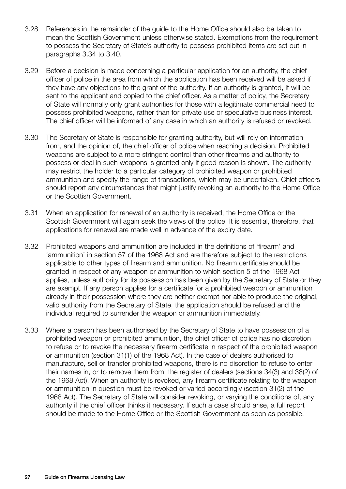- 3.28 References in the remainder of the guide to the Home Office should also be taken to mean the Scottish Government unless otherwise stated. Exemptions from the requirement to possess the Secretary of State's authority to possess prohibited items are set out in paragraphs 3.34 to 3.40.
- 3.29 Before a decision is made concerning a particular application for an authority, the chief officer of police in the area from which the application has been received will be asked if they have any objections to the grant of the authority. If an authority is granted, it will be sent to the applicant and copied to the chief officer. As a matter of policy, the Secretary of State will normally only grant authorities for those with a legitimate commercial need to possess prohibited weapons, rather than for private use or speculative business interest. The chief officer will be informed of any case in which an authority is refused or revoked.
- 3.30 The Secretary of State is responsible for granting authority, but will rely on information from, and the opinion of, the chief officer of police when reaching a decision. Prohibited weapons are subject to a more stringent control than other firearms and authority to possess or deal in such weapons is granted only if good reason is shown. The authority may restrict the holder to a particular category of prohibited weapon or prohibited ammunition and specify the range of transactions, which may be undertaken. Chief officers should report any circumstances that might justify revoking an authority to the Home Office or the Scottish Government.
- 3.31 When an application for renewal of an authority is received, the Home Office or the Scottish Government will again seek the views of the police. It is essential, therefore, that applications for renewal are made well in advance of the expiry date.
- 3.32 Prohibited weapons and ammunition are included in the definitions of 'firearm' and 'ammunition' in section 57 of the 1968 Act and are therefore subject to the restrictions applicable to other types of firearm and ammunition. No firearm certificate should be granted in respect of any weapon or ammunition to which section 5 of the 1968 Act applies, unless authority for its possession has been given by the Secretary of State or they are exempt. If any person applies for a certificate for a prohibited weapon or ammunition already in their possession where they are neither exempt nor able to produce the original, valid authority from the Secretary of State, the application should be refused and the individual required to surrender the weapon or ammunition immediately.
- 3.33 Where a person has been authorised by the Secretary of State to have possession of a prohibited weapon or prohibited ammunition, the chief officer of police has no discretion to refuse or to revoke the necessary firearm certificate in respect of the prohibited weapon or ammunition (section 31(1) of the 1968 Act). In the case of dealers authorised to manufacture, sell or transfer prohibited weapons, there is no discretion to refuse to enter their names in, or to remove them from, the register of dealers (sections 34(3) and 38(2) of the 1968 Act). When an authority is revoked, any firearm certificate relating to the weapon or ammunition in question must be revoked or varied accordingly (section 31(2) of the 1968 Act). The Secretary of State will consider revoking, or varying the conditions of, any authority if the chief officer thinks it necessary. If such a case should arise, a full report should be made to the Home Office or the Scottish Government as soon as possible.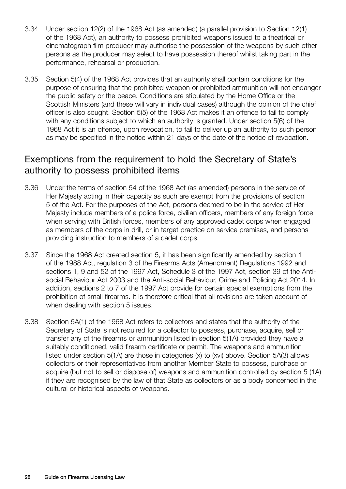- 3.34 Under section 12(2) of the 1968 Act (as amended) (a parallel provision to Section 12(1) of the 1968 Act), an authority to possess prohibited weapons issued to a theatrical or cinematograph film producer may authorise the possession of the weapons by such other persons as the producer may select to have possession thereof whilst taking part in the performance, rehearsal or production.
- 3.35 Section 5(4) of the 1968 Act provides that an authority shall contain conditions for the purpose of ensuring that the prohibited weapon or prohibited ammunition will not endanger the public safety or the peace. Conditions are stipulated by the Home Office or the Scottish Ministers (and these will vary in individual cases) although the opinion of the chief officer is also sought. Section 5(5) of the 1968 Act makes it an offence to fail to comply with any conditions subject to which an authority is granted. Under section 5(6) of the 1968 Act it is an offence, upon revocation, to fail to deliver up an authority to such person as may be specified in the notice within 21 days of the date of the notice of revocation.

### Exemptions from the requirement to hold the Secretary of State's authority to possess prohibited items

- 3.36 Under the terms of section 54 of the 1968 Act (as amended) persons in the service of Her Majesty acting in their capacity as such are exempt from the provisions of section 5 of the Act. For the purposes of the Act, persons deemed to be in the service of Her Majesty include members of a police force, civilian officers, members of any foreign force when serving with British forces, members of any approved cadet corps when engaged as members of the corps in drill, or in target practice on service premises, and persons providing instruction to members of a cadet corps.
- 3.37 Since the 1968 Act created section 5, it has been significantly amended by section 1 of the 1988 Act, regulation 3 of the Firearms Acts (Amendment) Regulations 1992 and sections 1, 9 and 52 of the 1997 Act, Schedule 3 of the 1997 Act, section 39 of the Antisocial Behaviour Act 2003 and the Anti-social Behaviour, Crime and Policing Act 2014. In addition, sections 2 to 7 of the 1997 Act provide for certain special exemptions from the prohibition of small firearms. It is therefore critical that all revisions are taken account of when dealing with section 5 issues.
- 3.38 Section 5A(1) of the 1968 Act refers to collectors and states that the authority of the Secretary of State is not required for a collector to possess, purchase, acquire, sell or transfer any of the firearms or ammunition listed in section 5(1A) provided they have a suitably conditioned, valid firearm certificate or permit. The weapons and ammunition listed under section 5(1A) are those in categories (x) to (xvi) above. Section 5A(3) allows collectors or their representatives from another Member State to possess, purchase or acquire (but not to sell or dispose of) weapons and ammunition controlled by section 5 (1A) if they are recognised by the law of that State as collectors or as a body concerned in the cultural or historical aspects of weapons.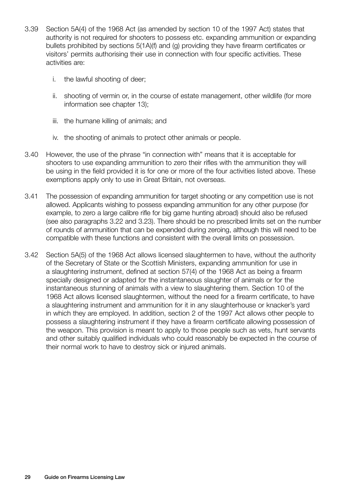- 3.39 Section 5A(4) of the 1968 Act (as amended by section 10 of the 1997 Act) states that authority is not required for shooters to possess etc. expanding ammunition or expanding bullets prohibited by sections 5(1A)(f) and (g) providing they have firearm certificates or visitors' permits authorising their use in connection with four specific activities. These activities are:
	- i. the lawful shooting of deer;
	- ii. shooting of vermin or, in the course of estate management, other wildlife (for more information see chapter 13);
	- iii. the humane killing of animals; and
	- iv. the shooting of animals to protect other animals or people.
- 3.40 However, the use of the phrase "in connection with" means that it is acceptable for shooters to use expanding ammunition to zero their rifles with the ammunition they will be using in the field provided it is for one or more of the four activities listed above. These exemptions apply only to use in Great Britain, not overseas.
- 3.41 The possession of expanding ammunition for target shooting or any competition use is not allowed. Applicants wishing to possess expanding ammunition for any other purpose (for example, to zero a large calibre rifle for big game hunting abroad) should also be refused (see also paragraphs 3.22 and 3.23). There should be no prescribed limits set on the number of rounds of ammunition that can be expended during zeroing, although this will need to be compatible with these functions and consistent with the overall limits on possession.
- 3.42 Section 5A(5) of the 1968 Act allows licensed slaughtermen to have, without the authority of the Secretary of State or the Scottish Ministers, expanding ammunition for use in a slaughtering instrument, defined at section 57(4) of the 1968 Act as being a firearm specially designed or adapted for the instantaneous slaughter of animals or for the instantaneous stunning of animals with a view to slaughtering them. Section 10 of the 1968 Act allows licensed slaughtermen, without the need for a firearm certificate, to have a slaughtering instrument and ammunition for it in any slaughterhouse or knacker's yard in which they are employed. In addition, section 2 of the 1997 Act allows other people to possess a slaughtering instrument if they have a firearm certificate allowing possession of the weapon. This provision is meant to apply to those people such as vets, hunt servants and other suitably qualified individuals who could reasonably be expected in the course of their normal work to have to destroy sick or injured animals.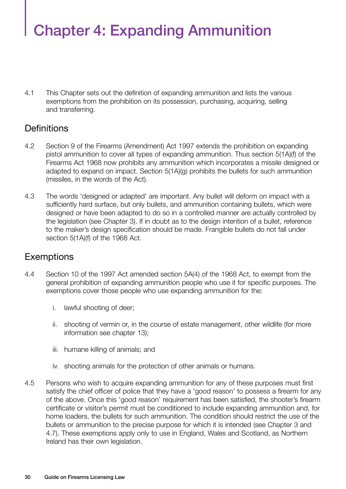# Chapter 4: Expanding Ammunition

4.1 This Chapter sets out the definition of expanding ammunition and lists the various exemptions from the prohibition on its possession, purchasing, acquiring, selling and transferring.

#### **Definitions**

- 4.2 Section 9 of the Firearms (Amendment) Act 1997 extends the prohibition on expanding pistol ammunition to cover all types of expanding ammunition. Thus section 5(1A)(f) of the Firearms Act 1968 now prohibits any ammunition which incorporates a missile designed or adapted to expand on impact. Section 5(1A)(g) prohibits the bullets for such ammunition (missiles, in the words of the Act).
- 4.3 The words 'designed or adapted' are important. Any bullet will deform on impact with a sufficiently hard surface, but only bullets, and ammunition containing bullets, which were designed or have been adapted to do so in a controlled manner are actually controlled by the legislation (see Chapter 3). If in doubt as to the design intention of a bullet, reference to the maker's design specification should be made. Frangible bullets do not fall under section 5(1A)(f) of the 1968 Act.

#### **Exemptions**

- 4.4 Section 10 of the 1997 Act amended section 5A(4) of the 1968 Act, to exempt from the general prohibition of expanding ammunition people who use it for specific purposes. The exemptions cover those people who use expanding ammunition for the:
	- i. lawful shooting of deer;
	- ii. shooting of vermin or, in the course of estate management, other wildlife (for more information see chapter 13);
	- iii. humane killing of animals; and
	- iv. shooting animals for the protection of other animals or humans.
- 4.5 Persons who wish to acquire expanding ammunition for any of these purposes must first satisfy the chief officer of police that they have a 'good reason' to possess a firearm for any of the above. Once this 'good reason' requirement has been satisfied, the shooter's firearm certificate or visitor's permit must be conditioned to include expanding ammunition and, for home loaders, the bullets for such ammunition. The condition should restrict the use of the bullets or ammunition to the precise purpose for which it is intended (see Chapter 3 and 4.7). These exemptions apply only to use in England, Wales and Scotland, as Northern Ireland has their own legislation.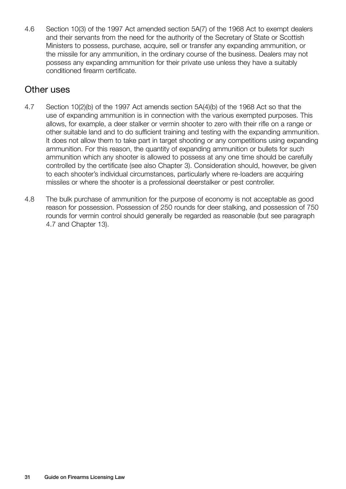4.6 Section 10(3) of the 1997 Act amended section 5A(7) of the 1968 Act to exempt dealers and their servants from the need for the authority of the Secretary of State or Scottish Ministers to possess, purchase, acquire, sell or transfer any expanding ammunition, or the missile for any ammunition, in the ordinary course of the business. Dealers may not possess any expanding ammunition for their private use unless they have a suitably conditioned firearm certificate.

## Other uses

- 4.7 Section 10(2)(b) of the 1997 Act amends section 5A(4)(b) of the 1968 Act so that the use of expanding ammunition is in connection with the various exempted purposes. This allows, for example, a deer stalker or vermin shooter to zero with their rifle on a range or other suitable land and to do sufficient training and testing with the expanding ammunition. It does not allow them to take part in target shooting or any competitions using expanding ammunition. For this reason, the quantity of expanding ammunition or bullets for such ammunition which any shooter is allowed to possess at any one time should be carefully controlled by the certificate (see also Chapter 3). Consideration should, however, be given to each shooter's individual circumstances, particularly where re-loaders are acquiring missiles or where the shooter is a professional deerstalker or pest controller.
- 4.8 The bulk purchase of ammunition for the purpose of economy is not acceptable as good reason for possession. Possession of 250 rounds for deer stalking, and possession of 750 rounds for vermin control should generally be regarded as reasonable (but see paragraph 4.7 and Chapter 13).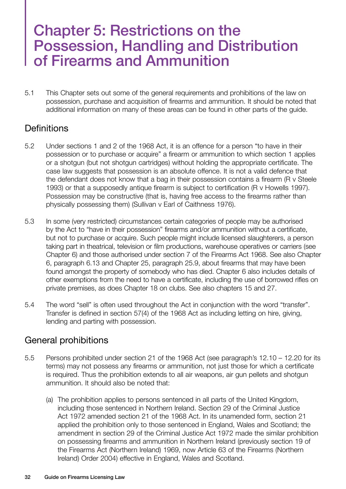## Chapter 5: Restrictions on the Possession, Handling and Distribution of Firearms and Ammunition

5.1 This Chapter sets out some of the general requirements and prohibitions of the law on possession, purchase and acquisition of firearms and ammunition. It should be noted that additional information on many of these areas can be found in other parts of the guide.

#### **Definitions**

- 5.2 Under sections 1 and 2 of the 1968 Act, it is an offence for a person "to have in their possession or to purchase or acquire" a firearm or ammunition to which section 1 applies or a shotgun (but not shotgun cartridges) without holding the appropriate certificate. The case law suggests that possession is an absolute offence. It is not a valid defence that the defendant does not know that a bag in their possession contains a firearm (R v Steele 1993) or that a supposedly antique firearm is subject to certification (R v Howells 1997). Possession may be constructive (that is, having free access to the firearms rather than physically possessing them) (Sullivan v Earl of Caithness 1976).
- 5.3 In some (very restricted) circumstances certain categories of people may be authorised by the Act to "have in their possession" firearms and/or ammunition without a certificate, but not to purchase or acquire. Such people might include licensed slaughterers, a person taking part in theatrical, television or film productions, warehouse operatives or carriers (see Chapter 6) and those authorised under section 7 of the Firearms Act 1968. See also Chapter 6, paragraph 6.13 and Chapter 25, paragraph 25.9, about firearms that may have been found amongst the property of somebody who has died. Chapter 6 also includes details of other exemptions from the need to have a certificate, including the use of borrowed rifles on private premises, as does Chapter 18 on clubs. See also chapters 15 and 27.
- 5.4 The word "sell" is often used throughout the Act in conjunction with the word "transfer". Transfer is defined in section 57(4) of the 1968 Act as including letting on hire, giving, lending and parting with possession.

### General prohibitions

- 5.5 Persons prohibited under section 21 of the 1968 Act (see paragraph's 12.10 12.20 for its terms) may not possess any firearms or ammunition, not just those for which a certificate is required. Thus the prohibition extends to all air weapons, air gun pellets and shotgun ammunition. It should also be noted that:
	- (a) The prohibition applies to persons sentenced in all parts of the United Kingdom, including those sentenced in Northern Ireland. Section 29 of the Criminal Justice Act 1972 amended section 21 of the 1968 Act. In its unamended form, section 21 applied the prohibition only to those sentenced in England, Wales and Scotland; the amendment in section 29 of the Criminal Justice Act 1972 made the similar prohibition on possessing firearms and ammunition in Northern Ireland (previously section 19 of the Firearms Act (Northern Ireland) 1969, now Article 63 of the Firearms (Northern Ireland) Order 2004) effective in England, Wales and Scotland.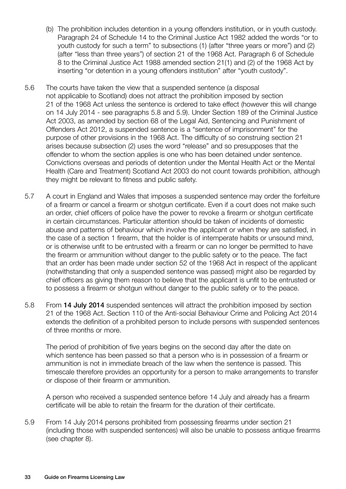- (b) The prohibition includes detention in a young offenders institution, or in youth custody. Paragraph 24 of Schedule 14 to the Criminal Justice Act 1982 added the words "or to youth custody for such a term" to subsections (1) (after "three years or more") and (2) (after "less than three years") of section 21 of the 1968 Act. Paragraph 6 of Schedule 8 to the Criminal Justice Act 1988 amended section 21(1) and (2) of the 1968 Act by inserting "or detention in a young offenders institution" after "youth custody".
- 5.6 The courts have taken the view that a suspended sentence (a disposal not applicable to Scotland) does not attract the prohibition imposed by section 21 of the 1968 Act unless the sentence is ordered to take effect (however this will change on 14 July 2014 - see paragraphs 5.8 and 5.9). Under Section 189 of the Criminal Justice Act 2003, as amended by section 68 of the Legal Aid, Sentencing and Punishment of Offenders Act 2012, a suspended sentence is a "sentence of imprisonment" for the purpose of other provisions in the 1968 Act. The difficulty of so construing section 21 arises because subsection (2) uses the word "release" and so presupposes that the offender to whom the section applies is one who has been detained under sentence. Convictions overseas and periods of detention under the Mental Health Act or the Mental Health (Care and Treatment) Scotland Act 2003 do not count towards prohibition, although they might be relevant to fitness and public safety.
- 5.7 A court in England and Wales that imposes a suspended sentence may order the forfeiture of a firearm or cancel a firearm or shotgun certificate. Even if a court does not make such an order, chief officers of police have the power to revoke a firearm or shotgun certificate in certain circumstances. Particular attention should be taken of incidents of domestic abuse and patterns of behaviour which involve the applicant or when they are satisfied, in the case of a section 1 firearm, that the holder is of intemperate habits or unsound mind, or is otherwise unfit to be entrusted with a firearm or can no longer be permitted to have the firearm or ammunition without danger to the public safety or to the peace. The fact that an order has been made under section 52 of the 1968 Act in respect of the applicant (notwithstanding that only a suspended sentence was passed) might also be regarded by chief officers as giving them reason to believe that the applicant is unfit to be entrusted or to possess a firearm or shotgun without danger to the public safety or to the peace.
- 5.8 From 14 July 2014 suspended sentences will attract the prohibition imposed by section 21 of the 1968 Act. Section 110 of the Anti-social Behaviour Crime and Policing Act 2014 extends the definition of a prohibited person to include persons with suspended sentences of three months or more.

The period of prohibition of five years begins on the second day after the date on which sentence has been passed so that a person who is in possession of a firearm or ammunition is not in immediate breach of the law when the sentence is passed. This timescale therefore provides an opportunity for a person to make arrangements to transfer or dispose of their firearm or ammunition.

A person who received a suspended sentence before 14 July and already has a firearm certificate will be able to retain the firearm for the duration of their certificate.

5.9 From 14 July 2014 persons prohibited from possessing firearms under section 21 (including those with suspended sentences) will also be unable to possess antique firearms (see chapter 8).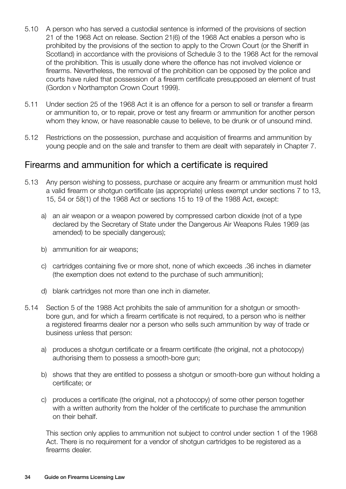- 5.10 A person who has served a custodial sentence is informed of the provisions of section 21 of the 1968 Act on release. Section 21(6) of the 1968 Act enables a person who is prohibited by the provisions of the section to apply to the Crown Court (or the Sheriff in Scotland) in accordance with the provisions of Schedule 3 to the 1968 Act for the removal of the prohibition. This is usually done where the offence has not involved violence or firearms. Nevertheless, the removal of the prohibition can be opposed by the police and courts have ruled that possession of a firearm certificate presupposed an element of trust (Gordon v Northampton Crown Court 1999).
- 5.11 Under section 25 of the 1968 Act it is an offence for a person to sell or transfer a firearm or ammunition to, or to repair, prove or test any firearm or ammunition for another person whom they know, or have reasonable cause to believe, to be drunk or of unsound mind.
- 5.12 Restrictions on the possession, purchase and acquisition of firearms and ammunition by young people and on the sale and transfer to them are dealt with separately in Chapter 7.

#### Firearms and ammunition for which a certificate is required

- 5.13 Any person wishing to possess, purchase or acquire any firearm or ammunition must hold a valid firearm or shotgun certificate (as appropriate) unless exempt under sections 7 to 13, 15, 54 or 58(1) of the 1968 Act or sections 15 to 19 of the 1988 Act, except:
	- a) an air weapon or a weapon powered by compressed carbon dioxide (not of a type declared by the Secretary of State under the Dangerous Air Weapons Rules 1969 (as amended) to be specially dangerous);
	- b) ammunition for air weapons;
	- c) cartridges containing five or more shot, none of which exceeds .36 inches in diameter (the exemption does not extend to the purchase of such ammunition);
	- d) blank cartridges not more than one inch in diameter.
- 5.14 Section 5 of the 1988 Act prohibits the sale of ammunition for a shotgun or smoothbore gun, and for which a firearm certificate is not required, to a person who is neither a registered firearms dealer nor a person who sells such ammunition by way of trade or business unless that person:
	- a) produces a shotgun certificate or a firearm certificate (the original, not a photocopy) authorising them to possess a smooth-bore gun;
	- b) shows that they are entitled to possess a shotgun or smooth-bore gun without holding a certificate; or
	- c) produces a certificate (the original, not a photocopy) of some other person together with a written authority from the holder of the certificate to purchase the ammunition on their behalf.

This section only applies to ammunition not subject to control under section 1 of the 1968 Act. There is no requirement for a vendor of shotgun cartridges to be registered as a firearms dealer.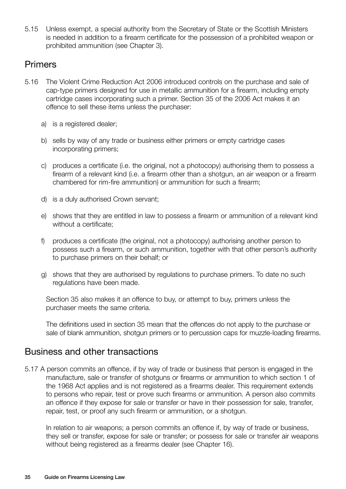5.15 Unless exempt, a special authority from the Secretary of State or the Scottish Ministers is needed in addition to a firearm certificate for the possession of a prohibited weapon or prohibited ammunition (see Chapter 3).

#### Primers

- 5.16 The Violent Crime Reduction Act 2006 introduced controls on the purchase and sale of cap-type primers designed for use in metallic ammunition for a firearm, including empty cartridge cases incorporating such a primer. Section 35 of the 2006 Act makes it an offence to sell these items unless the purchaser:
	- a) is a registered dealer;
	- b) sells by way of any trade or business either primers or empty cartridge cases incorporating primers;
	- c) produces a certificate (i.e. the original, not a photocopy) authorising them to possess a firearm of a relevant kind (i.e. a firearm other than a shotgun, an air weapon or a firearm chambered for rim-fire ammunition) or ammunition for such a firearm;
	- d) is a duly authorised Crown servant;
	- e) shows that they are entitled in law to possess a firearm or ammunition of a relevant kind without a certificate;
	- f) produces a certificate (the original, not a photocopy) authorising another person to possess such a firearm, or such ammunition, together with that other person's authority to purchase primers on their behalf; or
	- g) shows that they are authorised by regulations to purchase primers. To date no such regulations have been made.

Section 35 also makes it an offence to buy, or attempt to buy, primers unless the purchaser meets the same criteria.

The definitions used in section 35 mean that the offences do not apply to the purchase or sale of blank ammunition, shotgun primers or to percussion caps for muzzle-loading firearms.

#### Business and other transactions

5.17 A person commits an offence, if by way of trade or business that person is engaged in the manufacture, sale or transfer of shotguns or firearms or ammunition to which section 1 of the 1968 Act applies and is not registered as a firearms dealer. This requirement extends to persons who repair, test or prove such firearms or ammunition. A person also commits an offence if they expose for sale or transfer or have in their possession for sale, transfer, repair, test, or proof any such firearm or ammunition, or a shotgun.

In relation to air weapons; a person commits an offence if, by way of trade or business, they sell or transfer, expose for sale or transfer; or possess for sale or transfer air weapons without being registered as a firearms dealer (see Chapter 16).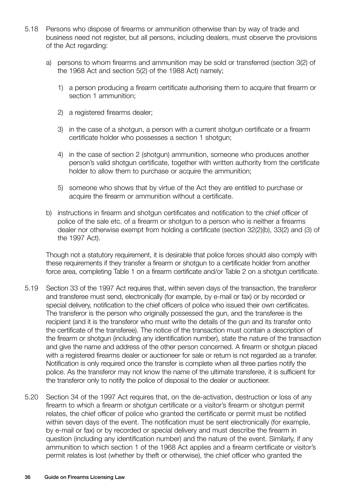- 5.18 Persons who dispose of firearms or ammunition otherwise than by way of trade and business need not register, but all persons, including dealers, must observe the provisions of the Act regarding:
	- a) persons to whom firearms and ammunition may be sold or transferred (section 3(2) of the 1968 Act and section 5(2) of the 1988 Act) namely;
		- 1) a person producing a firearm certificate authorising them to acquire that firearm or section 1 ammunition;
		- 2) a registered firearms dealer;
		- 3) in the case of a shotgun, a person with a current shotgun certificate or a firearm certificate holder who possesses a section 1 shotgun;
		- 4) in the case of section 2 (shotgun) ammunition, someone who produces another person's valid shotgun certificate, together with written authority from the certificate holder to allow them to purchase or acquire the ammunition;
		- 5) someone who shows that by virtue of the Act they are entitled to purchase or acquire the firearm or ammunition without a certificate.
	- b) instructions in firearm and shotgun certificates and notification to the chief officer of police of the sale etc. of a firearm or shotgun to a person who is neither a firearms dealer nor otherwise exempt from holding a certificate (section 32(2)(b), 33(2) and (3) of the 1997 Act).

Though not a statutory requirement, it is desirable that police forces should also comply with these requirements if they transfer a firearm or shotgun to a certificate holder from another force area, completing Table 1 on a firearm certificate and/or Table 2 on a shotgun certificate.

- 5.19 Section 33 of the 1997 Act requires that, within seven days of the transaction, the transferor and transferee must send, electronically (for example, by e-mail or fax) or by recorded or special delivery, notification to the chief officers of police who issued their own certificates. The transferor is the person who originally possessed the gun, and the transferee is the recipient (and it is the transferor who must write the details of the gun and its transfer onto the certificate of the transferee). The notice of the transaction must contain a description of the firearm or shotgun (including any identification number), state the nature of the transaction and give the name and address of the other person concerned. A firearm or shotgun placed with a registered firearms dealer or auctioneer for sale or return is not regarded as a transfer. Notification is only required once the transfer is complete when all three parties notify the police. As the transferor may not know the name of the ultimate transferee, it is sufficient for the transferor only to notify the police of disposal to the dealer or auctioneer.
- 5.20 Section 34 of the 1997 Act requires that, on the de-activation, destruction or loss of any firearm to which a firearm or shotgun certificate or a visitor's firearm or shotgun permit relates, the chief officer of police who granted the certificate or permit must be notified within seven days of the event. The notification must be sent electronically (for example, by e-mail or fax) or by recorded or special delivery and must describe the firearm in question (including any identification number) and the nature of the event. Similarly, if any ammunition to which section 1 of the 1968 Act applies and a firearm certificate or visitor's permit relates is lost (whether by theft or otherwise), the chief officer who granted the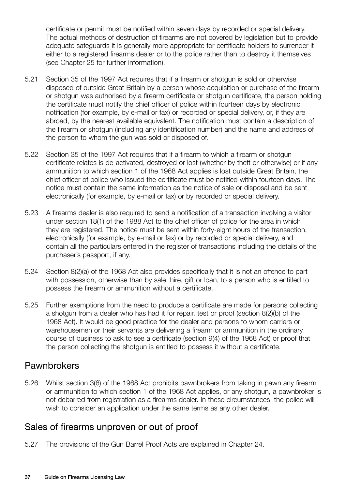certificate or permit must be notified within seven days by recorded or special delivery. The actual methods of destruction of firearms are not covered by legislation but to provide adequate safeguards it is generally more appropriate for certificate holders to surrender it either to a registered firearms dealer or to the police rather than to destroy it themselves (see Chapter 25 for further information).

- 5.21 Section 35 of the 1997 Act requires that if a firearm or shotgun is sold or otherwise disposed of outside Great Britain by a person whose acquisition or purchase of the firearm or shotgun was authorised by a firearm certificate or shotgun certificate, the person holding the certificate must notify the chief officer of police within fourteen days by electronic notification (for example, by e-mail or fax) or recorded or special delivery, or, if they are abroad, by the nearest available equivalent. The notification must contain a description of the firearm or shotgun (including any identification number) and the name and address of the person to whom the gun was sold or disposed of.
- 5.22 Section 35 of the 1997 Act requires that if a firearm to which a firearm or shotgun certificate relates is de-activated, destroyed or lost (whether by theft or otherwise) or if any ammunition to which section 1 of the 1968 Act applies is lost outside Great Britain, the chief officer of police who issued the certificate must be notified within fourteen days. The notice must contain the same information as the notice of sale or disposal and be sent electronically (for example, by e-mail or fax) or by recorded or special delivery.
- 5.23 A firearms dealer is also required to send a notification of a transaction involving a visitor under section 18(1) of the 1988 Act to the chief officer of police for the area in which they are registered. The notice must be sent within forty-eight hours of the transaction, electronically (for example, by e-mail or fax) or by recorded or special delivery, and contain all the particulars entered in the register of transactions including the details of the purchaser's passport, if any.
- 5.24 Section 8(2)(a) of the 1968 Act also provides specifically that it is not an offence to part with possession, otherwise than by sale, hire, gift or loan, to a person who is entitled to possess the firearm or ammunition without a certificate.
- 5.25 Further exemptions from the need to produce a certificate are made for persons collecting a shotgun from a dealer who has had it for repair, test or proof (section 8(2)(b) of the 1968 Act). It would be good practice for the dealer and persons to whom carriers or warehousemen or their servants are delivering a firearm or ammunition in the ordinary course of business to ask to see a certificate (section 9(4) of the 1968 Act) or proof that the person collecting the shotgun is entitled to possess it without a certificate.

# **Pawnbrokers**

5.26 Whilst section 3(6) of the 1968 Act prohibits pawnbrokers from taking in pawn any firearm or ammunition to which section 1 of the 1968 Act applies, or any shotgun, a pawnbroker is not debarred from registration as a firearms dealer. In these circumstances, the police will wish to consider an application under the same terms as any other dealer.

# Sales of firearms unproven or out of proof

5.27 The provisions of the Gun Barrel Proof Acts are explained in Chapter 24.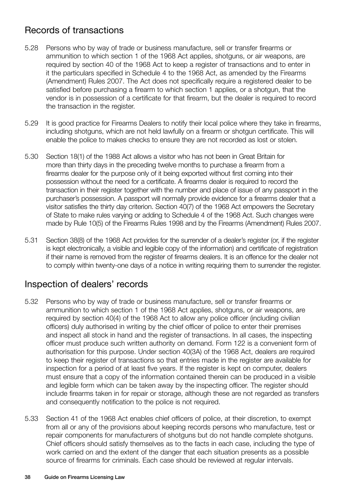# Records of transactions

- 5.28 Persons who by way of trade or business manufacture, sell or transfer firearms or ammunition to which section 1 of the 1968 Act applies, shotguns, or air weapons, are required by section 40 of the 1968 Act to keep a register of transactions and to enter in it the particulars specified in Schedule 4 to the 1968 Act, as amended by the Firearms (Amendment) Rules 2007. The Act does not specifically require a registered dealer to be satisfied before purchasing a firearm to which section 1 applies, or a shotgun, that the vendor is in possession of a certificate for that firearm, but the dealer is required to record the transaction in the register.
- 5.29 It is good practice for Firearms Dealers to notify their local police where they take in firearms, including shotguns, which are not held lawfully on a firearm or shotgun certificate. This will enable the police to makes checks to ensure they are not recorded as lost or stolen.
- 5.30 Section 18(1) of the 1988 Act allows a visitor who has not been in Great Britain for more than thirty days in the preceding twelve months to purchase a firearm from a firearms dealer for the purpose only of it being exported without first coming into their possession without the need for a certificate. A firearms dealer is required to record the transaction in their register together with the number and place of issue of any passport in the purchaser's possession. A passport will normally provide evidence for a firearms dealer that a visitor satisfies the thirty day criterion. Section 40(7) of the 1968 Act empowers the Secretary of State to make rules varying or adding to Schedule 4 of the 1968 Act. Such changes were made by Rule 10(5) of the Firearms Rules 1998 and by the Firearms (Amendment) Rules 2007.
- 5.31 Section 38(8) of the 1968 Act provides for the surrender of a dealer's register (or, if the register is kept electronically, a visible and legible copy of the information) and certificate of registration if their name is removed from the register of firearms dealers. It is an offence for the dealer not to comply within twenty-one days of a notice in writing requiring them to surrender the register.

# Inspection of dealers' records

- 5.32 Persons who by way of trade or business manufacture, sell or transfer firearms or ammunition to which section 1 of the 1968 Act applies, shotguns, or air weapons, are required by section 40(4) of the 1968 Act to allow any police officer (including civilian officers) duly authorised in writing by the chief officer of police to enter their premises and inspect all stock in hand and the register of transactions. In all cases, the inspecting officer must produce such written authority on demand. Form 122 is a convenient form of authorisation for this purpose. Under section 40(3A) of the 1968 Act, dealers are required to keep their register of transactions so that entries made in the register are available for inspection for a period of at least five years. If the register is kept on computer, dealers must ensure that a copy of the information contained therein can be produced in a visible and legible form which can be taken away by the inspecting officer. The register should include firearms taken in for repair or storage, although these are not regarded as transfers and consequently notification to the police is not required.
- 5.33 Section 41 of the 1968 Act enables chief officers of police, at their discretion, to exempt from all or any of the provisions about keeping records persons who manufacture, test or repair components for manufacturers of shotguns but do not handle complete shotguns. Chief officers should satisfy themselves as to the facts in each case, including the type of work carried on and the extent of the danger that each situation presents as a possible source of firearms for criminals. Each case should be reviewed at regular intervals.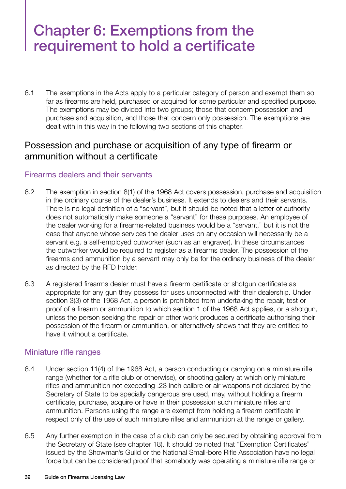# Chapter 6: Exemptions from the requirement to hold a certificate

6.1 The exemptions in the Acts apply to a particular category of person and exempt them so far as firearms are held, purchased or acquired for some particular and specified purpose. The exemptions may be divided into two groups; those that concern possession and purchase and acquisition, and those that concern only possession. The exemptions are dealt with in this way in the following two sections of this chapter.

### Possession and purchase or acquisition of any type of firearm or ammunition without a certificate

#### Firearms dealers and their servants

- 6.2 The exemption in section 8(1) of the 1968 Act covers possession, purchase and acquisition in the ordinary course of the dealer's business. It extends to dealers and their servants. There is no legal definition of a "servant", but it should be noted that a letter of authority does not automatically make someone a "servant" for these purposes. An employee of the dealer working for a firearms-related business would be a "servant," but it is not the case that anyone whose services the dealer uses on any occasion will necessarily be a servant e.g. a self-employed outworker (such as an engraver). In these circumstances the outworker would be required to register as a firearms dealer. The possession of the firearms and ammunition by a servant may only be for the ordinary business of the dealer as directed by the RFD holder.
- 6.3 A registered firearms dealer must have a firearm certificate or shotgun certificate as appropriate for any gun they possess for uses unconnected with their dealership. Under section 3(3) of the 1968 Act, a person is prohibited from undertaking the repair, test or proof of a firearm or ammunition to which section 1 of the 1968 Act applies, or a shotgun, unless the person seeking the repair or other work produces a certificate authorising their possession of the firearm or ammunition, or alternatively shows that they are entitled to have it without a certificate.

#### Miniature rifle ranges

- 6.4 Under section 11(4) of the 1968 Act, a person conducting or carrying on a miniature rifle range (whether for a rifle club or otherwise), or shooting gallery at which only miniature rifles and ammunition not exceeding .23 inch calibre or air weapons not declared by the Secretary of State to be specially dangerous are used, may, without holding a firearm certificate, purchase, acquire or have in their possession such miniature rifles and ammunition. Persons using the range are exempt from holding a firearm certificate in respect only of the use of such miniature rifles and ammunition at the range or gallery.
- 6.5 Any further exemption in the case of a club can only be secured by obtaining approval from the Secretary of State (see chapter 18). It should be noted that "Exemption Certificates" issued by the Showman's Guild or the National Small-bore Rifle Association have no legal force but can be considered proof that somebody was operating a miniature rifle range or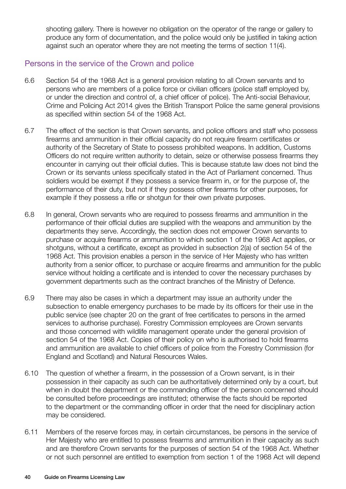shooting gallery. There is however no obligation on the operator of the range or gallery to produce any form of documentation, and the police would only be justified in taking action against such an operator where they are not meeting the terms of section 11(4).

#### Persons in the service of the Crown and police

- 6.6 Section 54 of the 1968 Act is a general provision relating to all Crown servants and to persons who are members of a police force or civilian officers (police staff employed by, or under the direction and control of, a chief officer of police). The Anti-social Behaviour, Crime and Policing Act 2014 gives the British Transport Police the same general provisions as specified within section 54 of the 1968 Act.
- 6.7 The effect of the section is that Crown servants, and police officers and staff who possess firearms and ammunition in their official capacity do not require firearm certificates or authority of the Secretary of State to possess prohibited weapons. In addition, Customs Officers do not require written authority to detain, seize or otherwise possess firearms they encounter in carrying out their official duties. This is because statute law does not bind the Crown or its servants unless specifically stated in the Act of Parliament concerned. Thus soldiers would be exempt if they possess a service firearm in, or for the purpose of, the performance of their duty, but not if they possess other firearms for other purposes, for example if they possess a rifle or shotgun for their own private purposes.
- 6.8 In general, Crown servants who are required to possess firearms and ammunition in the performance of their official duties are supplied with the weapons and ammunition by the departments they serve. Accordingly, the section does not empower Crown servants to purchase or acquire firearms or ammunition to which section 1 of the 1968 Act applies, or shotguns, without a certificate, except as provided in subsection 2(a) of section 54 of the 1968 Act. This provision enables a person in the service of Her Majesty who has written authority from a senior officer, to purchase or acquire firearms and ammunition for the public service without holding a certificate and is intended to cover the necessary purchases by government departments such as the contract branches of the Ministry of Defence.
- 6.9 There may also be cases in which a department may issue an authority under the subsection to enable emergency purchases to be made by its officers for their use in the public service (see chapter 20 on the grant of free certificates to persons in the armed services to authorise purchase). Forestry Commission employees are Crown servants and those concerned with wildlife management operate under the general provision of section 54 of the 1968 Act. Copies of their policy on who is authorised to hold firearms and ammunition are available to chief officers of police from the Forestry Commission (for England and Scotland) and Natural Resources Wales.
- 6.10 The question of whether a firearm, in the possession of a Crown servant, is in their possession in their capacity as such can be authoritatively determined only by a court, but when in doubt the department or the commanding officer of the person concerned should be consulted before proceedings are instituted; otherwise the facts should be reported to the department or the commanding officer in order that the need for disciplinary action may be considered.
- 6.11 Members of the reserve forces may, in certain circumstances, be persons in the service of Her Majesty who are entitled to possess firearms and ammunition in their capacity as such and are therefore Crown servants for the purposes of section 54 of the 1968 Act. Whether or not such personnel are entitled to exemption from section 1 of the 1968 Act will depend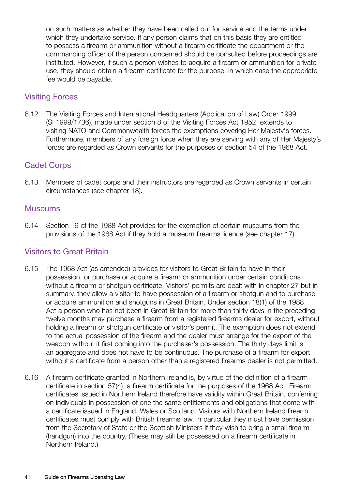on such matters as whether they have been called out for service and the terms under which they undertake service. If any person claims that on this basis they are entitled to possess a firearm or ammunition without a firearm certificate the department or the commanding officer of the person concerned should be consulted before proceedings are instituted. However, if such a person wishes to acquire a firearm or ammunition for private use, they should obtain a firearm certificate for the purpose, in which case the appropriate fee would be payable.

#### Visiting Forces

6.12 The Visiting Forces and International Headquarters (Application of Law) Order 1999 (SI 1999/1736), made under section 8 of the Visiting Forces Act 1952, extends to visiting NATO and Commonwealth forces the exemptions covering Her Majesty's forces. Furthermore, members of any foreign force when they are serving with any of Her Majesty's forces are regarded as Crown servants for the purposes of section 54 of the 1968 Act.

#### Cadet Corps

6.13 Members of cadet corps and their instructors are regarded as Crown servants in certain circumstances (see chapter 18).

#### Museums

6.14 Section 19 of the 1988 Act provides for the exemption of certain museums from the provisions of the 1968 Act if they hold a museum firearms licence (see chapter 17).

#### Visitors to Great Britain

- 6.15 The 1968 Act (as amended) provides for visitors to Great Britain to have in their possession, or purchase or acquire a firearm or ammunition under certain conditions without a firearm or shotgun certificate. Visitors' permits are dealt with in chapter 27 but in summary, they allow a visitor to have possession of a firearm or shotgun and to purchase or acquire ammunition and shotguns in Great Britain. Under section 18(1) of the 1988 Act a person who has not been in Great Britain for more than thirty days in the preceding twelve months may purchase a firearm from a registered firearms dealer for export, without holding a firearm or shotgun certificate or visitor's permit. The exemption does not extend to the actual possession of the firearm and the dealer must arrange for the export of the weapon without it first coming into the purchaser's possession. The thirty days limit is an aggregate and does not have to be continuous. The purchase of a firearm for export without a certificate from a person other than a registered firearms dealer is not permitted.
- 6.16 A firearm certificate granted in Northern Ireland is, by virtue of the definition of a firearm certificate in section 57(4), a firearm certificate for the purposes of the 1968 Act. Firearm certificates issued in Northern Ireland therefore have validity within Great Britain, conferring on individuals in possession of one the same entitlements and obligations that come with a certificate issued in England, Wales or Scotland. Visitors with Northern Ireland firearm certificates must comply with British firearms law, in particular they must have permission from the Secretary of State or the Scottish Ministers if they wish to bring a small firearm (handgun) into the country. (These may still be possessed on a firearm certificate in Northern Ireland.)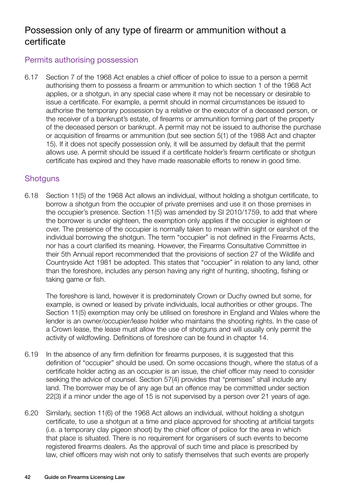# Possession only of any type of firearm or ammunition without a certificate

#### Permits authorising possession

6.17 Section 7 of the 1968 Act enables a chief officer of police to issue to a person a permit authorising them to possess a firearm or ammunition to which section 1 of the 1968 Act applies, or a shotgun, in any special case where it may not be necessary or desirable to issue a certificate. For example, a permit should in normal circumstances be issued to authorise the temporary possession by a relative or the executor of a deceased person, or the receiver of a bankrupt's estate, of firearms or ammunition forming part of the property of the deceased person or bankrupt. A permit may not be issued to authorise the purchase or acquisition of firearms or ammunition (but see section 5(1) of the 1988 Act and chapter 15). If it does not specify possession only, it will be assumed by default that the permit allows use. A permit should be issued if a certificate holder's firearm certificate or shotgun certificate has expired and they have made reasonable efforts to renew in good time.

#### **Shotguns**

6.18 Section 11(5) of the 1968 Act allows an individual, without holding a shotgun certificate, to borrow a shotgun from the occupier of private premises and use it on those premises in the occupier's presence. Section 11(5) was amended by SI 2010/1759, to add that where the borrower is under eighteen, the exemption only applies if the occupier is eighteen or over. The presence of the occupier is normally taken to mean within sight or earshot of the individual borrowing the shotgun. The term "occupier" is not defined in the Firearms Acts, nor has a court clarified its meaning. However, the Firearms Consultative Committee in their 5th Annual report recommended that the provisions of section 27 of the Wildlife and Countryside Act 1981 be adopted. This states that "occupier" in relation to any land, other than the foreshore, includes any person having any right of hunting, shooting, fishing or taking game or fish.

The foreshore is land, however it is predominately Crown or Duchy owned but some, for example, is owned or leased by private individuals, local authorities or other groups. The Section 11(5) exemption may only be utilised on foreshore in England and Wales where the lender is an owner/occupier/lease holder who maintains the shooting rights. In the case of a Crown lease, the lease must allow the use of shotguns and will usually only permit the activity of wildfowling. Definitions of foreshore can be found in chapter 14.

- 6.19 In the absence of any firm definition for firearms purposes, it is suggested that this definition of "occupier" should be used. On some occasions though, where the status of a certificate holder acting as an occupier is an issue, the chief officer may need to consider seeking the advice of counsel. Section 57(4) provides that "premises" shall include any land. The borrower may be of any age but an offence may be committed under section 22(3) if a minor under the age of 15 is not supervised by a person over 21 years of age.
- 6.20 Similarly, section 11(6) of the 1968 Act allows an individual, without holding a shotgun certificate, to use a shotgun at a time and place approved for shooting at artificial targets (i.e. a temporary clay pigeon shoot) by the chief officer of police for the area in which that place is situated. There is no requirement for organisers of such events to become registered firearms dealers. As the approval of such time and place is prescribed by law, chief officers may wish not only to satisfy themselves that such events are properly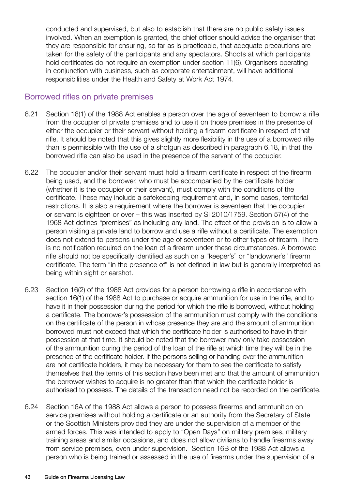conducted and supervised, but also to establish that there are no public safety issues involved. When an exemption is granted, the chief officer should advise the organiser that they are responsible for ensuring, so far as is practicable, that adequate precautions are taken for the safety of the participants and any spectators. Shoots at which participants hold certificates do not require an exemption under section 11(6). Organisers operating in conjunction with business, such as corporate entertainment, will have additional responsibilities under the Health and Safety at Work Act 1974.

#### Borrowed rifles on private premises

- 6.21 Section 16(1) of the 1988 Act enables a person over the age of seventeen to borrow a rifle from the occupier of private premises and to use it on those premises in the presence of either the occupier or their servant without holding a firearm certificate in respect of that rifle. It should be noted that this gives slightly more flexibility in the use of a borrowed rifle than is permissible with the use of a shotgun as described in paragraph 6.18, in that the borrowed rifle can also be used in the presence of the servant of the occupier.
- 6.22 The occupier and/or their servant must hold a firearm certificate in respect of the firearm being used, and the borrower, who must be accompanied by the certificate holder (whether it is the occupier or their servant), must comply with the conditions of the certificate. These may include a safekeeping requirement and, in some cases, territorial restrictions. It is also a requirement where the borrower is seventeen that the occupier or servant is eighteen or over – this was inserted by SI 2010/1759. Section 57(4) of the 1968 Act defines "premises" as including any land. The effect of the provision is to allow a person visiting a private land to borrow and use a rifle without a certificate. The exemption does not extend to persons under the age of seventeen or to other types of firearm. There is no notification required on the loan of a firearm under these circumstances. A borrowed rifle should not be specifically identified as such on a "keeper's" or "landowner's" firearm certificate. The term "in the presence of" is not defined in law but is generally interpreted as being within sight or earshot.
- 6.23 Section 16(2) of the 1988 Act provides for a person borrowing a rifle in accordance with section 16(1) of the 1988 Act to purchase or acquire ammunition for use in the rifle, and to have it in their possession during the period for which the rifle is borrowed, without holding a certificate. The borrower's possession of the ammunition must comply with the conditions on the certificate of the person in whose presence they are and the amount of ammunition borrowed must not exceed that which the certificate holder is authorised to have in their possession at that time. It should be noted that the borrower may only take possession of the ammunition during the period of the loan of the rifle at which time they will be in the presence of the certificate holder. If the persons selling or handing over the ammunition are not certificate holders, it may be necessary for them to see the certificate to satisfy themselves that the terms of this section have been met and that the amount of ammunition the borrower wishes to acquire is no greater than that which the certificate holder is authorised to possess. The details of the transaction need not be recorded on the certificate.
- 6.24 Section 16A of the 1988 Act allows a person to possess firearms and ammunition on service premises without holding a certificate or an authority from the Secretary of State or the Scottish Ministers provided they are under the supervision of a member of the armed forces. This was intended to apply to "Open Days" on military premises, military training areas and similar occasions, and does not allow civilians to handle firearms away from service premises, even under supervision. Section 16B of the 1988 Act allows a person who is being trained or assessed in the use of firearms under the supervision of a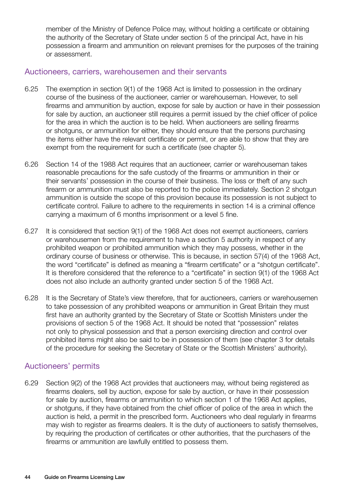member of the Ministry of Defence Police may, without holding a certificate or obtaining the authority of the Secretary of State under section 5 of the principal Act, have in his possession a firearm and ammunition on relevant premises for the purposes of the training or assessment.

#### Auctioneers, carriers, warehousemen and their servants

- 6.25 The exemption in section 9(1) of the 1968 Act is limited to possession in the ordinary course of the business of the auctioneer, carrier or warehouseman. However, to sell firearms and ammunition by auction, expose for sale by auction or have in their possession for sale by auction, an auctioneer still requires a permit issued by the chief officer of police for the area in which the auction is to be held. When auctioneers are selling firearms or shotguns, or ammunition for either, they should ensure that the persons purchasing the items either have the relevant certificate or permit, or are able to show that they are exempt from the requirement for such a certificate (see chapter 5).
- 6.26 Section 14 of the 1988 Act requires that an auctioneer, carrier or warehouseman takes reasonable precautions for the safe custody of the firearms or ammunition in their or their servants' possession in the course of their business. The loss or theft of any such firearm or ammunition must also be reported to the police immediately. Section 2 shotgun ammunition is outside the scope of this provision because its possession is not subject to certificate control. Failure to adhere to the requirements in section 14 is a criminal offence carrying a maximum of 6 months imprisonment or a level 5 fine.
- 6.27 It is considered that section 9(1) of the 1968 Act does not exempt auctioneers, carriers or warehousemen from the requirement to have a section 5 authority in respect of any prohibited weapon or prohibited ammunition which they may possess, whether in the ordinary course of business or otherwise. This is because, in section 57(4) of the 1968 Act, the word "certificate" is defined as meaning a "firearm certificate" or a "shotgun certificate". It is therefore considered that the reference to a "certificate" in section 9(1) of the 1968 Act does not also include an authority granted under section 5 of the 1968 Act.
- 6.28 It is the Secretary of State's view therefore, that for auctioneers, carriers or warehousemen to take possession of any prohibited weapons or ammunition in Great Britain they must first have an authority granted by the Secretary of State or Scottish Ministers under the provisions of section 5 of the 1968 Act. It should be noted that "possession" relates not only to physical possession and that a person exercising direction and control over prohibited items might also be said to be in possession of them (see chapter 3 for details of the procedure for seeking the Secretary of State or the Scottish Ministers' authority).

#### Auctioneers' permits

6.29 Section 9(2) of the 1968 Act provides that auctioneers may, without being registered as firearms dealers, sell by auction, expose for sale by auction, or have in their possession for sale by auction, firearms or ammunition to which section 1 of the 1968 Act applies, or shotguns, if they have obtained from the chief officer of police of the area in which the auction is held, a permit in the prescribed form. Auctioneers who deal regularly in firearms may wish to register as firearms dealers. It is the duty of auctioneers to satisfy themselves, by requiring the production of certificates or other authorities, that the purchasers of the firearms or ammunition are lawfully entitled to possess them.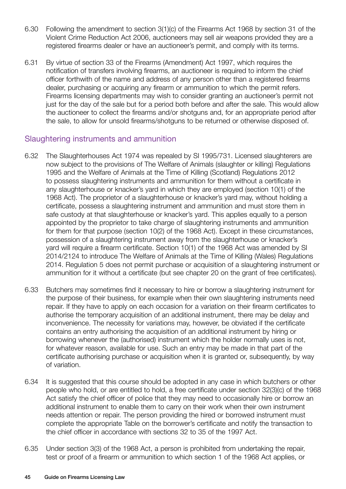- 6.30 Following the amendment to section 3(1)(c) of the Firearms Act 1968 by section 31 of the Violent Crime Reduction Act 2006, auctioneers may sell air weapons provided they are a registered firearms dealer or have an auctioneer's permit, and comply with its terms.
- 6.31 By virtue of section 33 of the Firearms (Amendment) Act 1997, which requires the notification of transfers involving firearms, an auctioneer is required to inform the chief officer forthwith of the name and address of any person other than a registered firearms dealer, purchasing or acquiring any firearm or ammunition to which the permit refers. Firearms licensing departments may wish to consider granting an auctioneer's permit not just for the day of the sale but for a period both before and after the sale. This would allow the auctioneer to collect the firearms and/or shotguns and, for an appropriate period after the sale, to allow for unsold firearms/shotguns to be returned or otherwise disposed of.

#### Slaughtering instruments and ammunition

- 6.32 The Slaughterhouses Act 1974 was repealed by SI 1995/731. Licensed slaughterers are now subject to the provisions of The Welfare of Animals (slaughter or killing) Regulations 1995 and the Welfare of Animals at the Time of Killing (Scotland) Regulations 2012 to possess slaughtering instruments and ammunition for them without a certificate in any slaughterhouse or knacker's yard in which they are employed (section 10(1) of the 1968 Act). The proprietor of a slaughterhouse or knacker's yard may, without holding a certificate, possess a slaughtering instrument and ammunition and must store them in safe custody at that slaughterhouse or knacker's yard. This applies equally to a person appointed by the proprietor to take charge of slaughtering instruments and ammunition for them for that purpose (section 10(2) of the 1968 Act). Except in these circumstances, possession of a slaughtering instrument away from the slaughterhouse or knacker's yard will require a firearm certificate. Section 10(1) of the 1968 Act was amended by SI 2014/2124 to introduce The Welfare of Animals at the Time of Killing (Wales) Regulations 2014. Regulation 5 does not permit purchase or acquisition of a slaughtering instrument or ammunition for it without a certificate (but see chapter 20 on the grant of free certificates).
- 6.33 Butchers may sometimes find it necessary to hire or borrow a slaughtering instrument for the purpose of their business, for example when their own slaughtering instruments need repair. If they have to apply on each occasion for a variation on their firearm certificates to authorise the temporary acquisition of an additional instrument, there may be delay and inconvenience. The necessity for variations may, however, be obviated if the certificate contains an entry authorising the acquisition of an additional instrument by hiring or borrowing whenever the (authorised) instrument which the holder normally uses is not, for whatever reason, available for use. Such an entry may be made in that part of the certificate authorising purchase or acquisition when it is granted or, subsequently, by way of variation.
- 6.34 It is suggested that this course should be adopted in any case in which butchers or other people who hold, or are entitled to hold, a free certificate under section 32(3)(c) of the 1968 Act satisfy the chief officer of police that they may need to occasionally hire or borrow an additional instrument to enable them to carry on their work when their own instrument needs attention or repair. The person providing the hired or borrowed instrument must complete the appropriate Table on the borrower's certificate and notify the transaction to the chief officer in accordance with sections 32 to 35 of the 1997 Act.
- 6.35 Under section 3(3) of the 1968 Act, a person is prohibited from undertaking the repair, test or proof of a firearm or ammunition to which section 1 of the 1968 Act applies, or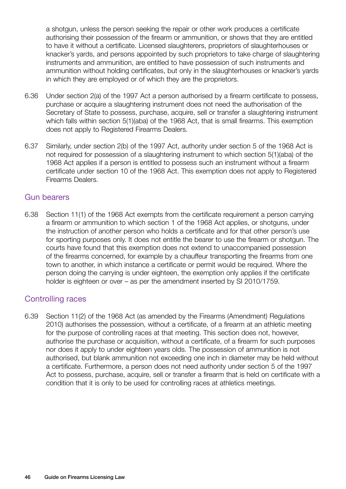a shotgun, unless the person seeking the repair or other work produces a certificate authorising their possession of the firearm or ammunition, or shows that they are entitled to have it without a certificate. Licensed slaughterers, proprietors of slaughterhouses or knacker's yards, and persons appointed by such proprietors to take charge of slaughtering instruments and ammunition, are entitled to have possession of such instruments and ammunition without holding certificates, but only in the slaughterhouses or knacker's yards in which they are employed or of which they are the proprietors.

- 6.36 Under section 2(a) of the 1997 Act a person authorised by a firearm certificate to possess, purchase or acquire a slaughtering instrument does not need the authorisation of the Secretary of State to possess, purchase, acquire, sell or transfer a slaughtering instrument which falls within section 5(1)(aba) of the 1968 Act, that is small firearms. This exemption does not apply to Registered Firearms Dealers.
- 6.37 Similarly, under section 2(b) of the 1997 Act, authority under section 5 of the 1968 Act is not required for possession of a slaughtering instrument to which section 5(1)(aba) of the 1968 Act applies if a person is entitled to possess such an instrument without a firearm certificate under section 10 of the 1968 Act. This exemption does not apply to Registered Firearms Dealers.

#### Gun bearers

6.38 Section 11(1) of the 1968 Act exempts from the certificate requirement a person carrying a firearm or ammunition to which section 1 of the 1968 Act applies, or shotguns, under the instruction of another person who holds a certificate and for that other person's use for sporting purposes only. It does not entitle the bearer to use the firearm or shotgun. The courts have found that this exemption does not extend to unaccompanied possession of the firearms concerned, for example by a chauffeur transporting the firearms from one town to another, in which instance a certificate or permit would be required. Where the person doing the carrying is under eighteen, the exemption only applies if the certificate holder is eighteen or over – as per the amendment inserted by SI 2010/1759.

#### Controlling races

6.39 Section 11(2) of the 1968 Act (as amended by the Firearms (Amendment) Regulations 2010) authorises the possession, without a certificate, of a firearm at an athletic meeting for the purpose of controlling races at that meeting. This section does not, however, authorise the purchase or acquisition, without a certificate, of a firearm for such purposes nor does it apply to under eighteen years olds. The possession of ammunition is not authorised, but blank ammunition not exceeding one inch in diameter may be held without a certificate. Furthermore, a person does not need authority under section 5 of the 1997 Act to possess, purchase, acquire, sell or transfer a firearm that is held on certificate with a condition that it is only to be used for controlling races at athletics meetings.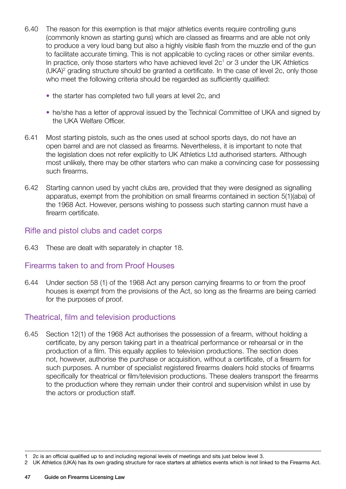- 6.40 The reason for this exemption is that major athletics events require controlling guns (commonly known as starting guns) which are classed as firearms and are able not only to produce a very loud bang but also a highly visible flash from the muzzle end of the gun to facilitate accurate timing. This is not applicable to cycling races or other similar events. In practice, only those starters who have achieved level  $2c<sup>1</sup>$  or 3 under the UK Athletics (UKA)2 grading structure should be granted a certificate. In the case of level 2c, only those who meet the following criteria should be regarded as sufficiently qualified:
	- the starter has completed two full years at level 2c, and
	- he/she has a letter of approval issued by the Technical Committee of UKA and signed by the UKA Welfare Officer.
- 6.41 Most starting pistols, such as the ones used at school sports days, do not have an open barrel and are not classed as firearms. Nevertheless, it is important to note that the legislation does not refer explicitly to UK Athletics Ltd authorised starters. Although most unlikely, there may be other starters who can make a convincing case for possessing such firearms.
- 6.42 Starting cannon used by yacht clubs are, provided that they were designed as signalling apparatus, exempt from the prohibition on small firearms contained in section 5(1)(aba) of the 1968 Act. However, persons wishing to possess such starting cannon must have a firearm certificate.

#### Rifle and pistol clubs and cadet corps

6.43 These are dealt with separately in chapter 18.

#### Firearms taken to and from Proof Houses

6.44 Under section 58 (1) of the 1968 Act any person carrying firearms to or from the proof houses is exempt from the provisions of the Act, so long as the firearms are being carried for the purposes of proof.

#### Theatrical, film and television productions

6.45 Section 12(1) of the 1968 Act authorises the possession of a firearm, without holding a certificate, by any person taking part in a theatrical performance or rehearsal or in the production of a film. This equally applies to television productions. The section does not, however, authorise the purchase or acquisition, without a certificate, of a firearm for such purposes. A number of specialist registered firearms dealers hold stocks of firearms specifically for theatrical or film/television productions. These dealers transport the firearms to the production where they remain under their control and supervision whilst in use by the actors or production staff.

<sup>1</sup> 2c is an official qualified up to and including regional levels of meetings and sits just below level 3.

<sup>2</sup> UK Athletics (UKA) has its own grading structure for race starters at athletics events which is not linked to the Firearms Act.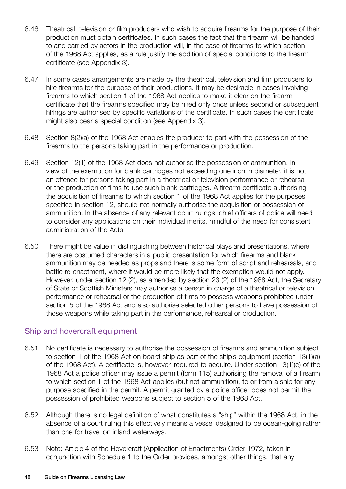- 6.46 Theatrical, television or film producers who wish to acquire firearms for the purpose of their production must obtain certificates. In such cases the fact that the firearm will be handed to and carried by actors in the production will, in the case of firearms to which section 1 of the 1968 Act applies, as a rule justify the addition of special conditions to the firearm certificate (see Appendix 3).
- 6.47 In some cases arrangements are made by the theatrical, television and film producers to hire firearms for the purpose of their productions. It may be desirable in cases involving firearms to which section 1 of the 1968 Act applies to make it clear on the firearm certificate that the firearms specified may be hired only once unless second or subsequent hirings are authorised by specific variations of the certificate. In such cases the certificate might also bear a special condition (see Appendix 3).
- 6.48 Section 8(2)(a) of the 1968 Act enables the producer to part with the possession of the firearms to the persons taking part in the performance or production.
- 6.49 Section 12(1) of the 1968 Act does not authorise the possession of ammunition. In view of the exemption for blank cartridges not exceeding one inch in diameter, it is not an offence for persons taking part in a theatrical or television performance or rehearsal or the production of films to use such blank cartridges. A firearm certificate authorising the acquisition of firearms to which section 1 of the 1968 Act applies for the purposes specified in section 12, should not normally authorise the acquisition or possession of ammunition. In the absence of any relevant court rulings, chief officers of police will need to consider any applications on their individual merits, mindful of the need for consistent administration of the Acts.
- 6.50 There might be value in distinguishing between historical plays and presentations, where there are costumed characters in a public presentation for which firearms and blank ammunition may be needed as props and there is some form of script and rehearsals, and battle re-enactment, where it would be more likely that the exemption would not apply. However, under section 12 (2), as amended by section 23 (2) of the 1988 Act, the Secretary of State or Scottish Ministers may authorise a person in charge of a theatrical or television performance or rehearsal or the production of films to possess weapons prohibited under section 5 of the 1968 Act and also authorise selected other persons to have possession of those weapons while taking part in the performance, rehearsal or production.

#### Ship and hovercraft equipment

- 6.51 No certificate is necessary to authorise the possession of firearms and ammunition subject to section 1 of the 1968 Act on board ship as part of the ship's equipment (section 13(1)(a) of the 1968 Act). A certificate is, however, required to acquire. Under section 13(1)(c) of the 1968 Act a police officer may issue a permit (form 115) authorising the removal of a firearm to which section 1 of the 1968 Act applies (but not ammunition), to or from a ship for any purpose specified in the permit. A permit granted by a police officer does not permit the possession of prohibited weapons subject to section 5 of the 1968 Act.
- 6.52 Although there is no legal definition of what constitutes a "ship" within the 1968 Act, in the absence of a court ruling this effectively means a vessel designed to be ocean-going rather than one for travel on inland waterways.
- 6.53 Note: Article 4 of the Hovercraft (Application of Enactments) Order 1972, taken in conjunction with Schedule 1 to the Order provides, amongst other things, that any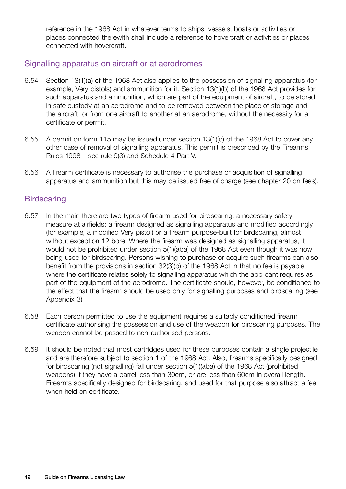reference in the 1968 Act in whatever terms to ships, vessels, boats or activities or places connected therewith shall include a reference to hovercraft or activities or places connected with hovercraft.

#### Signalling apparatus on aircraft or at aerodromes

- 6.54 Section 13(1)(a) of the 1968 Act also applies to the possession of signalling apparatus (for example, Very pistols) and ammunition for it. Section 13(1)(b) of the 1968 Act provides for such apparatus and ammunition, which are part of the equipment of aircraft, to be stored in safe custody at an aerodrome and to be removed between the place of storage and the aircraft, or from one aircraft to another at an aerodrome, without the necessity for a certificate or permit.
- 6.55 A permit on form 115 may be issued under section 13(1)(c) of the 1968 Act to cover any other case of removal of signalling apparatus. This permit is prescribed by the Firearms Rules 1998 – see rule 9(3) and Schedule 4 Part V.
- 6.56 A firearm certificate is necessary to authorise the purchase or acquisition of signalling apparatus and ammunition but this may be issued free of charge (see chapter 20 on fees).

#### **Birdscaring**

- 6.57 In the main there are two types of firearm used for birdscaring, a necessary safety measure at airfields: a firearm designed as signalling apparatus and modified accordingly (for example, a modified Very pistol) or a firearm purpose-built for birdscaring, almost without exception 12 bore. Where the firearm was designed as signalling apparatus, it would not be prohibited under section 5(1)(aba) of the 1968 Act even though it was now being used for birdscaring. Persons wishing to purchase or acquire such firearms can also benefit from the provisions in section 32(3)(b) of the 1968 Act in that no fee is payable where the certificate relates solely to signalling apparatus which the applicant requires as part of the equipment of the aerodrome. The certificate should, however, be conditioned to the effect that the firearm should be used only for signalling purposes and birdscaring (see Appendix 3).
- 6.58 Each person permitted to use the equipment requires a suitably conditioned firearm certificate authorising the possession and use of the weapon for birdscaring purposes. The weapon cannot be passed to non-authorised persons.
- 6.59 It should be noted that most cartridges used for these purposes contain a single projectile and are therefore subject to section 1 of the 1968 Act. Also, firearms specifically designed for birdscaring (not signalling) fall under section 5(1)(aba) of the 1968 Act (prohibited weapons) if they have a barrel less than 30cm, or are less than 60cm in overall length. Firearms specifically designed for birdscaring, and used for that purpose also attract a fee when held on certificate.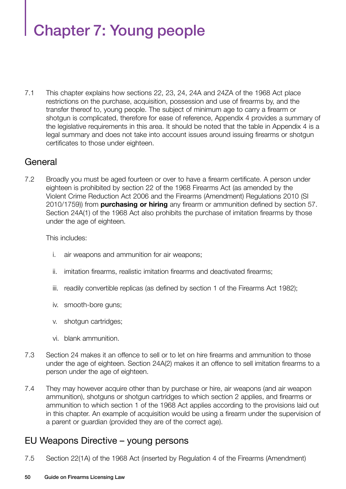# Chapter 7: Young people

7.1 This chapter explains how sections 22, 23, 24, 24A and 24ZA of the 1968 Act place restrictions on the purchase, acquisition, possession and use of firearms by, and the transfer thereof to, young people. The subject of minimum age to carry a firearm or shotgun is complicated, therefore for ease of reference, Appendix 4 provides a summary of the legislative requirements in this area. It should be noted that the table in Appendix 4 is a legal summary and does not take into account issues around issuing firearms or shotgun certificates to those under eighteen.

### **General**

7.2 Broadly you must be aged fourteen or over to have a firearm certificate. A person under eighteen is prohibited by section 22 of the 1968 Firearms Act (as amended by the Violent Crime Reduction Act 2006 and the Firearms (Amendment) Regulations 2010 (SI 2010/1759)) from **purchasing or hiring** any firearm or ammunition defined by section 57. Section 24A(1) of the 1968 Act also prohibits the purchase of imitation firearms by those under the age of eighteen.

This includes:

- i. air weapons and ammunition for air weapons;
- ii. imitation firearms, realistic imitation firearms and deactivated firearms;
- iii. readily convertible replicas (as defined by section 1 of the Firearms Act 1982);
- iv. smooth-bore guns;
- v. shotgun cartridges;
- vi. blank ammunition.
- 7.3 Section 24 makes it an offence to sell or to let on hire firearms and ammunition to those under the age of eighteen. Section 24A(2) makes it an offence to sell imitation firearms to a person under the age of eighteen.
- 7.4 They may however acquire other than by purchase or hire, air weapons (and air weapon ammunition), shotguns or shotgun cartridges to which section 2 applies, and firearms or ammunition to which section 1 of the 1968 Act applies according to the provisions laid out in this chapter. An example of acquisition would be using a firearm under the supervision of a parent or guardian (provided they are of the correct age).

# EU Weapons Directive – young persons

7.5 Section 22(1A) of the 1968 Act (inserted by Regulation 4 of the Firearms (Amendment)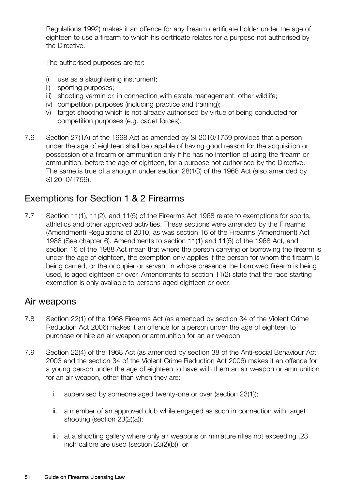Regulations 1992) makes it an offence for any firearm certificate holder under the age of eighteen to use a firearm to which his certificate relates for a purpose not authorised by the Directive.

The authorised purposes are for:

- i) use as a slaughtering instrument;
- ii) sporting purposes;
- iii) shooting vermin or, in connection with estate management, other wildlife;
- iv) competition purposes (including practice and training);
- v) target shooting which is not already authorised by virtue of being conducted for competition purposes (e.g. cadet forces).
- 7.6 Section 27(1A) of the 1968 Act as amended by SI 2010/1759 provides that a person under the age of eighteen shall be capable of having good reason for the acquisition or possession of a firearm or ammunition only if he has no intention of using the firearm or ammunition, before the age of eighteen, for a purpose not authorised by the Directive. The same is true of a shotgun under section 28(1C) of the 1968 Act (also amended by SI 2010/1759).

# Exemptions for Section 1 & 2 Firearms

7.7 Section 11(1), 11(2), and 11(5) of the Firearms Act 1968 relate to exemptions for sports, athletics and other approved activities. These sections were amended by the Firearms (Amendment) Regulations of 2010, as was section 16 of the Firearms (Amendment) Act 1988 (See chapter 6). Amendments to section 11(1) and 11(5) of the 1968 Act, and section 16 of the 1988 Act mean that where the person carrying or borrowing the firearm is under the age of eighteen, the exemption only applies if the person for whom the firearm is being carried, or the occupier or servant in whose presence the borrowed firearm is being used, is aged eighteen or over. Amendments to section 11(2) state that the race starting exemption is only available to persons aged eighteen or over.

# Air weapons

- 7.8 Section 22(1) of the 1968 Firearms Act (as amended by section 34 of the Violent Crime Reduction Act 2006) makes it an offence for a person under the age of eighteen to purchase or hire an air weapon or ammunition for an air weapon.
- 7.9 Section 22(4) of the 1968 Act (as amended by section 38 of the Anti-social Behaviour Act 2003 and the section 34 of the Violent Crime Reduction Act 2006) makes it an offence for a young person under the age of eighteen to have with them an air weapon or ammunition for an air weapon, other than when they are:
	- i. supervised by someone aged twenty-one or over (section 23(1));
	- ii. a member of an approved club while engaged as such in connection with target shooting (section 23(2)(a));
	- iii. at a shooting gallery where only air weapons or miniature rifles not exceeding .23 inch calibre are used (section 23(2)(b)); or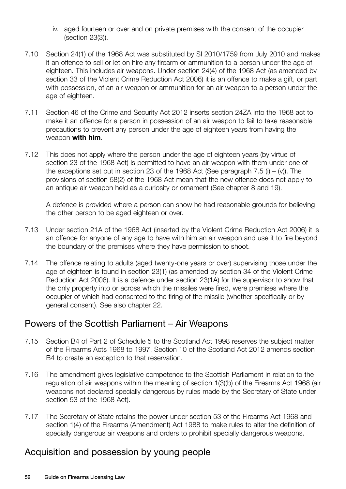- iv. aged fourteen or over and on private premises with the consent of the occupier (section 23(3)).
- 7.10 Section 24(1) of the 1968 Act was substituted by SI 2010/1759 from July 2010 and makes it an offence to sell or let on hire any firearm or ammunition to a person under the age of eighteen. This includes air weapons. Under section 24(4) of the 1968 Act (as amended by section 33 of the Violent Crime Reduction Act 2006) it is an offence to make a gift, or part with possession, of an air weapon or ammunition for an air weapon to a person under the age of eighteen.
- 7.11 Section 46 of the Crime and Security Act 2012 inserts section 24ZA into the 1968 act to make it an offence for a person in possession of an air weapon to fail to take reasonable precautions to prevent any person under the age of eighteen years from having the weapon **with him**.
- 7.12 This does not apply where the person under the age of eighteen years (by virtue of section 23 of the 1968 Act) is permitted to have an air weapon with them under one of the exceptions set out in section 23 of the 1968 Act (See paragraph 7.5 (i)  $-$  (v)). The provisions of section 58(2) of the 1968 Act mean that the new offence does not apply to an antique air weapon held as a curiosity or ornament (See chapter 8 and 19).

A defence is provided where a person can show he had reasonable grounds for believing the other person to be aged eighteen or over.

- 7.13 Under section 21A of the 1968 Act (inserted by the Violent Crime Reduction Act 2006) it is an offence for anyone of any age to have with him an air weapon and use it to fire beyond the boundary of the premises where they have permission to shoot.
- 7.14 The offence relating to adults (aged twenty-one years or over) supervising those under the age of eighteen is found in section 23(1) (as amended by section 34 of the Violent Crime Reduction Act 2006). It is a defence under section 23(1A) for the supervisor to show that the only property into or across which the missiles were fired, were premises where the occupier of which had consented to the firing of the missile (whether specifically or by general consent). See also chapter 22.

# Powers of the Scottish Parliament – Air Weapons

- 7.15 Section B4 of Part 2 of Schedule 5 to the Scotland Act 1998 reserves the subject matter of the Firearms Acts 1968 to 1997. Section 10 of the Scotland Act 2012 amends section B4 to create an exception to that reservation.
- 7.16 The amendment gives legislative competence to the Scottish Parliament in relation to the regulation of air weapons within the meaning of section 1(3)(b) of the Firearms Act 1968 (air weapons not declared specially dangerous by rules made by the Secretary of State under section 53 of the 1968 Act).
- 7.17 The Secretary of State retains the power under section 53 of the Firearms Act 1968 and section 1(4) of the Firearms (Amendment) Act 1988 to make rules to alter the definition of specially dangerous air weapons and orders to prohibit specially dangerous weapons.

# Acquisition and possession by young people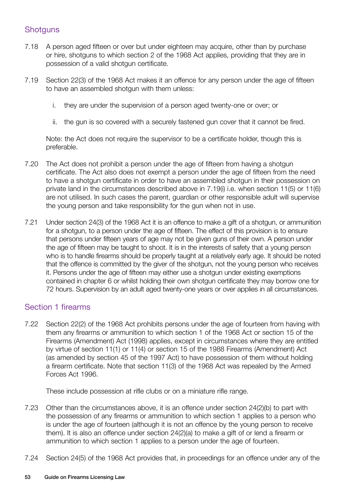#### **Shotguns**

- 7.18 A person aged fifteen or over but under eighteen may acquire, other than by purchase or hire, shotguns to which section 2 of the 1968 Act applies, providing that they are in possession of a valid shotgun certificate.
- 7.19 Section 22(3) of the 1968 Act makes it an offence for any person under the age of fifteen to have an assembled shotgun with them unless:
	- i. they are under the supervision of a person aged twenty-one or over; or
	- ii. the gun is so covered with a securely fastened gun cover that it cannot be fired.

Note: the Act does not require the supervisor to be a certificate holder, though this is preferable.

- 7.20 The Act does not prohibit a person under the age of fifteen from having a shotgun certificate. The Act also does not exempt a person under the age of fifteen from the need to have a shotgun certificate in order to have an assembled shotgun in their possession on private land in the circumstances described above in 7.19(i) i.e. when section 11(5) or 11(6) are not utilised. In such cases the parent, guardian or other responsible adult will supervise the young person and take responsibility for the gun when not in use.
- 7.21 Under section 24(3) of the 1968 Act it is an offence to make a gift of a shotgun, or ammunition for a shotgun, to a person under the age of fifteen. The effect of this provision is to ensure that persons under fifteen years of age may not be given guns of their own. A person under the age of fifteen may be taught to shoot. It is in the interests of safety that a young person who is to handle firearms should be properly taught at a relatively early age. It should be noted that the offence is committed by the giver of the shotgun, not the young person who receives it. Persons under the age of fifteen may either use a shotgun under existing exemptions contained in chapter 6 or whilst holding their own shotgun certificate they may borrow one for 72 hours. Supervision by an adult aged twenty-one years or over applies in all circumstances.

#### Section 1 firearms

7.22 Section 22(2) of the 1968 Act prohibits persons under the age of fourteen from having with them any firearms or ammunition to which section 1 of the 1968 Act or section 15 of the Firearms (Amendment) Act (1998) applies, except in circumstances where they are entitled by virtue of section 11(1) or 11(4) or section 15 of the 1988 Firearms (Amendment) Act (as amended by section 45 of the 1997 Act) to have possession of them without holding a firearm certificate. Note that section 11(3) of the 1968 Act was repealed by the Armed Forces Act 1996.

These include possession at rifle clubs or on a miniature rifle range.

- 7.23 Other than the circumstances above, it is an offence under section 24(2)(b) to part with the possession of any firearms or ammunition to which section 1 applies to a person who is under the age of fourteen (although it is not an offence by the young person to receive them). It is also an offence under section 24(2)(a) to make a gift of or lend a firearm or ammunition to which section 1 applies to a person under the age of fourteen.
- 7.24 Section 24(5) of the 1968 Act provides that, in proceedings for an offence under any of the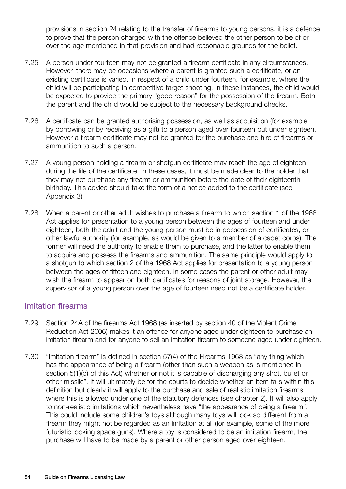provisions in section 24 relating to the transfer of firearms to young persons, it is a defence to prove that the person charged with the offence believed the other person to be of or over the age mentioned in that provision and had reasonable grounds for the belief.

- 7.25 A person under fourteen may not be granted a firearm certificate in any circumstances. However, there may be occasions where a parent is granted such a certificate, or an existing certificate is varied, in respect of a child under fourteen, for example, where the child will be participating in competitive target shooting. In these instances, the child would be expected to provide the primary "good reason" for the possession of the firearm. Both the parent and the child would be subject to the necessary background checks.
- 7.26 A certificate can be granted authorising possession, as well as acquisition (for example, by borrowing or by receiving as a gift) to a person aged over fourteen but under eighteen. However a firearm certificate may not be granted for the purchase and hire of firearms or ammunition to such a person.
- 7.27 A young person holding a firearm or shotgun certificate may reach the age of eighteen during the life of the certificate. In these cases, it must be made clear to the holder that they may not purchase any firearm or ammunition before the date of their eighteenth birthday. This advice should take the form of a notice added to the certificate (see Appendix 3).
- 7.28 When a parent or other adult wishes to purchase a firearm to which section 1 of the 1968 Act applies for presentation to a young person between the ages of fourteen and under eighteen, both the adult and the young person must be in possession of certificates, or other lawful authority (for example, as would be given to a member of a cadet corps). The former will need the authority to enable them to purchase, and the latter to enable them to acquire and possess the firearms and ammunition. The same principle would apply to a shotgun to which section 2 of the 1968 Act applies for presentation to a young person between the ages of fifteen and eighteen. In some cases the parent or other adult may wish the firearm to appear on both certificates for reasons of joint storage. However, the supervisor of a young person over the age of fourteen need not be a certificate holder.

#### Imitation firearms

- 7.29 Section 24A of the firearms Act 1968 (as inserted by section 40 of the Violent Crime Reduction Act 2006) makes it an offence for anyone aged under eighteen to purchase an imitation firearm and for anyone to sell an imitation firearm to someone aged under eighteen.
- 7.30 "Imitation firearm" is defined in section 57(4) of the Firearms 1968 as "any thing which has the appearance of being a firearm (other than such a weapon as is mentioned in section 5(1)(b) of this Act) whether or not it is capable of discharging any shot, bullet or other missile". It will ultimately be for the courts to decide whether an item falls within this definition but clearly it will apply to the purchase and sale of realistic imitation firearms where this is allowed under one of the statutory defences (see chapter 2). It will also apply to non-realistic imitations which nevertheless have "the appearance of being a firearm". This could include some children's toys although many toys will look so different from a firearm they might not be regarded as an imitation at all (for example, some of the more futuristic looking space guns). Where a toy is considered to be an imitation firearm, the purchase will have to be made by a parent or other person aged over eighteen.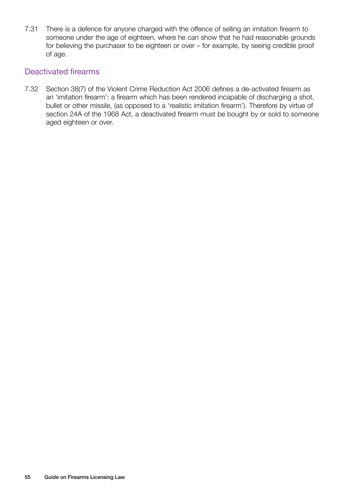7.31 There is a defence for anyone charged with the offence of selling an imitation firearm to someone under the age of eighteen, where he can show that he had reasonable grounds for believing the purchaser to be eighteen or over – for example, by seeing credible proof of age.

#### Deactivated firearms

7.32 Section 38(7) of the Violent Crime Reduction Act 2006 defines a de-activated firearm as an 'imitation firearm': a firearm which has been rendered incapable of discharging a shot, bullet or other missile, (as opposed to a 'realistic imitation firearm'). Therefore by virtue of section 24A of the 1968 Act, a deactivated firearm must be bought by or sold to someone aged eighteen or over.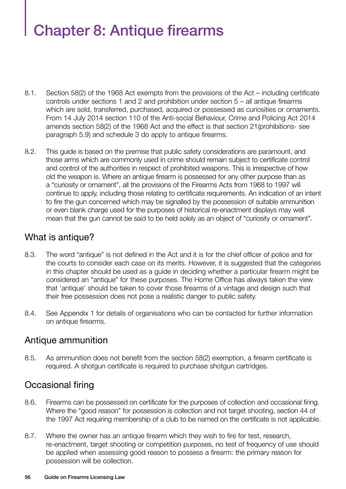# Chapter 8: Antique firearms

- 8.1. Section 58(2) of the 1968 Act exempts from the provisions of the Act including certificate controls under sections 1 and 2 and prohibition under section 5 – all antique firearms which are sold, transferred, purchased, acquired or possessed as curiosities or ornaments. From 14 July 2014 section 110 of the Anti-social Behaviour, Crime and Policing Act 2014 amends section 58(2) of the 1968 Act and the effect is that section 21(prohibitions- see paragraph 5.9) and schedule 3 do apply to antique firearms.
- 8.2. This guide is based on the premise that public safety considerations are paramount, and those arms which are commonly used in crime should remain subject to certificate control and control of the authorities in respect of prohibited weapons. This is irrespective of how old the weapon is. Where an antique firearm is possessed for any other purpose than as a "curiosity or ornament", all the provisions of the Firearms Acts from 1968 to 1997 will continue to apply, including those relating to certificate requirements. An indication of an intent to fire the gun concerned which may be signalled by the possession of suitable ammunition or even blank charge used for the purposes of historical re-enactment displays may well mean that the gun cannot be said to be held solely as an object of "curiosity or ornament".

# What is antique?

- 8.3. The word "antique" is not defined in the Act and it is for the chief officer of police and for the courts to consider each case on its merits. However, it is suggested that the categories in this chapter should be used as a guide in deciding whether a particular firearm might be considered an "antique" for these purposes. The Home Office has always taken the view that 'antique' should be taken to cover those firearms of a vintage and design such that their free possession does not pose a realistic danger to public safety.
- 8.4. See Appendix 1 for details of organisations who can be contacted for further information on antique firearms.

# Antique ammunition

8.5. As ammunition does not benefit from the section 58(2) exemption, a firearm certificate is required. A shotgun certificate is required to purchase shotgun cartridges.

# Occasional firing

- 8.6. Firearms can be possessed on certificate for the purposes of collection and occasional firing. Where the "good reason" for possession is collection and not target shooting, section 44 of the 1997 Act requiring membership of a club to be named on the certificate is not applicable.
- 8.7. Where the owner has an antique firearm which they wish to fire for test, research, re-enactment, target shooting or competition purposes, no test of frequency of use should be applied when assessing good reason to possess a firearm: the primary reason for possession will be collection.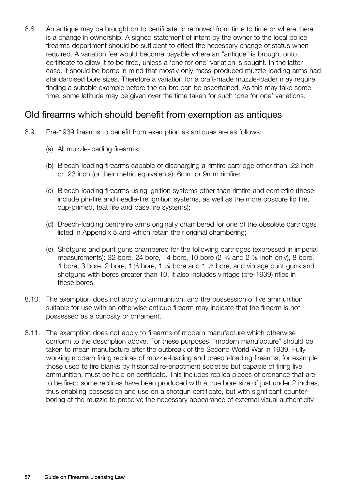8.8. An antique may be brought on to certificate or removed from time to time or where there is a change in ownership. A signed statement of intent by the owner to the local police firearms department should be sufficient to effect the necessary change of status when required. A variation fee would become payable where an "antique" is brought onto certificate to allow it to be fired, unless a 'one for one' variation is sought. In the latter case, it should be borne in mind that mostly only mass-produced muzzle-loading arms had standardised bore sizes. Therefore a variation for a craft-made muzzle-loader may require finding a suitable example before the calibre can be ascertained. As this may take some time, some latitude may be given over the time taken for such 'one for one' variations.

### Old firearms which should benefit from exemption as antiques

- 8.9. Pre-1939 firearms to benefit from exemption as antiques are as follows:
	- (a) All muzzle-loading firearms;
	- (b) Breech-loading firearms capable of discharging a rimfire cartridge other than .22 inch or .23 inch (or their metric equivalents), 6mm or 9mm rimfire;
	- (c) Breech-loading firearms using ignition systems other than rimfire and centrefire (these include pin-fire and needle-fire ignition systems, as well as the more obscure lip fire, cup-primed, teat fire and base fire systems);
	- (d) Breech-loading centrefire arms originally chambered for one of the obsolete cartridges listed in Appendix 5 and which retain their original chambering;
	- (e) Shotguns and punt guns chambered for the following cartridges (expressed in imperial measurements): 32 bore, 24 bore, 14 bore, 10 bore (2  $\frac{5}{6}$  and 2  $\frac{7}{6}$  inch only), 8 bore, 4 bore, 3 bore, 2 bore, 1  $\frac{1}{2}$  bore, 1  $\frac{1}{4}$  bore and 1  $\frac{1}{2}$  bore, and vintage punt guns and shotguns with bores greater than 10. It also includes vintage (pre-1939) rifles in these bores.
- 8.10. The exemption does not apply to ammunition, and the possession of live ammunition suitable for use with an otherwise antique firearm may indicate that the firearm is not possessed as a curiosity or ornament.
- 8.11. The exemption does not apply to firearms of modern manufacture which otherwise conform to the description above. For these purposes, "modern manufacture" should be taken to mean manufacture after the outbreak of the Second World War in 1939. Fully working modern firing replicas of muzzle-loading and breech-loading firearms, for example those used to fire blanks by historical re-enactment societies but capable of firing live ammunition, must be held on certificate. This includes replica pieces of ordnance that are to be fired; some replicas have been produced with a true bore size of just under 2 inches, thus enabling possession and use on a shotgun certificate, but with significant counterboring at the muzzle to preserve the necessary appearance of external visual authenticity.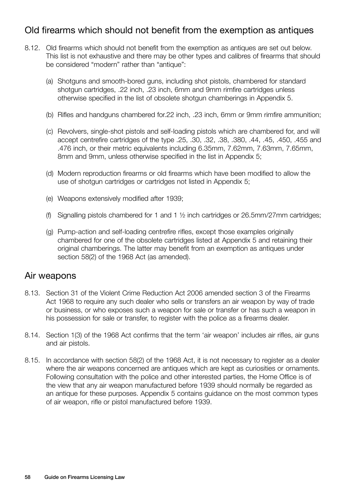# Old firearms which should not benefit from the exemption as antiques

- 8.12. Old firearms which should not benefit from the exemption as antiques are set out below. This list is not exhaustive and there may be other types and calibres of firearms that should be considered "modern" rather than "antique":
	- (a) Shotguns and smooth-bored guns, including shot pistols, chambered for standard shotgun cartridges, .22 inch, .23 inch, 6mm and 9mm rimfire cartridges unless otherwise specified in the list of obsolete shotgun chamberings in Appendix 5.
	- (b) Rifles and handguns chambered for.22 inch, .23 inch, 6mm or 9mm rimfire ammunition;
	- (c) Revolvers, single-shot pistols and self-loading pistols which are chambered for, and will accept centrefire cartridges of the type .25, .30, .32, .38, .380, .44, .45, .450, .455 and .476 inch, or their metric equivalents including 6.35mm, 7.62mm, 7.63mm, 7.65mm, 8mm and 9mm, unless otherwise specified in the list in Appendix 5;
	- (d) Modern reproduction firearms or old firearms which have been modified to allow the use of shotgun cartridges or cartridges not listed in Appendix 5;
	- (e) Weapons extensively modified after 1939;
	- (f) Signalling pistols chambered for 1 and 1  $\frac{1}{2}$  inch cartridges or 26.5mm/27mm cartridges;
	- (g) Pump-action and self-loading centrefire rifles, except those examples originally chambered for one of the obsolete cartridges listed at Appendix 5 and retaining their original chamberings. The latter may benefit from an exemption as antiques under section 58(2) of the 1968 Act (as amended).

#### Air weapons

- 8.13. Section 31 of the Violent Crime Reduction Act 2006 amended section 3 of the Firearms Act 1968 to require any such dealer who sells or transfers an air weapon by way of trade or business, or who exposes such a weapon for sale or transfer or has such a weapon in his possession for sale or transfer, to register with the police as a firearms dealer.
- 8.14. Section 1(3) of the 1968 Act confirms that the term 'air weapon' includes air rifles, air guns and air pistols.
- 8.15. In accordance with section 58(2) of the 1968 Act, it is not necessary to register as a dealer where the air weapons concerned are antiques which are kept as curiosities or ornaments. Following consultation with the police and other interested parties, the Home Office is of the view that any air weapon manufactured before 1939 should normally be regarded as an antique for these purposes. Appendix 5 contains guidance on the most common types of air weapon, rifle or pistol manufactured before 1939.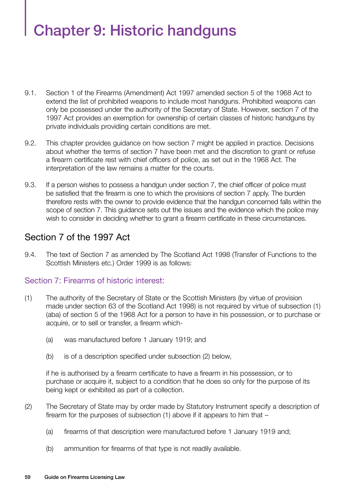# Chapter 9: Historic handguns

- 9.1. Section 1 of the Firearms (Amendment) Act 1997 amended section 5 of the 1968 Act to extend the list of prohibited weapons to include most handguns. Prohibited weapons can only be possessed under the authority of the Secretary of State. However, section 7 of the 1997 Act provides an exemption for ownership of certain classes of historic handguns by private individuals providing certain conditions are met.
- 9.2. This chapter provides guidance on how section 7 might be applied in practice. Decisions about whether the terms of section 7 have been met and the discretion to grant or refuse a firearm certificate rest with chief officers of police, as set out in the 1968 Act. The interpretation of the law remains a matter for the courts.
- 9.3. If a person wishes to possess a handgun under section 7, the chief officer of police must be satisfied that the firearm is one to which the provisions of section 7 apply. The burden therefore rests with the owner to provide evidence that the handgun concerned falls within the scope of section 7. This guidance sets out the issues and the evidence which the police may wish to consider in deciding whether to grant a firearm certificate in these circumstances.

# Section 7 of the 1997 Act

9.4. The text of Section 7 as amended by The Scotland Act 1998 (Transfer of Functions to the Scottish Ministers etc.) Order 1999 is as follows:

#### Section 7: Firearms of historic interest:

- (1) The authority of the Secretary of State or the Scottish Ministers (by virtue of provision made under section 63 of the Scotland Act 1998) is not required by virtue of subsection (1) (aba) of section 5 of the 1968 Act for a person to have in his possession, or to purchase or acquire, or to sell or transfer, a firearm which-
	- (a) was manufactured before 1 January 1919; and
	- (b) is of a description specified under subsection (2) below,

if he is authorised by a firearm certificate to have a firearm in his possession, or to purchase or acquire it, subject to a condition that he does so only for the purpose of its being kept or exhibited as part of a collection.

- (2) The Secretary of State may by order made by Statutory Instrument specify a description of firearm for the purposes of subsection (1) above if it appears to him that –
	- (a) firearms of that description were manufactured before 1 January 1919 and;
	- (b) ammunition for firearms of that type is not readily available.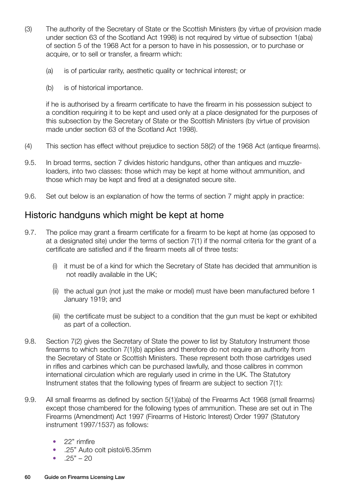- (3) The authority of the Secretary of State or the Scottish Ministers (by virtue of provision made under section 63 of the Scotland Act 1998) is not required by virtue of subsection 1(aba) of section 5 of the 1968 Act for a person to have in his possession, or to purchase or acquire, or to sell or transfer, a firearm which:
	- (a) is of particular rarity, aesthetic quality or technical interest; or
	- (b) is of historical importance.

if he is authorised by a firearm certificate to have the firearm in his possession subject to a condition requiring it to be kept and used only at a place designated for the purposes of this subsection by the Secretary of State or the Scottish Ministers (by virtue of provision made under section 63 of the Scotland Act 1998).

- (4) This section has effect without prejudice to section 58(2) of the 1968 Act (antique firearms).
- 9.5. In broad terms, section 7 divides historic handguns, other than antiques and muzzleloaders, into two classes: those which may be kept at home without ammunition, and those which may be kept and fired at a designated secure site.
- 9.6. Set out below is an explanation of how the terms of section 7 might apply in practice:

# Historic handguns which might be kept at home

- 9.7. The police may grant a firearm certificate for a firearm to be kept at home (as opposed to at a designated site) under the terms of section 7(1) if the normal criteria for the grant of a certificate are satisfied and if the firearm meets all of three tests:
	- (i) it must be of a kind for which the Secretary of State has decided that ammunition is not readily available in the UK;
	- (ii) the actual gun (not just the make or model) must have been manufactured before 1 January 1919; and
	- (iii) the certificate must be subject to a condition that the gun must be kept or exhibited as part of a collection.
- 9.8. Section 7(2) gives the Secretary of State the power to list by Statutory Instrument those firearms to which section 7(1)(b) applies and therefore do not require an authority from the Secretary of State or Scottish Ministers. These represent both those cartridges used in rifles and carbines which can be purchased lawfully, and those calibres in common international circulation which are regularly used in crime in the UK. The Statutory Instrument states that the following types of firearm are subject to section 7(1):
- 9.9. All small firearms as defined by section 5(1)(aba) of the Firearms Act 1968 (small firearms) except those chambered for the following types of ammunition. These are set out in The Firearms (Amendment) Act 1997 (Firearms of Historic Interest) Order 1997 (Statutory instrument 1997/1537) as follows:
	- 22" rimfire
	- .25" Auto colt pistol/6.35mm
	- $.25" 20$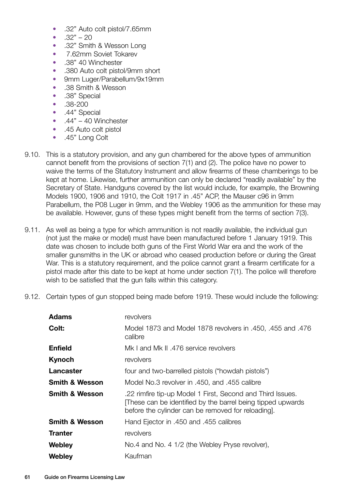- .32" Auto colt pistol/7.65mm
- $.32" 20$
- .32" Smith & Wesson Long
- 7.62mm Soviet Tokarev
- .38" 40 Winchester
- .380 Auto colt pistol/9mm short
- 9mm Luger/Parabellum/9x19mm
- .38 Smith & Wesson
- .38" Special
- .38-200
- .44" Special
- $.44" 40$  Winchester
- .45 Auto colt pistol
- .45" Long Colt
- 9.10. This is a statutory provision, and any gun chambered for the above types of ammunition cannot benefit from the provisions of section 7(1) and (2). The police have no power to waive the terms of the Statutory Instrument and allow firearms of these chamberings to be kept at home. Likewise, further ammunition can only be declared "readily available" by the Secretary of State. Handguns covered by the list would include, for example, the Browning Models 1900, 1906 and 1910, the Colt 1917 in .45" ACP, the Mauser c96 in 9mm Parabellum, the P08 Luger in 9mm, and the Webley 1906 as the ammunition for these may be available. However, guns of these types might benefit from the terms of section 7(3).
- 9.11. As well as being a type for which ammunition is not readily available, the individual gun (not just the make or model) must have been manufactured before 1 January 1919. This date was chosen to include both guns of the First World War era and the work of the smaller gunsmiths in the UK or abroad who ceased production before or during the Great War. This is a statutory requirement, and the police cannot grant a firearm certificate for a pistol made after this date to be kept at home under section 7(1). The police will therefore wish to be satisfied that the gun falls within this category.
- 9.12. Certain types of gun stopped being made before 1919. These would include the following:

| <b>Adams</b>              | revolvers                                                                                                                                                                     |
|---------------------------|-------------------------------------------------------------------------------------------------------------------------------------------------------------------------------|
| Colt:                     | Model 1873 and Model 1878 revolvers in .450, .455 and .476<br>calibre                                                                                                         |
| <b>Enfield</b>            | Mk I and Mk II .476 service revolvers                                                                                                                                         |
| <b>Kynoch</b>             | revolvers                                                                                                                                                                     |
| Lancaster                 | four and two-barrelled pistols ("howdah pistols")                                                                                                                             |
| <b>Smith &amp; Wesson</b> | Model No.3 revolver in .450, and .455 calibre                                                                                                                                 |
| <b>Smith &amp; Wesson</b> | .22 rimfire tip-up Model 1 First, Second and Third Issues.<br>These can be identified by the barrel being tipped upwards<br>before the cylinder can be removed for reloading. |
| <b>Smith &amp; Wesson</b> | Hand Ejector in .450 and .455 calibres                                                                                                                                        |
| <b>Tranter</b>            | revolvers                                                                                                                                                                     |
| Webley                    | No.4 and No. 4 1/2 (the Webley Pryse revolver),                                                                                                                               |
| Webley                    | Kaufman                                                                                                                                                                       |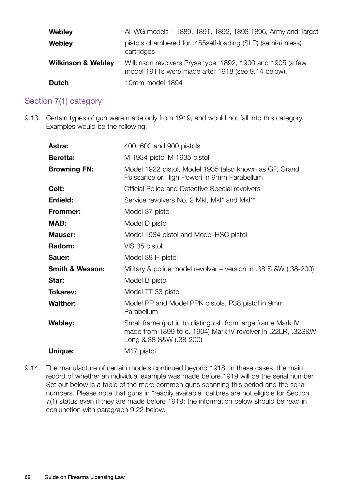| <b>Webley</b>                 | All WG models - 1889, 1891, 1892, 1893 1896, Army and Target                                                     |
|-------------------------------|------------------------------------------------------------------------------------------------------------------|
| <b>Webley</b>                 | pistols chambered for .455self-loading (SLP) (semi-rimless)<br>cartridges                                        |
| <b>Wilkinson &amp; Webley</b> | Wilkinson revolvers Pryse type, 1892, 1900 and 1905 (a few<br>model 1911s were made after 1918 (see 9.14 below). |
| <b>Dutch</b>                  | 10mm model 1894                                                                                                  |

#### Section 7(1) category

9.13. Certain types of gun were made only from 1919, and would not fall into this category. Examples would be the following:

| <b>Astra:</b>              | 400, 600 and 900 pistols                                                                                                                               |
|----------------------------|--------------------------------------------------------------------------------------------------------------------------------------------------------|
| <b>Beretta:</b>            | M 1934 pistol M 1935 pistol                                                                                                                            |
| <b>Browning FN:</b>        | Model 1922 pistol, Model 1935 (also known as GP, Grand<br>Puissance or High Power) in 9mm Parabellum                                                   |
| Colt:                      | Official Police and Detective Special revolvers                                                                                                        |
| Enfield:                   | Service revolvers No. 2 Mkl, Mkl* and Mkl**                                                                                                            |
| <b>Frommer:</b>            | Model 37 pistol                                                                                                                                        |
| MAB:                       | Model D pistol                                                                                                                                         |
| <b>Mauser:</b>             | Model 1934 pistol and Model HSC pistol                                                                                                                 |
| Radom:                     | VIS 35 pistol                                                                                                                                          |
| Sauer:                     | Model 38 H pistol                                                                                                                                      |
| <b>Smith &amp; Wesson:</b> | Military & police model revolver – version in .38 S &W (.38-200)                                                                                       |
| Star:                      | Model B pistol                                                                                                                                         |
| <b>Tokarev:</b>            | Model TT 33 pistol                                                                                                                                     |
| <b>Walther:</b>            | Model PP and Model PPK pistols, P38 pistol in 9mm<br>Parabellum                                                                                        |
| Webley:                    | Small frame (put in to distinguish from large frame Mark IV<br>made from 1899 to c. 1904) Mark IV revolver in .22LR, .32S&W<br>Long & 38 S&W (.38-200) |
| Unique:                    | M <sub>17</sub> pistol                                                                                                                                 |

9.14. The manufacture of certain models continued beyond 1918. In these cases, the main record of whether an individual example was made before 1919 will be the serial number. Set out below is a table of the more common guns spanning this period and the serial numbers. Please note that guns in "readily available" calibres are not eligible for Section 7(1) status even if they are made before 1919: the information below should be read in conjunction with paragraph 9.22 below.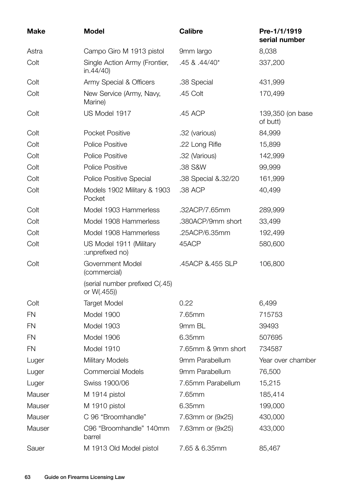| <b>Make</b> | <b>Model</b>                                  | <b>Calibre</b>      | Pre-1/1/1919<br>serial number |
|-------------|-----------------------------------------------|---------------------|-------------------------------|
| Astra       | Campo Giro M 1913 pistol                      | 9mm largo           | 8,038                         |
| Colt        | Single Action Army (Frontier,<br>in.44/40     | $.45$ & $.44/40*$   | 337,200                       |
| Colt        | Army Special & Officers                       | .38 Special         | 431,999                       |
| Colt        | New Service (Army, Navy,<br>Marine)           | .45 Colt            | 170,499                       |
| Colt        | US Model 1917                                 | .45 ACP             | 139,350 (on base<br>of butt)  |
| Colt        | Pocket Positive                               | .32 (various)       | 84,999                        |
| Colt        | <b>Police Positive</b>                        | .22 Long Rifle      | 15,899                        |
| Colt        | <b>Police Positive</b>                        | .32 (Various)       | 142,999                       |
| Colt        | <b>Police Positive</b>                        | .38 S&W             | 99,999                        |
| Colt        | Police Positive Special                       | .38 Special & 32/20 | 161,999                       |
| Colt        | Models 1902 Military & 1903<br>Pocket         | .38 ACP             | 40,499                        |
| Colt        | Model 1903 Hammerless                         | .32ACP/7.65mm       | 289,999                       |
| Colt        | Model 1908 Hammerless                         | .380ACP/9mm short   | 33,499                        |
| Colt        | Model 1908 Hammerless                         | .25ACP/6.35mm       | 192,499                       |
| Colt        | US Model 1911 (Military<br>:unprefixed no)    | 45ACP               | 580,600                       |
| Colt        | Government Model<br>(commercial)              | .45ACP &.455 SLP    | 106,800                       |
|             | (serial number prefixed C(.45)<br>or W(.455)) |                     |                               |
| Colt        | <b>Target Model</b>                           | 0.22                | 6,499                         |
| <b>FN</b>   | Model 1900                                    | 7.65mm              | 715753                        |
| <b>FN</b>   | Model 1903                                    | 9mm BL              | 39493                         |
| <b>FN</b>   | Model 1906                                    | 6.35mm              | 507695                        |
| <b>FN</b>   | Model 1910                                    | 7.65mm & 9mm short  | 734587                        |
| Luger       | <b>Military Models</b>                        | 9mm Parabellum      | Year over chamber             |
| Luger       | <b>Commercial Models</b>                      | 9mm Parabellum      | 76,500                        |
| Luger       | Swiss 1900/06                                 | 7.65mm Parabellum   | 15,215                        |
| Mauser      | M 1914 pistol                                 | 7.65mm              | 185,414                       |
| Mauser      | M 1910 pistol                                 | 6.35mm              | 199,000                       |
| Mauser      | C 96 "Broomhandle"                            | 7.63mm or (9x25)    | 430,000                       |
| Mauser      | C96 "Broomhandle" 140mm<br>barrel             | 7.63mm or (9x25)    | 433,000                       |
| Sauer       | M 1913 Old Model pistol                       | 7.65 & 6.35mm       | 85,467                        |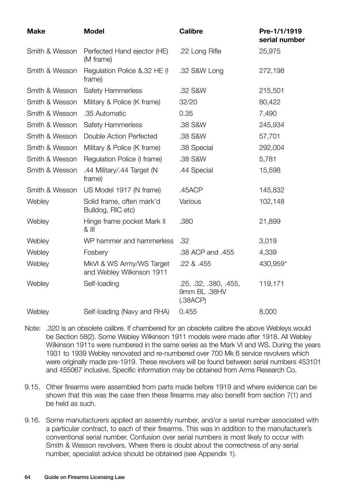| <b>Make</b>    | <b>Model</b>                                          | <b>Calibre</b>                                    | Pre-1/1/1919<br>serial number |
|----------------|-------------------------------------------------------|---------------------------------------------------|-------------------------------|
| Smith & Wesson | Perfected Hand ejector (HE)<br>(M frame)              | .22 Long Rifle                                    | 25,975                        |
| Smith & Wesson | Regulation Police & 32 HE (I)<br>frame)               | .32 S&W Long                                      | 272,198                       |
| Smith & Wesson | <b>Safety Hammerless</b>                              | .32 S&W                                           | 215,501                       |
| Smith & Wesson | Military & Police (K frame)                           | 32/20                                             | 80,422                        |
| Smith & Wesson | .35 Automatic                                         | 0.35                                              | 7,490                         |
| Smith & Wesson | <b>Safety Hammerless</b>                              | .38 S&W                                           | 245,934                       |
| Smith & Wesson | Double Action Perfected                               | .38 S&W                                           | 57,701                        |
| Smith & Wesson | Military & Police (K frame)                           | .38 Special                                       | 292,004                       |
| Smith & Wesson | Regulation Police (I frame)                           | .38 S&W                                           | 5,781                         |
| Smith & Wesson | .44 Military/.44 Target (N<br>frame)                  | .44 Special                                       | 15,598                        |
| Smith & Wesson | US Model 1917 (N frame)                               | .45ACP                                            | 145,832                       |
| Webley         | Solid frame, often mark'd<br>Bulldog, RIC etc)        | Various                                           | 102,148                       |
| Webley         | Hinge frame pocket Mark II<br>$8$ III                 | .380                                              | 21,899                        |
| Webley         | WP hammer and hammerless                              | .32                                               | 3,019                         |
| Webley         | Fosbery                                               | .38 ACP and .455                                  | 4,339                         |
| Webley         | MkVI & WS Army/WS Target<br>and Webley Wilkinson 1911 | .22 & .455                                        | 430,959*                      |
| Webley         | Self-loading                                          | .25, .32, .380, .455,<br>9mm BL .38HV<br>(.38ACP) | 119,171                       |
| Webley         | Self-loading (Navy and RHA)                           | 0.455                                             | 8,000                         |

- Note: .320 is an obsolete calibre. If chambered for an obsolete calibre the above Webleys would be Section 58(2). Some Webley Wilkinson 1911 models were made after 1918. All Webley Wilkinson 1911s were numbered in the same series as the Mark VI and WS. During the years 1931 to 1939 Webley renovated and re-numbered over 700 Mk 6 service revolvers which were originally made pre-1919. These revolvers will be found between serial numbers 453101 and 455067 inclusive. Specific information may be obtained from Arms Research Co.
- 9.15. Other firearms were assembled from parts made before 1919 and where evidence can be shown that this was the case then these firearms may also benefit from section 7(1) and be held as such.
- 9.16. Some manufacturers applied an assembly number, and/or a serial number associated with a particular contract, to each of their firearms. This was in addition to the manufacturer's conventional serial number. Confusion over serial numbers is most likely to occur with Smith & Wesson revolvers. Where there is doubt about the correctness of any serial number, specialist advice should be obtained (see Appendix 1).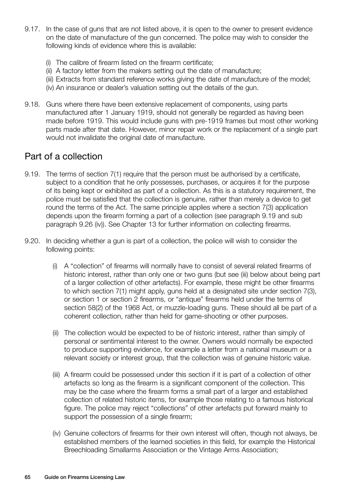- 9.17. In the case of guns that are not listed above, it is open to the owner to present evidence on the date of manufacture of the gun concerned. The police may wish to consider the following kinds of evidence where this is available:
	- (i) The calibre of firearm listed on the firearm certificate;
	- (ii) A factory letter from the makers setting out the date of manufacture;
	- (iii) Extracts from standard reference works giving the date of manufacture of the model;
	- (iv) An insurance or dealer's valuation setting out the details of the gun.
- 9.18. Guns where there have been extensive replacement of components, using parts manufactured after 1 January 1919, should not generally be regarded as having been made before 1919. This would include guns with pre-1919 frames but most other working parts made after that date. However, minor repair work or the replacement of a single part would not invalidate the original date of manufacture.

# Part of a collection

- 9.19. The terms of section 7(1) require that the person must be authorised by a certificate, subject to a condition that he only possesses, purchases, or acquires it for the purpose of its being kept or exhibited as part of a collection. As this is a statutory requirement, the police must be satisfied that the collection is genuine, rather than merely a device to get round the terms of the Act. The same principle applies where a section 7(3) application depends upon the firearm forming a part of a collection (see paragraph 9.19 and sub paragraph 9.26 (iv)). See Chapter 13 for further information on collecting firearms.
- 9.20. In deciding whether a gun is part of a collection, the police will wish to consider the following points:
	- (i) A "collection" of firearms will normally have to consist of several related firearms of historic interest, rather than only one or two guns (but see (iii) below about being part of a larger collection of other artefacts). For example, these might be other firearms to which section 7(1) might apply, guns held at a designated site under section 7(3), or section 1 or section 2 firearms, or "antique" firearms held under the terms of section 58(2) of the 1968 Act, or muzzle-loading guns. These should all be part of a coherent collection, rather than held for game-shooting or other purposes.
	- (ii) The collection would be expected to be of historic interest, rather than simply of personal or sentimental interest to the owner. Owners would normally be expected to produce supporting evidence, for example a letter from a national museum or a relevant society or interest group, that the collection was of genuine historic value.
	- (iii) A firearm could be possessed under this section if it is part of a collection of other artefacts so long as the firearm is a significant component of the collection. This may be the case where the firearm forms a small part of a larger and established collection of related historic items, for example those relating to a famous historical figure. The police may reject "collections" of other artefacts put forward mainly to support the possession of a single firearm;
	- (iv) Genuine collectors of firearms for their own interest will often, though not always, be established members of the learned societies in this field, for example the Historical Breechloading Smallarms Association or the Vintage Arms Association;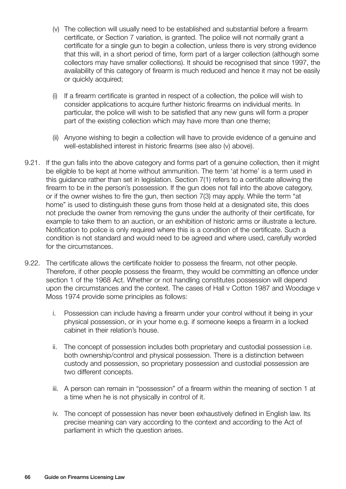- (v) The collection will usually need to be established and substantial before a firearm certificate, or Section 7 variation, is granted. The police will not normally grant a certificate for a single gun to begin a collection, unless there is very strong evidence that this will, in a short period of time, form part of a larger collection (although some collectors may have smaller collections). It should be recognised that since 1997, the availability of this category of firearm is much reduced and hence it may not be easily or quickly acquired;
- (i) If a firearm certificate is granted in respect of a collection, the police will wish to consider applications to acquire further historic firearms on individual merits. In particular, the police will wish to be satisfied that any new guns will form a proper part of the existing collection which may have more than one theme;
- (ii) Anyone wishing to begin a collection will have to provide evidence of a genuine and well-established interest in historic firearms (see also (v) above).
- 9.21. If the gun falls into the above category and forms part of a genuine collection, then it might be eligible to be kept at home without ammunition. The term 'at home' is a term used in this guidance rather than set in legislation. Section 7(1) refers to a certificate allowing the firearm to be in the person's possession. If the gun does not fall into the above category, or if the owner wishes to fire the gun, then section 7(3) may apply. While the term "at home" is used to distinguish these guns from those held at a designated site, this does not preclude the owner from removing the guns under the authority of their certificate, for example to take them to an auction, or an exhibition of historic arms or illustrate a lecture. Notification to police is only required where this is a condition of the certificate. Such a condition is not standard and would need to be agreed and where used, carefully worded for the circumstances.
- 9.22. The certificate allows the certificate holder to possess the firearm, not other people. Therefore, if other people possess the firearm, they would be committing an offence under section 1 of the 1968 Act. Whether or not handling constitutes possession will depend upon the circumstances and the context. The cases of Hall v Cotton 1987 and Woodage v Moss 1974 provide some principles as follows:
	- i. Possession can include having a firearm under your control without it being in your physical possession, or in your home e.g. if someone keeps a firearm in a locked cabinet in their relation's house.
	- ii. The concept of possession includes both proprietary and custodial possession i.e. both ownership/control and physical possession. There is a distinction between custody and possession, so proprietary possession and custodial possession are two different concepts.
	- iii. A person can remain in "possession" of a firearm within the meaning of section 1 at a time when he is not physically in control of it.
	- iv. The concept of possession has never been exhaustively defined in English law. Its precise meaning can vary according to the context and according to the Act of parliament in which the question arises.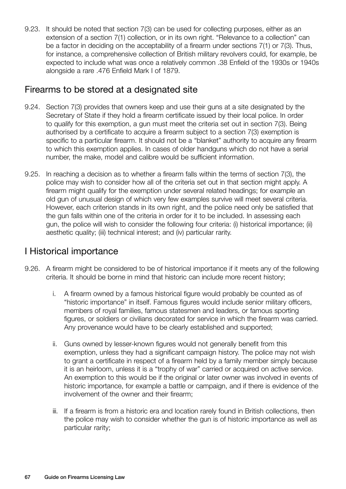9.23. It should be noted that section 7(3) can be used for collecting purposes, either as an extension of a section 7(1) collection, or in its own right. "Relevance to a collection" can be a factor in deciding on the acceptability of a firearm under sections 7(1) or 7(3). Thus, for instance, a comprehensive collection of British military revolvers could, for example, be expected to include what was once a relatively common .38 Enfield of the 1930s or 1940s alongside a rare .476 Enfield Mark I of 1879.

# Firearms to be stored at a designated site

- 9.24. Section 7(3) provides that owners keep and use their guns at a site designated by the Secretary of State if they hold a firearm certificate issued by their local police. In order to qualify for this exemption, a gun must meet the criteria set out in section 7(3). Being authorised by a certificate to acquire a firearm subject to a section 7(3) exemption is specific to a particular firearm. It should not be a "blanket" authority to acquire any firearm to which this exemption applies. In cases of older handguns which do not have a serial number, the make, model and calibre would be sufficient information.
- 9.25. In reaching a decision as to whether a firearm falls within the terms of section 7(3), the police may wish to consider how all of the criteria set out in that section might apply. A firearm might qualify for the exemption under several related headings; for example an old gun of unusual design of which very few examples survive will meet several criteria. However, each criterion stands in its own right, and the police need only be satisfied that the gun falls within one of the criteria in order for it to be included. In assessing each gun, the police will wish to consider the following four criteria: (i) historical importance; (ii) aesthetic quality; (iii) technical interest; and (iv) particular rarity.

# I Historical importance

- 9.26. A firearm might be considered to be of historical importance if it meets any of the following criteria. It should be borne in mind that historic can include more recent history;
	- i. A firearm owned by a famous historical figure would probably be counted as of "historic importance" in itself. Famous figures would include senior military officers, members of royal families, famous statesmen and leaders, or famous sporting figures, or soldiers or civilians decorated for service in which the firearm was carried. Any provenance would have to be clearly established and supported;
	- ii. Guns owned by lesser-known figures would not generally benefit from this exemption, unless they had a significant campaign history. The police may not wish to grant a certificate in respect of a firearm held by a family member simply because it is an heirloom, unless it is a "trophy of war" carried or acquired on active service. An exemption to this would be if the original or later owner was involved in events of historic importance, for example a battle or campaign, and if there is evidence of the involvement of the owner and their firearm;
	- iii. If a firearm is from a historic era and location rarely found in British collections, then the police may wish to consider whether the gun is of historic importance as well as particular rarity;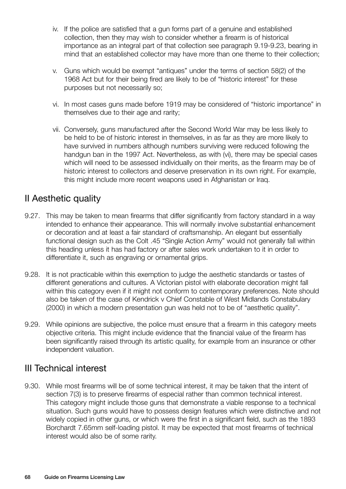- iv. If the police are satisfied that a gun forms part of a genuine and established collection, then they may wish to consider whether a firearm is of historical importance as an integral part of that collection see paragraph 9.19-9.23, bearing in mind that an established collector may have more than one theme to their collection;
- v. Guns which would be exempt "antiques" under the terms of section 58(2) of the 1968 Act but for their being fired are likely to be of "historic interest" for these purposes but not necessarily so;
- vi. In most cases guns made before 1919 may be considered of "historic importance" in themselves due to their age and rarity;
- vii. Conversely, guns manufactured after the Second World War may be less likely to be held to be of historic interest in themselves, in as far as they are more likely to have survived in numbers although numbers surviving were reduced following the handgun ban in the 1997 Act. Nevertheless, as with (vi), there may be special cases which will need to be assessed individually on their merits, as the firearm may be of historic interest to collectors and deserve preservation in its own right. For example, this might include more recent weapons used in Afghanistan or Iraq.

# II Aesthetic quality

- 9.27. This may be taken to mean firearms that differ significantly from factory standard in a way intended to enhance their appearance. This will normally involve substantial enhancement or decoration and at least a fair standard of craftsmanship. An elegant but essentially functional design such as the Colt .45 "Single Action Army" would not generally fall within this heading unless it has had factory or after sales work undertaken to it in order to differentiate it, such as engraving or ornamental grips.
- 9.28. It is not practicable within this exemption to judge the aesthetic standards or tastes of different generations and cultures. A Victorian pistol with elaborate decoration might fall within this category even if it might not conform to contemporary preferences. Note should also be taken of the case of Kendrick v Chief Constable of West Midlands Constabulary (2000) in which a modern presentation gun was held not to be of "aesthetic quality".
- 9.29. While opinions are subjective, the police must ensure that a firearm in this category meets objective criteria. This might include evidence that the financial value of the firearm has been significantly raised through its artistic quality, for example from an insurance or other independent valuation.

# III Technical interest

9.30. While most firearms will be of some technical interest, it may be taken that the intent of section 7(3) is to preserve firearms of especial rather than common technical interest. This category might include those guns that demonstrate a viable response to a technical situation. Such guns would have to possess design features which were distinctive and not widely copied in other guns, or which were the first in a significant field, such as the 1893 Borchardt 7.65mm self-loading pistol. It may be expected that most firearms of technical interest would also be of some rarity.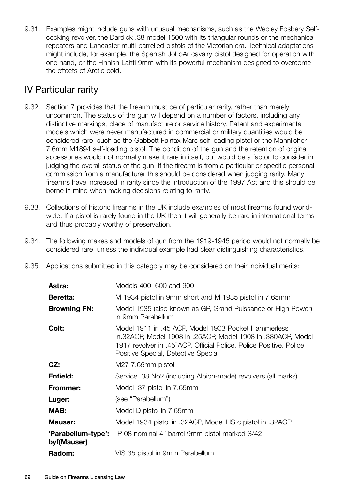9.31. Examples might include guns with unusual mechanisms, such as the Webley Fosbery Selfcocking revolver, the Dardick .38 model 1500 with its triangular rounds or the mechanical repeaters and Lancaster multi-barrelled pistols of the Victorian era. Technical adaptations might include, for example, the Spanish JoLoAr cavalry pistol designed for operation with one hand, or the Finnish Lahti 9mm with its powerful mechanism designed to overcome the effects of Arctic cold.

# IV Particular rarity

- 9.32. Section 7 provides that the firearm must be of particular rarity, rather than merely uncommon. The status of the gun will depend on a number of factors, including any distinctive markings, place of manufacture or service history. Patent and experimental models which were never manufactured in commercial or military quantities would be considered rare, such as the Gabbett Fairfax Mars self-loading pistol or the Mannlicher 7.6mm M1894 self-loading pistol. The condition of the gun and the retention of original accessories would not normally make it rare in itself, but would be a factor to consider in judging the overall status of the gun. If the firearm is from a particular or specific personal commission from a manufacturer this should be considered when judging rarity. Many firearms have increased in rarity since the introduction of the 1997 Act and this should be borne in mind when making decisions relating to rarity.
- 9.33. Collections of historic firearms in the UK include examples of most firearms found worldwide. If a pistol is rarely found in the UK then it will generally be rare in international terms and thus probably worthy of preservation.
- 9.34. The following makes and models of gun from the 1919-1945 period would not normally be considered rare, unless the individual example had clear distinguishing characteristics.
- 9.35. Applications submitted in this category may be considered on their individual merits:

| Models 400, 600 and 900                                                                                                                                                                                                          |
|----------------------------------------------------------------------------------------------------------------------------------------------------------------------------------------------------------------------------------|
| M 1934 pistol in 9mm short and M 1935 pistol in 7.65mm                                                                                                                                                                           |
| Model 1935 (also known as GP, Grand Puissance or High Power)<br>in 9mm Parabellum                                                                                                                                                |
| Model 1911 in .45 ACP, Model 1903 Pocket Hammerless<br>in.32ACP, Model 1908 in .25ACP, Model 1908 in .380ACP, Model<br>1917 revolver in .45"ACP, Official Police, Police Positive, Police<br>Positive Special, Detective Special |
| M27 7.65mm pistol                                                                                                                                                                                                                |
| Service .38 No2 (including Albion-made) revolvers (all marks)                                                                                                                                                                    |
| Model .37 pistol in 7.65mm                                                                                                                                                                                                       |
| (see "Parabellum")                                                                                                                                                                                                               |
| Model D pistol in 7.65mm                                                                                                                                                                                                         |
| Model 1934 pistol in .32ACP, Model HS c pistol in .32ACP                                                                                                                                                                         |
| P 08 nominal 4" barrel 9mm pistol marked S/42<br>'Parabellum-type':                                                                                                                                                              |
| VIS 35 pistol in 9mm Parabellum                                                                                                                                                                                                  |
|                                                                                                                                                                                                                                  |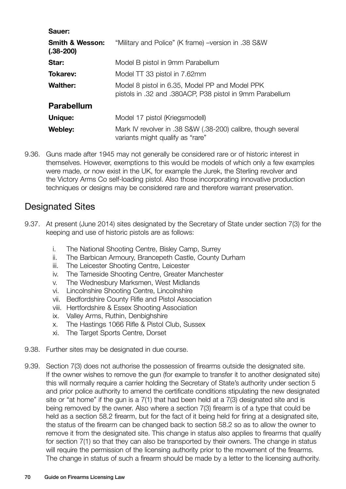| Sauer:                                    |                                                                                                            |
|-------------------------------------------|------------------------------------------------------------------------------------------------------------|
| <b>Smith &amp; Wesson:</b><br>$(.38-200)$ | "Military and Police" (K frame) – version in .38 S&W                                                       |
| Star:                                     | Model B pistol in 9mm Parabellum                                                                           |
| <b>Tokarev:</b>                           | Model TT 33 pistol in 7.62mm                                                                               |
| <b>Walther:</b>                           | Model 8 pistol in 6.35, Model PP and Model PPK<br>pistols in .32 and .380ACP, P38 pistol in 9mm Parabellum |
| <b>Parabellum</b>                         |                                                                                                            |
| Unique:                                   | Model 17 pistol (Kriegsmodell)                                                                             |
| Webley:                                   | Mark IV revolver in .38 S&W (.38-200) calibre, though several<br>variants might qualify as "rare"          |

9.36. Guns made after 1945 may not generally be considered rare or of historic interest in themselves. However, exemptions to this would be models of which only a few examples were made, or now exist in the UK, for example the Jurek, the Sterling revolver and the Victory Arms Co self-loading pistol. Also those incorporating innovative production techniques or designs may be considered rare and therefore warrant preservation.

# Designated Sites

- 9.37. At present (June 2014) sites designated by the Secretary of State under section 7(3) for the keeping and use of historic pistols are as follows:
	- i. The National Shooting Centre, Bisley Camp, Surrey
	- ii. The Barbican Armoury, Brancepeth Castle, County Durham
	- iii. The Leicester Shooting Centre, Leicester
	- iv. The Tameside Shooting Centre, Greater Manchester
	- v. The Wednesbury Marksmen, West Midlands
	- vi. Lincolnshire Shooting Centre, Lincolnshire
	- vii. Bedfordshire County Rifle and Pistol Association
	- viii. Hertfordshire & Essex Shooting Association
	- ix. Valley Arms, Ruthin, Denbighshire
	- x. The Hastings 1066 Rifle & Pistol Club, Sussex
	- xi. The Target Sports Centre, Dorset
- 9.38. Further sites may be designated in due course.
- 9.39. Section 7(3) does not authorise the possession of firearms outside the designated site. If the owner wishes to remove the gun (for example to transfer it to another designated site) this will normally require a carrier holding the Secretary of State's authority under section 5 and prior police authority to amend the certificate conditions stipulating the new designated site or "at home" if the gun is a 7(1) that had been held at a 7(3) designated site and is being removed by the owner. Also where a section 7(3) firearm is of a type that could be held as a section 58.2 firearm, but for the fact of it being held for firing at a designated site, the status of the firearm can be changed back to section 58.2 so as to allow the owner to remove it from the designated site. This change in status also applies to firearms that qualify for section 7(1) so that they can also be transported by their owners. The change in status will require the permission of the licensing authority prior to the movement of the firearms. The change in status of such a firearm should be made by a letter to the licensing authority.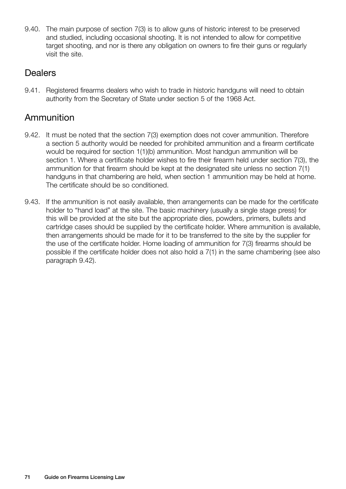9.40. The main purpose of section 7(3) is to allow guns of historic interest to be preserved and studied, including occasional shooting. It is not intended to allow for competitive target shooting, and nor is there any obligation on owners to fire their guns or regularly visit the site.

### **Dealers**

9.41. Registered firearms dealers who wish to trade in historic handguns will need to obtain authority from the Secretary of State under section 5 of the 1968 Act.

# Ammunition

- 9.42. It must be noted that the section 7(3) exemption does not cover ammunition. Therefore a section 5 authority would be needed for prohibited ammunition and a firearm certificate would be required for section 1(1)(b) ammunition. Most handgun ammunition will be section 1. Where a certificate holder wishes to fire their firearm held under section 7(3), the ammunition for that firearm should be kept at the designated site unless no section 7(1) handguns in that chambering are held, when section 1 ammunition may be held at home. The certificate should be so conditioned.
- 9.43. If the ammunition is not easily available, then arrangements can be made for the certificate holder to "hand load" at the site. The basic machinery (usually a single stage press) for this will be provided at the site but the appropriate dies, powders, primers, bullets and cartridge cases should be supplied by the certificate holder. Where ammunition is available, then arrangements should be made for it to be transferred to the site by the supplier for the use of the certificate holder. Home loading of ammunition for 7(3) firearms should be possible if the certificate holder does not also hold a 7(1) in the same chambering (see also paragraph 9.42).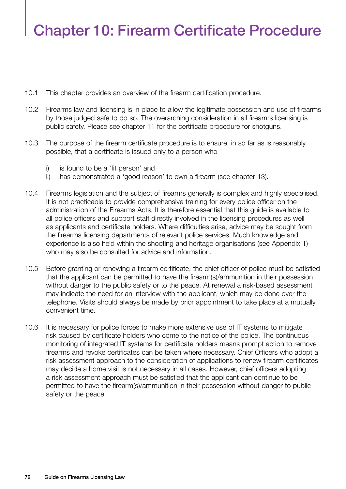# Chapter 10: Firearm Certificate Procedure

- 10.1 This chapter provides an overview of the firearm certification procedure.
- 10.2 Firearms law and licensing is in place to allow the legitimate possession and use of firearms by those judged safe to do so. The overarching consideration in all firearms licensing is public safety. Please see chapter 11 for the certificate procedure for shotguns.
- 10.3 The purpose of the firearm certificate procedure is to ensure, in so far as is reasonably possible, that a certificate is issued only to a person who
	- i) is found to be a 'fit person' and
	- ii) has demonstrated a 'good reason' to own a firearm (see chapter 13).
- 10.4 Firearms legislation and the subject of firearms generally is complex and highly specialised. It is not practicable to provide comprehensive training for every police officer on the administration of the Firearms Acts. It is therefore essential that this guide is available to all police officers and support staff directly involved in the licensing procedures as well as applicants and certificate holders. Where difficulties arise, advice may be sought from the firearms licensing departments of relevant police services. Much knowledge and experience is also held within the shooting and heritage organisations (see Appendix 1) who may also be consulted for advice and information.
- 10.5 Before granting or renewing a firearm certificate, the chief officer of police must be satisfied that the applicant can be permitted to have the firearm(s)/ammunition in their possession without danger to the public safety or to the peace. At renewal a risk-based assessment may indicate the need for an interview with the applicant, which may be done over the telephone. Visits should always be made by prior appointment to take place at a mutually convenient time.
- 10.6 It is necessary for police forces to make more extensive use of IT systems to mitigate risk caused by certificate holders who come to the notice of the police. The continuous monitoring of integrated IT systems for certificate holders means prompt action to remove firearms and revoke certificates can be taken where necessary. Chief Officers who adopt a risk assessment approach to the consideration of applications to renew firearm certificates may decide a home visit is not necessary in all cases. However, chief officers adopting a risk assessment approach must be satisfied that the applicant can continue to be permitted to have the firearm(s)/ammunition in their possession without danger to public safety or the peace.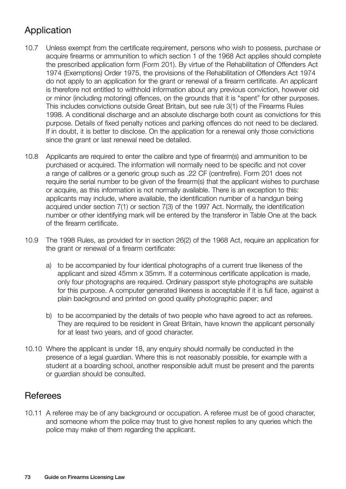# Application

- 10.7 Unless exempt from the certificate requirement, persons who wish to possess, purchase or acquire firearms or ammunition to which section 1 of the 1968 Act applies should complete the prescribed application form (Form 201). By virtue of the Rehabilitation of Offenders Act 1974 (Exemptions) Order 1975, the provisions of the Rehabilitation of Offenders Act 1974 do not apply to an application for the grant or renewal of a firearm certificate. An applicant is therefore not entitled to withhold information about any previous conviction, however old or minor (including motoring) offences, on the grounds that it is "spent" for other purposes. This includes convictions outside Great Britain, but see rule 3(1) of the Firearms Rules 1998. A conditional discharge and an absolute discharge both count as convictions for this purpose. Details of fixed penalty notices and parking offences do not need to be declared. If in doubt, it is better to disclose. On the application for a renewal only those convictions since the grant or last renewal need be detailed.
- 10.8 Applicants are required to enter the calibre and type of firearm(s) and ammunition to be purchased or acquired. The information will normally need to be specific and not cover a range of calibres or a generic group such as .22 CF (centrefire). Form 201 does not require the serial number to be given of the firearm(s) that the applicant wishes to purchase or acquire, as this information is not normally available. There is an exception to this: applicants may include, where available, the identification number of a handgun being acquired under section 7(1) or section 7(3) of the 1997 Act. Normally, the identification number or other identifying mark will be entered by the transferor in Table One at the back of the firearm certificate.
- 10.9 The 1998 Rules, as provided for in section 26(2) of the 1968 Act, require an application for the grant or renewal of a firearm certificate:
	- a) to be accompanied by four identical photographs of a current true likeness of the applicant and sized 45mm x 35mm. If a coterminous certificate application is made, only four photographs are required. Ordinary passport style photographs are suitable for this purpose. A computer generated likeness is acceptable if it is full face, against a plain background and printed on good quality photographic paper; and
	- b) to be accompanied by the details of two people who have agreed to act as referees. They are required to be resident in Great Britain, have known the applicant personally for at least two years, and of good character.
- 10.10 Where the applicant is under 18, any enquiry should normally be conducted in the presence of a legal guardian. Where this is not reasonably possible, for example with a student at a boarding school, another responsible adult must be present and the parents or guardian should be consulted.

## **Referees**

10.11 A referee may be of any background or occupation. A referee must be of good character, and someone whom the police may trust to give honest replies to any queries which the police may make of them regarding the applicant.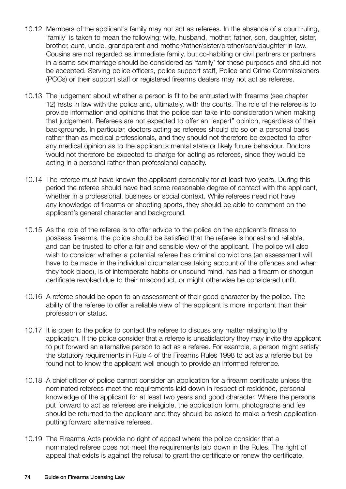- 10.12 Members of the applicant's family may not act as referees. In the absence of a court ruling, 'family' is taken to mean the following: wife, husband, mother, father, son, daughter, sister, brother, aunt, uncle, grandparent and mother/father/sister/brother/son/daughter-in-law. Cousins are not regarded as immediate family, but co-habiting or civil partners or partners in a same sex marriage should be considered as 'family' for these purposes and should not be accepted. Serving police officers, police support staff, Police and Crime Commissioners (PCCs) or their support staff or registered firearms dealers may not act as referees.
- 10.13 The judgement about whether a person is fit to be entrusted with firearms (see chapter 12) rests in law with the police and, ultimately, with the courts. The role of the referee is to provide information and opinions that the police can take into consideration when making that judgement. Referees are not expected to offer an "expert" opinion, regardless of their backgrounds. In particular, doctors acting as referees should do so on a personal basis rather than as medical professionals, and they should not therefore be expected to offer any medical opinion as to the applicant's mental state or likely future behaviour. Doctors would not therefore be expected to charge for acting as referees, since they would be acting in a personal rather than professional capacity.
- 10.14 The referee must have known the applicant personally for at least two years. During this period the referee should have had some reasonable degree of contact with the applicant, whether in a professional, business or social context. While referees need not have any knowledge of firearms or shooting sports, they should be able to comment on the applicant's general character and background.
- 10.15 As the role of the referee is to offer advice to the police on the applicant's fitness to possess firearms, the police should be satisfied that the referee is honest and reliable, and can be trusted to offer a fair and sensible view of the applicant. The police will also wish to consider whether a potential referee has criminal convictions (an assessment will have to be made in the individual circumstances taking account of the offences and when they took place), is of intemperate habits or unsound mind, has had a firearm or shotgun certificate revoked due to their misconduct, or might otherwise be considered unfit.
- 10.16 A referee should be open to an assessment of their good character by the police. The ability of the referee to offer a reliable view of the applicant is more important than their profession or status.
- 10.17 It is open to the police to contact the referee to discuss any matter relating to the application. If the police consider that a referee is unsatisfactory they may invite the applicant to put forward an alternative person to act as a referee. For example, a person might satisfy the statutory requirements in Rule 4 of the Firearms Rules 1998 to act as a referee but be found not to know the applicant well enough to provide an informed reference.
- 10.18 A chief officer of police cannot consider an application for a firearm certificate unless the nominated referees meet the requirements laid down in respect of residence, personal knowledge of the applicant for at least two years and good character. Where the persons put forward to act as referees are ineligible, the application form, photographs and fee should be returned to the applicant and they should be asked to make a fresh application putting forward alternative referees.
- 10.19 The Firearms Acts provide no right of appeal where the police consider that a nominated referee does not meet the requirements laid down in the Rules. The right of appeal that exists is against the refusal to grant the certificate or renew the certificate.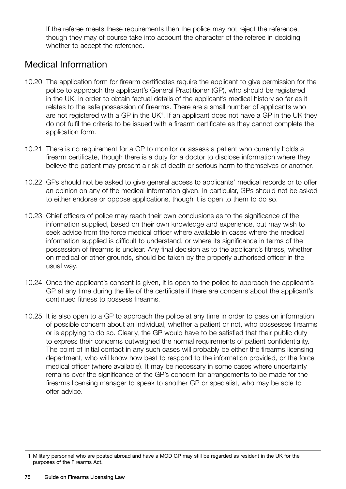If the referee meets these requirements then the police may not reject the reference, though they may of course take into account the character of the referee in deciding whether to accept the reference.

## Medical Information

- 10.20 The application form for firearm certificates require the applicant to give permission for the police to approach the applicant's General Practitioner (GP), who should be registered in the UK, in order to obtain factual details of the applicant's medical history so far as it relates to the safe possession of firearms. There are a small number of applicants who are not registered with a GP in the UK<sup>1</sup>. If an applicant does not have a GP in the UK they do not fulfil the criteria to be issued with a firearm certificate as they cannot complete the application form.
- 10.21 There is no requirement for a GP to monitor or assess a patient who currently holds a firearm certificate, though there is a duty for a doctor to disclose information where they believe the patient may present a risk of death or serious harm to themselves or another.
- 10.22 GPs should not be asked to give general access to applicants' medical records or to offer an opinion on any of the medical information given. In particular, GPs should not be asked to either endorse or oppose applications, though it is open to them to do so.
- 10.23 Chief officers of police may reach their own conclusions as to the significance of the information supplied, based on their own knowledge and experience, but may wish to seek advice from the force medical officer where available in cases where the medical information supplied is difficult to understand, or where its significance in terms of the possession of firearms is unclear. Any final decision as to the applicant's fitness, whether on medical or other grounds, should be taken by the properly authorised officer in the usual way.
- 10.24 Once the applicant's consent is given, it is open to the police to approach the applicant's GP at any time during the life of the certificate if there are concerns about the applicant's continued fitness to possess firearms.
- 10.25 It is also open to a GP to approach the police at any time in order to pass on information of possible concern about an individual, whether a patient or not, who possesses firearms or is applying to do so. Clearly, the GP would have to be satisfied that their public duty to express their concerns outweighed the normal requirements of patient confidentiality. The point of initial contact in any such cases will probably be either the firearms licensing department, who will know how best to respond to the information provided, or the force medical officer (where available). It may be necessary in some cases where uncertainty remains over the significance of the GP's concern for arrangements to be made for the firearms licensing manager to speak to another GP or specialist, who may be able to offer advice.

 <sup>1</sup> Military personnel who are posted abroad and have a MOD GP may still be regarded as resident in the UK for the purposes of the Firearms Act.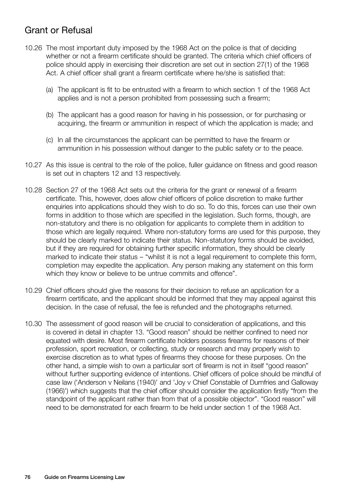# Grant or Refusal

- 10.26 The most important duty imposed by the 1968 Act on the police is that of deciding whether or not a firearm certificate should be granted. The criteria which chief officers of police should apply in exercising their discretion are set out in section 27(1) of the 1968 Act. A chief officer shall grant a firearm certificate where he/she is satisfied that:
	- (a) The applicant is fit to be entrusted with a firearm to which section 1 of the 1968 Act applies and is not a person prohibited from possessing such a firearm;
	- (b) The applicant has a good reason for having in his possession, or for purchasing or acquiring, the firearm or ammunition in respect of which the application is made; and
	- (c) In all the circumstances the applicant can be permitted to have the firearm or ammunition in his possession without danger to the public safety or to the peace.
- 10.27 As this issue is central to the role of the police, fuller guidance on fitness and good reason is set out in chapters 12 and 13 respectively.
- 10.28 Section 27 of the 1968 Act sets out the criteria for the grant or renewal of a firearm certificate. This, however, does allow chief officers of police discretion to make further enquiries into applications should they wish to do so. To do this, forces can use their own forms in addition to those which are specified in the legislation. Such forms, though, are non-statutory and there is no obligation for applicants to complete them in addition to those which are legally required. Where non-statutory forms are used for this purpose, they should be clearly marked to indicate their status. Non-statutory forms should be avoided, but if they are required for obtaining further specific information, they should be clearly marked to indicate their status – "whilst it is not a legal requirement to complete this form, completion may expedite the application. Any person making any statement on this form which they know or believe to be untrue commits and offence".
- 10.29 Chief officers should give the reasons for their decision to refuse an application for a firearm certificate, and the applicant should be informed that they may appeal against this decision. In the case of refusal, the fee is refunded and the photographs returned.
- 10.30 The assessment of good reason will be crucial to consideration of applications, and this is covered in detail in chapter 13. "Good reason" should be neither confined to need nor equated with desire. Most firearm certificate holders possess firearms for reasons of their profession, sport recreation, or collecting, study or research and may properly wish to exercise discretion as to what types of firearms they choose for these purposes. On the other hand, a simple wish to own a particular sort of firearm is not in itself "good reason" without further supporting evidence of intentions. Chief officers of police should be mindful of case law ('Anderson v Neilans (1940)' and 'Joy v Chief Constable of Dumfries and Galloway (1966)') which suggests that the chief officer should consider the application firstly "from the standpoint of the applicant rather than from that of a possible objector". "Good reason" will need to be demonstrated for each firearm to be held under section 1 of the 1968 Act.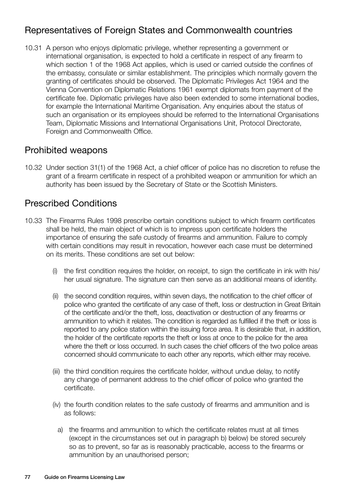# Representatives of Foreign States and Commonwealth countries

10.31 A person who enjoys diplomatic privilege, whether representing a government or international organisation, is expected to hold a certificate in respect of any firearm to which section 1 of the 1968 Act applies, which is used or carried outside the confines of the embassy, consulate or similar establishment. The principles which normally govern the granting of certificates should be observed. The Diplomatic Privileges Act 1964 and the Vienna Convention on Diplomatic Relations 1961 exempt diplomats from payment of the certificate fee. Diplomatic privileges have also been extended to some international bodies, for example the International Maritime Organisation. Any enquiries about the status of such an organisation or its employees should be referred to the International Organisations Team, Diplomatic Missions and International Organisations Unit, Protocol Directorate, Foreign and Commonwealth Office.

## Prohibited weapons

10.32 Under section 31(1) of the 1968 Act, a chief officer of police has no discretion to refuse the grant of a firearm certificate in respect of a prohibited weapon or ammunition for which an authority has been issued by the Secretary of State or the Scottish Ministers.

## Prescribed Conditions

- 10.33 The Firearms Rules 1998 prescribe certain conditions subject to which firearm certificates shall be held, the main object of which is to impress upon certificate holders the importance of ensuring the safe custody of firearms and ammunition. Failure to comply with certain conditions may result in revocation, however each case must be determined on its merits. These conditions are set out below:
	- (i) the first condition requires the holder, on receipt, to sign the certificate in ink with his/ her usual signature. The signature can then serve as an additional means of identity.
	- (ii) the second condition requires, within seven days, the notification to the chief officer of police who granted the certificate of any case of theft, loss or destruction in Great Britain of the certificate and/or the theft, loss, deactivation or destruction of any firearms or ammunition to which it relates. The condition is regarded as fulfilled if the theft or loss is reported to any police station within the issuing force area. It is desirable that, in addition, the holder of the certificate reports the theft or loss at once to the police for the area where the theft or loss occurred. In such cases the chief officers of the two police areas concerned should communicate to each other any reports, which either may receive.
	- (iii) the third condition requires the certificate holder, without undue delay, to notify any change of permanent address to the chief officer of police who granted the certificate.
	- (iv) the fourth condition relates to the safe custody of firearms and ammunition and is as follows:
		- a) the firearms and ammunition to which the certificate relates must at all times (except in the circumstances set out in paragraph b) below) be stored securely so as to prevent, so far as is reasonably practicable, access to the firearms or ammunition by an unauthorised person;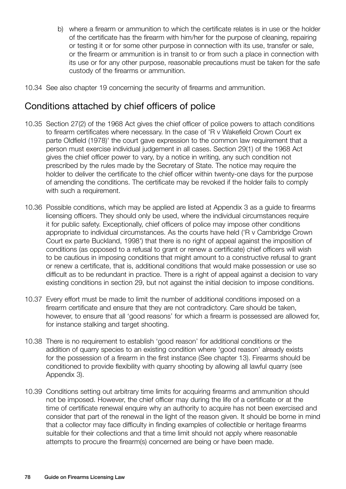- b) where a firearm or ammunition to which the certificate relates is in use or the holder of the certificate has the firearm with him/her for the purpose of cleaning, repairing or testing it or for some other purpose in connection with its use, transfer or sale, or the firearm or ammunition is in transit to or from such a place in connection with its use or for any other purpose, reasonable precautions must be taken for the safe custody of the firearms or ammunition.
- 10.34 See also chapter 19 concerning the security of firearms and ammunition.

## Conditions attached by chief officers of police

- 10.35 Section 27(2) of the 1968 Act gives the chief officer of police powers to attach conditions to firearm certificates where necessary. In the case of 'R v Wakefield Crown Court ex parte Oldfield (1978)' the court gave expression to the common law requirement that a person must exercise individual judgement in all cases. Section 29(1) of the 1968 Act gives the chief officer power to vary, by a notice in writing, any such condition not prescribed by the rules made by the Secretary of State. The notice may require the holder to deliver the certificate to the chief officer within twenty-one days for the purpose of amending the conditions. The certificate may be revoked if the holder fails to comply with such a requirement.
- 10.36 Possible conditions, which may be applied are listed at Appendix 3 as a guide to firearms licensing officers. They should only be used, where the individual circumstances require it for public safety. Exceptionally, chief officers of police may impose other conditions appropriate to individual circumstances. As the courts have held ('R v Cambridge Crown Court ex parte Buckland, 1998') that there is no right of appeal against the imposition of conditions (as opposed to a refusal to grant or renew a certificate) chief officers will wish to be cautious in imposing conditions that might amount to a constructive refusal to grant or renew a certificate, that is, additional conditions that would make possession or use so difficult as to be redundant in practice. There is a right of appeal against a decision to vary existing conditions in section 29, but not against the initial decision to impose conditions.
- 10.37 Every effort must be made to limit the number of additional conditions imposed on a firearm certificate and ensure that they are not contradictory. Care should be taken, however, to ensure that all 'good reasons' for which a firearm is possessed are allowed for, for instance stalking and target shooting.
- 10.38 There is no requirement to establish 'good reason' for additional conditions or the addition of quarry species to an existing condition where 'good reason' already exists for the possession of a firearm in the first instance (See chapter 13). Firearms should be conditioned to provide flexibility with quarry shooting by allowing all lawful quarry (see Appendix 3).
- 10.39 Conditions setting out arbitrary time limits for acquiring firearms and ammunition should not be imposed. However, the chief officer may during the life of a certificate or at the time of certificate renewal enquire why an authority to acquire has not been exercised and consider that part of the renewal in the light of the reason given. It should be borne in mind that a collector may face difficulty in finding examples of collectible or heritage firearms suitable for their collections and that a time limit should not apply where reasonable attempts to procure the firearm(s) concerned are being or have been made.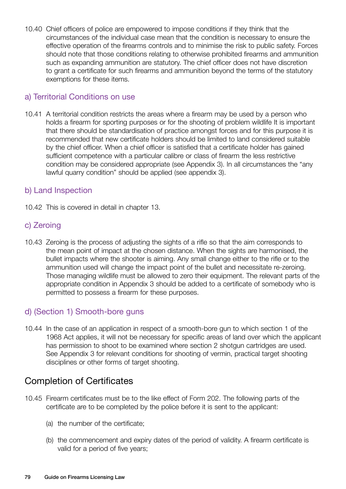10.40 Chief officers of police are empowered to impose conditions if they think that the circumstances of the individual case mean that the condition is necessary to ensure the effective operation of the firearms controls and to minimise the risk to public safety. Forces should note that those conditions relating to otherwise prohibited firearms and ammunition such as expanding ammunition are statutory. The chief officer does not have discretion to grant a certificate for such firearms and ammunition beyond the terms of the statutory exemptions for these items.

#### a) Territorial Conditions on use

10.41 A territorial condition restricts the areas where a firearm may be used by a person who holds a firearm for sporting purposes or for the shooting of problem wildlife It is important that there should be standardisation of practice amongst forces and for this purpose it is recommended that new certificate holders should be limited to land considered suitable by the chief officer. When a chief officer is satisfied that a certificate holder has gained sufficient competence with a particular calibre or class of firearm the less restrictive condition may be considered appropriate (see Appendix 3). In all circumstances the "any lawful quarry condition" should be applied (see appendix 3).

#### b) Land Inspection

10.42 This is covered in detail in chapter 13.

#### c) Zeroing

10.43 Zeroing is the process of adjusting the sights of a rifle so that the aim corresponds to the mean point of impact at the chosen distance. When the sights are harmonised, the bullet impacts where the shooter is aiming. Any small change either to the rifle or to the ammunition used will change the impact point of the bullet and necessitate re-zeroing. Those managing wildlife must be allowed to zero their equipment. The relevant parts of the appropriate condition in Appendix 3 should be added to a certificate of somebody who is permitted to possess a firearm for these purposes.

#### d) (Section 1) Smooth-bore guns

10.44 In the case of an application in respect of a smooth-bore gun to which section 1 of the 1968 Act applies, it will not be necessary for specific areas of land over which the applicant has permission to shoot to be examined where section 2 shotgun cartridges are used. See Appendix 3 for relevant conditions for shooting of vermin, practical target shooting disciplines or other forms of target shooting.

## Completion of Certificates

- 10.45 Firearm certificates must be to the like effect of Form 202. The following parts of the certificate are to be completed by the police before it is sent to the applicant:
	- (a) the number of the certificate;
	- (b) the commencement and expiry dates of the period of validity. A firearm certificate is valid for a period of five years;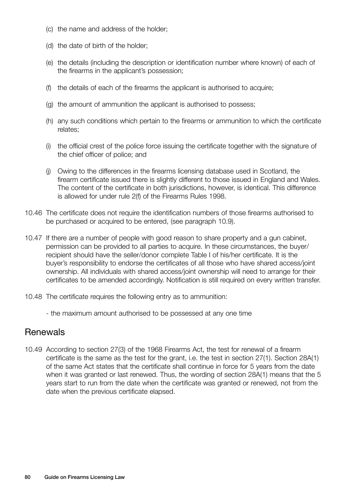- (c) the name and address of the holder;
- (d) the date of birth of the holder;
- (e) the details (including the description or identification number where known) of each of the firearms in the applicant's possession;
- (f) the details of each of the firearms the applicant is authorised to acquire;
- (g) the amount of ammunition the applicant is authorised to possess;
- (h) any such conditions which pertain to the firearms or ammunition to which the certificate relates;
- (i) the official crest of the police force issuing the certificate together with the signature of the chief officer of police; and
- (j) Owing to the differences in the firearms licensing database used in Scotland, the firearm certificate issued there is slightly different to those issued in England and Wales. The content of the certificate in both jurisdictions, however, is identical. This difference is allowed for under rule 2(f) of the Firearms Rules 1998.
- 10.46 The certificate does not require the identification numbers of those firearms authorised to be purchased or acquired to be entered, (see paragraph 10.9).
- 10.47 If there are a number of people with good reason to share property and a gun cabinet, permission can be provided to all parties to acquire. In these circumstances, the buyer/ recipient should have the seller/donor complete Table I of his/her certificate. It is the buyer's responsibility to endorse the certificates of all those who have shared access/joint ownership. All individuals with shared access/joint ownership will need to arrange for their certificates to be amended accordingly. Notification is still required on every written transfer.
- 10.48 The certificate requires the following entry as to ammunition:
	- the maximum amount authorised to be possessed at any one time

#### **Renewals**

10.49 According to section 27(3) of the 1968 Firearms Act, the test for renewal of a firearm certificate is the same as the test for the grant, i.e. the test in section 27(1). Section 28A(1) of the same Act states that the certificate shall continue in force for 5 years from the date when it was granted or last renewed. Thus, the wording of section 28A(1) means that the 5 years start to run from the date when the certificate was granted or renewed, not from the date when the previous certificate elapsed.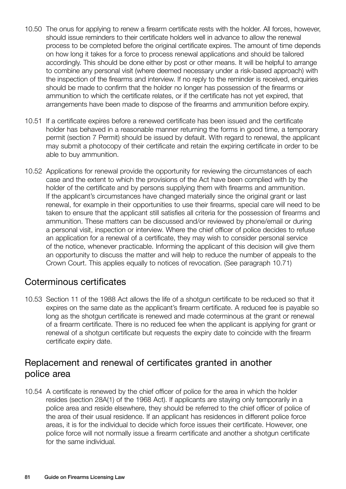- 10.50 The onus for applying to renew a firearm certificate rests with the holder. All forces, however, should issue reminders to their certificate holders well in advance to allow the renewal process to be completed before the original certificate expires. The amount of time depends on how long it takes for a force to process renewal applications and should be tailored accordingly. This should be done either by post or other means. It will be helpful to arrange to combine any personal visit (where deemed necessary under a risk-based approach) with the inspection of the firearms and interview. If no reply to the reminder is received, enquiries should be made to confirm that the holder no longer has possession of the firearms or ammunition to which the certificate relates, or if the certificate has not yet expired, that arrangements have been made to dispose of the firearms and ammunition before expiry.
- 10.51 If a certificate expires before a renewed certificate has been issued and the certificate holder has behaved in a reasonable manner returning the forms in good time, a temporary permit (section 7 Permit) should be issued by default. With regard to renewal, the applicant may submit a photocopy of their certificate and retain the expiring certificate in order to be able to buy ammunition.
- 10.52 Applications for renewal provide the opportunity for reviewing the circumstances of each case and the extent to which the provisions of the Act have been complied with by the holder of the certificate and by persons supplying them with firearms and ammunition. If the applicant's circumstances have changed materially since the original grant or last renewal, for example in their opportunities to use their firearms, special care will need to be taken to ensure that the applicant still satisfies all criteria for the possession of firearms and ammunition. These matters can be discussed and/or reviewed by phone/email or during a personal visit, inspection or interview. Where the chief officer of police decides to refuse an application for a renewal of a certificate, they may wish to consider personal service of the notice, whenever practicable. Informing the applicant of this decision will give them an opportunity to discuss the matter and will help to reduce the number of appeals to the Crown Court. This applies equally to notices of revocation. (See paragraph 10.71)

## Coterminous certificates

10.53 Section 11 of the 1988 Act allows the life of a shotgun certificate to be reduced so that it expires on the same date as the applicant's firearm certificate. A reduced fee is payable so long as the shotgun certificate is renewed and made coterminous at the grant or renewal of a firearm certificate. There is no reduced fee when the applicant is applying for grant or renewal of a shotgun certificate but requests the expiry date to coincide with the firearm certificate expiry date.

## Replacement and renewal of certificates granted in another police area

10.54 A certificate is renewed by the chief officer of police for the area in which the holder resides (section 28A(1) of the 1968 Act). If applicants are staying only temporarily in a police area and reside elsewhere, they should be referred to the chief officer of police of the area of their usual residence. If an applicant has residences in different police force areas, it is for the individual to decide which force issues their certificate. However, one police force will not normally issue a firearm certificate and another a shotgun certificate for the same individual.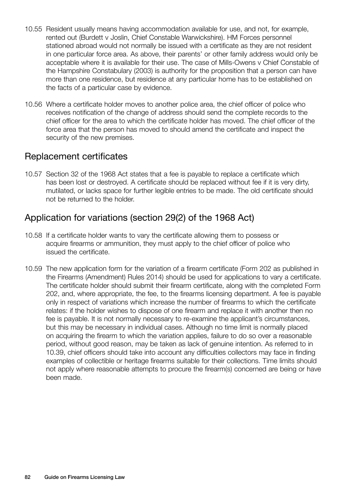- 10.55 Resident usually means having accommodation available for use, and not, for example, rented out (Burdett v Joslin, Chief Constable Warwickshire). HM Forces personnel stationed abroad would not normally be issued with a certificate as they are not resident in one particular force area. As above, their parents' or other family address would only be acceptable where it is available for their use. The case of Mills-Owens v Chief Constable of the Hampshire Constabulary (2003) is authority for the proposition that a person can have more than one residence, but residence at any particular home has to be established on the facts of a particular case by evidence.
- 10.56 Where a certificate holder moves to another police area, the chief officer of police who receives notification of the change of address should send the complete records to the chief officer for the area to which the certificate holder has moved. The chief officer of the force area that the person has moved to should amend the certificate and inspect the security of the new premises.

## Replacement certificates

10.57 Section 32 of the 1968 Act states that a fee is payable to replace a certificate which has been lost or destroyed. A certificate should be replaced without fee if it is very dirty, mutilated, or lacks space for further legible entries to be made. The old certificate should not be returned to the holder.

## Application for variations (section 29(2) of the 1968 Act)

- 10.58 If a certificate holder wants to vary the certificate allowing them to possess or acquire firearms or ammunition, they must apply to the chief officer of police who issued the certificate.
- 10.59 The new application form for the variation of a firearm certificate (Form 202 as published in the Firearms (Amendment) Rules 2014) should be used for applications to vary a certificate. The certificate holder should submit their firearm certificate, along with the completed Form 202, and, where appropriate, the fee, to the firearms licensing department. A fee is payable only in respect of variations which increase the number of firearms to which the certificate relates: if the holder wishes to dispose of one firearm and replace it with another then no fee is payable. It is not normally necessary to re-examine the applicant's circumstances, but this may be necessary in individual cases. Although no time limit is normally placed on acquiring the firearm to which the variation applies, failure to do so over a reasonable period, without good reason, may be taken as lack of genuine intention. As referred to in 10.39, chief officers should take into account any difficulties collectors may face in finding examples of collectible or heritage firearms suitable for their collections. Time limits should not apply where reasonable attempts to procure the firearm(s) concerned are being or have been made.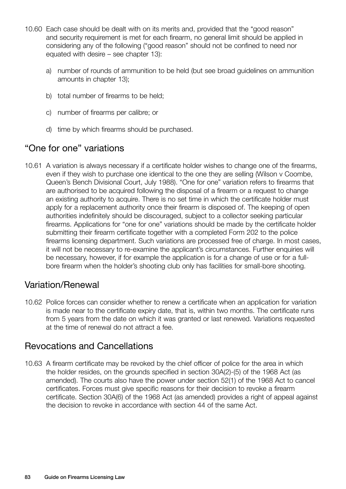- 10.60 Each case should be dealt with on its merits and, provided that the "good reason" and security requirement is met for each firearm, no general limit should be applied in considering any of the following ("good reason" should not be confined to need nor equated with desire – see chapter 13):
	- a) number of rounds of ammunition to be held (but see broad guidelines on ammunition amounts in chapter 13);
	- b) total number of firearms to be held;
	- c) number of firearms per calibre; or
	- d) time by which firearms should be purchased.

## "One for one" variations

10.61 A variation is always necessary if a certificate holder wishes to change one of the firearms, even if they wish to purchase one identical to the one they are selling (Wilson v Coombe, Queen's Bench Divisional Court, July 1988). "One for one" variation refers to firearms that are authorised to be acquired following the disposal of a firearm or a request to change an existing authority to acquire. There is no set time in which the certificate holder must apply for a replacement authority once their firearm is disposed of. The keeping of open authorities indefinitely should be discouraged, subject to a collector seeking particular firearms. Applications for "one for one" variations should be made by the certificate holder submitting their firearm certificate together with a completed Form 202 to the police firearms licensing department. Such variations are processed free of charge. In most cases, it will not be necessary to re-examine the applicant's circumstances. Further enquiries will be necessary, however, if for example the application is for a change of use or for a fullbore firearm when the holder's shooting club only has facilities for small-bore shooting.

## Variation/Renewal

10.62 Police forces can consider whether to renew a certificate when an application for variation is made near to the certificate expiry date, that is, within two months. The certificate runs from 5 years from the date on which it was granted or last renewed. Variations requested at the time of renewal do not attract a fee.

## Revocations and Cancellations

10.63 A firearm certificate may be revoked by the chief officer of police for the area in which the holder resides, on the grounds specified in section 30A(2)-(5) of the 1968 Act (as amended). The courts also have the power under section 52(1) of the 1968 Act to cancel certificates. Forces must give specific reasons for their decision to revoke a firearm certificate. Section 30A(6) of the 1968 Act (as amended) provides a right of appeal against the decision to revoke in accordance with section 44 of the same Act.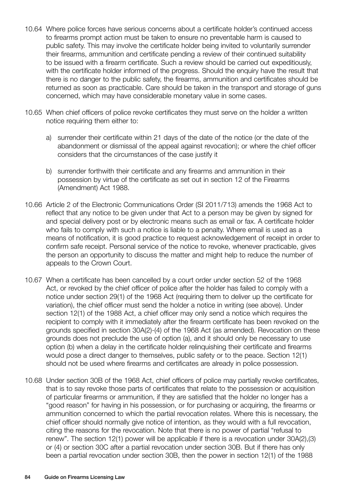- 10.64 Where police forces have serious concerns about a certificate holder's continued access to firearms prompt action must be taken to ensure no preventable harm is caused to public safety. This may involve the certificate holder being invited to voluntarily surrender their firearms, ammunition and certificate pending a review of their continued suitability to be issued with a firearm certificate. Such a review should be carried out expeditiously, with the certificate holder informed of the progress. Should the enquiry have the result that there is no danger to the public safety, the firearms, ammunition and certificates should be returned as soon as practicable. Care should be taken in the transport and storage of guns concerned, which may have considerable monetary value in some cases.
- 10.65 When chief officers of police revoke certificates they must serve on the holder a written notice requiring them either to:
	- a) surrender their certificate within 21 days of the date of the notice (or the date of the abandonment or dismissal of the appeal against revocation); or where the chief officer considers that the circumstances of the case justify it
	- b) surrender forthwith their certificate and any firearms and ammunition in their possession by virtue of the certificate as set out in section 12 of the Firearms (Amendment) Act 1988.
- 10.66 Article 2 of the Electronic Communications Order (SI 2011/713) amends the 1968 Act to reflect that any notice to be given under that Act to a person may be given by signed for and special delivery post or by electronic means such as email or fax. A certificate holder who fails to comply with such a notice is liable to a penalty. Where email is used as a means of notification, it is good practice to request acknowledgement of receipt in order to confirm safe receipt. Personal service of the notice to revoke, whenever practicable, gives the person an opportunity to discuss the matter and might help to reduce the number of appeals to the Crown Court.
- 10.67 When a certificate has been cancelled by a court order under section 52 of the 1968 Act, or revoked by the chief officer of police after the holder has failed to comply with a notice under section 29(1) of the 1968 Act (requiring them to deliver up the certificate for variation), the chief officer must send the holder a notice in writing (see above). Under section 12(1) of the 1988 Act, a chief officer may only send a notice which requires the recipient to comply with it immediately after the firearm certificate has been revoked on the grounds specified in section 30A(2)-(4) of the 1968 Act (as amended). Revocation on these grounds does not preclude the use of option (a), and it should only be necessary to use option (b) when a delay in the certificate holder relinquishing their certificate and firearms would pose a direct danger to themselves, public safety or to the peace. Section 12(1) should not be used where firearms and certificates are already in police possession.
- 10.68 Under section 30B of the 1968 Act, chief officers of police may partially revoke certificates, that is to say revoke those parts of certificates that relate to the possession or acquisition of particular firearms or ammunition, if they are satisfied that the holder no longer has a "good reason" for having in his possession, or for purchasing or acquiring, the firearms or ammunition concerned to which the partial revocation relates. Where this is necessary, the chief officer should normally give notice of intention, as they would with a full revocation, citing the reasons for the revocation. Note that there is no power of partial "refusal to renew". The section 12(1) power will be applicable if there is a revocation under 30A(2),(3) or (4) or section 30C after a partial revocation under section 30B. But if there has only been a partial revocation under section 30B, then the power in section 12(1) of the 1988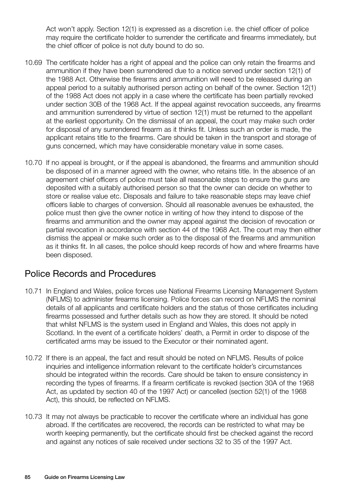Act won't apply. Section 12(1) is expressed as a discretion i.e. the chief officer of police may require the certificate holder to surrender the certificate and firearms immediately, but the chief officer of police is not duty bound to do so.

- 10.69 The certificate holder has a right of appeal and the police can only retain the firearms and ammunition if they have been surrendered due to a notice served under section 12(1) of the 1988 Act. Otherwise the firearms and ammunition will need to be released during an appeal period to a suitably authorised person acting on behalf of the owner. Section 12(1) of the 1988 Act does not apply in a case where the certificate has been partially revoked under section 30B of the 1968 Act. If the appeal against revocation succeeds, any firearms and ammunition surrendered by virtue of section 12(1) must be returned to the appellant at the earliest opportunity. On the dismissal of an appeal, the court may make such order for disposal of any surrendered firearm as it thinks fit. Unless such an order is made, the applicant retains title to the firearms. Care should be taken in the transport and storage of guns concerned, which may have considerable monetary value in some cases.
- 10.70 If no appeal is brought, or if the appeal is abandoned, the firearms and ammunition should be disposed of in a manner agreed with the owner, who retains title. In the absence of an agreement chief officers of police must take all reasonable steps to ensure the guns are deposited with a suitably authorised person so that the owner can decide on whether to store or realise value etc. Disposals and failure to take reasonable steps may leave chief officers liable to charges of conversion. Should all reasonable avenues be exhausted, the police must then give the owner notice in writing of how they intend to dispose of the firearms and ammunition and the owner may appeal against the decision of revocation or partial revocation in accordance with section 44 of the 1968 Act. The court may then either dismiss the appeal or make such order as to the disposal of the firearms and ammunition as it thinks fit. In all cases, the police should keep records of how and where firearms have been disposed.

## Police Records and Procedures

- 10.71 In England and Wales, police forces use National Firearms Licensing Management System (NFLMS) to administer firearms licensing. Police forces can record on NFLMS the nominal details of all applicants and certificate holders and the status of those certificates including firearms possessed and further details such as how they are stored. It should be noted that whilst NFLMS is the system used in England and Wales, this does not apply in Scotland. In the event of a certificate holders' death, a Permit in order to dispose of the certificated arms may be issued to the Executor or their nominated agent.
- 10.72 If there is an appeal, the fact and result should be noted on NFLMS. Results of police inquiries and intelligence information relevant to the certificate holder's circumstances should be integrated within the records. Care should be taken to ensure consistency in recording the types of firearms. If a firearm certificate is revoked (section 30A of the 1968 Act, as updated by section 40 of the 1997 Act) or cancelled (section 52(1) of the 1968 Act), this should, be reflected on NFLMS.
- 10.73 It may not always be practicable to recover the certificate where an individual has gone abroad. If the certificates are recovered, the records can be restricted to what may be worth keeping permanently, but the certificate should first be checked against the record and against any notices of sale received under sections 32 to 35 of the 1997 Act.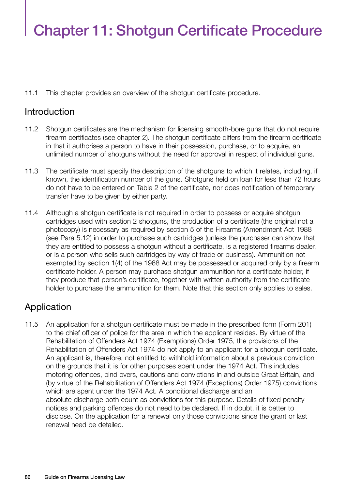# Chapter 11: Shotgun Certificate Procedure

11.1 This chapter provides an overview of the shotgun certificate procedure.

## Introduction

- 11.2 Shotgun certificates are the mechanism for licensing smooth-bore guns that do not require firearm certificates (see chapter 2). The shotgun certificate differs from the firearm certificate in that it authorises a person to have in their possession, purchase, or to acquire, an unlimited number of shotguns without the need for approval in respect of individual guns.
- 11.3 The certificate must specify the description of the shotguns to which it relates, including, if known, the identification number of the guns. Shotguns held on loan for less than 72 hours do not have to be entered on Table 2 of the certificate, nor does notification of temporary transfer have to be given by either party.
- 11.4 Although a shotgun certificate is not required in order to possess or acquire shotgun cartridges used with section 2 shotguns, the production of a certificate (the original not a photocopy) is necessary as required by section 5 of the Firearms (Amendment Act 1988 (see Para 5.12) in order to purchase such cartridges (unless the purchaser can show that they are entitled to possess a shotgun without a certificate, is a registered firearms dealer, or is a person who sells such cartridges by way of trade or business). Ammunition not exempted by section 1(4) of the 1968 Act may be possessed or acquired only by a firearm certificate holder. A person may purchase shotgun ammunition for a certificate holder, if they produce that person's certificate, together with written authority from the certificate holder to purchase the ammunition for them. Note that this section only applies to sales.

## Application

11.5 An application for a shotgun certificate must be made in the prescribed form (Form 201) to the chief officer of police for the area in which the applicant resides. By virtue of the Rehabilitation of Offenders Act 1974 (Exemptions) Order 1975, the provisions of the Rehabilitation of Offenders Act 1974 do not apply to an applicant for a shotgun certificate. An applicant is, therefore, not entitled to withhold information about a previous conviction on the grounds that it is for other purposes spent under the 1974 Act. This includes motoring offences, bind overs, cautions and convictions in and outside Great Britain, and (by virtue of the Rehabilitation of Offenders Act 1974 (Exceptions) Order 1975) convictions which are spent under the 1974 Act. A conditional discharge and an absolute discharge both count as convictions for this purpose. Details of fixed penalty notices and parking offences do not need to be declared. If in doubt, it is better to disclose. On the application for a renewal only those convictions since the grant or last renewal need be detailed.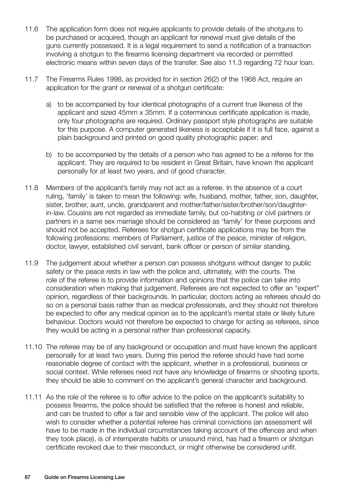- 11.6 The application form does not require applicants to provide details of the shotguns to be purchased or acquired, though an applicant for renewal must give details of the guns currently possessed. It is a legal requirement to send a notification of a transaction involving a shotgun to the firearms licensing department via recorded or permitted electronic means within seven days of the transfer. See also 11.3 regarding 72 hour loan.
- 11.7 The Firearms Rules 1998, as provided for in section 26(2) of the 1968 Act, require an application for the grant or renewal of a shotgun certificate:
	- a) to be accompanied by four identical photographs of a current true likeness of the applicant and sized 45mm x 35mm. If a coterminous certificate application is made, only four photographs are required. Ordinary passport style photographs are suitable for this purpose. A computer generated likeness is acceptable if it is full face, against a plain background and printed on good quality photographic paper; and
	- b) to be accompanied by the details of a person who has agreed to be a referee for the applicant. They are required to be resident in Great Britain, have known the applicant personally for at least two years, and of good character.
- 11.8 Members of the applicant's family may not act as a referee. In the absence of a court ruling, 'family' is taken to mean the following: wife, husband, mother, father, son, daughter, sister, brother, aunt, uncle, grandparent and mother/father/sister/brother/son/daughterin-law. Cousins are not regarded as immediate family, but co-habiting or civil partners or partners in a same sex marriage should be considered as 'family' for these purposes and should not be accepted. Referees for shotgun certificate applications may be from the following professions: members of Parliament, justice of the peace, minister of religion, doctor, lawyer, established civil servant, bank officer or person of similar standing.
- 11.9 The judgement about whether a person can possess shotguns without danger to public safety or the peace rests in law with the police and, ultimately, with the courts. The role of the referee is to provide information and opinions that the police can take into consideration when making that judgement. Referees are not expected to offer an "expert" opinion, regardless of their backgrounds. In particular, doctors acting as referees should do so on a personal basis rather than as medical professionals, and they should not therefore be expected to offer any medical opinion as to the applicant's mental state or likely future behaviour. Doctors would not therefore be expected to charge for acting as referees, since they would be acting in a personal rather than professional capacity.
- 11.10 The referee may be of any background or occupation and must have known the applicant personally for at least two years. During this period the referee should have had some reasonable degree of contact with the applicant, whether in a professional, business or social context. While referees need not have any knowledge of firearms or shooting sports, they should be able to comment on the applicant's general character and background.
- 11.11 As the role of the referee is to offer advice to the police on the applicant's suitability to possess firearms, the police should be satisfied that the referee is honest and reliable, and can be trusted to offer a fair and sensible view of the applicant. The police will also wish to consider whether a potential referee has criminal convictions (an assessment will have to be made in the individual circumstances taking account of the offences and when they took place), is of intemperate habits or unsound mind, has had a firearm or shotgun certificate revoked due to their misconduct, or might otherwise be considered unfit.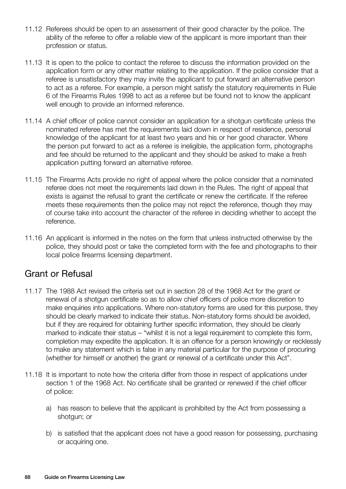- 11.12 Referees should be open to an assessment of their good character by the police. The ability of the referee to offer a reliable view of the applicant is more important than their profession or status.
- 11.13 It is open to the police to contact the referee to discuss the information provided on the application form or any other matter relating to the application. If the police consider that a referee is unsatisfactory they may invite the applicant to put forward an alternative person to act as a referee. For example, a person might satisfy the statutory requirements in Rule 6 of the Firearms Rules 1998 to act as a referee but be found not to know the applicant well enough to provide an informed reference.
- 11.14 A chief officer of police cannot consider an application for a shotgun certificate unless the nominated referee has met the requirements laid down in respect of residence, personal knowledge of the applicant for at least two years and his or her good character. Where the person put forward to act as a referee is ineligible, the application form, photographs and fee should be returned to the applicant and they should be asked to make a fresh application putting forward an alternative referee.
- 11.15 The Firearms Acts provide no right of appeal where the police consider that a nominated referee does not meet the requirements laid down in the Rules. The right of appeal that exists is against the refusal to grant the certificate or renew the certificate. If the referee meets these requirements then the police may not reject the reference, though they may of course take into account the character of the referee in deciding whether to accept the reference.
- 11.16 An applicant is informed in the notes on the form that unless instructed otherwise by the police, they should post or take the completed form with the fee and photographs to their local police firearms licensing department.

## Grant or Refusal

- 11.17 The 1988 Act revised the criteria set out in section 28 of the 1968 Act for the grant or renewal of a shotgun certificate so as to allow chief officers of police more discretion to make enquiries into applications. Where non-statutory forms are used for this purpose, they should be clearly marked to indicate their status. Non-statutory forms should be avoided, but if they are required for obtaining further specific information, they should be clearly marked to indicate their status – "whilst it is not a legal requirement to complete this form, completion may expedite the application. It is an offence for a person knowingly or recklessly to make any statement which is false in any material particular for the purpose of procuring (whether for himself or another) the grant or renewal of a certificate under this Act".
- 11.18 It is important to note how the criteria differ from those in respect of applications under section 1 of the 1968 Act. No certificate shall be granted or renewed if the chief officer of police:
	- a) has reason to believe that the applicant is prohibited by the Act from possessing a shotgun; or
	- b) is satisfied that the applicant does not have a good reason for possessing, purchasing or acquiring one.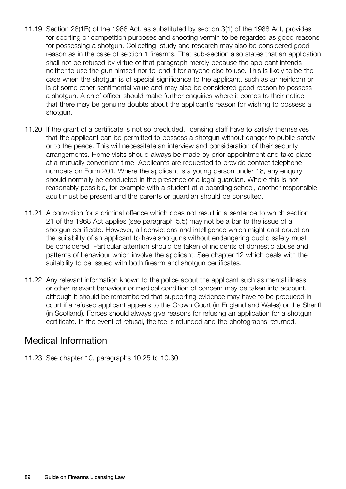- 11.19 Section 28(1B) of the 1968 Act, as substituted by section 3(1) of the 1988 Act, provides for sporting or competition purposes and shooting vermin to be regarded as good reasons for possessing a shotgun. Collecting, study and research may also be considered good reason as in the case of section 1 firearms. That sub-section also states that an application shall not be refused by virtue of that paragraph merely because the applicant intends neither to use the gun himself nor to lend it for anyone else to use. This is likely to be the case when the shotgun is of special significance to the applicant, such as an heirloom or is of some other sentimental value and may also be considered good reason to possess a shotgun. A chief officer should make further enquiries where it comes to their notice that there may be genuine doubts about the applicant's reason for wishing to possess a shotgun.
- 11.20 If the grant of a certificate is not so precluded, licensing staff have to satisfy themselves that the applicant can be permitted to possess a shotgun without danger to public safety or to the peace. This will necessitate an interview and consideration of their security arrangements. Home visits should always be made by prior appointment and take place at a mutually convenient time. Applicants are requested to provide contact telephone numbers on Form 201. Where the applicant is a young person under 18, any enquiry should normally be conducted in the presence of a legal guardian. Where this is not reasonably possible, for example with a student at a boarding school, another responsible adult must be present and the parents or guardian should be consulted.
- 11.21 A conviction for a criminal offence which does not result in a sentence to which section 21 of the 1968 Act applies (see paragraph 5.5) may not be a bar to the issue of a shotgun certificate. However, all convictions and intelligence which might cast doubt on the suitability of an applicant to have shotguns without endangering public safety must be considered. Particular attention should be taken of incidents of domestic abuse and patterns of behaviour which involve the applicant. See chapter 12 which deals with the suitability to be issued with both firearm and shotgun certificates.
- 11.22 Any relevant information known to the police about the applicant such as mental illness or other relevant behaviour or medical condition of concern may be taken into account, although it should be remembered that supporting evidence may have to be produced in court if a refused applicant appeals to the Crown Court (in England and Wales) or the Sheriff (in Scotland). Forces should always give reasons for refusing an application for a shotgun certificate. In the event of refusal, the fee is refunded and the photographs returned.

## Medical Information

11.23 See chapter 10, paragraphs 10.25 to 10.30.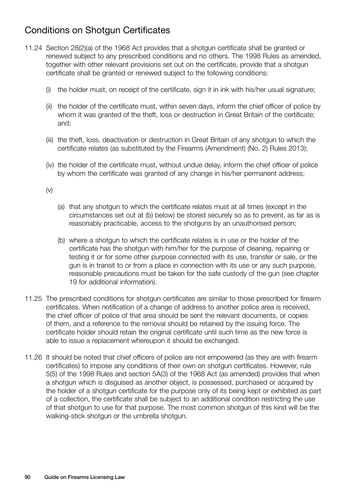# Conditions on Shotgun Certificates

- 11.24 Section 28(2)(a) of the 1968 Act provides that a shotgun certificate shall be granted or renewed subject to any prescribed conditions and no others. The 1998 Rules as amended, together with other relevant provisions set out on the certificate, provide that a shotgun certificate shall be granted or renewed subject to the following conditions:
	- (i) the holder must, on receipt of the certificate, sign it in ink with his/her usual signature;
	- (ii) the holder of the certificate must, within seven days, inform the chief officer of police by whom it was granted of the theft, loss or destruction in Great Britain of the certificate; and;
	- (iii) the theft, loss, deactivation or destruction in Great Britain of any shotgun to which the certificate relates (as substituted by the Firearms (Amendment) (No. 2) Rules 2013);
	- (iv) the holder of the certificate must, without undue delay, inform the chief officer of police by whom the certificate was granted of any change in his/her permanent address;

(v)

- (a) that any shotgun to which the certificate relates must at all times (except in the circumstances set out at (b) below) be stored securely so as to prevent, as far as is reasonably practicable, access to the shotguns by an unauthorised person;
- (b) where a shotgun to which the certificate relates is in use or the holder of the certificate has the shotgun with him/her for the purpose of cleaning, repairing or testing it or for some other purpose connected with its use, transfer or sale, or the gun is in transit to or from a place in connection with its use or any such purpose, reasonable precautions must be taken for the safe custody of the gun (see chapter 19 for additional information).
- 11.25 The prescribed conditions for shotgun certificates are similar to those prescribed for firearm certificates. When notification of a change of address to another police area is received, the chief officer of police of that area should be sent the relevant documents, or copies of them, and a reference to the removal should be retained by the issuing force. The certificate holder should retain the original certificate until such time as the new force is able to issue a replacement whereupon it should be exchanged.
- 11.26 It should be noted that chief officers of police are not empowered (as they are with firearm certificates) to impose any conditions of their own on shotgun certificates. However, rule 5(5) of the 1998 Rules and section 5A(3) of the 1968 Act (as amended) provides that when a shotgun which is disguised as another object, is possessed, purchased or acquired by the holder of a shotgun certificate for the purpose only of its being kept or exhibited as part of a collection, the certificate shall be subject to an additional condition restricting the use of that shotgun to use for that purpose. The most common shotgun of this kind will be the walking-stick shotgun or the umbrella shotgun.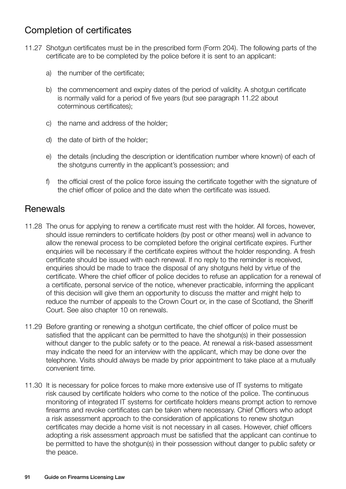# Completion of certificates

- 11.27 Shotgun certificates must be in the prescribed form (Form 204). The following parts of the certificate are to be completed by the police before it is sent to an applicant:
	- a) the number of the certificate;
	- b) the commencement and expiry dates of the period of validity. A shotgun certificate is normally valid for a period of five years (but see paragraph 11.22 about coterminous certificates);
	- c) the name and address of the holder;
	- d) the date of birth of the holder;
	- e) the details (including the description or identification number where known) of each of the shotguns currently in the applicant's possession; and
	- f) the official crest of the police force issuing the certificate together with the signature of the chief officer of police and the date when the certificate was issued.

## **Renewals**

- 11.28 The onus for applying to renew a certificate must rest with the holder. All forces, however, should issue reminders to certificate holders (by post or other means) well in advance to allow the renewal process to be completed before the original certificate expires. Further enquiries will be necessary if the certificate expires without the holder responding. A fresh certificate should be issued with each renewal. If no reply to the reminder is received, enquiries should be made to trace the disposal of any shotguns held by virtue of the certificate. Where the chief officer of police decides to refuse an application for a renewal of a certificate, personal service of the notice, whenever practicable, informing the applicant of this decision will give them an opportunity to discuss the matter and might help to reduce the number of appeals to the Crown Court or, in the case of Scotland, the Sheriff Court. See also chapter 10 on renewals.
- 11.29 Before granting or renewing a shotgun certificate, the chief officer of police must be satisfied that the applicant can be permitted to have the shotgun(s) in their possession without danger to the public safety or to the peace. At renewal a risk-based assessment may indicate the need for an interview with the applicant, which may be done over the telephone. Visits should always be made by prior appointment to take place at a mutually convenient time.
- 11.30 It is necessary for police forces to make more extensive use of IT systems to mitigate risk caused by certificate holders who come to the notice of the police. The continuous monitoring of integrated IT systems for certificate holders means prompt action to remove firearms and revoke certificates can be taken where necessary. Chief Officers who adopt a risk assessment approach to the consideration of applications to renew shotgun certificates may decide a home visit is not necessary in all cases. However, chief officers adopting a risk assessment approach must be satisfied that the applicant can continue to be permitted to have the shotgun(s) in their possession without danger to public safety or the peace.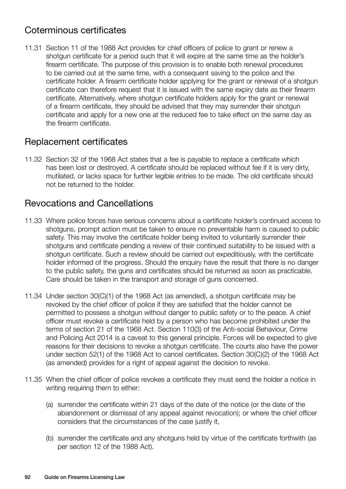# Coterminous certificates

11.31 Section 11 of the 1988 Act provides for chief officers of police to grant or renew a shotgun certificate for a period such that it will expire at the same time as the holder's firearm certificate. The purpose of this provision is to enable both renewal procedures to be carried out at the same time, with a consequent saving to the police and the certificate holder. A firearm certificate holder applying for the grant or renewal of a shotgun certificate can therefore request that it is issued with the same expiry date as their firearm certificate. Alternatively, where shotgun certificate holders apply for the grant or renewal of a firearm certificate, they should be advised that they may surrender their shotgun certificate and apply for a new one at the reduced fee to take effect on the same day as the firearm certificate.

## Replacement certificates

11.32 Section 32 of the 1968 Act states that a fee is payable to replace a certificate which has been lost or destroyed. A certificate should be replaced without fee if it is very dirty, mutilated, or lacks space for further legible entries to be made. The old certificate should not be returned to the holder.

## Revocations and Cancellations

- 11.33 Where police forces have serious concerns about a certificate holder's continued access to shotguns, prompt action must be taken to ensure no preventable harm is caused to public safety. This may involve the certificate holder being invited to voluntarily surrender their shotguns and certificate pending a review of their continued suitability to be issued with a shotgun certificate. Such a review should be carried out expeditiously, with the certificate holder informed of the progress. Should the enquiry have the result that there is no danger to the public safety, the guns and certificates should be returned as soon as practicable. Care should be taken in the transport and storage of guns concerned.
- 11.34 Under section 30(C)(1) of the 1968 Act (as amended), a shotgun certificate may be revoked by the chief officer of police if they are satisfied that the holder cannot be permitted to possess a shotgun without danger to public safety or to the peace. A chief officer must revoke a certificate held by a person who has become prohibited under the terms of section 21 of the 1968 Act. Section 110(3) of the Anti-social Behaviour, Crime and Policing Act 2014 is a caveat to this general principle. Forces will be expected to give reasons for their decisions to revoke a shotgun certificate. The courts also have the power under section 52(1) of the 1968 Act to cancel certificates. Section 30(C)(2) of the 1968 Act (as amended) provides for a right of appeal against the decision to revoke.
- 11.35 When the chief officer of police revokes a certificate they must send the holder a notice in writing requiring them to either:
	- (a) surrender the certificate within 21 days of the date of the notice (or the date of the abandonment or dismissal of any appeal against revocation); or where the chief officer considers that the circumstances of the case justify it,
	- (b) surrender the certificate and any shotguns held by virtue of the certificate forthwith (as per section 12 of the 1988 Act).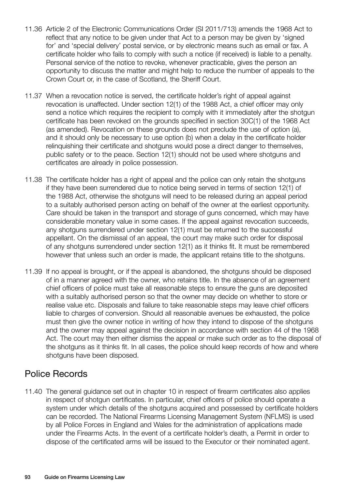- 11.36 Article 2 of the Electronic Communications Order (SI 2011/713) amends the 1968 Act to reflect that any notice to be given under that Act to a person may be given by 'signed for' and 'special delivery' postal service, or by electronic means such as email or fax. A certificate holder who fails to comply with such a notice (if received) is liable to a penalty. Personal service of the notice to revoke, whenever practicable, gives the person an opportunity to discuss the matter and might help to reduce the number of appeals to the Crown Court or, in the case of Scotland, the Sheriff Court.
- 11.37 When a revocation notice is served, the certificate holder's right of appeal against revocation is unaffected. Under section 12(1) of the 1988 Act, a chief officer may only send a notice which requires the recipient to comply with it immediately after the shotgun certificate has been revoked on the grounds specified in section 30C(1) of the 1968 Act (as amended). Revocation on these grounds does not preclude the use of option (a), and it should only be necessary to use option (b) when a delay in the certificate holder relinquishing their certificate and shotguns would pose a direct danger to themselves, public safety or to the peace. Section 12(1) should not be used where shotguns and certificates are already in police possession.
- 11.38 The certificate holder has a right of appeal and the police can only retain the shotguns if they have been surrendered due to notice being served in terms of section 12(1) of the 1988 Act, otherwise the shotguns will need to be released during an appeal period to a suitably authorised person acting on behalf of the owner at the earliest opportunity. Care should be taken in the transport and storage of guns concerned, which may have considerable monetary value in some cases. If the appeal against revocation succeeds, any shotguns surrendered under section 12(1) must be returned to the successful appellant. On the dismissal of an appeal, the court may make such order for disposal of any shotguns surrendered under section 12(1) as it thinks fit. It must be remembered however that unless such an order is made, the applicant retains title to the shotguns.
- 11.39 If no appeal is brought, or if the appeal is abandoned, the shotguns should be disposed of in a manner agreed with the owner, who retains title. In the absence of an agreement chief officers of police must take all reasonable steps to ensure the guns are deposited with a suitably authorised person so that the owner may decide on whether to store or realise value etc. Disposals and failure to take reasonable steps may leave chief officers liable to charges of conversion. Should all reasonable avenues be exhausted, the police must then give the owner notice in writing of how they intend to dispose of the shotguns and the owner may appeal against the decision in accordance with section 44 of the 1968 Act. The court may then either dismiss the appeal or make such order as to the disposal of the shotguns as it thinks fit. In all cases, the police should keep records of how and where shotguns have been disposed.

## Police Records

11.40 The general guidance set out in chapter 10 in respect of firearm certificates also applies in respect of shotgun certificates. In particular, chief officers of police should operate a system under which details of the shotguns acquired and possessed by certificate holders can be recorded. The National Firearms Licensing Management System (NFLMS) is used by all Police Forces in England and Wales for the administration of applications made under the Firearms Acts. In the event of a certificate holder's death, a Permit in order to dispose of the certificated arms will be issued to the Executor or their nominated agent.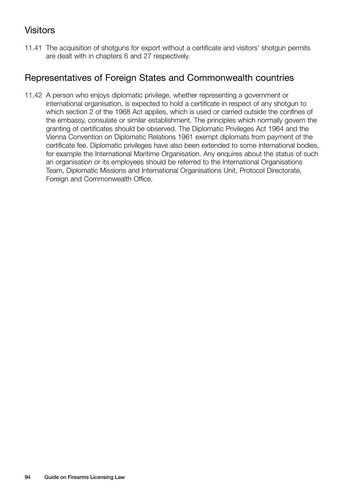# Visitors

11.41 The acquisition of shotguns for export without a certificate and visitors' shotgun permits are dealt with in chapters 6 and 27 respectively.

## Representatives of Foreign States and Commonwealth countries

11.42 A person who enjoys diplomatic privilege, whether representing a government or international organisation, is expected to hold a certificate in respect of any shotgun to which section 2 of the 1968 Act applies, which is used or carried outside the confines of the embassy, consulate or similar establishment. The principles which normally govern the granting of certificates should be observed. The Diplomatic Privileges Act 1964 and the Vienna Convention on Diplomatic Relations 1961 exempt diplomats from payment of the certificate fee. Diplomatic privileges have also been extended to some international bodies, for example the International Maritime Organisation. Any enquires about the status of such an organisation or its employees should be referred to the International Organisations Team, Diplomatic Missions and International Organisations Unit, Protocol Directorate, Foreign and Commonwealth Office.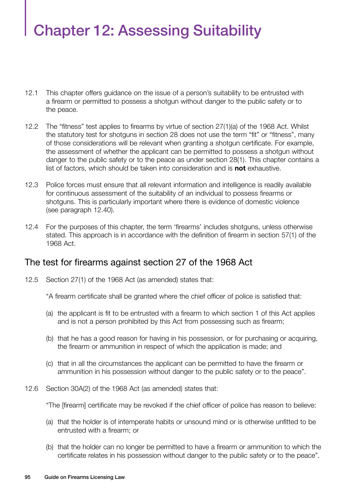# Chapter 12: Assessing Suitability

- 12.1 This chapter offers guidance on the issue of a person's suitability to be entrusted with a firearm or permitted to possess a shotgun without danger to the public safety or to the peace.
- 12.2 The "fitness" test applies to firearms by virtue of section 27(1)(a) of the 1968 Act. Whilst the statutory test for shotguns in section 28 does not use the term "fit" or "fitness", many of those considerations will be relevant when granting a shotgun certificate. For example, the assessment of whether the applicant can be permitted to possess a shotgun without danger to the public safety or to the peace as under section 28(1). This chapter contains a list of factors, which should be taken into consideration and is **not** exhaustive.
- 12.3 Police forces must ensure that all relevant information and intelligence is readily available for continuous assessment of the suitability of an individual to possess firearms or shotguns. This is particularly important where there is evidence of domestic violence (see paragraph 12.40).
- 12.4 For the purposes of this chapter, the term 'firearms' includes shotguns, unless otherwise stated. This approach is in accordance with the definition of firearm in section 57(1) of the 1968 Act.

## The test for firearms against section 27 of the 1968 Act

12.5 Section 27(1) of the 1968 Act (as amended) states that:

"A firearm certificate shall be granted where the chief officer of police is satisfied that:

- (a) the applicant is fit to be entrusted with a firearm to which section 1 of this Act applies and is not a person prohibited by this Act from possessing such as firearm;
- (b) that he has a good reason for having in his possession, or for purchasing or acquiring, the firearm or ammunition in respect of which the application is made; and
- (c) that in all the circumstances the applicant can be permitted to have the firearm or ammunition in his possession without danger to the public safety or to the peace".
- 12.6 Section 30A(2) of the 1968 Act (as amended) states that:

"The [firearm] certificate may be revoked if the chief officer of police has reason to believe:

- (a) that the holder is of intemperate habits or unsound mind or is otherwise unfitted to be entrusted with a firearm; or
- (b) that the holder can no longer be permitted to have a firearm or ammunition to which the certificate relates in his possession without danger to the public safety or to the peace".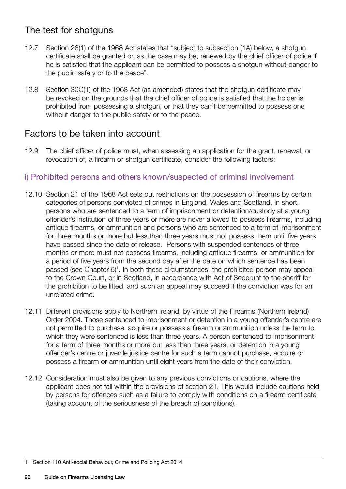# The test for shotguns

- 12.7 Section 28(1) of the 1968 Act states that "subject to subsection (1A) below, a shotgun certificate shall be granted or, as the case may be, renewed by the chief officer of police if he is satisfied that the applicant can be permitted to possess a shotgun without danger to the public safety or to the peace".
- 12.8 Section 30C(1) of the 1968 Act (as amended) states that the shotgun certificate may be revoked on the grounds that the chief officer of police is satisfied that the holder is prohibited from possessing a shotgun, or that they can't be permitted to possess one without danger to the public safety or to the peace.

## Factors to be taken into account

12.9 The chief officer of police must, when assessing an application for the grant, renewal, or revocation of, a firearm or shotgun certificate, consider the following factors:

#### i) Prohibited persons and others known/suspected of criminal involvement

- 12.10 Section 21 of the 1968 Act sets out restrictions on the possession of firearms by certain categories of persons convicted of crimes in England, Wales and Scotland. In short, persons who are sentenced to a term of imprisonment or detention/custody at a young offender's institution of three years or more are never allowed to possess firearms, including antique firearms, or ammunition and persons who are sentenced to a term of imprisonment for three months or more but less than three years must not possess them until five years have passed since the date of release. Persons with suspended sentences of three months or more must not possess firearms, including antique firearms, or ammunition for a period of five years from the second day after the date on which sentence has been passed (see Chapter 5)<sup>1</sup>. In both these circumstances, the prohibited person may appeal to the Crown Court, or in Scotland, in accordance with Act of Sederunt to the sheriff for the prohibition to be lifted, and such an appeal may succeed if the conviction was for an unrelated crime.
- 12.11 Different provisions apply to Northern Ireland, by virtue of the Firearms (Northern Ireland) Order 2004. Those sentenced to imprisonment or detention in a young offender's centre are not permitted to purchase, acquire or possess a firearm or ammunition unless the term to which they were sentenced is less than three years. A person sentenced to imprisonment for a term of three months or more but less than three years, or detention in a young offender's centre or juvenile justice centre for such a term cannot purchase, acquire or possess a firearm or ammunition until eight years from the date of their conviction.
- 12.12 Consideration must also be given to any previous convictions or cautions, where the applicant does not fall within the provisions of section 21. This would include cautions held by persons for offences such as a failure to comply with conditions on a firearm certificate (taking account of the seriousness of the breach of conditions).

<sup>1</sup> Section 110 Anti-social Behaviour, Crime and Policing Act 2014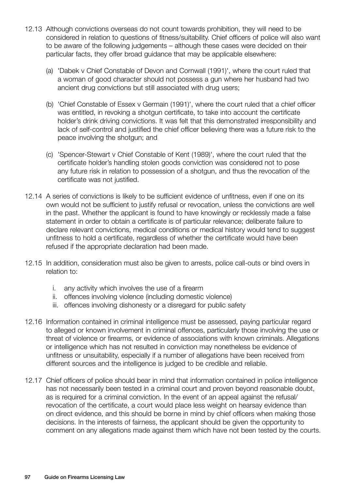- 12.13 Although convictions overseas do not count towards prohibition, they will need to be considered in relation to questions of fitness/suitability. Chief officers of police will also want to be aware of the following judgements – although these cases were decided on their particular facts, they offer broad guidance that may be applicable elsewhere:
	- (a) 'Dabek v Chief Constable of Devon and Cornwall (1991)', where the court ruled that a woman of good character should not possess a gun where her husband had two ancient drug convictions but still associated with drug users;
	- (b) 'Chief Constable of Essex v Germain (1991)', where the court ruled that a chief officer was entitled, in revoking a shotgun certificate, to take into account the certificate holder's drink driving convictions. It was felt that this demonstrated irresponsibility and lack of self-control and justified the chief officer believing there was a future risk to the peace involving the shotgun; and
	- (c) 'Spencer-Stewart v Chief Constable of Kent (1989)', where the court ruled that the certificate holder's handling stolen goods conviction was considered not to pose any future risk in relation to possession of a shotgun, and thus the revocation of the certificate was not justified.
- 12.14 A series of convictions is likely to be sufficient evidence of unfitness, even if one on its own would not be sufficient to justify refusal or revocation, unless the convictions are well in the past. Whether the applicant is found to have knowingly or recklessly made a false statement in order to obtain a certificate is of particular relevance; deliberate failure to declare relevant convictions, medical conditions or medical history would tend to suggest unfitness to hold a certificate, regardless of whether the certificate would have been refused if the appropriate declaration had been made.
- 12.15 In addition, consideration must also be given to arrests, police call-outs or bind overs in relation to:
	- i. any activity which involves the use of a firearm
	- ii. offences involving violence (including domestic violence)
	- iii. offences involving dishonesty or a disregard for public safety
- 12.16 Information contained in criminal intelligence must be assessed, paying particular regard to alleged or known involvement in criminal offences, particularly those involving the use or threat of violence or firearms, or evidence of associations with known criminals. Allegations or intelligence which has not resulted in conviction may nonetheless be evidence of unfitness or unsuitability, especially if a number of allegations have been received from different sources and the intelligence is judged to be credible and reliable.
- 12.17 Chief officers of police should bear in mind that information contained in police intelligence has not necessarily been tested in a criminal court and proven beyond reasonable doubt, as is required for a criminal conviction. In the event of an appeal against the refusal/ revocation of the certificate, a court would place less weight on hearsay evidence than on direct evidence, and this should be borne in mind by chief officers when making those decisions. In the interests of fairness, the applicant should be given the opportunity to comment on any allegations made against them which have not been tested by the courts.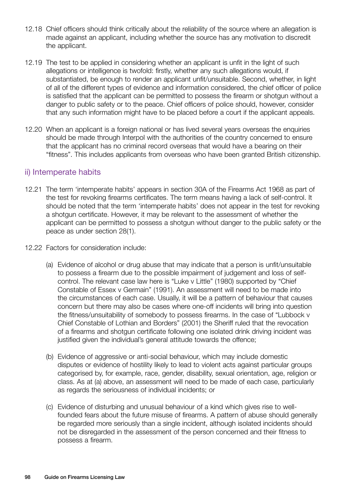- 12.18 Chief officers should think critically about the reliability of the source where an allegation is made against an applicant, including whether the source has any motivation to discredit the applicant.
- 12.19 The test to be applied in considering whether an applicant is unfit in the light of such allegations or intelligence is twofold: firstly, whether any such allegations would, if substantiated, be enough to render an applicant unfit/unsuitable. Second, whether, in light of all of the different types of evidence and information considered, the chief officer of police is satisfied that the applicant can be permitted to possess the firearm or shotgun without a danger to public safety or to the peace. Chief officers of police should, however, consider that any such information might have to be placed before a court if the applicant appeals.
- 12.20 When an applicant is a foreign national or has lived several years overseas the enquiries should be made through Interpol with the authorities of the country concerned to ensure that the applicant has no criminal record overseas that would have a bearing on their "fitness". This includes applicants from overseas who have been granted British citizenship.

#### ii) Intemperate habits

- 12.21 The term 'intemperate habits' appears in section 30A of the Firearms Act 1968 as part of the test for revoking firearms certificates. The term means having a lack of self-control. It should be noted that the term 'intemperate habits' does not appear in the test for revoking a shotgun certificate. However, it may be relevant to the assessment of whether the applicant can be permitted to possess a shotgun without danger to the public safety or the peace as under section 28(1).
- 12.22 Factors for consideration include:
	- (a) Evidence of alcohol or drug abuse that may indicate that a person is unfit/unsuitable to possess a firearm due to the possible impairment of judgement and loss of selfcontrol. The relevant case law here is "Luke v Little" (1980) supported by "Chief Constable of Essex v Germain" (1991). An assessment will need to be made into the circumstances of each case. Usually, it will be a pattern of behaviour that causes concern but there may also be cases where one-off incidents will bring into question the fitness/unsuitability of somebody to possess firearms. In the case of "Lubbock v Chief Constable of Lothian and Borders" (2001) the Sheriff ruled that the revocation of a firearms and shotgun certificate following one isolated drink driving incident was justified given the individual's general attitude towards the offence;
	- (b) Evidence of aggressive or anti-social behaviour, which may include domestic disputes or evidence of hostility likely to lead to violent acts against particular groups categorised by, for example, race, gender, disability, sexual orientation, age, religion or class. As at (a) above, an assessment will need to be made of each case, particularly as regards the seriousness of individual incidents; or
	- (c) Evidence of disturbing and unusual behaviour of a kind which gives rise to wellfounded fears about the future misuse of firearms. A pattern of abuse should generally be regarded more seriously than a single incident, although isolated incidents should not be disregarded in the assessment of the person concerned and their fitness to possess a firearm.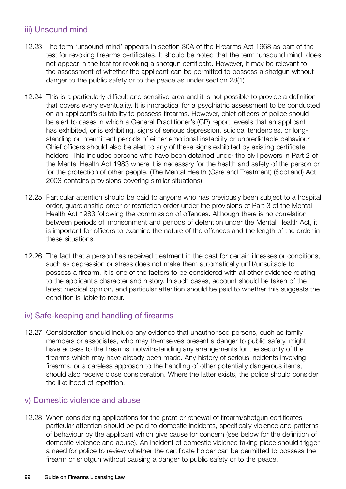#### iii) Unsound mind

- 12.23 The term 'unsound mind' appears in section 30A of the Firearms Act 1968 as part of the test for revoking firearms certificates. It should be noted that the term 'unsound mind' does not appear in the test for revoking a shotgun certificate. However, it may be relevant to the assessment of whether the applicant can be permitted to possess a shotgun without danger to the public safety or to the peace as under section 28(1).
- 12.24 This is a particularly difficult and sensitive area and it is not possible to provide a definition that covers every eventuality. It is impractical for a psychiatric assessment to be conducted on an applicant's suitability to possess firearms. However, chief officers of police should be alert to cases in which a General Practitioner's (GP) report reveals that an applicant has exhibited, or is exhibiting, signs of serious depression, suicidal tendencies, or longstanding or intermittent periods of either emotional instability or unpredictable behaviour. Chief officers should also be alert to any of these signs exhibited by existing certificate holders. This includes persons who have been detained under the civil powers in Part 2 of the Mental Health Act 1983 where it is necessary for the health and safety of the person or for the protection of other people. (The Mental Health (Care and Treatment) (Scotland) Act 2003 contains provisions covering similar situations).
- 12.25 Particular attention should be paid to anyone who has previously been subject to a hospital order, guardianship order or restriction order under the provisions of Part 3 of the Mental Health Act 1983 following the commission of offences. Although there is no correlation between periods of imprisonment and periods of detention under the Mental Health Act, it is important for officers to examine the nature of the offences and the length of the order in these situations.
- 12.26 The fact that a person has received treatment in the past for certain illnesses or conditions, such as depression or stress does not make them automatically unfit/unsuitable to possess a firearm. It is one of the factors to be considered with all other evidence relating to the applicant's character and history. In such cases, account should be taken of the latest medical opinion, and particular attention should be paid to whether this suggests the condition is liable to recur.

#### iv) Safe-keeping and handling of firearms

12.27 Consideration should include any evidence that unauthorised persons, such as family members or associates, who may themselves present a danger to public safety, might have access to the firearms, notwithstanding any arrangements for the security of the firearms which may have already been made. Any history of serious incidents involving firearms, or a careless approach to the handling of other potentially dangerous items, should also receive close consideration. Where the latter exists, the police should consider the likelihood of repetition.

#### v) Domestic violence and abuse

12.28 When considering applications for the grant or renewal of firearm/shotgun certificates particular attention should be paid to domestic incidents, specifically violence and patterns of behaviour by the applicant which give cause for concern (see below for the definition of domestic violence and abuse). An incident of domestic violence taking place should trigger a need for police to review whether the certificate holder can be permitted to possess the firearm or shotgun without causing a danger to public safety or to the peace.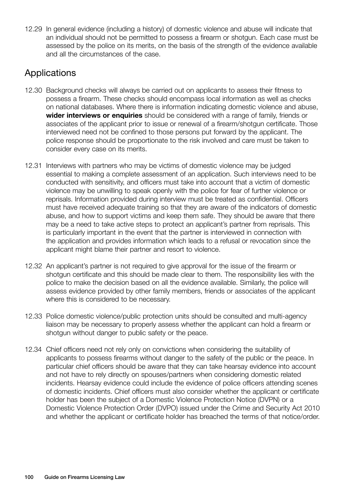12.29 In general evidence (including a history) of domestic violence and abuse will indicate that an individual should not be permitted to possess a firearm or shotgun. Each case must be assessed by the police on its merits, on the basis of the strength of the evidence available and all the circumstances of the case.

# **Applications**

- 12.30 Background checks will always be carried out on applicants to assess their fitness to possess a firearm. These checks should encompass local information as well as checks on national databases. Where there is information indicating domestic violence and abuse, **wider interviews or enquiries** should be considered with a range of family, friends or associates of the applicant prior to issue or renewal of a firearm/shotgun certificate. Those interviewed need not be confined to those persons put forward by the applicant. The police response should be proportionate to the risk involved and care must be taken to consider every case on its merits.
- 12.31 Interviews with partners who may be victims of domestic violence may be judged essential to making a complete assessment of an application. Such interviews need to be conducted with sensitivity, and officers must take into account that a victim of domestic violence may be unwilling to speak openly with the police for fear of further violence or reprisals. Information provided during interview must be treated as confidential. Officers must have received adequate training so that they are aware of the indicators of domestic abuse, and how to support victims and keep them safe. They should be aware that there may be a need to take active steps to protect an applicant's partner from reprisals. This is particularly important in the event that the partner is interviewed in connection with the application and provides information which leads to a refusal or revocation since the applicant might blame their partner and resort to violence.
- 12.32 An applicant's partner is not required to give approval for the issue of the firearm or shotgun certificate and this should be made clear to them. The responsibility lies with the police to make the decision based on all the evidence available. Similarly, the police will assess evidence provided by other family members, friends or associates of the applicant where this is considered to be necessary.
- 12.33 Police domestic violence/public protection units should be consulted and multi-agency liaison may be necessary to properly assess whether the applicant can hold a firearm or shotgun without danger to public safety or the peace.
- 12.34 Chief officers need not rely only on convictions when considering the suitability of applicants to possess firearms without danger to the safety of the public or the peace. In particular chief officers should be aware that they can take hearsay evidence into account and not have to rely directly on spouses/partners when considering domestic related incidents. Hearsay evidence could include the evidence of police officers attending scenes of domestic incidents. Chief officers must also consider whether the applicant or certificate holder has been the subject of a Domestic Violence Protection Notice (DVPN) or a Domestic Violence Protection Order (DVPO) issued under the Crime and Security Act 2010 and whether the applicant or certificate holder has breached the terms of that notice/order.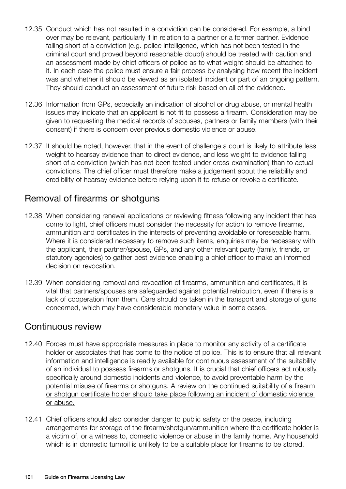- 12.35 Conduct which has not resulted in a conviction can be considered. For example, a bind over may be relevant, particularly if in relation to a partner or a former partner. Evidence falling short of a conviction (e.g. police intelligence, which has not been tested in the criminal court and proved beyond reasonable doubt) should be treated with caution and an assessment made by chief officers of police as to what weight should be attached to it. In each case the police must ensure a fair process by analysing how recent the incident was and whether it should be viewed as an isolated incident or part of an ongoing pattern. They should conduct an assessment of future risk based on all of the evidence.
- 12.36 Information from GPs, especially an indication of alcohol or drug abuse, or mental health issues may indicate that an applicant is not fit to possess a firearm. Consideration may be given to requesting the medical records of spouses, partners or family members (with their consent) if there is concern over previous domestic violence or abuse.
- 12.37 It should be noted, however, that in the event of challenge a court is likely to attribute less weight to hearsay evidence than to direct evidence, and less weight to evidence falling short of a conviction (which has not been tested under cross-examination) than to actual convictions. The chief officer must therefore make a judgement about the reliability and credibility of hearsay evidence before relying upon it to refuse or revoke a certificate.

## Removal of firearms or shotguns

- 12.38 When considering renewal applications or reviewing fitness following any incident that has come to light, chief officers must consider the necessity for action to remove firearms, ammunition and certificates in the interests of preventing avoidable or foreseeable harm. Where it is considered necessary to remove such items, enquiries may be necessary with the applicant, their partner/spouse, GPs, and any other relevant party (family, friends, or statutory agencies) to gather best evidence enabling a chief officer to make an informed decision on revocation.
- 12.39 When considering removal and revocation of firearms, ammunition and certificates, it is vital that partners/spouses are safeguarded against potential retribution, even if there is a lack of cooperation from them. Care should be taken in the transport and storage of guns concerned, which may have considerable monetary value in some cases.

#### Continuous review

- 12.40 Forces must have appropriate measures in place to monitor any activity of a certificate holder or associates that has come to the notice of police. This is to ensure that all relevant information and intelligence is readily available for continuous assessment of the suitability of an individual to possess firearms or shotguns. It is crucial that chief officers act robustly, specifically around domestic incidents and violence, to avoid preventable harm by the potential misuse of firearms or shotguns. A review on the continued suitability of a firearm or shotgun certificate holder should take place following an incident of domestic violence or abuse.
- 12.41 Chief officers should also consider danger to public safety or the peace, including arrangements for storage of the firearm/shotgun/ammunition where the certificate holder is a victim of, or a witness to, domestic violence or abuse in the family home. Any household which is in domestic turmoil is unlikely to be a suitable place for firearms to be stored.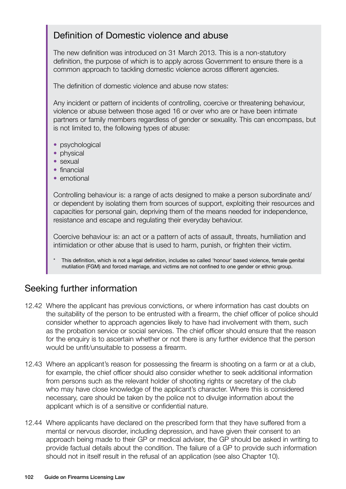## Definition of Domestic violence and abuse

The new definition was introduced on 31 March 2013. This is a non-statutory definition, the purpose of which is to apply across Government to ensure there is a common approach to tackling domestic violence across different agencies.

The definition of domestic violence and abuse now states:

Any incident or pattern of incidents of controlling, coercive or threatening behaviour, violence or abuse between those aged 16 or over who are or have been intimate partners or family members regardless of gender or sexuality. This can encompass, but is not limited to, the following types of abuse:

- psychological
- physical
- sexual
- financial
- emotional

Controlling behaviour is: a range of acts designed to make a person subordinate and/ or dependent by isolating them from sources of support, exploiting their resources and capacities for personal gain, depriving them of the means needed for independence, resistance and escape and regulating their everyday behaviour.

Coercive behaviour is: an act or a pattern of acts of assault, threats, humiliation and intimidation or other abuse that is used to harm, punish, or frighten their victim.

This definition, which is not a legal definition, includes so called 'honour' based violence, female genital mutilation (FGM) and forced marriage, and victims are not confined to one gender or ethnic group.

## Seeking further information

- 12.42 Where the applicant has previous convictions, or where information has cast doubts on the suitability of the person to be entrusted with a firearm, the chief officer of police should consider whether to approach agencies likely to have had involvement with them, such as the probation service or social services. The chief officer should ensure that the reason for the enquiry is to ascertain whether or not there is any further evidence that the person would be unfit/unsuitable to possess a firearm.
- 12.43 Where an applicant's reason for possessing the firearm is shooting on a farm or at a club, for example, the chief officer should also consider whether to seek additional information from persons such as the relevant holder of shooting rights or secretary of the club who may have close knowledge of the applicant's character. Where this is considered necessary, care should be taken by the police not to divulge information about the applicant which is of a sensitive or confidential nature.
- 12.44 Where applicants have declared on the prescribed form that they have suffered from a mental or nervous disorder, including depression, and have given their consent to an approach being made to their GP or medical adviser, the GP should be asked in writing to provide factual details about the condition. The failure of a GP to provide such information should not in itself result in the refusal of an application (see also Chapter 10).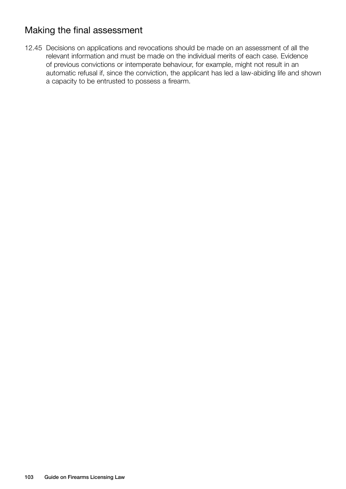# Making the final assessment

12.45 Decisions on applications and revocations should be made on an assessment of all the relevant information and must be made on the individual merits of each case. Evidence of previous convictions or intemperate behaviour, for example, might not result in an automatic refusal if, since the conviction, the applicant has led a law-abiding life and shown a capacity to be entrusted to possess a firearm.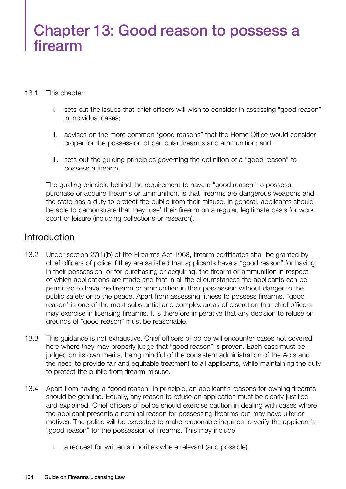# Chapter 13: Good reason to possess a firearm

#### 13.1 This chapter:

- i. sets out the issues that chief officers will wish to consider in assessing "good reason" in individual cases;
- ii. advises on the more common "good reasons" that the Home Office would consider proper for the possession of particular firearms and ammunition; and
- iii. sets out the guiding principles governing the definition of a "good reason" to possess a firearm.

The guiding principle behind the requirement to have a "good reason" to possess, purchase or acquire firearms or ammunition, is that firearms are dangerous weapons and the state has a duty to protect the public from their misuse. In general, applicants should be able to demonstrate that they 'use' their firearm on a regular, legitimate basis for work, sport or leisure (including collections or research).

## **Introduction**

- 13.2 Under section 27(1)(b) of the Firearms Act 1968, firearm certificates shall be granted by chief officers of police if they are satisfied that applicants have a "good reason" for having in their possession, or for purchasing or acquiring, the firearm or ammunition in respect of which applications are made and that in all the circumstances the applicants can be permitted to have the firearm or ammunition in their possession without danger to the public safety or to the peace. Apart from assessing fitness to possess firearms, "good reason" is one of the most substantial and complex areas of discretion that chief officers may exercise in licensing firearms. It is therefore imperative that any decision to refuse on grounds of "good reason" must be reasonable.
- 13.3 This guidance is not exhaustive. Chief officers of police will encounter cases not covered here where they may properly judge that "good reason" is proven. Each case must be judged on its own merits, being mindful of the consistent administration of the Acts and the need to provide fair and equitable treatment to all applicants, while maintaining the duty to protect the public from firearm misuse.
- 13.4 Apart from having a "good reason" in principle, an applicant's reasons for owning firearms should be genuine. Equally, any reason to refuse an application must be clearly justified and explained. Chief officers of police should exercise caution in dealing with cases where the applicant presents a nominal reason for possessing firearms but may have ulterior motives. The police will be expected to make reasonable inquiries to verify the applicant's "good reason" for the possession of firearms. This may include:
	- i. a request for written authorities where relevant (and possible).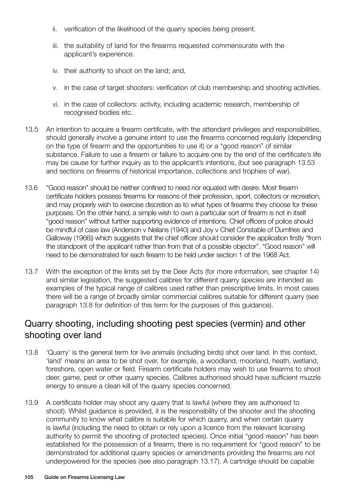- ii. verification of the likelihood of the quarry species being present.
- iii. the suitability of land for the firearms requested commensurate with the applicant's experience.
- iv. their authority to shoot on the land; and,
- v. in the case of target shooters: verification of club membership and shooting activities.
- vi. in the case of collectors: activity, including academic research, membership of recognised bodies etc.
- 13.5 An intention to acquire a firearm certificate, with the attendant privileges and responsibilities, should generally involve a genuine intent to use the firearms concerned regularly (depending on the type of firearm and the opportunities to use it) or a "good reason" of similar substance. Failure to use a firearm or failure to acquire one by the end of the certificate's life may be cause for further inquiry as to the applicant's intentions, (but see paragraph 13.53 and sections on firearms of historical importance, collections and trophies of war).
- 13.6 "Good reason" should be neither confined to need nor equated with desire. Most firearm certificate holders possess firearms for reasons of their profession, sport, collectors or recreation, and may properly wish to exercise discretion as to what types of firearms they choose for these purposes. On the other hand, a simple wish to own a particular sort of firearm is not in itself "good reason" without further supporting evidence of intentions. Chief officers of police should be mindful of case law (Anderson v Neilans (1940) and Joy v Chief Constable of Dumfries and Galloway (1966)) which suggests that the chief officer should consider the application firstly "from the standpoint of the applicant rather than from that of a possible objector". "Good reason" will need to be demonstrated for each firearm to be held under section 1 of the 1968 Act.
- 13.7 With the exception of the limits set by the Deer Acts (for more information, see chapter 14) and similar legislation, the suggested calibres for different quarry species are intended as examples of the typical range of calibres used rather than prescriptive limits. In most cases there will be a range of broadly similar commercial calibres suitable for different quarry (see paragraph 13.8 for definition of this term for the purposes of this guidance).

## Quarry shooting, including shooting pest species (vermin) and other shooting over land

- 13.8 'Quarry' is the general term for live animals (including birds) shot over land. In this context, 'land' means an area to be shot over, for example, a woodland, moorland, heath, wetland, foreshore, open water or field. Firearm certificate holders may wish to use firearms to shoot deer, game, pest or other quarry species. Calibres authorised should have sufficient muzzle energy to ensure a clean kill of the quarry species concerned.
- 13.9 A certificate holder may shoot any quarry that is lawful (where they are authorised to shoot). Whilst guidance is provided, it is the responsibility of the shooter and the shooting community to know what calibre is suitable for which quarry, and when certain quarry is lawful (including the need to obtain or rely upon a licence from the relevant licensing authority to permit the shooting of protected species). Once initial "good reason" has been established for the possession of a firearm, there is no requirement for "good reason" to be demonstrated for additional quarry species or amendments providing the firearms are not underpowered for the species (see also paragraph 13.17). A cartridge should be capable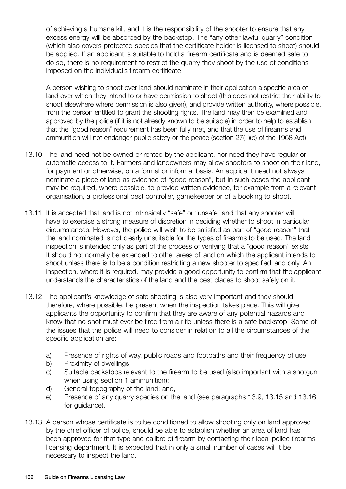of achieving a humane kill, and it is the responsibility of the shooter to ensure that any excess energy will be absorbed by the backstop. The "any other lawful quarry" condition (which also covers protected species that the certificate holder is licensed to shoot) should be applied. If an applicant is suitable to hold a firearm certificate and is deemed safe to do so, there is no requirement to restrict the quarry they shoot by the use of conditions imposed on the individual's firearm certificate.

A person wishing to shoot over land should nominate in their application a specific area of land over which they intend to or have permission to shoot (this does not restrict their ability to shoot elsewhere where permission is also given), and provide written authority, where possible, from the person entitled to grant the shooting rights. The land may then be examined and approved by the police (if it is not already known to be suitable) in order to help to establish that the "good reason" requirement has been fully met, and that the use of firearms and ammunition will not endanger public safety or the peace (section 27(1)(c) of the 1968 Act).

- 13.10 The land need not be owned or rented by the applicant, nor need they have regular or automatic access to it. Farmers and landowners may allow shooters to shoot on their land, for payment or otherwise, on a formal or informal basis. An applicant need not always nominate a piece of land as evidence of "good reason", but in such cases the applicant may be required, where possible, to provide written evidence, for example from a relevant organisation, a professional pest controller, gamekeeper or of a booking to shoot.
- 13.11 It is accepted that land is not intrinsically "safe" or "unsafe" and that any shooter will have to exercise a strong measure of discretion in deciding whether to shoot in particular circumstances. However, the police will wish to be satisfied as part of "good reason" that the land nominated is not clearly unsuitable for the types of firearms to be used. The land inspection is intended only as part of the process of verifying that a "good reason" exists. It should not normally be extended to other areas of land on which the applicant intends to shoot unless there is to be a condition restricting a new shooter to specified land only. An inspection, where it is required, may provide a good opportunity to confirm that the applicant understands the characteristics of the land and the best places to shoot safely on it.
- 13.12 The applicant's knowledge of safe shooting is also very important and they should therefore, where possible, be present when the inspection takes place. This will give applicants the opportunity to confirm that they are aware of any potential hazards and know that no shot must ever be fired from a rifle unless there is a safe backstop. Some of the issues that the police will need to consider in relation to all the circumstances of the specific application are:
	- a) Presence of rights of way, public roads and footpaths and their frequency of use;
	- b) Proximity of dwellings;
	- c) Suitable backstops relevant to the firearm to be used (also important with a shotgun when using section 1 ammunition);
	- d) General topography of the land; and,
	- e) Presence of any quarry species on the land (see paragraphs 13.9, 13.15 and 13.16 for guidance).
- 13.13 A person whose certificate is to be conditioned to allow shooting only on land approved by the chief officer of police, should be able to establish whether an area of land has been approved for that type and calibre of firearm by contacting their local police firearms licensing department. It is expected that in only a small number of cases will it be necessary to inspect the land.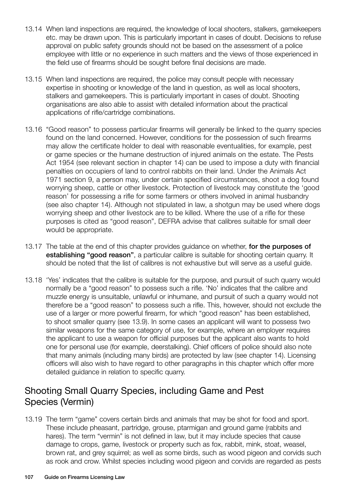- 13.14 When land inspections are required, the knowledge of local shooters, stalkers, gamekeepers etc. may be drawn upon. This is particularly important in cases of doubt. Decisions to refuse approval on public safety grounds should not be based on the assessment of a police employee with little or no experience in such matters and the views of those experienced in the field use of firearms should be sought before final decisions are made.
- 13.15 When land inspections are required, the police may consult people with necessary expertise in shooting or knowledge of the land in question, as well as local shooters, stalkers and gamekeepers. This is particularly important in cases of doubt. Shooting organisations are also able to assist with detailed information about the practical applications of rifle/cartridge combinations.
- 13.16 "Good reason" to possess particular firearms will generally be linked to the quarry species found on the land concerned. However, conditions for the possession of such firearms may allow the certificate holder to deal with reasonable eventualities, for example, pest or game species or the humane destruction of injured animals on the estate. The Pests Act 1954 (see relevant section in chapter 14) can be used to impose a duty with financial penalties on occupiers of land to control rabbits on their land. Under the Animals Act 1971 section 9, a person may, under certain specified circumstances, shoot a dog found worrying sheep, cattle or other livestock. Protection of livestock may constitute the 'good reason' for possessing a rifle for some farmers or others involved in animal husbandry (see also chapter 14). Although not stipulated in law, a shotgun may be used where dogs worrying sheep and other livestock are to be killed. Where the use of a rifle for these purposes is cited as "good reason", DEFRA advise that calibres suitable for small deer would be appropriate.
- 13.17 The table at the end of this chapter provides guidance on whether, for the purposes of establishing "good reason", a particular calibre is suitable for shooting certain quarry. It should be noted that the list of calibres is not exhaustive but will serve as a useful guide.
- 13.18 'Yes' indicates that the calibre is suitable for the purpose, and pursuit of such quarry would normally be a "good reason" to possess such a rifle. 'No' indicates that the calibre and muzzle energy is unsuitable, unlawful or inhumane, and pursuit of such a quarry would not therefore be a "good reason" to possess such a rifle. This, however, should not exclude the use of a larger or more powerful firearm, for which "good reason" has been established, to shoot smaller quarry (see 13.9). In some cases an applicant will want to possess two similar weapons for the same category of use, for example, where an employer requires the applicant to use a weapon for official purposes but the applicant also wants to hold one for personal use (for example, deerstalking). Chief officers of police should also note that many animals (including many birds) are protected by law (see chapter 14). Licensing officers will also wish to have regard to other paragraphs in this chapter which offer more detailed guidance in relation to specific quarry.

## Shooting Small Quarry Species, including Game and Pest Species (Vermin)

13.19 The term "game" covers certain birds and animals that may be shot for food and sport. These include pheasant, partridge, grouse, ptarmigan and ground game (rabbits and hares). The term "vermin" is not defined in law, but it may include species that cause damage to crops, game, livestock or property such as fox, rabbit, mink, stoat, weasel, brown rat, and grey squirrel; as well as some birds, such as wood pigeon and corvids such as rook and crow. Whilst species including wood pigeon and corvids are regarded as pests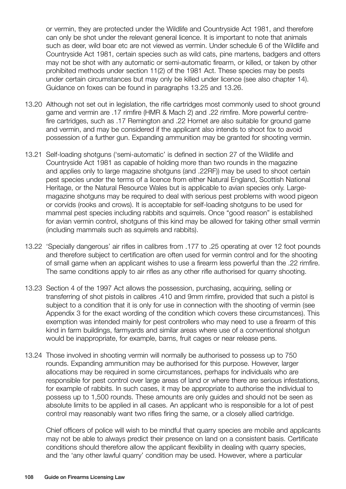or vermin, they are protected under the Wildlife and Countryside Act 1981, and therefore can only be shot under the relevant general licence. It is important to note that animals such as deer, wild boar etc are not viewed as vermin. Under schedule 6 of the Wildlife and Countryside Act 1981, certain species such as wild cats, pine martens, badgers and otters may not be shot with any automatic or semi-automatic firearm, or killed, or taken by other prohibited methods under section 11(2) of the 1981 Act. These species may be pests under certain circumstances but may only be killed under licence (see also chapter 14). Guidance on foxes can be found in paragraphs 13.25 and 13.26.

- 13.20 Although not set out in legislation, the rifle cartridges most commonly used to shoot ground game and vermin are .17 rimfire (HMR & Mach 2) and .22 rimfire. More powerful centrefire cartridges, such as .17 Remington and .22 Hornet are also suitable for ground game and vermin, and may be considered if the applicant also intends to shoot fox to avoid possession of a further gun. Expanding ammunition may be granted for shooting vermin.
- 13.21 Self-loading shotguns ('semi-automatic' is defined in section 27 of the Wildlife and Countryside Act 1981 as capable of holding more than two rounds in the magazine and applies only to large magazine shotguns (and .22RF)) may be used to shoot certain pest species under the terms of a licence from either Natural England, Scottish National Heritage, or the Natural Resource Wales but is applicable to avian species only. Largemagazine shotguns may be required to deal with serious pest problems with wood pigeon or corvids (rooks and crows). It is acceptable for self-loading shotguns to be used for mammal pest species including rabbits and squirrels. Once "good reason" is established for avian vermin control, shotguns of this kind may be allowed for taking other small vermin (including mammals such as squirrels and rabbits).
- 13.22 'Specially dangerous' air rifles in calibres from .177 to .25 operating at over 12 foot pounds and therefore subject to certification are often used for vermin control and for the shooting of small game when an applicant wishes to use a firearm less powerful than the .22 rimfire. The same conditions apply to air rifles as any other rifle authorised for quarry shooting.
- 13.23 Section 4 of the 1997 Act allows the possession, purchasing, acquiring, selling or transferring of shot pistols in calibres .410 and 9mm rimfire, provided that such a pistol is subject to a condition that it is only for use in connection with the shooting of vermin (see Appendix 3 for the exact wording of the condition which covers these circumstances). This exemption was intended mainly for pest controllers who may need to use a firearm of this kind in farm buildings, farmyards and similar areas where use of a conventional shotgun would be inappropriate, for example, barns, fruit cages or near release pens.
- 13.24 Those involved in shooting vermin will normally be authorised to possess up to 750 rounds. Expanding ammunition may be authorised for this purpose. However, larger allocations may be required in some circumstances, perhaps for individuals who are responsible for pest control over large areas of land or where there are serious infestations, for example of rabbits. In such cases, it may be appropriate to authorise the individual to possess up to 1,500 rounds. These amounts are only guides and should not be seen as absolute limits to be applied in all cases. An applicant who is responsible for a lot of pest control may reasonably want two rifles firing the same, or a closely allied cartridge.

Chief officers of police will wish to be mindful that quarry species are mobile and applicants may not be able to always predict their presence on land on a consistent basis. Certificate conditions should therefore allow the applicant flexibility in dealing with quarry species, and the 'any other lawful quarry' condition may be used. However, where a particular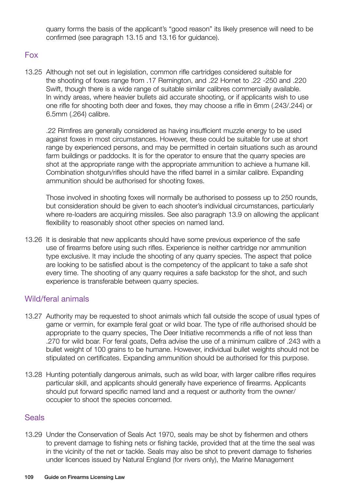quarry forms the basis of the applicant's "good reason" its likely presence will need to be confirmed (see paragraph 13.15 and 13.16 for guidance).

## Fox

13.25 Although not set out in legislation, common rifle cartridges considered suitable for the shooting of foxes range from .17 Remington, and .22 Hornet to .22 -250 and .220 Swift, though there is a wide range of suitable similar calibres commercially available. In windy areas, where heavier bullets aid accurate shooting, or if applicants wish to use one rifle for shooting both deer and foxes, they may choose a rifle in 6mm (.243/.244) or 6.5mm (.264) calibre.

.22 Rimfires are generally considered as having insufficient muzzle energy to be used against foxes in most circumstances. However, these could be suitable for use at short range by experienced persons, and may be permitted in certain situations such as around farm buildings or paddocks. It is for the operator to ensure that the quarry species are shot at the appropriate range with the appropriate ammunition to achieve a humane kill. Combination shotgun/rifles should have the rifled barrel in a similar calibre. Expanding ammunition should be authorised for shooting foxes.

Those involved in shooting foxes will normally be authorised to possess up to 250 rounds, but consideration should be given to each shooter's individual circumstances, particularly where re-loaders are acquiring missiles. See also paragraph 13.9 on allowing the applicant flexibility to reasonably shoot other species on named land.

13.26 It is desirable that new applicants should have some previous experience of the safe use of firearms before using such rifles. Experience is neither cartridge nor ammunition type exclusive. It may include the shooting of any quarry species. The aspect that police are looking to be satisfied about is the competency of the applicant to take a safe shot every time. The shooting of any quarry requires a safe backstop for the shot, and such experience is transferable between quarry species.

## Wild/feral animals

- 13.27 Authority may be requested to shoot animals which fall outside the scope of usual types of game or vermin, for example feral goat or wild boar. The type of rifle authorised should be appropriate to the quarry species, The Deer Initiative recommends a rifle of not less than .270 for wild boar. For feral goats, Defra advise the use of a minimum calibre of .243 with a bullet weight of 100 grains to be humane. However, individual bullet weights should not be stipulated on certificates. Expanding ammunition should be authorised for this purpose.
- 13.28 Hunting potentially dangerous animals, such as wild boar, with larger calibre rifles requires particular skill, and applicants should generally have experience of firearms. Applicants should put forward specific named land and a request or authority from the owner/ occupier to shoot the species concerned.

## **Seals**

13.29 Under the Conservation of Seals Act 1970, seals may be shot by fishermen and others to prevent damage to fishing nets or fishing tackle, provided that at the time the seal was in the vicinity of the net or tackle. Seals may also be shot to prevent damage to fisheries under licences issued by Natural England (for rivers only), the Marine Management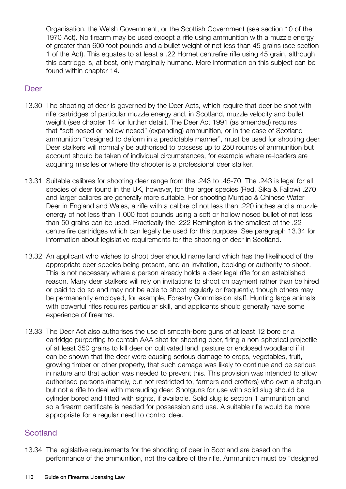Organisation, the Welsh Government, or the Scottish Government (see section 10 of the 1970 Act). No firearm may be used except a rifle using ammunition with a muzzle energy of greater than 600 foot pounds and a bullet weight of not less than 45 grains (see section 1 of the Act). This equates to at least a .22 Hornet centrefire rifle using 45 grain, although this cartridge is, at best, only marginally humane. More information on this subject can be found within chapter 14.

## Deer

- 13.30 The shooting of deer is governed by the Deer Acts, which require that deer be shot with rifle cartridges of particular muzzle energy and, in Scotland, muzzle velocity and bullet weight (see chapter 14 for further detail). The Deer Act 1991 (as amended) requires that "soft nosed or hollow nosed" (expanding) ammunition, or in the case of Scotland ammunition "designed to deform in a predictable manner", must be used for shooting deer. Deer stalkers will normally be authorised to possess up to 250 rounds of ammunition but account should be taken of individual circumstances, for example where re-loaders are acquiring missiles or where the shooter is a professional deer stalker.
- 13.31 Suitable calibres for shooting deer range from the .243 to .45-70. The .243 is legal for all species of deer found in the UK, however, for the larger species (Red, Sika & Fallow) .270 and larger calibres are generally more suitable. For shooting Muntjac & Chinese Water Deer in England and Wales, a rifle with a calibre of not less than .220 inches and a muzzle energy of not less than 1,000 foot pounds using a soft or hollow nosed bullet of not less than 50 grains can be used. Practically the .222 Remington is the smallest of the .22 centre fire cartridges which can legally be used for this purpose. See paragraph 13.34 for information about legislative requirements for the shooting of deer in Scotland.
- 13.32 An applicant who wishes to shoot deer should name land which has the likelihood of the appropriate deer species being present, and an invitation, booking or authority to shoot. This is not necessary where a person already holds a deer legal rifle for an established reason. Many deer stalkers will rely on invitations to shoot on payment rather than be hired or paid to do so and may not be able to shoot regularly or frequently, though others may be permanently employed, for example, Forestry Commission staff. Hunting large animals with powerful rifles requires particular skill, and applicants should generally have some experience of firearms.
- 13.33 The Deer Act also authorises the use of smooth-bore guns of at least 12 bore or a cartridge purporting to contain AAA shot for shooting deer, firing a non-spherical projectile of at least 350 grains to kill deer on cultivated land, pasture or enclosed woodland if it can be shown that the deer were causing serious damage to crops, vegetables, fruit, growing timber or other property, that such damage was likely to continue and be serious in nature and that action was needed to prevent this. This provision was intended to allow authorised persons (namely, but not restricted to, farmers and crofters) who own a shotgun but not a rifle to deal with marauding deer. Shotguns for use with solid slug should be cylinder bored and fitted with sights, if available. Solid slug is section 1 ammunition and so a firearm certificate is needed for possession and use. A suitable rifle would be more appropriate for a regular need to control deer.

## **Scotland**

13.34 The legislative requirements for the shooting of deer in Scotland are based on the performance of the ammunition, not the calibre of the rifle. Ammunition must be "designed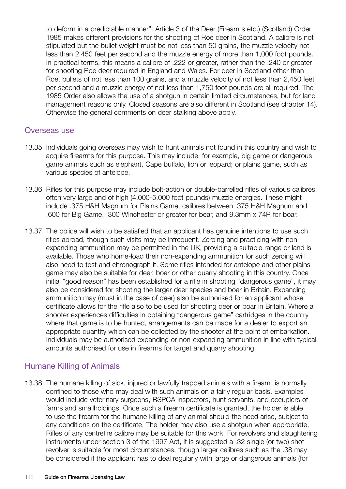to deform in a predictable manner". Article 3 of the Deer (Firearms etc.) (Scotland) Order 1985 makes different provisions for the shooting of Roe deer in Scotland. A calibre is not stipulated but the bullet weight must be not less than 50 grains, the muzzle velocity not less than 2,450 feet per second and the muzzle energy of more than 1,000 foot pounds. In practical terms, this means a calibre of .222 or greater, rather than the .240 or greater for shooting Roe deer required in England and Wales. For deer in Scotland other than Roe, bullets of not less than 100 grains, and a muzzle velocity of not less than 2,450 feet per second and a muzzle energy of not less than 1,750 foot pounds are all required. The 1985 Order also allows the use of a shotgun in certain limited circumstances, but for land management reasons only. Closed seasons are also different in Scotland (see chapter 14). Otherwise the general comments on deer stalking above apply.

#### Overseas use

- 13.35 Individuals going overseas may wish to hunt animals not found in this country and wish to acquire firearms for this purpose. This may include, for example, big game or dangerous game animals such as elephant, Cape buffalo, lion or leopard; or plains game, such as various species of antelope.
- 13.36 Rifles for this purpose may include bolt-action or double-barrelled rifles of various calibres, often very large and of high (4,000-5,000 foot pounds) muzzle energies. These might include .375 H&H Magnum for Plains Game, calibres between .375 H&H Magnum and .600 for Big Game, .300 Winchester or greater for bear, and 9.3mm x 74R for boar.
- 13.37 The police will wish to be satisfied that an applicant has genuine intentions to use such rifles abroad, though such visits may be infrequent. Zeroing and practicing with nonexpanding ammunition may be permitted in the UK, providing a suitable range or land is available. Those who home-load their non-expanding ammunition for such zeroing will also need to test and chronograph it. Some rifles intended for antelope and other plains game may also be suitable for deer, boar or other quarry shooting in this country. Once initial "good reason" has been established for a rifle in shooting "dangerous game", it may also be considered for shooting the larger deer species and boar in Britain. Expanding ammunition may (must in the case of deer) also be authorised for an applicant whose certificate allows for the rifle also to be used for shooting deer or boar in Britain. Where a shooter experiences difficulties in obtaining "dangerous game" cartridges in the country where that game is to be hunted, arrangements can be made for a dealer to export an appropriate quantity which can be collected by the shooter at the point of embarkation. Individuals may be authorised expanding or non-expanding ammunition in line with typical amounts authorised for use in firearms for target and quarry shooting.

## Humane Killing of Animals

13.38 The humane killing of sick, injured or lawfully trapped animals with a firearm is normally confined to those who may deal with such animals on a fairly regular basis. Examples would include veterinary surgeons, RSPCA inspectors, hunt servants, and occupiers of farms and smallholdings. Once such a firearm certificate is granted, the holder is able to use the firearm for the humane killing of any animal should the need arise, subject to any conditions on the certificate. The holder may also use a shotgun when appropriate. Rifles of any centrefire calibre may be suitable for this work. For revolvers and slaughtering instruments under section 3 of the 1997 Act, it is suggested a .32 single (or two) shot revolver is suitable for most circumstances, though larger calibres such as the .38 may be considered if the applicant has to deal regularly with large or dangerous animals (for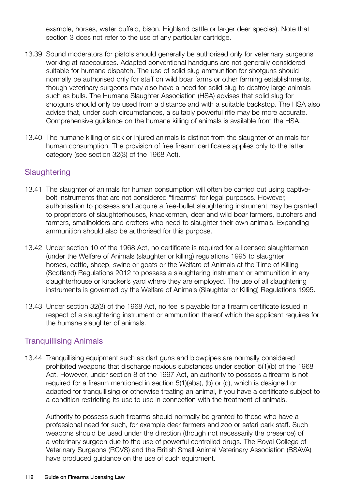example, horses, water buffalo, bison, Highland cattle or larger deer species). Note that section 3 does not refer to the use of any particular cartridge.

- 13.39 Sound moderators for pistols should generally be authorised only for veterinary surgeons working at racecourses. Adapted conventional handguns are not generally considered suitable for humane dispatch. The use of solid slug ammunition for shotguns should normally be authorised only for staff on wild boar farms or other farming establishments, though veterinary surgeons may also have a need for solid slug to destroy large animals such as bulls. The Humane Slaughter Association (HSA) advises that solid slug for shotguns should only be used from a distance and with a suitable backstop. The HSA also advise that, under such circumstances, a suitably powerful rifle may be more accurate. Comprehensive guidance on the humane killing of animals is available from the HSA.
- 13.40 The humane killing of sick or injured animals is distinct from the slaughter of animals for human consumption. The provision of free firearm certificates applies only to the latter category (see section 32(3) of the 1968 Act).

## **Slaughtering**

- 13.41 The slaughter of animals for human consumption will often be carried out using captivebolt instruments that are not considered "firearms" for legal purposes. However, authorisation to possess and acquire a free-bullet slaughtering instrument may be granted to proprietors of slaughterhouses, knackermen, deer and wild boar farmers, butchers and farmers, smallholders and crofters who need to slaughter their own animals. Expanding ammunition should also be authorised for this purpose.
- 13.42 Under section 10 of the 1968 Act, no certificate is required for a licensed slaughterman (under the Welfare of Animals (slaughter or killing) regulations 1995 to slaughter horses, cattle, sheep, swine or goats or the Welfare of Animals at the Time of Killing (Scotland) Regulations 2012 to possess a slaughtering instrument or ammunition in any slaughterhouse or knacker's yard where they are employed. The use of all slaughtering instruments is governed by the Welfare of Animals (Slaughter or Killing) Regulations 1995.
- 13.43 Under section 32(3) of the 1968 Act, no fee is payable for a firearm certificate issued in respect of a slaughtering instrument or ammunition thereof which the applicant requires for the humane slaughter of animals.

## Tranquillising Animals

13.44 Tranquillising equipment such as dart guns and blowpipes are normally considered prohibited weapons that discharge noxious substances under section 5(1)(b) of the 1968 Act. However, under section 8 of the 1997 Act, an authority to possess a firearm is not required for a firearm mentioned in section 5(1)(aba), (b) or (c), which is designed or adapted for tranquillising or otherwise treating an animal, if you have a certificate subject to a condition restricting its use to use in connection with the treatment of animals.

Authority to possess such firearms should normally be granted to those who have a professional need for such, for example deer farmers and zoo or safari park staff. Such weapons should be used under the direction (though not necessarily the presence) of a veterinary surgeon due to the use of powerful controlled drugs. The Royal College of Veterinary Surgeons (RCVS) and the British Small Animal Veterinary Association (BSAVA) have produced guidance on the use of such equipment.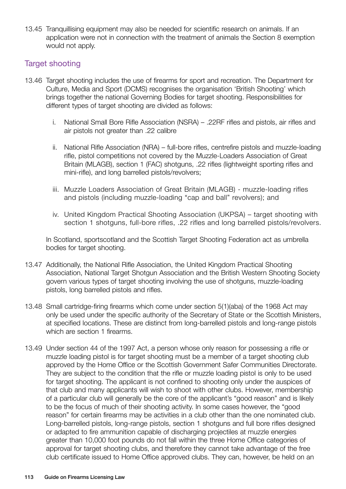13.45 Tranquillising equipment may also be needed for scientific research on animals. If an application were not in connection with the treatment of animals the Section 8 exemption would not apply.

## Target shooting

- 13.46 Target shooting includes the use of firearms for sport and recreation. The Department for Culture, Media and Sport (DCMS) recognises the organisation 'British Shooting' which brings together the national Governing Bodies for target shooting. Responsibilities for different types of target shooting are divided as follows:
	- i. National Small Bore Rifle Association (NSRA) .22RF rifles and pistols, air rifles and air pistols not greater than .22 calibre
	- ii. National Rifle Association (NRA) full-bore rifles, centrefire pistols and muzzle-loading rifle, pistol competitions not covered by the Muzzle-Loaders Association of Great Britain (MLAGB), section 1 (FAC) shotguns, .22 rifles (lightweight sporting rifles and mini-rifle), and long barrelled pistols/revolvers;
	- iii. Muzzle Loaders Association of Great Britain (MLAGB) muzzle-loading rifles and pistols (including muzzle-loading "cap and ball" revolvers); and
	- iv. United Kingdom Practical Shooting Association (UKPSA) target shooting with section 1 shotguns, full-bore rifles, .22 rifles and long barrelled pistols/revolvers.

In Scotland, sportscotland and the Scottish Target Shooting Federation act as umbrella bodies for target shooting.

- 13.47 Additionally, the National Rifle Association, the United Kingdom Practical Shooting Association, National Target Shotgun Association and the British Western Shooting Society govern various types of target shooting involving the use of shotguns, muzzle-loading pistols, long barrelled pistols and rifles.
- 13.48 Small cartridge-firing firearms which come under section 5(1)(aba) of the 1968 Act may only be used under the specific authority of the Secretary of State or the Scottish Ministers, at specified locations. These are distinct from long-barrelled pistols and long-range pistols which are section 1 firearms.
- 13.49 Under section 44 of the 1997 Act, a person whose only reason for possessing a rifle or muzzle loading pistol is for target shooting must be a member of a target shooting club approved by the Home Office or the Scottish Government Safer Communities Directorate. They are subject to the condition that the rifle or muzzle loading pistol is only to be used for target shooting. The applicant is not confined to shooting only under the auspices of that club and many applicants will wish to shoot with other clubs. However, membership of a particular club will generally be the core of the applicant's "good reason" and is likely to be the focus of much of their shooting activity. In some cases however, the "good reason" for certain firearms may be activities in a club other than the one nominated club. Long-barrelled pistols, long-range pistols, section 1 shotguns and full bore rifles designed or adapted to fire ammunition capable of discharging projectiles at muzzle energies greater than 10,000 foot pounds do not fall within the three Home Office categories of approval for target shooting clubs, and therefore they cannot take advantage of the free club certificate issued to Home Office approved clubs. They can, however, be held on an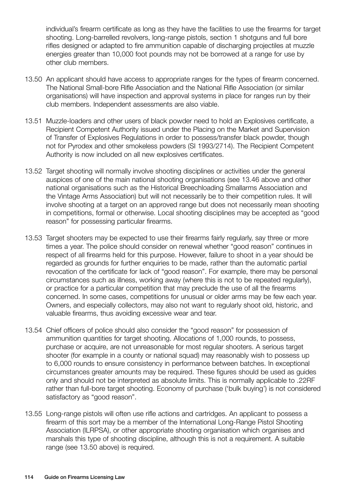individual's firearm certificate as long as they have the facilities to use the firearms for target shooting. Long-barrelled revolvers, long-range pistols, section 1 shotguns and full bore rifles designed or adapted to fire ammunition capable of discharging projectiles at muzzle energies greater than 10,000 foot pounds may not be borrowed at a range for use by other club members.

- 13.50 An applicant should have access to appropriate ranges for the types of firearm concerned. The National Small-bore Rifle Association and the National Rifle Association (or similar organisations) will have inspection and approval systems in place for ranges run by their club members. Independent assessments are also viable.
- 13.51 Muzzle-loaders and other users of black powder need to hold an Explosives certificate, a Recipient Competent Authority issued under the Placing on the Market and Supervision of Transfer of Explosives Regulations in order to possess/transfer black powder, though not for Pyrodex and other smokeless powders (SI 1993/2714). The Recipient Competent Authority is now included on all new explosives certificates.
- 13.52 Target shooting will normally involve shooting disciplines or activities under the general auspices of one of the main national shooting organisations (see 13.46 above and other national organisations such as the Historical Breechloading Smallarms Association and the Vintage Arms Association) but will not necessarily be to their competition rules. It will involve shooting at a target on an approved range but does not necessarily mean shooting in competitions, formal or otherwise. Local shooting disciplines may be accepted as "good reason" for possessing particular firearms.
- 13.53 Target shooters may be expected to use their firearms fairly regularly, say three or more times a year. The police should consider on renewal whether "good reason" continues in respect of all firearms held for this purpose. However, failure to shoot in a year should be regarded as grounds for further enquiries to be made, rather than the automatic partial revocation of the certificate for lack of "good reason". For example, there may be personal circumstances such as illness, working away (where this is not to be repeated regularly), or practice for a particular competition that may preclude the use of all the firearms concerned. In some cases, competitions for unusual or older arms may be few each year. Owners, and especially collectors, may also not want to regularly shoot old, historic, and valuable firearms, thus avoiding excessive wear and tear.
- 13.54 Chief officers of police should also consider the "good reason" for possession of ammunition quantities for target shooting. Allocations of 1,000 rounds, to possess, purchase or acquire, are not unreasonable for most regular shooters. A serious target shooter (for example in a county or national squad) may reasonably wish to possess up to 6,000 rounds to ensure consistency in performance between batches. In exceptional circumstances greater amounts may be required. These figures should be used as guides only and should not be interpreted as absolute limits. This is normally applicable to .22RF rather than full-bore target shooting. Economy of purchase ('bulk buying') is not considered satisfactory as "good reason".
- 13.55 Long-range pistols will often use rifle actions and cartridges. An applicant to possess a firearm of this sort may be a member of the International Long-Range Pistol Shooting Association (ILRPSA), or other appropriate shooting organisation which organises and marshals this type of shooting discipline, although this is not a requirement. A suitable range (see 13.50 above) is required.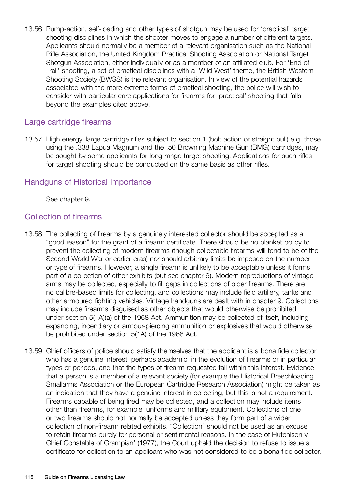13.56 Pump-action, self-loading and other types of shotgun may be used for 'practical' target shooting disciplines in which the shooter moves to engage a number of different targets. Applicants should normally be a member of a relevant organisation such as the National Rifle Association, the United Kingdom Practical Shooting Association or National Target Shotgun Association, either individually or as a member of an affiliated club. For 'End of Trail' shooting, a set of practical disciplines with a 'Wild West' theme, the British Western Shooting Society (BWSS) is the relevant organisation. In view of the potential hazards associated with the more extreme forms of practical shooting, the police will wish to consider with particular care applications for firearms for 'practical' shooting that falls beyond the examples cited above.

## Large cartridge firearms

13.57 High energy, large cartridge rifles subject to section 1 (bolt action or straight pull) e.g. those using the .338 Lapua Magnum and the .50 Browning Machine Gun (BMG) cartridges, may be sought by some applicants for long range target shooting. Applications for such rifles for target shooting should be conducted on the same basis as other rifles.

## Handguns of Historical Importance

See chapter 9.

## Collection of firearms

- 13.58 The collecting of firearms by a genuinely interested collector should be accepted as a "good reason" for the grant of a firearm certificate. There should be no blanket policy to prevent the collecting of modern firearms (though collectable firearms will tend to be of the Second World War or earlier eras) nor should arbitrary limits be imposed on the number or type of firearms. However, a single firearm is unlikely to be acceptable unless it forms part of a collection of other exhibits (but see chapter 9). Modern reproductions of vintage arms may be collected, especially to fill gaps in collections of older firearms. There are no calibre-based limits for collecting, and collections may include field artillery, tanks and other armoured fighting vehicles. Vintage handguns are dealt with in chapter 9. Collections may include firearms disguised as other objects that would otherwise be prohibited under section 5(1A)(a) of the 1968 Act. Ammunition may be collected of itself, including expanding, incendiary or armour-piercing ammunition or explosives that would otherwise be prohibited under section 5(1A) of the 1968 Act.
- 13.59 Chief officers of police should satisfy themselves that the applicant is a bona fide collector who has a genuine interest, perhaps academic, in the evolution of firearms or in particular types or periods, and that the types of firearm requested fall within this interest. Evidence that a person is a member of a relevant society (for example the Historical Breechloading Smallarms Association or the European Cartridge Research Association) might be taken as an indication that they have a genuine interest in collecting, but this is not a requirement. Firearms capable of being fired may be collected, and a collection may include items other than firearms, for example, uniforms and military equipment. Collections of one or two firearms should not normally be accepted unless they form part of a wider collection of non-firearm related exhibits. "Collection" should not be used as an excuse to retain firearms purely for personal or sentimental reasons. In the case of Hutchison v Chief Constable of Grampian' (1977), the Court upheld the decision to refuse to issue a certificate for collection to an applicant who was not considered to be a bona fide collector.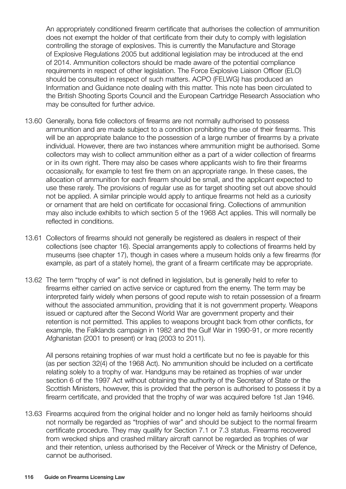An appropriately conditioned firearm certificate that authorises the collection of ammunition does not exempt the holder of that certificate from their duty to comply with legislation controlling the storage of explosives. This is currently the Manufacture and Storage of Explosive Regulations 2005 but additional legislation may be introduced at the end of 2014. Ammunition collectors should be made aware of the potential compliance requirements in respect of other legislation. The Force Explosive Liaison Officer (ELO) should be consulted in respect of such matters. ACPO (FELWG) has produced an Information and Guidance note dealing with this matter. This note has been circulated to the British Shooting Sports Council and the European Cartridge Research Association who may be consulted for further advice.

- 13.60 Generally, bona fide collectors of firearms are not normally authorised to possess ammunition and are made subject to a condition prohibiting the use of their firearms. This will be an appropriate balance to the possession of a large number of firearms by a private individual. However, there are two instances where ammunition might be authorised. Some collectors may wish to collect ammunition either as a part of a wider collection of firearms or in its own right. There may also be cases where applicants wish to fire their firearms occasionally, for example to test fire them on an appropriate range. In these cases, the allocation of ammunition for each firearm should be small, and the applicant expected to use these rarely. The provisions of regular use as for target shooting set out above should not be applied. A similar principle would apply to antique firearms not held as a curiosity or ornament that are held on certificate for occasional firing. Collections of ammunition may also include exhibits to which section 5 of the 1968 Act applies. This will normally be reflected in conditions.
- 13.61 Collectors of firearms should not generally be registered as dealers in respect of their collections (see chapter 16). Special arrangements apply to collections of firearms held by museums (see chapter 17), though in cases where a museum holds only a few firearms (for example, as part of a stately home), the grant of a firearm certificate may be appropriate.
- 13.62 The term "trophy of war" is not defined in legislation, but is generally held to refer to firearms either carried on active service or captured from the enemy. The term may be interpreted fairly widely when persons of good repute wish to retain possession of a firearm without the associated ammunition, providing that it is not government property. Weapons issued or captured after the Second World War are government property and their retention is not permitted. This applies to weapons brought back from other conflicts, for example, the Falklands campaign in 1982 and the Gulf War in 1990-91, or more recently Afghanistan (2001 to present) or Iraq (2003 to 2011).

All persons retaining trophies of war must hold a certificate but no fee is payable for this (as per section 32(4) of the 1968 Act). No ammunition should be included on a certificate relating solely to a trophy of war. Handguns may be retained as trophies of war under section 6 of the 1997 Act without obtaining the authority of the Secretary of State or the Scottish Ministers, however, this is provided that the person is authorised to possess it by a firearm certificate, and provided that the trophy of war was acquired before 1st Jan 1946.

13.63 Firearms acquired from the original holder and no longer held as family heirlooms should not normally be regarded as "trophies of war" and should be subject to the normal firearm certificate procedure. They may qualify for Section 7.1 or 7.3 status. Firearms recovered from wrecked ships and crashed military aircraft cannot be regarded as trophies of war and their retention, unless authorised by the Receiver of Wreck or the Ministry of Defence, cannot be authorised.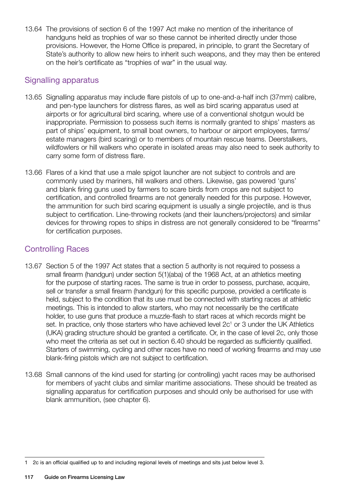13.64 The provisions of section 6 of the 1997 Act make no mention of the inheritance of handguns held as trophies of war so these cannot be inherited directly under those provisions. However, the Home Office is prepared, in principle, to grant the Secretary of State's authority to allow new heirs to inherit such weapons, and they may then be entered on the heir's certificate as "trophies of war" in the usual way.

## Signalling apparatus

- 13.65 Signalling apparatus may include flare pistols of up to one-and-a-half inch (37mm) calibre, and pen-type launchers for distress flares, as well as bird scaring apparatus used at airports or for agricultural bird scaring, where use of a conventional shotgun would be inappropriate. Permission to possess such items is normally granted to ships' masters as part of ships' equipment, to small boat owners, to harbour or airport employees, farms/ estate managers (bird scaring) or to members of mountain rescue teams. Deerstalkers, wildfowlers or hill walkers who operate in isolated areas may also need to seek authority to carry some form of distress flare.
- 13.66 Flares of a kind that use a male spigot launcher are not subject to controls and are commonly used by mariners, hill walkers and others. Likewise, gas powered 'guns' and blank firing guns used by farmers to scare birds from crops are not subject to certification, and controlled firearms are not generally needed for this purpose. However, the ammunition for such bird scaring equipment is usually a single projectile, and is thus subject to certification. Line-throwing rockets (and their launchers/projectors) and similar devices for throwing ropes to ships in distress are not generally considered to be "firearms" for certification purposes.

## Controlling Races

- 13.67 Section 5 of the 1997 Act states that a section 5 authority is not required to possess a small firearm (handgun) under section 5(1)(aba) of the 1968 Act, at an athletics meeting for the purpose of starting races. The same is true in order to possess, purchase, acquire, sell or transfer a small firearm (handgun) for this specific purpose, provided a certificate is held, subject to the condition that its use must be connected with starting races at athletic meetings. This is intended to allow starters, who may not necessarily be the certificate holder, to use guns that produce a muzzle-flash to start races at which records might be set. In practice, only those starters who have achieved level 2c<sup>1</sup> or 3 under the UK Athletics (UKA) grading structure should be granted a certificate. Or, in the case of level 2c, only those who meet the criteria as set out in section 6.40 should be regarded as sufficiently qualified. Starters of swimming, cycling and other races have no need of working firearms and may use blank-firing pistols which are not subject to certification.
- 13.68 Small cannons of the kind used for starting (or controlling) yacht races may be authorised for members of yacht clubs and similar maritime associations. These should be treated as signalling apparatus for certification purposes and should only be authorised for use with blank ammunition, (see chapter 6).

<sup>1</sup> 2c is an official qualified up to and including regional levels of meetings and sits just below level 3.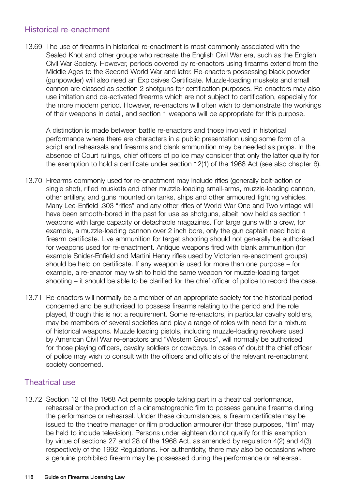## Historical re-enactment

13.69 The use of firearms in historical re-enactment is most commonly associated with the Sealed Knot and other groups who recreate the English Civil War era, such as the English Civil War Society. However, periods covered by re-enactors using firearms extend from the Middle Ages to the Second World War and later. Re-enactors possessing black powder (gunpowder) will also need an Explosives Certificate. Muzzle-loading muskets and small cannon are classed as section 2 shotguns for certification purposes. Re-enactors may also use imitation and de-activated firearms which are not subject to certification, especially for the more modern period. However, re-enactors will often wish to demonstrate the workings of their weapons in detail, and section 1 weapons will be appropriate for this purpose.

A distinction is made between battle re-enactors and those involved in historical performance where there are characters in a public presentation using some form of a script and rehearsals and firearms and blank ammunition may be needed as props. In the absence of Court rulings, chief officers of police may consider that only the latter qualify for the exemption to hold a certificate under section 12(1) of the 1968 Act (see also chapter 6).

- 13.70 Firearms commonly used for re-enactment may include rifles (generally bolt-action or single shot), rifled muskets and other muzzle-loading small-arms, muzzle-loading cannon, other artillery, and guns mounted on tanks, ships and other armoured fighting vehicles. Many Lee-Enfield .303 "rifles" and any other rifles of World War One and Two vintage will have been smooth-bored in the past for use as shotguns, albeit now held as section 1 weapons with large capacity or detachable magazines. For large guns with a crew, for example, a muzzle-loading cannon over 2 inch bore, only the gun captain need hold a firearm certificate. Live ammunition for target shooting should not generally be authorised for weapons used for re-enactment. Antique weapons fired with blank ammunition (for example Snider-Enfield and Martini Henry rifles used by Victorian re-enactment groups) should be held on certificate. If any weapon is used for more than one purpose – for example, a re-enactor may wish to hold the same weapon for muzzle-loading target shooting – it should be able to be clarified for the chief officer of police to record the case.
- 13.71 Re-enactors will normally be a member of an appropriate society for the historical period concerned and be authorised to possess firearms relating to the period and the role played, though this is not a requirement. Some re-enactors, in particular cavalry soldiers, may be members of several societies and play a range of roles with need for a mixture of historical weapons. Muzzle loading pistols, including muzzle-loading revolvers used by American Civil War re-enactors and "Western Groups", will normally be authorised for those playing officers, cavalry soldiers or cowboys. In cases of doubt the chief officer of police may wish to consult with the officers and officials of the relevant re-enactment society concerned.

## Theatrical use

13.72 Section 12 of the 1968 Act permits people taking part in a theatrical performance, rehearsal or the production of a cinematographic film to possess genuine firearms during the performance or rehearsal. Under these circumstances, a firearm certificate may be issued to the theatre manager or film production armourer (for these purposes, 'film' may be held to include television). Persons under eighteen do not qualify for this exemption by virtue of sections 27 and 28 of the 1968 Act, as amended by regulation 4(2) and 4(3) respectively of the 1992 Regulations. For authenticity, there may also be occasions where a genuine prohibited firearm may be possessed during the performance or rehearsal.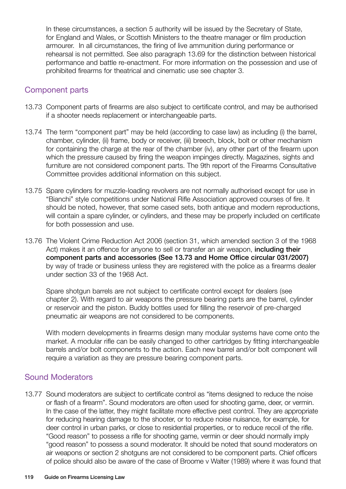In these circumstances, a section 5 authority will be issued by the Secretary of State, for England and Wales, or Scottish Ministers to the theatre manager or film production armourer. In all circumstances, the firing of live ammunition during performance or rehearsal is not permitted. See also paragraph 13.69 for the distinction between historical performance and battle re-enactment. For more information on the possession and use of prohibited firearms for theatrical and cinematic use see chapter 3.

## Component parts

- 13.73 Component parts of firearms are also subject to certificate control, and may be authorised if a shooter needs replacement or interchangeable parts.
- 13.74 The term "component part" may be held (according to case law) as including (i) the barrel, chamber, cylinder, (ii) frame, body or receiver, (iii) breech, block, bolt or other mechanism for containing the charge at the rear of the chamber (iv), any other part of the firearm upon which the pressure caused by firing the weapon impinges directly. Magazines, sights and furniture are not considered component parts. The 9th report of the Firearms Consultative Committee provides additional information on this subject.
- 13.75 Spare cylinders for muzzle-loading revolvers are not normally authorised except for use in "Bianchi" style competitions under National Rifle Association approved courses of fire. It should be noted, however, that some cased sets, both antique and modern reproductions, will contain a spare cylinder, or cylinders, and these may be properly included on certificate for both possession and use.
- 13.76 The Violent Crime Reduction Act 2006 (section 31, which amended section 3 of the 1968 Act) makes it an offence for anyone to sell or transfer an air weapon, **including their** component parts and accessories (See 13.73 and Home Office circular 031/2007) by way of trade or business unless they are registered with the police as a firearms dealer under section 33 of the 1968 Act.

Spare shotgun barrels are not subject to certificate control except for dealers (see chapter 2). With regard to air weapons the pressure bearing parts are the barrel, cylinder or reservoir and the piston. Buddy bottles used for filling the reservoir of pre-charged pneumatic air weapons are not considered to be components.

With modern developments in firearms design many modular systems have come onto the market. A modular rifle can be easily changed to other cartridges by fitting interchangeable barrels and/or bolt components to the action. Each new barrel and/or bolt component will require a variation as they are pressure bearing component parts.

## Sound Moderators

13.77 Sound moderators are subject to certificate control as "items designed to reduce the noise or flash of a firearm". Sound moderators are often used for shooting game, deer, or vermin. In the case of the latter, they might facilitate more effective pest control. They are appropriate for reducing hearing damage to the shooter, or to reduce noise nuisance, for example, for deer control in urban parks, or close to residential properties, or to reduce recoil of the rifle. "Good reason" to possess a rifle for shooting game, vermin or deer should normally imply "good reason" to possess a sound moderator. It should be noted that sound moderators on air weapons or section 2 shotguns are not considered to be component parts. Chief officers of police should also be aware of the case of Broome v Walter (1989) where it was found that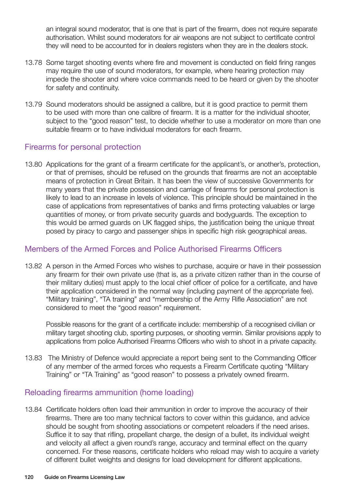an integral sound moderator, that is one that is part of the firearm, does not require separate authorisation. Whilst sound moderators for air weapons are not subject to certificate control they will need to be accounted for in dealers registers when they are in the dealers stock.

- 13.78 Some target shooting events where fire and movement is conducted on field firing ranges may require the use of sound moderators, for example, where hearing protection may impede the shooter and where voice commands need to be heard or given by the shooter for safety and continuity.
- 13.79 Sound moderators should be assigned a calibre, but it is good practice to permit them to be used with more than one calibre of firearm. It is a matter for the individual shooter, subject to the "good reason" test, to decide whether to use a moderator on more than one suitable firearm or to have individual moderators for each firearm.

## Firearms for personal protection

13.80 Applications for the grant of a firearm certificate for the applicant's, or another's, protection, or that of premises, should be refused on the grounds that firearms are not an acceptable means of protection in Great Britain. It has been the view of successive Governments for many years that the private possession and carriage of firearms for personal protection is likely to lead to an increase in levels of violence. This principle should be maintained in the case of applications from representatives of banks and firms protecting valuables or large quantities of money, or from private security guards and bodyguards. The exception to this would be armed guards on UK flagged ships, the justification being the unique threat posed by piracy to cargo and passenger ships in specific high risk geographical areas.

## Members of the Armed Forces and Police Authorised Firearms Officers

13.82 A person in the Armed Forces who wishes to purchase, acquire or have in their possession any firearm for their own private use (that is, as a private citizen rather than in the course of their military duties) must apply to the local chief officer of police for a certificate, and have their application considered in the normal way (including payment of the appropriate fee). "Military training", "TA training" and "membership of the Army Rifle Association" are not considered to meet the "good reason" requirement.

Possible reasons for the grant of a certificate include: membership of a recognised civilian or military target shooting club, sporting purposes, or shooting vermin. Similar provisions apply to applications from police Authorised Firearms Officers who wish to shoot in a private capacity.

13.83 The Ministry of Defence would appreciate a report being sent to the Commanding Officer of any member of the armed forces who requests a Firearm Certificate quoting "Military Training" or "TA Training" as "good reason" to possess a privately owned firearm.

## Reloading firearms ammunition (home loading)

13.84 Certificate holders often load their ammunition in order to improve the accuracy of their firearms. There are too many technical factors to cover within this guidance, and advice should be sought from shooting associations or competent reloaders if the need arises. Suffice it to say that rifling, propellant charge, the design of a bullet, its individual weight and velocity all affect a given round's range, accuracy and terminal effect on the quarry concerned. For these reasons, certificate holders who reload may wish to acquire a variety of different bullet weights and designs for load development for different applications.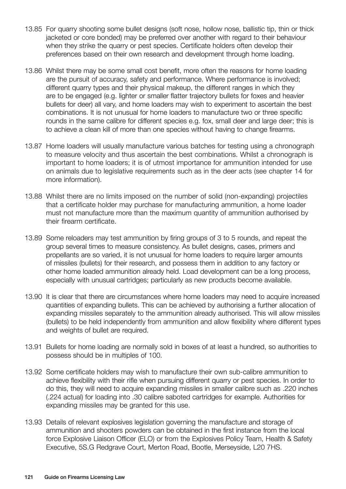- 13.85 For quarry shooting some bullet designs (soft nose, hollow nose, ballistic tip, thin or thick jacketed or core bonded) may be preferred over another with regard to their behaviour when they strike the quarry or pest species. Certificate holders often develop their preferences based on their own research and development through home loading.
- 13.86 Whilst there may be some small cost benefit, more often the reasons for home loading are the pursuit of accuracy, safety and performance. Where performance is involved; different quarry types and their physical makeup, the different ranges in which they are to be engaged (e.g. lighter or smaller flatter trajectory bullets for foxes and heavier bullets for deer) all vary, and home loaders may wish to experiment to ascertain the best combinations. It is not unusual for home loaders to manufacture two or three specific rounds in the same calibre for different species e.g. fox, small deer and large deer; this is to achieve a clean kill of more than one species without having to change firearms.
- 13.87 Home loaders will usually manufacture various batches for testing using a chronograph to measure velocity and thus ascertain the best combinations. Whilst a chronograph is important to home loaders; it is of utmost importance for ammunition intended for use on animals due to legislative requirements such as in the deer acts (see chapter 14 for more information).
- 13.88 Whilst there are no limits imposed on the number of solid (non-expanding) projectiles that a certificate holder may purchase for manufacturing ammunition, a home loader must not manufacture more than the maximum quantity of ammunition authorised by their firearm certificate.
- 13.89 Some reloaders may test ammunition by firing groups of 3 to 5 rounds, and repeat the group several times to measure consistency. As bullet designs, cases, primers and propellants are so varied, it is not unusual for home loaders to require larger amounts of missiles (bullets) for their research, and possess them in addition to any factory or other home loaded ammunition already held. Load development can be a long process, especially with unusual cartridges; particularly as new products become available.
- 13.90 It is clear that there are circumstances where home loaders may need to acquire increased quantities of expanding bullets. This can be achieved by authorising a further allocation of expanding missiles separately to the ammunition already authorised. This will allow missiles (bullets) to be held independently from ammunition and allow flexibility where different types and weights of bullet are required.
- 13.91 Bullets for home loading are normally sold in boxes of at least a hundred, so authorities to possess should be in multiples of 100.
- 13.92 Some certificate holders may wish to manufacture their own sub-calibre ammunition to achieve flexibility with their rifle when pursuing different quarry or pest species. In order to do this, they will need to acquire expanding missiles in smaller calibre such as .220 inches (.224 actual) for loading into .30 calibre saboted cartridges for example. Authorities for expanding missiles may be granted for this use.
- 13.93 Details of relevant explosives legislation governing the manufacture and storage of ammunition and shooters powders can be obtained in the first instance from the local force Explosive Liaison Officer (ELO) or from the Explosives Policy Team, Health & Safety Executive, 5S.G Redgrave Court, Merton Road, Bootle, Merseyside, L20 7HS.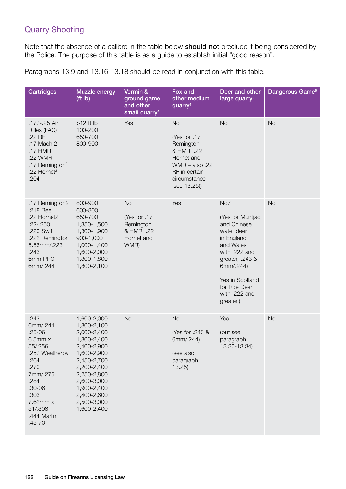# Quarry Shooting

Note that the absence of a calibre in the table below **should not** preclude it being considered by the Police. The purpose of this table is as a guide to establish initial "good reason".

Paragraphs 13.9 and 13.16-13.18 should be read in conjunction with this table.

| Cartridges                                                                                                                                                                            | <b>Muzzle energy</b><br>(ft lb)                                                                                                                                                                                | Vermin &<br>ground game<br>and other<br>small quarry <sup>3</sup>         | Fox and<br>other medium<br>quarry <sup>4</sup>                                                                                         | Deer and other<br>large quarry <sup>5</sup>                                                                                                                                                       | Dangerous Game <sup>6</sup> |
|---------------------------------------------------------------------------------------------------------------------------------------------------------------------------------------|----------------------------------------------------------------------------------------------------------------------------------------------------------------------------------------------------------------|---------------------------------------------------------------------------|----------------------------------------------------------------------------------------------------------------------------------------|---------------------------------------------------------------------------------------------------------------------------------------------------------------------------------------------------|-----------------------------|
| .177-.25 Air<br>Rifles (FAC) <sup>1</sup><br>.22 RF<br>.17 Mach 2<br>.17 HMR<br>.22 WMR<br>.17 Remington <sup>2</sup><br>.22 Hornet <sup>2</sup><br>.204                              | $>12$ ft lb<br>100-200<br>650-700<br>800-900                                                                                                                                                                   | Yes                                                                       | <b>No</b><br>Yes for .17<br>Remington<br>& HMR, .22<br>Hornet and<br>WMR $-$ also .22<br>RF in certain<br>circumstance<br>(see 13.25)) | <b>No</b>                                                                                                                                                                                         | <b>No</b>                   |
| .17 Remington2<br>.218 Bee<br>.22 Hornet2<br>$.22 - .250$<br>.220 Swift<br>.222 Remington<br>5.56mm/.223<br>.243<br>6mm PPC<br>6mm/.244                                               | 800-900<br>600-800<br>650-700<br>1,350-1,500<br>1,300-1,900<br>900-1,000<br>1,000-1,400<br>1,600-2,000<br>1,300-1,800<br>1,800-2,100                                                                           | <b>No</b><br>Yes for .17<br>Remington<br>& HMR, .22<br>Hornet and<br>WMR) | Yes                                                                                                                                    | No7<br>(Yes for Muntjac<br>and Chinese<br>water deer<br>in England<br>and Wales<br>with .222 and<br>greater, .243 &<br>6mm/.244)<br>Yes in Scotland<br>for Roe Deer<br>with .222 and<br>greater.) | <b>No</b>                   |
| .243<br>6mm/.244<br>$.25 - 06$<br>$6.5$ mm $x$<br>55/.256<br>.257 Weatherby<br>.264<br>.270<br>7mm/.275<br>.284<br>$.30 - 06$<br>.303<br>7.62mm x<br>51/.308<br>.444 Marlin<br>.45-70 | 1,600-2,000<br>1,800-2,100<br>2,000-2,400<br>1,800-2,400<br>2,400-2,900<br>1,600-2,900<br>2,450-2,700<br>2,200-2,400<br>2,250-2,800<br>2,600-3,000<br>1,900-2,400<br>2,400-2,600<br>2,500-3,000<br>1,600-2,400 | <b>No</b>                                                                 | <b>No</b><br>(Yes for .243 &<br>6mm/.244)<br>(see also<br>paragraph<br>13.25                                                           | Yes<br>(but see<br>paragraph<br>13.30-13.34)                                                                                                                                                      | <b>No</b>                   |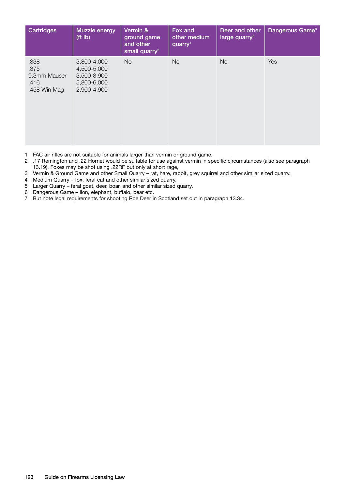| <b>Cartridges</b>                                    | <b>Muzzle energy</b><br>(tt lb)                                         | Vermin &<br>ground game<br>and other<br>small quarry <sup>3</sup> | Fox and<br>other medium<br>quarry <sup>4</sup> | Deer and other<br>large quarry <sup>5</sup> | Dangerous Game <sup>6</sup> |
|------------------------------------------------------|-------------------------------------------------------------------------|-------------------------------------------------------------------|------------------------------------------------|---------------------------------------------|-----------------------------|
| .338<br>.375<br>9.3mm Mauser<br>.416<br>.458 Win Mag | 3,800-4,000<br>4,500-5,000<br>3,500-3,900<br>5,800-6,000<br>2,900-4,900 | <b>No</b>                                                         | No.                                            | N <sub>o</sub>                              | Yes                         |

- 1 FAC air rifles are not suitable for animals larger than vermin or ground game.
- 2 .17 Remington and .22 Hornet would be suitable for use against vermin in specific circumstances (also see paragraph 13.19). Foxes may be shot using .22RF but only at short rage,
- 3 Vermin & Ground Game and other Small Quarry rat, hare, rabbit, grey squirrel and other similar sized quarry.
- 4 Medium Quarry fox, feral cat and other similar sized quarry.
- 5 Larger Quarry feral goat, deer, boar, and other similar sized quarry.<br>6 Dangerous Game lion, elephant, buffalo, bear etc.
- 6 Dangerous Game lion, elephant, buffalo, bear etc.
- 7 But note legal requirements for shooting Roe Deer in Scotland set out in paragraph 13.34.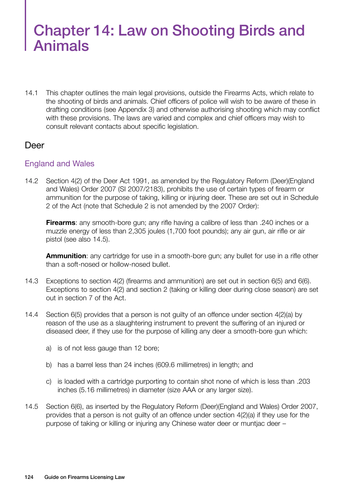# Chapter 14: Law on Shooting Birds and Animals

14.1 This chapter outlines the main legal provisions, outside the Firearms Acts, which relate to the shooting of birds and animals. Chief officers of police will wish to be aware of these in drafting conditions (see Appendix 3) and otherwise authorising shooting which may conflict with these provisions. The laws are varied and complex and chief officers may wish to consult relevant contacts about specific legislation.

## Deer

## England and Wales

14.2 Section 4(2) of the Deer Act 1991, as amended by the Regulatory Reform (Deer)(England and Wales) Order 2007 (SI 2007/2183), prohibits the use of certain types of firearm or ammunition for the purpose of taking, killing or injuring deer. These are set out in Schedule 2 of the Act (note that Schedule 2 is not amended by the 2007 Order):

**Firearms**: any smooth-bore gun; any rifle having a calibre of less than .240 inches or a muzzle energy of less than 2,305 joules (1,700 foot pounds); any air gun, air rifle or air pistol (see also 14.5).

**Ammunition**: any cartridge for use in a smooth-bore gun; any bullet for use in a rifle other than a soft-nosed or hollow-nosed bullet.

- 14.3 Exceptions to section 4(2) (firearms and ammunition) are set out in section 6(5) and 6(6). Exceptions to section 4(2) and section 2 (taking or killing deer during close season) are set out in section 7 of the Act.
- 14.4 Section 6(5) provides that a person is not guilty of an offence under section 4(2)(a) by reason of the use as a slaughtering instrument to prevent the suffering of an injured or diseased deer, if they use for the purpose of killing any deer a smooth-bore gun which:
	- a) is of not less gauge than 12 bore;
	- b) has a barrel less than 24 inches (609.6 millimetres) in length; and
	- c) is loaded with a cartridge purporting to contain shot none of which is less than .203 inches (5.16 millimetres) in diameter (size AAA or any larger size).
- 14.5 Section 6(6), as inserted by the Regulatory Reform (Deer)(England and Wales) Order 2007, provides that a person is not guilty of an offence under section 4(2)(a) if they use for the purpose of taking or killing or injuring any Chinese water deer or muntjac deer –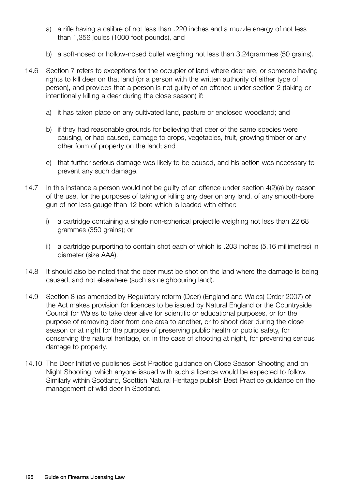- a) a rifle having a calibre of not less than .220 inches and a muzzle energy of not less than 1,356 joules (1000 foot pounds), and
- b) a soft-nosed or hollow-nosed bullet weighing not less than 3.24grammes (50 grains).
- 14.6 Section 7 refers to exceptions for the occupier of land where deer are, or someone having rights to kill deer on that land (or a person with the written authority of either type of person), and provides that a person is not guilty of an offence under section 2 (taking or intentionally killing a deer during the close season) if:
	- a) it has taken place on any cultivated land, pasture or enclosed woodland; and
	- b) if they had reasonable grounds for believing that deer of the same species were causing, or had caused, damage to crops, vegetables, fruit, growing timber or any other form of property on the land; and
	- c) that further serious damage was likely to be caused, and his action was necessary to prevent any such damage.
- 14.7 In this instance a person would not be guilty of an offence under section 4(2)(a) by reason of the use, for the purposes of taking or killing any deer on any land, of any smooth-bore gun of not less gauge than 12 bore which is loaded with either:
	- i) a cartridge containing a single non-spherical projectile weighing not less than 22.68 grammes (350 grains); or
	- ii) a cartridge purporting to contain shot each of which is .203 inches (5.16 millimetres) in diameter (size AAA).
- 14.8 It should also be noted that the deer must be shot on the land where the damage is being caused, and not elsewhere (such as neighbouring land).
- 14.9 Section 8 (as amended by Regulatory reform (Deer) (England and Wales) Order 2007) of the Act makes provision for licences to be issued by Natural England or the Countryside Council for Wales to take deer alive for scientific or educational purposes, or for the purpose of removing deer from one area to another, or to shoot deer during the close season or at night for the purpose of preserving public health or public safety, for conserving the natural heritage, or, in the case of shooting at night, for preventing serious damage to property.
- 14.10 The Deer Initiative publishes Best Practice guidance on Close Season Shooting and on Night Shooting, which anyone issued with such a licence would be expected to follow. Similarly within Scotland, Scottish Natural Heritage publish Best Practice guidance on the management of wild deer in Scotland.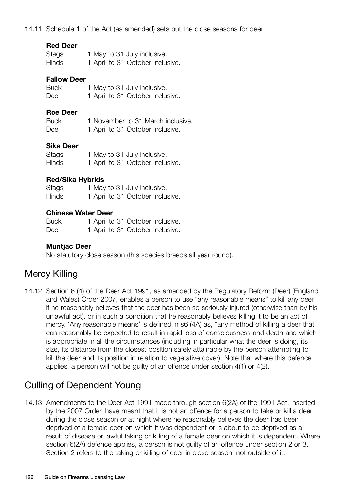14.11 Schedule 1 of the Act (as amended) sets out the close seasons for deer:

| Stags | 1 May to 31 July inclusive.      |
|-------|----------------------------------|
| Hinds | 1 April to 31 October inclusive. |

#### **Fallow Deer**

| <b>Buck</b> | 1 May to 31 July inclusive.      |
|-------------|----------------------------------|
| Doe         | 1 April to 31 October inclusive. |

#### **Roe Deer**

| <b>Buck</b> | 1 November to 31 March inclusive. |
|-------------|-----------------------------------|
| Doe         | 1 April to 31 October inclusive.  |

#### **Sika Deer**

| <b>Stags</b> | 1 May to 31 July inclusive.      |
|--------------|----------------------------------|
| <b>Hinds</b> | 1 April to 31 October inclusive. |

#### **Red/Sika Hybrids**

| Stags        | 1 May to 31 July inclusive.      |
|--------------|----------------------------------|
| <b>Hinds</b> | 1 April to 31 October inclusive. |

#### **Chinese Water Deer**

| <b>Buck</b> | 1 April to 31 October inclusive. |
|-------------|----------------------------------|
| Doe         | 1 April to 31 October inclusive. |

#### **Muntjac Deer**

No statutory close season (this species breeds all year round).

# Mercy Killing

14.12 Section 6 (4) of the Deer Act 1991, as amended by the Regulatory Reform (Deer) (England and Wales) Order 2007, enables a person to use "any reasonable means" to kill any deer if he reasonably believes that the deer has been so seriously injured (otherwise than by his unlawful act), or in such a condition that he reasonably believes killing it to be an act of mercy. 'Any reasonable means' is defined in s6 (4A) as, "any method of killing a deer that can reasonably be expected to result in rapid loss of consciousness and death and which is appropriate in all the circumstances (including in particular what the deer is doing, its size, its distance from the closest position safely attainable by the person attempting to kill the deer and its position in relation to vegetative cover). Note that where this defence applies, a person will not be guilty of an offence under section 4(1) or 4(2).

# Culling of Dependent Young

14.13 Amendments to the Deer Act 1991 made through section 6(2A) of the 1991 Act, inserted by the 2007 Order, have meant that it is not an offence for a person to take or kill a deer during the close season or at night where he reasonably believes the deer has been deprived of a female deer on which it was dependent or is about to be deprived as a result of disease or lawful taking or killing of a female deer on which it is dependent. Where section 6(2A) defence applies, a person is not guilty of an offence under section 2 or 3. Section 2 refers to the taking or killing of deer in close season, not outside of it.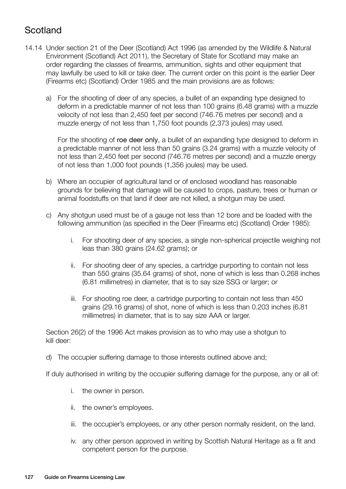# **Scotland**

- 14.14 Under section 21 of the Deer (Scotland) Act 1996 (as amended by the Wildlife & Natural Environment (Scotland) Act 2011), the Secretary of State for Scotland may make an order regarding the classes of firearms, ammunition, sights and other equipment that may lawfully be used to kill or take deer. The current order on this point is the earlier Deer (Firearms etc) (Scotland) Order 1985 and the main provisions are as follows:
	- a) For the shooting of deer of any species, a bullet of an expanding type designed to deform in a predictable manner of not less than 100 grains (6.48 grams) with a muzzle velocity of not less than 2,450 feet per second (746.76 metres per second) and a muzzle energy of not less than 1,750 foot pounds (2,373 joules) may used.

For the shooting of roe deer only, a bullet of an expanding type designed to deform in a predictable manner of not less than 50 grains (3.24 grams) with a muzzle velocity of not less than 2,450 feet per second (746.76 metres per second) and a muzzle energy of not less than 1,000 foot pounds (1,356 joules) may be used.

- b) Where an occupier of agricultural land or of enclosed woodland has reasonable grounds for believing that damage will be caused to crops, pasture, trees or human or animal foodstuffs on that land if deer are not killed, a shotgun may be used.
- c) Any shotgun used must be of a gauge not less than 12 bore and be loaded with the following ammunition (as specified in the Deer (Firearms etc) (Scotland) Order 1985):
	- i. For shooting deer of any species, a single non-spherical projectile weighing not leas than 380 grains (24.62 grams); or
	- ii. For shooting deer of any species, a cartridge purporting to contain not less than 550 grains (35.64 grams) of shot, none of which is less than 0.268 inches (6.81 millimetres) in diameter, that is to say size SSG or larger; or
	- iii. For shooting roe deer, a cartridge purporting to contain not less than 450 grains (29.16 grams) of shot, none of which is less than 0.203 inches (6.81 millimetres) in diameter, that is to say size AAA or larger.

Section 26(2) of the 1996 Act makes provision as to who may use a shotgun to kill deer:

d) The occupier suffering damage to those interests outlined above and;

If duly authorised in writing by the occupier suffering damage for the purpose, any or all of:

- i. the owner in person.
- ii. the owner's employees.
- iii. the occupier's employees, or any other person normally resident, on the land.
- iv. any other person approved in writing by Scottish Natural Heritage as a fit and competent person for the purpose.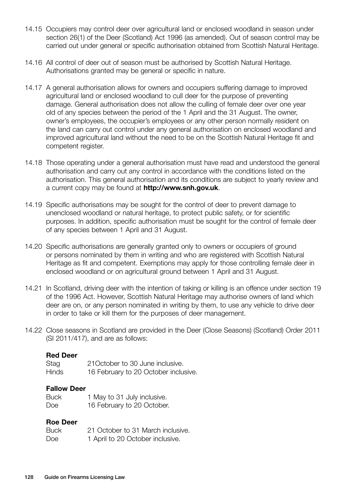- 14.15 Occupiers may control deer over agricultural land or enclosed woodland in season under section 26(1) of the Deer (Scotland) Act 1996 (as amended). Out of season control may be carried out under general or specific authorisation obtained from Scottish Natural Heritage.
- 14.16 All control of deer out of season must be authorised by Scottish Natural Heritage. Authorisations granted may be general or specific in nature.
- 14.17 A general authorisation allows for owners and occupiers suffering damage to improved agricultural land or enclosed woodland to cull deer for the purpose of preventing damage. General authorisation does not allow the culling of female deer over one year old of any species between the period of the 1 April and the 31 August. The owner, owner's employees, the occupier's employees or any other person normally resident on the land can carry out control under any general authorisation on enclosed woodland and improved agricultural land without the need to be on the Scottish Natural Heritage fit and competent register.
- 14.18 Those operating under a general authorisation must have read and understood the general authorisation and carry out any control in accordance with the conditions listed on the authorisation. This general authorisation and its conditions are subject to yearly review and a current copy may be found at **http://www.snh.gov.uk**.
- 14.19 Specific authorisations may be sought for the control of deer to prevent damage to unenclosed woodland or natural heritage, to protect public safety, or for scientific purposes. In addition, specific authorisation must be sought for the control of female deer of any species between 1 April and 31 August.
- 14.20 Specific authorisations are generally granted only to owners or occupiers of ground or persons nominated by them in writing and who are registered with Scottish Natural Heritage as fit and competent. Exemptions may apply for those controlling female deer in enclosed woodland or on agricultural ground between 1 April and 31 August.
- 14.21 In Scotland, driving deer with the intention of taking or killing is an offence under section 19 of the 1996 Act. However, Scottish Natural Heritage may authorise owners of land which deer are on, or any person nominated in writing by them, to use any vehicle to drive deer in order to take or kill them for the purposes of deer management.
- 14.22 Close seasons in Scotland are provided in the Deer (Close Seasons) (Scotland) Order 2011 (SI 2011/417), and are as follows:

#### **Red Deer**

| Stag  | 21 October to 30 June inclusive.     |
|-------|--------------------------------------|
| Hinds | 16 February to 20 October inclusive. |

#### **Fallow Deer**

| Buck | 1 May to 31 July inclusive. |
|------|-----------------------------|
| Doe  | 16 February to 20 October.  |

#### **Roe Deer**

| <b>Buck</b> | 21 October to 31 March inclusive. |
|-------------|-----------------------------------|
| Doe         | 1 April to 20 October inclusive.  |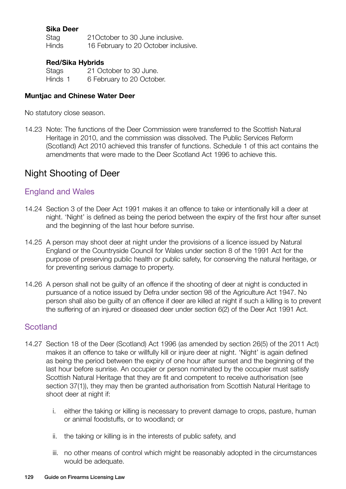## **Sika Deer**

Stag 21October to 30 June inclusive. Hinds 16 February to 20 October inclusive.

#### **Red/Sika Hybrids**

Stags 21 October to 30 June. Hinds 1 6 February to 20 October.

#### **Muntjac and Chinese Water Deer**

No statutory close season.

14.23 Note: The functions of the Deer Commission were transferred to the Scottish Natural Heritage in 2010, and the commission was dissolved. The Public Services Reform (Scotland) Act 2010 achieved this transfer of functions. Schedule 1 of this act contains the amendments that were made to the Deer Scotland Act 1996 to achieve this.

## Night Shooting of Deer

#### England and Wales

- 14.24 Section 3 of the Deer Act 1991 makes it an offence to take or intentionally kill a deer at night. 'Night' is defined as being the period between the expiry of the first hour after sunset and the beginning of the last hour before sunrise.
- 14.25 A person may shoot deer at night under the provisions of a licence issued by Natural England or the Countryside Council for Wales under section 8 of the 1991 Act for the purpose of preserving public health or public safety, for conserving the natural heritage, or for preventing serious damage to property.
- 14.26 A person shall not be guilty of an offence if the shooting of deer at night is conducted in pursuance of a notice issued by Defra under section 98 of the Agriculture Act 1947. No person shall also be guilty of an offence if deer are killed at night if such a killing is to prevent the suffering of an injured or diseased deer under section 6(2) of the Deer Act 1991 Act.

#### **Scotland**

- 14.27 Section 18 of the Deer (Scotland) Act 1996 (as amended by section 26(5) of the 2011 Act) makes it an offence to take or willfully kill or injure deer at night. 'Night' is again defined as being the period between the expiry of one hour after sunset and the beginning of the last hour before sunrise. An occupier or person nominated by the occupier must satisfy Scottish Natural Heritage that they are fit and competent to receive authorisation (see section 37(1)), they may then be granted authorisation from Scottish Natural Heritage to shoot deer at night if:
	- i. either the taking or killing is necessary to prevent damage to crops, pasture, human or animal foodstuffs, or to woodland; or
	- ii. the taking or killing is in the interests of public safety, and
	- iii. no other means of control which might be reasonably adopted in the circumstances would be adequate.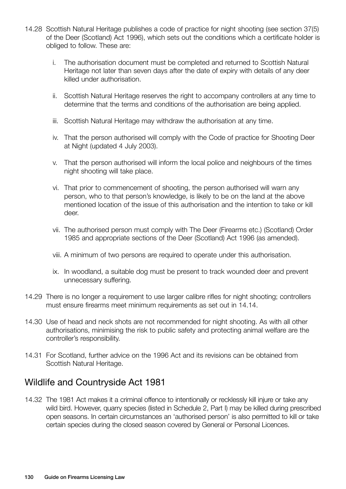- 14.28 Scottish Natural Heritage publishes a code of practice for night shooting (see section 37(5) of the Deer (Scotland) Act 1996), which sets out the conditions which a certificate holder is obliged to follow. These are:
	- i. The authorisation document must be completed and returned to Scottish Natural Heritage not later than seven days after the date of expiry with details of any deer killed under authorisation.
	- ii. Scottish Natural Heritage reserves the right to accompany controllers at any time to determine that the terms and conditions of the authorisation are being applied.
	- iii. Scottish Natural Heritage may withdraw the authorisation at any time.
	- iv. That the person authorised will comply with the Code of practice for Shooting Deer at Night (updated 4 July 2003).
	- v. That the person authorised will inform the local police and neighbours of the times night shooting will take place.
	- vi. That prior to commencement of shooting, the person authorised will warn any person, who to that person's knowledge, is likely to be on the land at the above mentioned location of the issue of this authorisation and the intention to take or kill deer.
	- vii. The authorised person must comply with The Deer (Firearms etc.) (Scotland) Order 1985 and appropriate sections of the Deer (Scotland) Act 1996 (as amended).
	- viii. A minimum of two persons are required to operate under this authorisation.
	- ix. In woodland, a suitable dog must be present to track wounded deer and prevent unnecessary suffering.
- 14.29 There is no longer a requirement to use larger calibre rifles for night shooting; controllers must ensure firearms meet minimum requirements as set out in 14.14.
- 14.30 Use of head and neck shots are not recommended for night shooting. As with all other authorisations, minimising the risk to public safety and protecting animal welfare are the controller's responsibility.
- 14.31 For Scotland, further advice on the 1996 Act and its revisions can be obtained from Scottish Natural Heritage.

# Wildlife and Countryside Act 1981

14.32 The 1981 Act makes it a criminal offence to intentionally or recklessly kill injure or take any wild bird. However, quarry species (listed in Schedule 2, Part I) may be killed during prescribed open seasons. In certain circumstances an 'authorised person' is also permitted to kill or take certain species during the closed season covered by General or Personal Licences.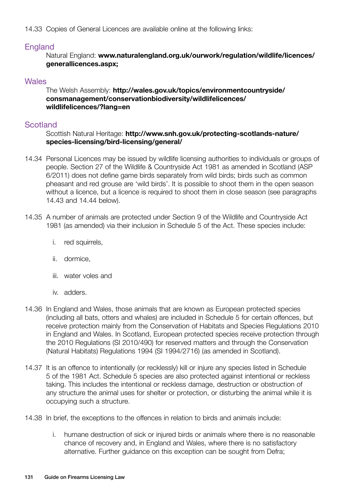14.33 Copies of General Licences are available online at the following links:

## England

Natural England: **www.naturalengland.org.uk/ourwork/regulation/wildlife/licences/ generallicences.aspx;**

### **Wales**

#### The Welsh Assembly: **http://wales.gov.uk/topics/environmentcountryside/ consmanagement/conservationbiodiversity/wildlifelicences/ wildlifelicences/?lang=en**

## **Scotland**

#### Scottish Natural Heritage: **http://www.snh.gov.uk/protecting-scotlands-nature/ species-licensing/bird-licensing/general/**

- 14.34 Personal Licences may be issued by wildlife licensing authorities to individuals or groups of people. Section 27 of the Wildlife & Countryside Act 1981 as amended in Scotland (ASP 6/2011) does not define game birds separately from wild birds; birds such as common pheasant and red grouse are 'wild birds'. It is possible to shoot them in the open season without a licence, but a licence is required to shoot them in close season (see paragraphs 14.43 and 14.44 below).
- 14.35 A number of animals are protected under Section 9 of the Wildlife and Countryside Act 1981 (as amended) via their inclusion in Schedule 5 of the Act. These species include:
	- i. red squirrels,
	- ii. dormice,
	- iii. water voles and
	- iv. adders.
- 14.36 In England and Wales, those animals that are known as European protected species (including all bats, otters and whales) are included in Schedule 5 for certain offences, but receive protection mainly from the Conservation of Habitats and Species Regulations 2010 in England and Wales. In Scotland, European protected species receive protection through the 2010 Regulations (SI 2010/490) for reserved matters and through the Conservation (Natural Habitats) Regulations 1994 (SI 1994/2716) (as amended in Scotland).
- 14.37 It is an offence to intentionally (or recklessly) kill or injure any species listed in Schedule 5 of the 1981 Act. Schedule 5 species are also protected against intentional or reckless taking. This includes the intentional or reckless damage, destruction or obstruction of any structure the animal uses for shelter or protection, or disturbing the animal while it is occupying such a structure.
- 14.38 In brief, the exceptions to the offences in relation to birds and animals include:
	- i. humane destruction of sick or injured birds or animals where there is no reasonable chance of recovery and, in England and Wales, where there is no satisfactory alternative. Further guidance on this exception can be sought from Defra;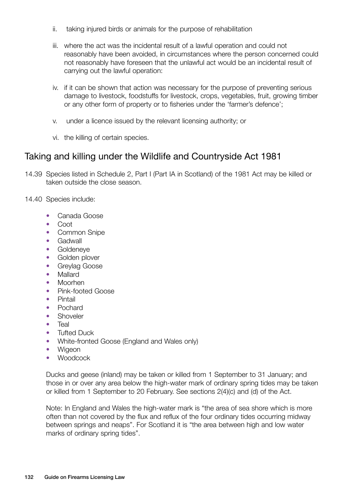- ii. taking injured birds or animals for the purpose of rehabilitation
- iii. where the act was the incidental result of a lawful operation and could not reasonably have been avoided, in circumstances where the person concerned could not reasonably have foreseen that the unlawful act would be an incidental result of carrying out the lawful operation:
- iv. if it can be shown that action was necessary for the purpose of preventing serious damage to livestock, foodstuffs for livestock, crops, vegetables, fruit, growing timber or any other form of property or to fisheries under the 'farmer's defence';
- v. under a licence issued by the relevant licensing authority; or
- vi. the killing of certain species.

## Taking and killing under the Wildlife and Countryside Act 1981

- 14.39 Species listed in Schedule 2, Part I (Part IA in Scotland) of the 1981 Act may be killed or taken outside the close season.
- 14.40 Species include:
	- Canada Goose
	- Coot
	- Common Snipe
	- **Gadwall**
	- Goldeneye
	- Golden plover
	- Grevlag Goose
	- Mallard
	- Moorhen
	- Pink-footed Goose
	- Pintail
	- Pochard
	- **Shoveler**
	- Teal
	- Tufted Duck
	- White-fronted Goose (England and Wales only)
	- Wigeon
	- **Woodcock**

Ducks and geese (inland) may be taken or killed from 1 September to 31 January; and those in or over any area below the high-water mark of ordinary spring tides may be taken or killed from 1 September to 20 February. See sections 2(4)(c) and (d) of the Act.

Note: In England and Wales the high-water mark is "the area of sea shore which is more often than not covered by the flux and reflux of the four ordinary tides occurring midway between springs and neaps". For Scotland it is "the area between high and low water marks of ordinary spring tides".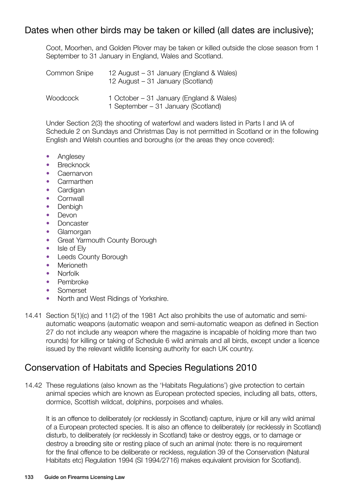# Dates when other birds may be taken or killed (all dates are inclusive);

Coot, Moorhen, and Golden Plover may be taken or killed outside the close season from 1 September to 31 January in England, Wales and Scotland.

| Common Snipe | 12 August – 31 January (England & Wales)<br>12 August - 31 January (Scotland)   |
|--------------|---------------------------------------------------------------------------------|
| Woodcock     | 1 October – 31 January (England & Wales)<br>1 September – 31 January (Scotland) |

Under Section 2(3) the shooting of waterfowl and waders listed in Parts I and IA of Schedule 2 on Sundays and Christmas Day is not permitted in Scotland or in the following English and Welsh counties and boroughs (or the areas they once covered):

- Anglesey
- Brecknock
- Caernarvon
- Carmarthen
- Cardigan
- Cornwall
- Denbigh
- Devon
- Doncaster
- Glamorgan
- Great Yarmouth County Borough
- Isle of Elv
- Leeds County Borough
- Merioneth
- Norfolk
- Pembroke
- Somerset
- North and West Ridings of Yorkshire.
- 14.41 Section 5(1)(c) and 11(2) of the 1981 Act also prohibits the use of automatic and semiautomatic weapons (automatic weapon and semi-automatic weapon as defined in Section 27 do not include any weapon where the magazine is incapable of holding more than two rounds) for killing or taking of Schedule 6 wild animals and all birds, except under a licence issued by the relevant wildlife licensing authority for each UK country.

# Conservation of Habitats and Species Regulations 2010

14.42 These regulations (also known as the 'Habitats Regulations') give protection to certain animal species which are known as European protected species, including all bats, otters, dormice, Scottish wildcat, dolphins, porpoises and whales.

It is an offence to deliberately (or recklessly in Scotland) capture, injure or kill any wild animal of a European protected species. It is also an offence to deliberately (or recklessly in Scotland) disturb, to deliberately (or recklessly in Scotland) take or destroy eggs, or to damage or destroy a breeding site or resting place of such an animal (note: there is no requirement for the final offence to be deliberate or reckless, regulation 39 of the Conservation (Natural Habitats etc) Regulation 1994 (SI 1994/2716) makes equivalent provision for Scotland).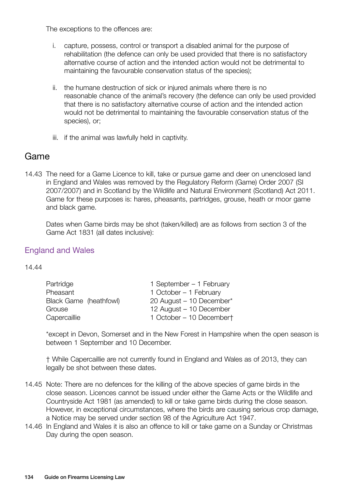The exceptions to the offences are:

- i. capture, possess, control or transport a disabled animal for the purpose of rehabilitation (the defence can only be used provided that there is no satisfactory alternative course of action and the intended action would not be detrimental to maintaining the favourable conservation status of the species);
- ii. the humane destruction of sick or injured animals where there is no reasonable chance of the animal's recovery (the defence can only be used provided that there is no satisfactory alternative course of action and the intended action would not be detrimental to maintaining the favourable conservation status of the species), or;
- iii. if the animal was lawfully held in captivity.

## Game

14.43 The need for a Game Licence to kill, take or pursue game and deer on unenclosed land in England and Wales was removed by the Regulatory Reform (Game) Order 2007 (SI 2007/2007) and in Scotland by the Wildlife and Natural Environment (Scotland) Act 2011. Game for these purposes is: hares, pheasants, partridges, grouse, heath or moor game and black game.

Dates when Game birds may be shot (taken/killed) are as follows from section 3 of the Game Act 1831 (all dates inclusive):

## England and Wales

14.44

| Partridge              | 1 September – 1 February |
|------------------------|--------------------------|
| Pheasant               | 1 October - 1 February   |
| Black Game (heathfowl) | 20 August - 10 December* |
| Grouse                 | 12 August - 10 December  |
| Capercaillie           | 1 October – 10 Decembert |

\*except in Devon, Somerset and in the New Forest in Hampshire when the open season is between 1 September and 10 December.

† While Capercaillie are not currently found in England and Wales as of 2013, they can legally be shot between these dates.

- 14.45 Note: There are no defences for the killing of the above species of game birds in the close season. Licences cannot be issued under either the Game Acts or the Wildlife and Countryside Act 1981 (as amended) to kill or take game birds during the close season. However, in exceptional circumstances, where the birds are causing serious crop damage, a Notice may be served under section 98 of the Agriculture Act 1947.
- 14.46 In England and Wales it is also an offence to kill or take game on a Sunday or Christmas Day during the open season.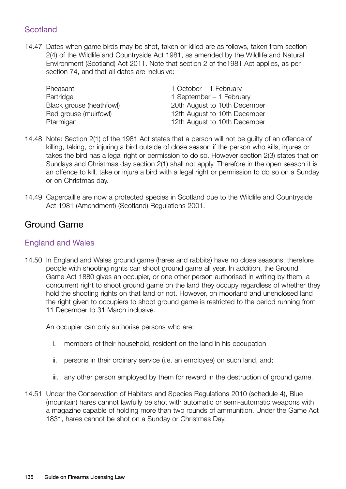## **Scotland**

14.47 Dates when game birds may be shot, taken or killed are as follows, taken from section 2(4) of the Wildlife and Countryside Act 1981, as amended by the Wildlife and Natural Environment (Scotland) Act 2011. Note that section 2 of the1981 Act applies, as per section 74, and that all dates are inclusive:

Pheasant 1 October – 1 February Partridge 1 September – 1 February Black grouse (heathfowl) 20th August to 10th December Red grouse (muirfowl) 12th August to 10th December Ptarmigan 12th August to 10th December

- 14.48 Note: Section 2(1) of the 1981 Act states that a person will not be guilty of an offence of killing, taking, or injuring a bird outside of close season if the person who kills, injures or takes the bird has a legal right or permission to do so. However section 2(3) states that on Sundays and Christmas day section 2(1) shall not apply. Therefore in the open season it is an offence to kill, take or injure a bird with a legal right or permission to do so on a Sunday or on Christmas day.
- 14.49 Capercaillie are now a protected species in Scotland due to the Wildlife and Countryside Act 1981 (Amendment) (Scotland) Regulations 2001.

# Ground Game

## England and Wales

14.50 In England and Wales ground game (hares and rabbits) have no close seasons, therefore people with shooting rights can shoot ground game all year. In addition, the Ground Game Act 1880 gives an occupier, or one other person authorised in writing by them, a concurrent right to shoot ground game on the land they occupy regardless of whether they hold the shooting rights on that land or not. However, on moorland and unenclosed land the right given to occupiers to shoot ground game is restricted to the period running from 11 December to 31 March inclusive.

An occupier can only authorise persons who are:

- i. members of their household, resident on the land in his occupation
- ii. persons in their ordinary service (i.e. an employee) on such land, and;
- iii. any other person employed by them for reward in the destruction of ground game.
- 14.51 Under the Conservation of Habitats and Species Regulations 2010 (schedule 4), Blue (mountain) hares cannot lawfully be shot with automatic or semi-automatic weapons with a magazine capable of holding more than two rounds of ammunition. Under the Game Act 1831, hares cannot be shot on a Sunday or Christmas Day.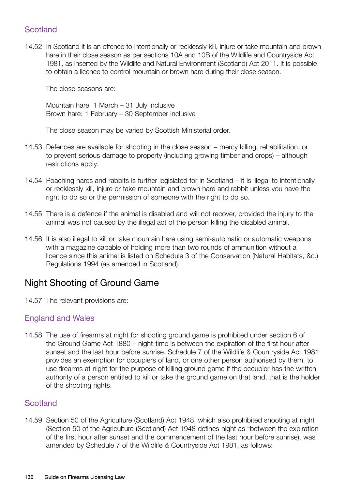## **Scotland**

14.52 In Scotland it is an offence to intentionally or recklessly kill, injure or take mountain and brown hare in their close season as per sections 10A and 10B of the Wildlife and Countryside Act 1981, as inserted by the Wildlife and Natural Environment (Scotland) Act 2011. It is possible to obtain a licence to control mountain or brown hare during their close season.

The close seasons are:

Mountain hare: 1 March – 31 July inclusive Brown hare: 1 February – 30 September inclusive

The close season may be varied by Scottish Ministerial order.

- 14.53 Defences are available for shooting in the close season mercy killing, rehabilitation, or to prevent serious damage to property (including growing timber and crops) – although restrictions apply.
- 14.54 Poaching hares and rabbits is further legislated for in Scotland it is illegal to intentionally or recklessly kill, injure or take mountain and brown hare and rabbit unless you have the right to do so or the permission of someone with the right to do so.
- 14.55 There is a defence if the animal is disabled and will not recover, provided the injury to the animal was not caused by the illegal act of the person killing the disabled animal.
- 14.56 It is also illegal to kill or take mountain hare using semi-automatic or automatic weapons with a magazine capable of holding more than two rounds of ammunition without a licence since this animal is listed on Schedule 3 of the Conservation (Natural Habitats, &c.) Regulations 1994 (as amended in Scotland).

# Night Shooting of Ground Game

14.57 The relevant provisions are:

## England and Wales

14.58 The use of firearms at night for shooting ground game is prohibited under section 6 of the Ground Game Act 1880 – night-time is between the expiration of the first hour after sunset and the last hour before sunrise. Schedule 7 of the Wildlife & Countryside Act 1981 provides an exemption for occupiers of land, or one other person authorised by them, to use firearms at night for the purpose of killing ground game if the occupier has the written authority of a person entitled to kill or take the ground game on that land, that is the holder of the shooting rights.

## **Scotland**

14.59 Section 50 of the Agriculture (Scotland) Act 1948, which also prohibited shooting at night (Section 50 of the Agriculture (Scotland) Act 1948 defines night as "between the expiration of the first hour after sunset and the commencement of the last hour before sunrise), was amended by Schedule 7 of the Wildlife & Countryside Act 1981, as follows: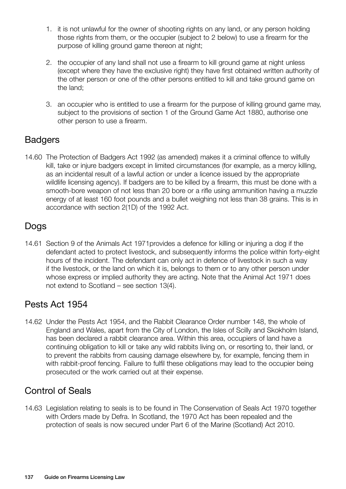- 1. it is not unlawful for the owner of shooting rights on any land, or any person holding those rights from them, or the occupier (subject to 2 below) to use a firearm for the purpose of killing ground game thereon at night;
- 2. the occupier of any land shall not use a firearm to kill ground game at night unless (except where they have the exclusive right) they have first obtained written authority of the other person or one of the other persons entitled to kill and take ground game on the land;
- 3. an occupier who is entitled to use a firearm for the purpose of killing ground game may, subject to the provisions of section 1 of the Ground Game Act 1880, authorise one other person to use a firearm.

# **Badgers**

14.60 The Protection of Badgers Act 1992 (as amended) makes it a criminal offence to wilfully kill, take or injure badgers except in limited circumstances (for example, as a mercy killing, as an incidental result of a lawful action or under a licence issued by the appropriate wildlife licensing agency). If badgers are to be killed by a firearm, this must be done with a smooth-bore weapon of not less than 20 bore or a rifle using ammunition having a muzzle energy of at least 160 foot pounds and a bullet weighing not less than 38 grains. This is in accordance with section 2(1D) of the 1992 Act.

# Dogs

14.61 Section 9 of the Animals Act 1971provides a defence for killing or injuring a dog if the defendant acted to protect livestock, and subsequently informs the police within forty-eight hours of the incident. The defendant can only act in defence of livestock in such a way if the livestock, or the land on which it is, belongs to them or to any other person under whose express or implied authority they are acting. Note that the Animal Act 1971 does not extend to Scotland – see section 13(4).

# Pests Act 1954

14.62 Under the Pests Act 1954, and the Rabbit Clearance Order number 148, the whole of England and Wales, apart from the City of London, the Isles of Scilly and Skokholm Island, has been declared a rabbit clearance area. Within this area, occupiers of land have a continuing obligation to kill or take any wild rabbits living on, or resorting to, their land, or to prevent the rabbits from causing damage elsewhere by, for example, fencing them in with rabbit-proof fencing. Failure to fulfil these obligations may lead to the occupier being prosecuted or the work carried out at their expense.

# Control of Seals

14.63 Legislation relating to seals is to be found in The Conservation of Seals Act 1970 together with Orders made by Defra. In Scotland, the 1970 Act has been repealed and the protection of seals is now secured under Part 6 of the Marine (Scotland) Act 2010.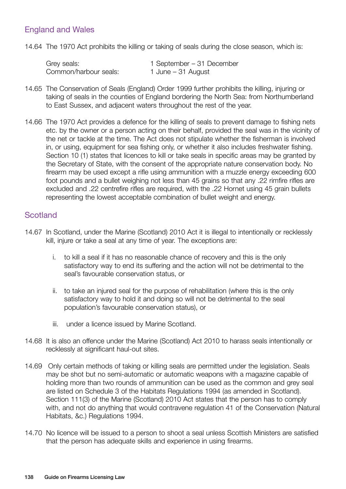## England and Wales

14.64 The 1970 Act prohibits the killing or taking of seals during the close season, which is:

| Grey seals:           | 1 September – 31 December |
|-----------------------|---------------------------|
| Common/harbour seals: | 1 June – 31 August        |

- 14.65 The Conservation of Seals (England) Order 1999 further prohibits the killing, injuring or taking of seals in the counties of England bordering the North Sea: from Northumberland to East Sussex, and adjacent waters throughout the rest of the year.
- 14.66 The 1970 Act provides a defence for the killing of seals to prevent damage to fishing nets etc. by the owner or a person acting on their behalf, provided the seal was in the vicinity of the net or tackle at the time. The Act does not stipulate whether the fisherman is involved in, or using, equipment for sea fishing only, or whether it also includes freshwater fishing. Section 10 (1) states that licences to kill or take seals in specific areas may be granted by the Secretary of State, with the consent of the appropriate nature conservation body. No firearm may be used except a rifle using ammunition with a muzzle energy exceeding 600 foot pounds and a bullet weighing not less than 45 grains so that any .22 rimfire rifles are excluded and .22 centrefire rifles are required, with the .22 Hornet using 45 grain bullets representing the lowest acceptable combination of bullet weight and energy.

## **Scotland**

- 14.67 In Scotland, under the Marine (Scotland) 2010 Act it is illegal to intentionally or recklessly kill, injure or take a seal at any time of year. The exceptions are:
	- i. to kill a seal if it has no reasonable chance of recovery and this is the only satisfactory way to end its suffering and the action will not be detrimental to the seal's favourable conservation status, or
	- ii. to take an injured seal for the purpose of rehabilitation (where this is the only satisfactory way to hold it and doing so will not be detrimental to the seal population's favourable conservation status), or
	- iii. under a licence issued by Marine Scotland.
- 14.68 It is also an offence under the Marine (Scotland) Act 2010 to harass seals intentionally or recklessly at significant haul-out sites.
- 14.69 Only certain methods of taking or killing seals are permitted under the legislation. Seals may be shot but no semi-automatic or automatic weapons with a magazine capable of holding more than two rounds of ammunition can be used as the common and grey seal are listed on Schedule 3 of the Habitats Regulations 1994 (as amended in Scotland). Section 111(3) of the Marine (Scotland) 2010 Act states that the person has to comply with, and not do anything that would contravene regulation 41 of the Conservation (Natural Habitats, &c.) Regulations 1994.
- 14.70 No licence will be issued to a person to shoot a seal unless Scottish Ministers are satisfied that the person has adequate skills and experience in using firearms.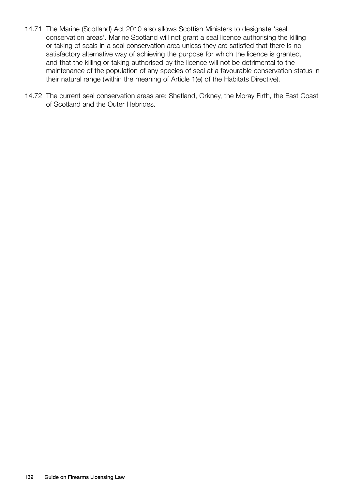- 14.71 The Marine (Scotland) Act 2010 also allows Scottish Ministers to designate 'seal conservation areas'. Marine Scotland will not grant a seal licence authorising the killing or taking of seals in a seal conservation area unless they are satisfied that there is no satisfactory alternative way of achieving the purpose for which the licence is granted, and that the killing or taking authorised by the licence will not be detrimental to the maintenance of the population of any species of seal at a favourable conservation status in their natural range (within the meaning of Article 1(e) of the Habitats Directive).
- 14.72 The current seal conservation areas are: Shetland, Orkney, the Moray Firth, the East Coast of Scotland and the Outer Hebrides.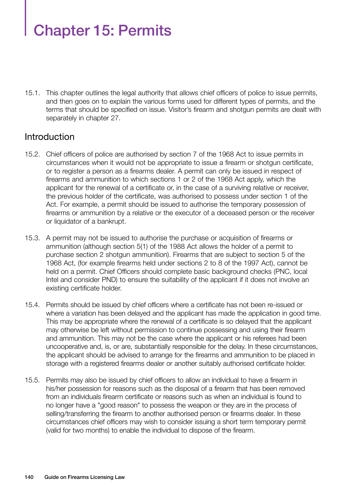# Chapter 15: Permits

15.1. This chapter outlines the legal authority that allows chief officers of police to issue permits, and then goes on to explain the various forms used for different types of permits, and the terms that should be specified on issue. Visitor's firearm and shotgun permits are dealt with separately in chapter 27.

## **Introduction**

- 15.2. Chief officers of police are authorised by section 7 of the 1968 Act to issue permits in circumstances when it would not be appropriate to issue a firearm or shotgun certificate, or to register a person as a firearms dealer. A permit can only be issued in respect of firearms and ammunition to which sections 1 or 2 of the 1968 Act apply, which the applicant for the renewal of a certificate or, in the case of a surviving relative or receiver, the previous holder of the certificate, was authorised to possess under section 1 of the Act. For example, a permit should be issued to authorise the temporary possession of firearms or ammunition by a relative or the executor of a deceased person or the receiver or liquidator of a bankrupt.
- 15.3. A permit may not be issued to authorise the purchase or acquisition of firearms or ammunition (although section 5(1) of the 1988 Act allows the holder of a permit to purchase section 2 shotgun ammunition). Firearms that are subject to section 5 of the 1968 Act, (for example firearms held under sections 2 to 8 of the 1997 Act), cannot be held on a permit. Chief Officers should complete basic background checks (PNC, local Intel and consider PND) to ensure the suitability of the applicant if it does not involve an existing certificate holder.
- 15.4. Permits should be issued by chief officers where a certificate has not been re-issued or where a variation has been delayed and the applicant has made the application in good time. This may be appropriate where the renewal of a certificate is so delayed that the applicant may otherwise be left without permission to continue possessing and using their firearm and ammunition. This may not be the case where the applicant or his referees had been uncooperative and, is, or are, substantially responsible for the delay. In these circumstances, the applicant should be advised to arrange for the firearms and ammunition to be placed in storage with a registered firearms dealer or another suitably authorised certificate holder.
- 15.5. Permits may also be issued by chief officers to allow an individual to have a firearm in his/her possession for reasons such as the disposal of a firearm that has been removed from an individuals firearm certificate or reasons such as when an individual is found to no longer have a "good reason" to possess the weapon or they are in the process of selling/transferring the firearm to another authorised person or firearms dealer. In these circumstances chief officers may wish to consider issuing a short term temporary permit (valid for two months) to enable the individual to dispose of the firearm.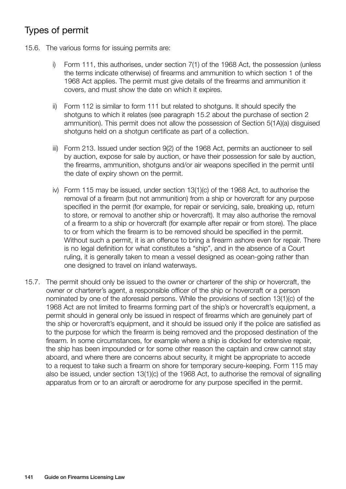# Types of permit

- 15.6. The various forms for issuing permits are:
	- i) Form 111, this authorises, under section 7(1) of the 1968 Act, the possession (unless the terms indicate otherwise) of firearms and ammunition to which section 1 of the 1968 Act applies. The permit must give details of the firearms and ammunition it covers, and must show the date on which it expires.
	- ii) Form 112 is similar to form 111 but related to shotguns. It should specify the shotguns to which it relates (see paragraph 15.2 about the purchase of section 2 ammunition). This permit does not allow the possession of Section 5(1A)(a) disguised shotguns held on a shotgun certificate as part of a collection.
	- iii) Form 213. Issued under section 9(2) of the 1968 Act, permits an auctioneer to sell by auction, expose for sale by auction, or have their possession for sale by auction, the firearms, ammunition, shotguns and/or air weapons specified in the permit until the date of expiry shown on the permit.
	- iv) Form 115 may be issued, under section 13(1)(c) of the 1968 Act, to authorise the removal of a firearm (but not ammunition) from a ship or hovercraft for any purpose specified in the permit (for example, for repair or servicing, sale, breaking up, return to store, or removal to another ship or hovercraft). It may also authorise the removal of a firearm to a ship or hovercraft (for example after repair or from store). The place to or from which the firearm is to be removed should be specified in the permit. Without such a permit, it is an offence to bring a firearm ashore even for repair. There is no legal definition for what constitutes a "ship", and in the absence of a Court ruling, it is generally taken to mean a vessel designed as ocean-going rather than one designed to travel on inland waterways.
- 15.7. The permit should only be issued to the owner or charterer of the ship or hovercraft, the owner or charterer's agent, a responsible officer of the ship or hovercraft or a person nominated by one of the aforesaid persons. While the provisions of section 13(1)(c) of the 1968 Act are not limited to firearms forming part of the ship's or hovercraft's equipment, a permit should in general only be issued in respect of firearms which are genuinely part of the ship or hovercraft's equipment, and it should be issued only if the police are satisfied as to the purpose for which the firearm is being removed and the proposed destination of the firearm. In some circumstances, for example where a ship is docked for extensive repair, the ship has been impounded or for some other reason the captain and crew cannot stay aboard, and where there are concerns about security, it might be appropriate to accede to a request to take such a firearm on shore for temporary secure-keeping. Form 115 may also be issued, under section 13(1)(c) of the 1968 Act, to authorise the removal of signalling apparatus from or to an aircraft or aerodrome for any purpose specified in the permit.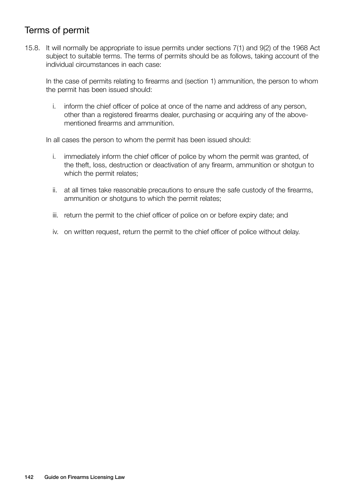# Terms of permit

15.8. It will normally be appropriate to issue permits under sections 7(1) and 9(2) of the 1968 Act subject to suitable terms. The terms of permits should be as follows, taking account of the individual circumstances in each case:

In the case of permits relating to firearms and (section 1) ammunition, the person to whom the permit has been issued should:

i. inform the chief officer of police at once of the name and address of any person, other than a registered firearms dealer, purchasing or acquiring any of the abovementioned firearms and ammunition.

In all cases the person to whom the permit has been issued should:

- i. immediately inform the chief officer of police by whom the permit was granted, of the theft, loss, destruction or deactivation of any firearm, ammunition or shotgun to which the permit relates;
- ii. at all times take reasonable precautions to ensure the safe custody of the firearms, ammunition or shotguns to which the permit relates;
- iii. return the permit to the chief officer of police on or before expiry date; and
- iv. on written request, return the permit to the chief officer of police without delay.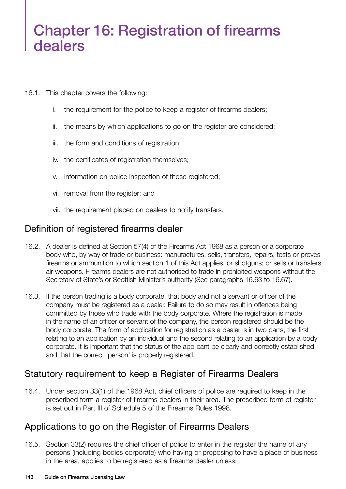# Chapter 16: Registration of firearms dealers

- 16.1. This chapter covers the following:
	- i. the requirement for the police to keep a register of firearms dealers;
	- ii. the means by which applications to go on the register are considered;
	- iii. the form and conditions of registration;
	- iv. the certificates of registration themselves;
	- v. information on police inspection of those registered;
	- vi. removal from the register; and
	- vii. the requirement placed on dealers to notify transfers.

## Definition of registered firearms dealer

- 16.2. A dealer is defined at Section 57(4) of the Firearms Act 1968 as a person or a corporate body who, by way of trade or business: manufactures, sells, transfers, repairs, tests or proves firearms or ammunition to which section 1 of this Act applies, or shotguns; or sells or transfers air weapons. Firearms dealers are not authorised to trade in prohibited weapons without the Secretary of State's or Scottish Minister's authority (See paragraphs 16.63 to 16.67).
- 16.3. If the person trading is a body corporate, that body and not a servant or officer of the company must be registered as a dealer. Failure to do so may result in offences being committed by those who trade with the body corporate. Where the registration is made in the name of an officer or servant of the company, the person registered should be the body corporate. The form of application for registration as a dealer is in two parts, the first relating to an application by an individual and the second relating to an application by a body corporate. It is important that the status of the applicant be clearly and correctly established and that the correct 'person' is properly registered.

# Statutory requirement to keep a Register of Firearms Dealers

16.4. Under section 33(1) of the 1968 Act, chief officers of police are required to keep in the prescribed form a register of firearms dealers in their area. The prescribed form of register is set out in Part III of Schedule 5 of the Firearms Rules 1998.

# Applications to go on the Register of Firearms Dealers

16.5. Section 33(2) requires the chief officer of police to enter in the register the name of any persons (including bodies corporate) who having or proposing to have a place of business in the area, applies to be registered as a firearms dealer unless: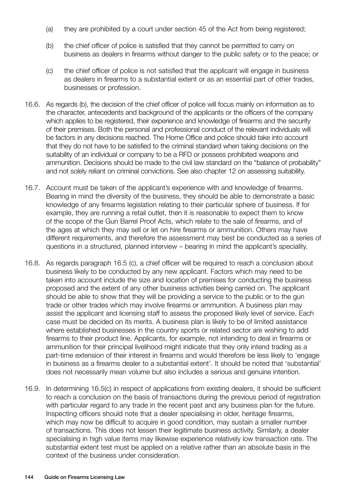- (a) they are prohibited by a court under section 45 of the Act from being registered;
- (b) the chief officer of police is satisfied that they cannot be permitted to carry on business as dealers in firearms without danger to the public safety or to the peace; or
- (c) the chief officer of police is not satisfied that the applicant will engage in business as dealers in firearms to a substantial extent or as an essential part of other trades, businesses or profession.
- 16.6. As regards (b), the decision of the chief officer of police will focus mainly on information as to the character, antecedents and background of the applicants or the officers of the company which applies to be registered, their experience and knowledge of firearms and the security of their premises. Both the personal and professional conduct of the relevant individuals will be factors in any decisions reached. The Home Office and police should take into account that they do not have to be satisfied to the criminal standard when taking decisions on the suitability of an individual or company to be a RFD or possess prohibited weapons and ammunition. Decisions should be made to the civil law standard on the "balance of probability" and not solely reliant on criminal convictions. See also chapter 12 on assessing suitability.
- 16.7. Account must be taken of the applicant's experience with and knowledge of firearms. Bearing in mind the diversity of the business, they should be able to demonstrate a basic knowledge of any firearms legislation relating to their particular sphere of business. If for example, they are running a retail outlet, then it is reasonable to expect them to know of the scope of the Gun Barrel Proof Acts, which relate to the sale of firearms, and of the ages at which they may sell or let on hire firearms or ammunition. Others may have different requirements, and therefore the assessment may best be conducted as a series of questions in a structured, planned interview – bearing in mind the applicant's speciality.
- 16.8. As regards paragraph 16.5 (c), a chief officer will be required to reach a conclusion about business likely to be conducted by any new applicant. Factors which may need to be taken into account include the size and location of premises for conducting the business proposed and the extent of any other business activities being carried on. The applicant should be able to show that they will be providing a service to the public or to the gun trade or other trades which may involve firearms or ammunition. A business plan may assist the applicant and licensing staff to assess the proposed likely level of service. Each case must be decided on its merits. A business plan is likely to be of limited assistance where established businesses in the country sports or related sector are wishing to add firearms to their product line. Applicants, for example, not intending to deal in firearms or ammunition for their principal livelihood might indicate that they only intend trading as a part-time extension of their interest in firearms and would therefore be less likely to 'engage in business as a firearms dealer to a substantial extent'. It should be noted that 'substantial' does not necessarily mean volume but also includes a serious and genuine intention.
- 16.9. In determining 16.5(c) in respect of applications from existing dealers, it should be sufficient to reach a conclusion on the basis of transactions during the previous period of registration with particular regard to any trade in the recent past and any business plan for the future. Inspecting officers should note that a dealer specialising in older, heritage firearms, which may now be difficult to acquire in good condition, may sustain a smaller number of transactions. This does not lessen their legitimate business activity. Similarly, a dealer specialising in high value items may likewise experience relatively low transaction rate. The substantial extent test must be applied on a relative rather than an absolute basis in the context of the business under consideration.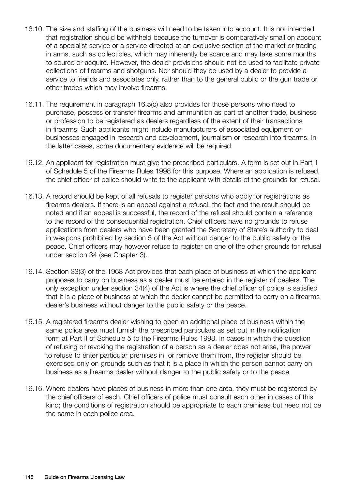- 16.10. The size and staffing of the business will need to be taken into account. It is not intended that registration should be withheld because the turnover is comparatively small on account of a specialist service or a service directed at an exclusive section of the market or trading in arms, such as collectibles, which may inherently be scarce and may take some months to source or acquire. However, the dealer provisions should not be used to facilitate private collections of firearms and shotguns. Nor should they be used by a dealer to provide a service to friends and associates only, rather than to the general public or the gun trade or other trades which may involve firearms.
- 16.11. The requirement in paragraph 16.5(c) also provides for those persons who need to purchase, possess or transfer firearms and ammunition as part of another trade, business or profession to be registered as dealers regardless of the extent of their transactions in firearms. Such applicants might include manufacturers of associated equipment or businesses engaged in research and development, journalism or research into firearms. In the latter cases, some documentary evidence will be required.
- 16.12. An applicant for registration must give the prescribed particulars. A form is set out in Part 1 of Schedule 5 of the Firearms Rules 1998 for this purpose. Where an application is refused, the chief officer of police should write to the applicant with details of the grounds for refusal.
- 16.13. A record should be kept of all refusals to register persons who apply for registrations as firearms dealers. If there is an appeal against a refusal, the fact and the result should be noted and if an appeal is successful, the record of the refusal should contain a reference to the record of the consequential registration. Chief officers have no grounds to refuse applications from dealers who have been granted the Secretary of State's authority to deal in weapons prohibited by section 5 of the Act without danger to the public safety or the peace. Chief officers may however refuse to register on one of the other grounds for refusal under section 34 (see Chapter 3).
- 16.14. Section 33(3) of the 1968 Act provides that each place of business at which the applicant proposes to carry on business as a dealer must be entered in the register of dealers. The only exception under section 34(4) of the Act is where the chief officer of police is satisfied that it is a place of business at which the dealer cannot be permitted to carry on a firearms dealer's business without danger to the public safety or the peace.
- 16.15. A registered firearms dealer wishing to open an additional place of business within the same police area must furnish the prescribed particulars as set out in the notification form at Part II of Schedule 5 to the Firearms Rules 1998. In cases in which the question of refusing or revoking the registration of a person as a dealer does not arise, the power to refuse to enter particular premises in, or remove them from, the register should be exercised only on grounds such as that it is a place in which the person cannot carry on business as a firearms dealer without danger to the public safety or to the peace.
- 16.16. Where dealers have places of business in more than one area, they must be registered by the chief officers of each. Chief officers of police must consult each other in cases of this kind; the conditions of registration should be appropriate to each premises but need not be the same in each police area.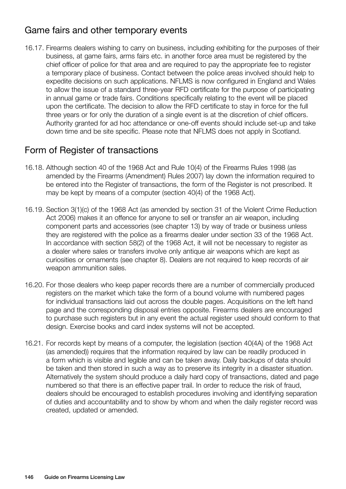## Game fairs and other temporary events

16.17. Firearms dealers wishing to carry on business, including exhibiting for the purposes of their business, at game fairs, arms fairs etc. in another force area must be registered by the chief officer of police for that area and are required to pay the appropriate fee to register a temporary place of business. Contact between the police areas involved should help to expedite decisions on such applications. NFLMS is now configured in England and Wales to allow the issue of a standard three-year RFD certificate for the purpose of participating in annual game or trade fairs. Conditions specifically relating to the event will be placed upon the certificate. The decision to allow the RFD certificate to stay in force for the full three years or for only the duration of a single event is at the discretion of chief officers. Authority granted for ad hoc attendance or one-off events should include set-up and take down time and be site specific. Please note that NFLMS does not apply in Scotland.

## Form of Register of transactions

- 16.18. Although section 40 of the 1968 Act and Rule 10(4) of the Firearms Rules 1998 (as amended by the Firearms (Amendment) Rules 2007) lay down the information required to be entered into the Register of transactions, the form of the Register is not prescribed. It may be kept by means of a computer (section 40(4) of the 1968 Act).
- 16.19. Section 3(1)(c) of the 1968 Act (as amended by section 31 of the Violent Crime Reduction Act 2006) makes it an offence for anyone to sell or transfer an air weapon, including component parts and accessories (see chapter 13) by way of trade or business unless they are registered with the police as a firearms dealer under section 33 of the 1968 Act. In accordance with section 58(2) of the 1968 Act, it will not be necessary to register as a dealer where sales or transfers involve only antique air weapons which are kept as curiosities or ornaments (see chapter 8). Dealers are not required to keep records of air weapon ammunition sales.
- 16.20. For those dealers who keep paper records there are a number of commercially produced registers on the market which take the form of a bound volume with numbered pages for individual transactions laid out across the double pages. Acquisitions on the left hand page and the corresponding disposal entries opposite. Firearms dealers are encouraged to purchase such registers but in any event the actual register used should conform to that design. Exercise books and card index systems will not be accepted.
- 16.21. For records kept by means of a computer, the legislation (section 40(4A) of the 1968 Act (as amended)) requires that the information required by law can be readily produced in a form which is visible and legible and can be taken away. Daily backups of data should be taken and then stored in such a way as to preserve its integrity in a disaster situation. Alternatively the system should produce a daily hard copy of transactions, dated and page numbered so that there is an effective paper trail. In order to reduce the risk of fraud, dealers should be encouraged to establish procedures involving and identifying separation of duties and accountability and to show by whom and when the daily register record was created, updated or amended.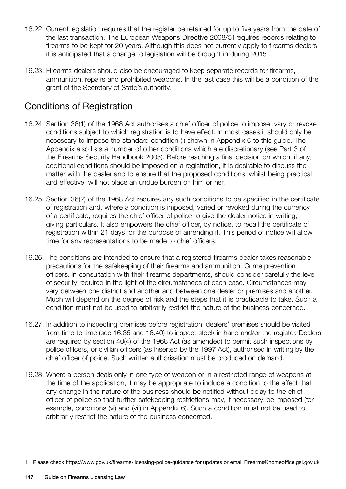- 16.22. Current legislation requires that the register be retained for up to five years from the date of the last transaction. The European Weapons Directive 2008/51requires records relating to firearms to be kept for 20 years. Although this does not currently apply to firearms dealers it is anticipated that a change to legislation will be brought in during 2015<sup>1</sup>.
- 16.23. Firearms dealers should also be encouraged to keep separate records for firearms, ammunition, repairs and prohibited weapons. In the last case this will be a condition of the grant of the Secretary of State's authority.

# Conditions of Registration

- 16.24. Section 36(1) of the 1968 Act authorises a chief officer of police to impose, vary or revoke conditions subject to which registration is to have effect. In most cases it should only be necessary to impose the standard condition (i) shown in Appendix 6 to this guide. The Appendix also lists a number of other conditions which are discretionary (see Part 3 of the Firearms Security Handbook 2005). Before reaching a final decision on which, if any, additional conditions should be imposed on a registration, it is desirable to discuss the matter with the dealer and to ensure that the proposed conditions, whilst being practical and effective, will not place an undue burden on him or her.
- 16.25. Section 36(2) of the 1968 Act requires any such conditions to be specified in the certificate of registration and, where a condition is imposed, varied or revoked during the currency of a certificate, requires the chief officer of police to give the dealer notice in writing, giving particulars. It also empowers the chief officer, by notice, to recall the certificate of registration within 21 days for the purpose of amending it. This period of notice will allow time for any representations to be made to chief officers.
- 16.26. The conditions are intended to ensure that a registered firearms dealer takes reasonable precautions for the safekeeping of their firearms and ammunition. Crime prevention officers, in consultation with their firearms departments, should consider carefully the level of security required in the light of the circumstances of each case. Circumstances may vary between one district and another and between one dealer or premises and another. Much will depend on the degree of risk and the steps that it is practicable to take. Such a condition must not be used to arbitrarily restrict the nature of the business concerned.
- 16.27. In addition to inspecting premises before registration, dealers' premises should be visited from time to time (see 16.35 and 16.40) to inspect stock in hand and/or the register. Dealers are required by section 40(4) of the 1968 Act (as amended) to permit such inspections by police officers, or civilian officers (as inserted by the 1997 Act), authorised in writing by the chief officer of police. Such written authorisation must be produced on demand.
- 16.28. Where a person deals only in one type of weapon or in a restricted range of weapons at the time of the application, it may be appropriate to include a condition to the effect that any change in the nature of the business should be notified without delay to the chief officer of police so that further safekeeping restrictions may, if necessary, be imposed (for example, conditions (vi) and (vii) in Appendix 6). Such a condition must not be used to arbitrarily restrict the nature of the business concerned.

<sup>1</sup> Please check https://www.gov.uk/firearms-licensing-police-guidance for updates or email Firearms@homeoffice.gsi.gov.uk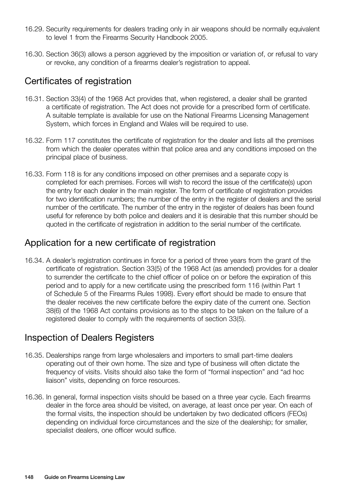- 16.29. Security requirements for dealers trading only in air weapons should be normally equivalent to level 1 from the Firearms Security Handbook 2005.
- 16.30. Section 36(3) allows a person aggrieved by the imposition or variation of, or refusal to vary or revoke, any condition of a firearms dealer's registration to appeal.

## Certificates of registration

- 16.31. Section 33(4) of the 1968 Act provides that, when registered, a dealer shall be granted a certificate of registration. The Act does not provide for a prescribed form of certificate. A suitable template is available for use on the National Firearms Licensing Management System, which forces in England and Wales will be required to use.
- 16.32. Form 117 constitutes the certificate of registration for the dealer and lists all the premises from which the dealer operates within that police area and any conditions imposed on the principal place of business.
- 16.33. Form 118 is for any conditions imposed on other premises and a separate copy is completed for each premises. Forces will wish to record the issue of the certificate(s) upon the entry for each dealer in the main register. The form of certificate of registration provides for two identification numbers; the number of the entry in the register of dealers and the serial number of the certificate. The number of the entry in the register of dealers has been found useful for reference by both police and dealers and it is desirable that this number should be quoted in the certificate of registration in addition to the serial number of the certificate.

#### Application for a new certificate of registration

16.34. A dealer's registration continues in force for a period of three years from the grant of the certificate of registration. Section 33(5) of the 1968 Act (as amended) provides for a dealer to surrender the certificate to the chief officer of police on or before the expiration of this period and to apply for a new certificate using the prescribed form 116 (within Part 1 of Schedule 5 of the Firearms Rules 1998). Every effort should be made to ensure that the dealer receives the new certificate before the expiry date of the current one. Section 38(6) of the 1968 Act contains provisions as to the steps to be taken on the failure of a registered dealer to comply with the requirements of section 33(5).

#### Inspection of Dealers Registers

- 16.35. Dealerships range from large wholesalers and importers to small part-time dealers operating out of their own home. The size and type of business will often dictate the frequency of visits. Visits should also take the form of "formal inspection" and "ad hoc liaison" visits, depending on force resources.
- 16.36. In general, formal inspection visits should be based on a three year cycle. Each firearms dealer in the force area should be visited, on average, at least once per year. On each of the formal visits, the inspection should be undertaken by two dedicated officers (FEOs) depending on individual force circumstances and the size of the dealership; for smaller, specialist dealers, one officer would suffice.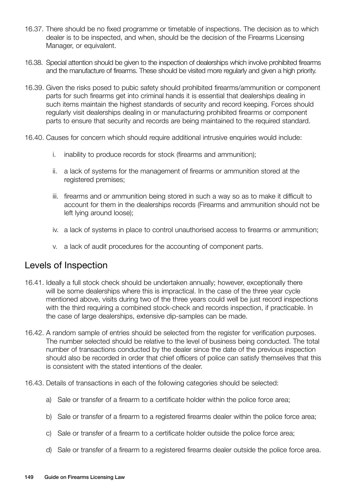- 16.37. There should be no fixed programme or timetable of inspections. The decision as to which dealer is to be inspected, and when, should be the decision of the Firearms Licensing Manager, or equivalent.
- 16.38. Special attention should be given to the inspection of dealerships which involve prohibited firearms and the manufacture of firearms. These should be visited more regularly and given a high priority.
- 16.39. Given the risks posed to pubic safety should prohibited firearms/ammunition or component parts for such firearms get into criminal hands it is essential that dealerships dealing in such items maintain the highest standards of security and record keeping. Forces should regularly visit dealerships dealing in or manufacturing prohibited firearms or component parts to ensure that security and records are being maintained to the required standard.
- 16.40. Causes for concern which should require additional intrusive enquiries would include:
	- i. inability to produce records for stock (firearms and ammunition);
	- ii. a lack of systems for the management of firearms or ammunition stored at the registered premises;
	- iii. firearms and or ammunition being stored in such a way so as to make it difficult to account for them in the dealerships records (Firearms and ammunition should not be left lying around loose);
	- iv. a lack of systems in place to control unauthorised access to firearms or ammunition;
	- v. a lack of audit procedures for the accounting of component parts.

#### Levels of Inspection

- 16.41. Ideally a full stock check should be undertaken annually; however, exceptionally there will be some dealerships where this is impractical. In the case of the three year cycle mentioned above, visits during two of the three years could well be just record inspections with the third requiring a combined stock-check and records inspection, if practicable. In the case of large dealerships, extensive dip-samples can be made.
- 16.42. A random sample of entries should be selected from the register for verification purposes. The number selected should be relative to the level of business being conducted. The total number of transactions conducted by the dealer since the date of the previous inspection should also be recorded in order that chief officers of police can satisfy themselves that this is consistent with the stated intentions of the dealer.
- 16.43. Details of transactions in each of the following categories should be selected:
	- a) Sale or transfer of a firearm to a certificate holder within the police force area;
	- b) Sale or transfer of a firearm to a registered firearms dealer within the police force area;
	- c) Sale or transfer of a firearm to a certificate holder outside the police force area;
	- d) Sale or transfer of a firearm to a registered firearms dealer outside the police force area.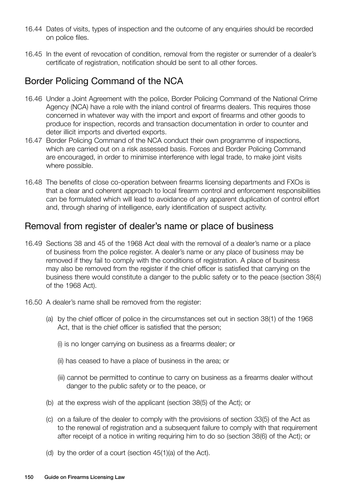- 16.44 Dates of visits, types of inspection and the outcome of any enquiries should be recorded on police files.
- 16.45 In the event of revocation of condition, removal from the register or surrender of a dealer's certificate of registration, notification should be sent to all other forces.

## Border Policing Command of the NCA

- 16.46 Under a Joint Agreement with the police, Border Policing Command of the National Crime Agency (NCA) have a role with the inland control of firearms dealers. This requires those concerned in whatever way with the import and export of firearms and other goods to produce for inspection, records and transaction documentation in order to counter and deter illicit imports and diverted exports.
- 16.47 Border Policing Command of the NCA conduct their own programme of inspections, which are carried out on a risk assessed basis. Forces and Border Policing Command are encouraged, in order to minimise interference with legal trade, to make joint visits where possible.
- 16.48 The benefits of close co-operation between firearms licensing departments and FXOs is that a clear and coherent approach to local firearm control and enforcement responsibilities can be formulated which will lead to avoidance of any apparent duplication of control effort and, through sharing of intelligence, early identification of suspect activity.

#### Removal from register of dealer's name or place of business

- 16.49 Sections 38 and 45 of the 1968 Act deal with the removal of a dealer's name or a place of business from the police register. A dealer's name or any place of business may be removed if they fail to comply with the conditions of registration. A place of business may also be removed from the register if the chief officer is satisfied that carrying on the business there would constitute a danger to the public safety or to the peace (section 38(4) of the 1968 Act).
- 16.50 A dealer's name shall be removed from the register:
	- (a) by the chief officer of police in the circumstances set out in section 38(1) of the 1968 Act, that is the chief officer is satisfied that the person;
		- (i) is no longer carrying on business as a firearms dealer; or
		- (ii) has ceased to have a place of business in the area; or
		- (iii) cannot be permitted to continue to carry on business as a firearms dealer without danger to the public safety or to the peace, or
	- (b) at the express wish of the applicant (section 38(5) of the Act); or
	- (c) on a failure of the dealer to comply with the provisions of section 33(5) of the Act as to the renewal of registration and a subsequent failure to comply with that requirement after receipt of a notice in writing requiring him to do so (section 38(6) of the Act); or
	- (d) by the order of a court (section 45(1)(a) of the Act).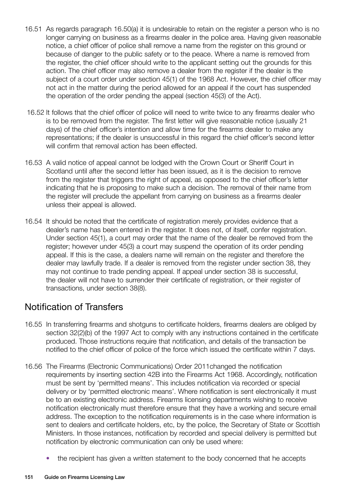- 16.51 As regards paragraph 16.50(a) it is undesirable to retain on the register a person who is no longer carrying on business as a firearms dealer in the police area. Having given reasonable notice, a chief officer of police shall remove a name from the register on this ground or because of danger to the public safety or to the peace. Where a name is removed from the register, the chief officer should write to the applicant setting out the grounds for this action. The chief officer may also remove a dealer from the register if the dealer is the subject of a court order under section 45(1) of the 1968 Act. However, the chief officer may not act in the matter during the period allowed for an appeal if the court has suspended the operation of the order pending the appeal (section 45(3) of the Act).
- 16.52 It follows that the chief officer of police will need to write twice to any firearms dealer who is to be removed from the register. The first letter will give reasonable notice (usually 21 days) of the chief officer's intention and allow time for the firearms dealer to make any representations; if the dealer is unsuccessful in this regard the chief officer's second letter will confirm that removal action has been effected.
- 16.53 A valid notice of appeal cannot be lodged with the Crown Court or Sheriff Court in Scotland until after the second letter has been issued, as it is the decision to remove from the register that triggers the right of appeal, as opposed to the chief officer's letter indicating that he is proposing to make such a decision. The removal of their name from the register will preclude the appellant from carrying on business as a firearms dealer unless their appeal is allowed.
- 16.54 It should be noted that the certificate of registration merely provides evidence that a dealer's name has been entered in the register. It does not, of itself, confer registration. Under section 45(1), a court may order that the name of the dealer be removed from the register; however under 45(3) a court may suspend the operation of its order pending appeal. If this is the case, a dealers name will remain on the register and therefore the dealer may lawfully trade. If a dealer is removed from the register under section 38, they may not continue to trade pending appeal. If appeal under section 38 is successful, the dealer will not have to surrender their certificate of registration, or their register of transactions, under section 38(8).

## Notification of Transfers

- 16.55 In transferring firearms and shotguns to certificate holders, firearms dealers are obliged by section 32(2)(b) of the 1997 Act to comply with any instructions contained in the certificate produced. Those instructions require that notification, and details of the transaction be notified to the chief officer of police of the force which issued the certificate within 7 days.
- 16.56 The Firearms (Electronic Communications) Order 2011changed the notification requirements by inserting section 42B into the Firearms Act 1968. Accordingly, notification must be sent by 'permitted means'. This includes notification via recorded or special delivery or by 'permitted electronic means'. Where notification is sent electronically it must be to an existing electronic address. Firearms licensing departments wishing to receive notification electronically must therefore ensure that they have a working and secure email address. The exception to the notification requirements is in the case where information is sent to dealers and certificate holders, etc, by the police, the Secretary of State or Scottish Ministers. In those instances, notification by recorded and special delivery is permitted but notification by electronic communication can only be used where:
	- the recipient has given a written statement to the body concerned that he accepts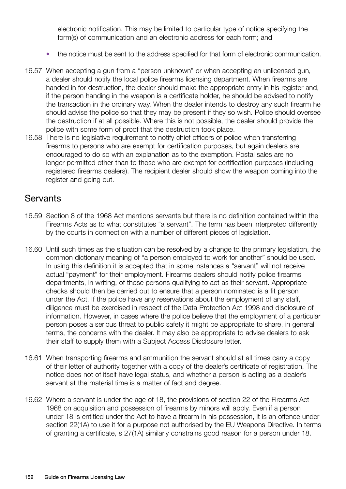electronic notification. This may be limited to particular type of notice specifying the form(s) of communication and an electronic address for each form; and

- the notice must be sent to the address specified for that form of electronic communication.
- 16.57 When accepting a gun from a "person unknown" or when accepting an unlicensed gun, a dealer should notify the local police firearms licensing department. When firearms are handed in for destruction, the dealer should make the appropriate entry in his register and, if the person handing in the weapon is a certificate holder, he should be advised to notify the transaction in the ordinary way. When the dealer intends to destroy any such firearm he should advise the police so that they may be present if they so wish. Police should oversee the destruction if at all possible. Where this is not possible, the dealer should provide the police with some form of proof that the destruction took place.
- 16.58 There is no legislative requirement to notify chief officers of police when transferring firearms to persons who are exempt for certification purposes, but again dealers are encouraged to do so with an explanation as to the exemption. Postal sales are no longer permitted other than to those who are exempt for certification purposes (including registered firearms dealers). The recipient dealer should show the weapon coming into the register and going out.

#### **Servants**

- 16.59 Section 8 of the 1968 Act mentions servants but there is no definition contained within the Firearms Acts as to what constitutes "a servant". The term has been interpreted differently by the courts in connection with a number of different pieces of legislation.
- 16.60 Until such times as the situation can be resolved by a change to the primary legislation, the common dictionary meaning of "a person employed to work for another" should be used. In using this definition it is accepted that in some instances a "servant" will not receive actual "payment" for their employment. Firearms dealers should notify police firearms departments, in writing, of those persons qualifying to act as their servant. Appropriate checks should then be carried out to ensure that a person nominated is a fit person under the Act. If the police have any reservations about the employment of any staff, diligence must be exercised in respect of the Data Protection Act 1998 and disclosure of information. However, in cases where the police believe that the employment of a particular person poses a serious threat to public safety it might be appropriate to share, in general terms, the concerns with the dealer. It may also be appropriate to advise dealers to ask their staff to supply them with a Subject Access Disclosure letter.
- 16.61 When transporting firearms and ammunition the servant should at all times carry a copy of their letter of authority together with a copy of the dealer's certificate of registration. The notice does not of itself have legal status, and whether a person is acting as a dealer's servant at the material time is a matter of fact and degree.
- 16.62 Where a servant is under the age of 18, the provisions of section 22 of the Firearms Act 1968 on acquisition and possession of firearms by minors will apply. Even if a person under 18 is entitled under the Act to have a firearm in his possession, it is an offence under section 22(1A) to use it for a purpose not authorised by the EU Weapons Directive. In terms of granting a certificate, s 27(1A) similarly constrains good reason for a person under 18.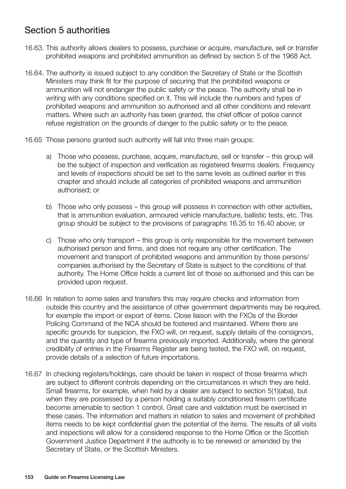# Section 5 authorities

- 16.63. This authority allows dealers to possess, purchase or acquire, manufacture, sell or transfer prohibited weapons and prohibited ammunition as defined by section 5 of the 1968 Act.
- 16.64. The authority is issued subject to any condition the Secretary of State or the Scottish Ministers may think fit for the purpose of securing that the prohibited weapons or ammunition will not endanger the public safety or the peace. The authority shall be in writing with any conditions specified on it. This will include the numbers and types of prohibited weapons and ammunition so authorised and all other conditions and relevant matters. Where such an authority has been granted, the chief officer of police cannot refuse registration on the grounds of danger to the public safety or to the peace.
- 16.65 Those persons granted such authority will fall into three main groups:
	- a) Those who possess, purchase, acquire, manufacture, sell or transfer this group will be the subject of inspection and verification as registered firearms dealers. Frequency and levels of inspections should be set to the same levels as outlined earlier in this chapter and should include all categories of prohibited weapons and ammunition authorised; or
	- b) Those who only possess this group will possess in connection with other activities, that is ammunition evaluation, armoured vehicle manufacture, ballistic tests, etc. This group should be subject to the provisions of paragraphs 16.35 to 16.40 above; or
	- c) Those who only transport this group is only responsible for the movement between authorised person and firms, and does not require any other certification. The movement and transport of prohibited weapons and ammunition by those persons/ companies authorised by the Secretary of State is subject to the conditions of that authority. The Home Office holds a current list of those so authorised and this can be provided upon request.
- 16.66 In relation to some sales and transfers this may require checks and information from outside this country and the assistance of other government departments may be required, for example the import or export of items. Close liaison with the FXOs of the Border Policing Command of the NCA should be fostered and maintained. Where there are specific grounds for suspicion, the FXO will, on request, supply details of the consignors, and the quantity and type of firearms previously imported. Additionally, where the general credibility of entries in the Firearms Register are being tested, the FXO will, on request, provide details of a selection of future importations.
- 16.67 In checking registers/holdings, care should be taken in respect of those firearms which are subject to different controls depending on the circumstances in which they are held. Small firearms, for example, when held by a dealer are subject to section 5(1)(aba), but when they are possessed by a person holding a suitably conditioned firearm certificate become amenable to section 1 control. Great care and validation must be exercised in these cases. The information and matters in relation to sales and movement of prohibited items needs to be kept confidential given the potential of the items. The results of all visits and inspections will allow for a considered response to the Home Office or the Scottish Government Justice Department if the authority is to be renewed or amended by the Secretary of State, or the Scottish Ministers.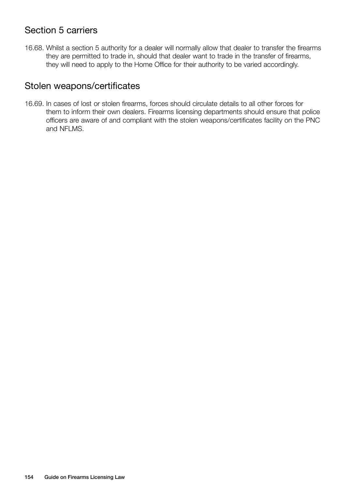## Section 5 carriers

16.68. Whilst a section 5 authority for a dealer will normally allow that dealer to transfer the firearms they are permitted to trade in, should that dealer want to trade in the transfer of firearms, they will need to apply to the Home Office for their authority to be varied accordingly.

#### Stolen weapons/certificates

16.69. In cases of lost or stolen firearms, forces should circulate details to all other forces for them to inform their own dealers. Firearms licensing departments should ensure that police officers are aware of and compliant with the stolen weapons/certificates facility on the PNC and NFLMS.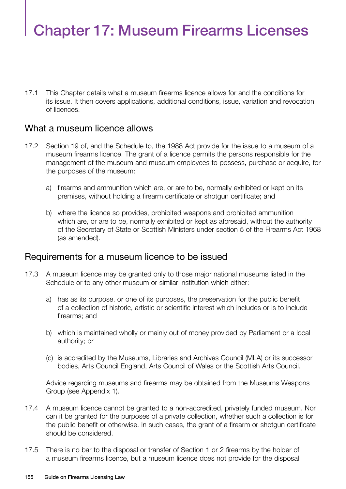# Chapter 17: Museum Firearms Licenses

17.1 This Chapter details what a museum firearms licence allows for and the conditions for its issue. It then covers applications, additional conditions, issue, variation and revocation of licences.

#### What a museum licence allows

- 17.2 Section 19 of, and the Schedule to, the 1988 Act provide for the issue to a museum of a museum firearms licence. The grant of a licence permits the persons responsible for the management of the museum and museum employees to possess, purchase or acquire, for the purposes of the museum:
	- a) firearms and ammunition which are, or are to be, normally exhibited or kept on its premises, without holding a firearm certificate or shotgun certificate; and
	- b) where the licence so provides, prohibited weapons and prohibited ammunition which are, or are to be, normally exhibited or kept as aforesaid, without the authority of the Secretary of State or Scottish Ministers under section 5 of the Firearms Act 1968 (as amended).

#### Requirements for a museum licence to be issued

- 17.3 A museum licence may be granted only to those major national museums listed in the Schedule or to any other museum or similar institution which either:
	- a) has as its purpose, or one of its purposes, the preservation for the public benefit of a collection of historic, artistic or scientific interest which includes or is to include firearms; and
	- b) which is maintained wholly or mainly out of money provided by Parliament or a local authority; or
	- (c) is accredited by the Museums, Libraries and Archives Council (MLA) or its successor bodies, Arts Council England, Arts Council of Wales or the Scottish Arts Council.

Advice regarding museums and firearms may be obtained from the Museums Weapons Group (see Appendix 1).

- 17.4 A museum licence cannot be granted to a non-accredited, privately funded museum. Nor can it be granted for the purposes of a private collection, whether such a collection is for the public benefit or otherwise. In such cases, the grant of a firearm or shotgun certificate should be considered.
- 17.5 There is no bar to the disposal or transfer of Section 1 or 2 firearms by the holder of a museum firearms licence, but a museum licence does not provide for the disposal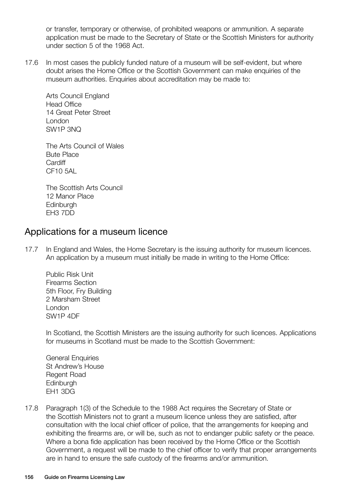or transfer, temporary or otherwise, of prohibited weapons or ammunition. A separate application must be made to the Secretary of State or the Scottish Ministers for authority under section 5 of the 1968 Act.

17.6 In most cases the publicly funded nature of a museum will be self-evident, but where doubt arises the Home Office or the Scottish Government can make enquiries of the museum authorities. Enquiries about accreditation may be made to:

Arts Council England Head Office 14 Great Peter Street London SW1P 3NQ

The Arts Council of Wales Bute Place **Cardiff** CF10 5AL

The Scottish Arts Council 12 Manor Place Edinburgh EH3 7DD

#### Applications for a museum licence

17.7 In England and Wales, the Home Secretary is the issuing authority for museum licences. An application by a museum must initially be made in writing to the Home Office:

Public Risk Unit Firearms Section 5th Floor, Fry Building 2 Marsham Street London SW1P 4DF

In Scotland, the Scottish Ministers are the issuing authority for such licences. Applications for museums in Scotland must be made to the Scottish Government:

General Enquiries St Andrew's House Regent Road **Edinburgh** EH1 3DG

17.8 Paragraph 1(3) of the Schedule to the 1988 Act requires the Secretary of State or the Scottish Ministers not to grant a museum licence unless they are satisfied, after consultation with the local chief officer of police, that the arrangements for keeping and exhibiting the firearms are, or will be, such as not to endanger public safety or the peace. Where a bona fide application has been received by the Home Office or the Scottish Government, a request will be made to the chief officer to verify that proper arrangements are in hand to ensure the safe custody of the firearms and/or ammunition.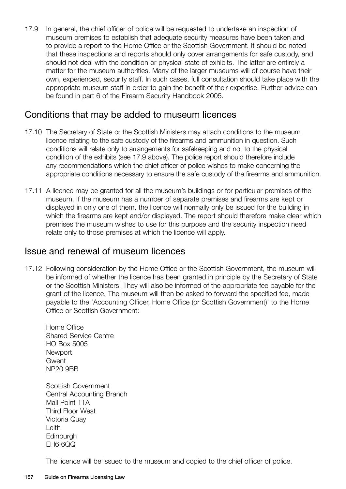17.9 In general, the chief officer of police will be requested to undertake an inspection of museum premises to establish that adequate security measures have been taken and to provide a report to the Home Office or the Scottish Government. It should be noted that these inspections and reports should only cover arrangements for safe custody, and should not deal with the condition or physical state of exhibits. The latter are entirely a matter for the museum authorities. Many of the larger museums will of course have their own, experienced, security staff. In such cases, full consultation should take place with the appropriate museum staff in order to gain the benefit of their expertise. Further advice can be found in part 6 of the Firearm Security Handbook 2005.

#### Conditions that may be added to museum licences

- 17.10 The Secretary of State or the Scottish Ministers may attach conditions to the museum licence relating to the safe custody of the firearms and ammunition in question. Such conditions will relate only to arrangements for safekeeping and not to the physical condition of the exhibits (see 17.9 above). The police report should therefore include any recommendations which the chief officer of police wishes to make concerning the appropriate conditions necessary to ensure the safe custody of the firearms and ammunition.
- 17.11 A licence may be granted for all the museum's buildings or for particular premises of the museum. If the museum has a number of separate premises and firearms are kept or displayed in only one of them, the licence will normally only be issued for the building in which the firearms are kept and/or displayed. The report should therefore make clear which premises the museum wishes to use for this purpose and the security inspection need relate only to those premises at which the licence will apply.

#### Issue and renewal of museum licences

17.12 Following consideration by the Home Office or the Scottish Government, the museum will be informed of whether the licence has been granted in principle by the Secretary of State or the Scottish Ministers. They will also be informed of the appropriate fee payable for the grant of the licence. The museum will then be asked to forward the specified fee, made payable to the 'Accounting Officer, Home Office (or Scottish Government)' to the Home Office or Scottish Government:

Home Office Shared Service Centre HO Box 5005 **Newport Gwent** NP20 9BB

Scottish Government Central Accounting Branch Mail Point 11A Third Floor West Victoria Quay Leith **Edinburgh** EH6 6QQ

The licence will be issued to the museum and copied to the chief officer of police.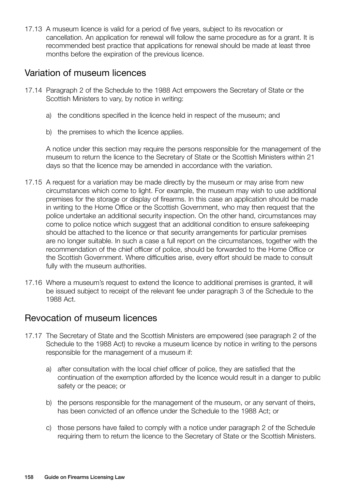17.13 A museum licence is valid for a period of five years, subject to its revocation or cancellation. An application for renewal will follow the same procedure as for a grant. It is recommended best practice that applications for renewal should be made at least three months before the expiration of the previous licence.

#### Variation of museum licences

- 17.14 Paragraph 2 of the Schedule to the 1988 Act empowers the Secretary of State or the Scottish Ministers to vary, by notice in writing:
	- a) the conditions specified in the licence held in respect of the museum; and
	- b) the premises to which the licence applies.

A notice under this section may require the persons responsible for the management of the museum to return the licence to the Secretary of State or the Scottish Ministers within 21 days so that the licence may be amended in accordance with the variation.

- 17.15 A request for a variation may be made directly by the museum or may arise from new circumstances which come to light. For example, the museum may wish to use additional premises for the storage or display of firearms. In this case an application should be made in writing to the Home Office or the Scottish Government, who may then request that the police undertake an additional security inspection. On the other hand, circumstances may come to police notice which suggest that an additional condition to ensure safekeeping should be attached to the licence or that security arrangements for particular premises are no longer suitable. In such a case a full report on the circumstances, together with the recommendation of the chief officer of police, should be forwarded to the Home Office or the Scottish Government. Where difficulties arise, every effort should be made to consult fully with the museum authorities.
- 17.16 Where a museum's request to extend the licence to additional premises is granted, it will be issued subject to receipt of the relevant fee under paragraph 3 of the Schedule to the 1988 Act.

## Revocation of museum licences

- 17.17 The Secretary of State and the Scottish Ministers are empowered (see paragraph 2 of the Schedule to the 1988 Act) to revoke a museum licence by notice in writing to the persons responsible for the management of a museum if:
	- a) after consultation with the local chief officer of police, they are satisfied that the continuation of the exemption afforded by the licence would result in a danger to public safety or the peace; or
	- b) the persons responsible for the management of the museum, or any servant of theirs, has been convicted of an offence under the Schedule to the 1988 Act; or
	- c) those persons have failed to comply with a notice under paragraph 2 of the Schedule requiring them to return the licence to the Secretary of State or the Scottish Ministers.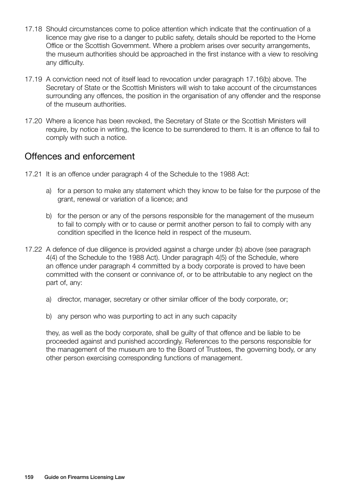- 17.18 Should circumstances come to police attention which indicate that the continuation of a licence may give rise to a danger to public safety, details should be reported to the Home Office or the Scottish Government. Where a problem arises over security arrangements, the museum authorities should be approached in the first instance with a view to resolving any difficulty.
- 17.19 A conviction need not of itself lead to revocation under paragraph 17.16(b) above. The Secretary of State or the Scottish Ministers will wish to take account of the circumstances surrounding any offences, the position in the organisation of any offender and the response of the museum authorities.
- 17.20 Where a licence has been revoked, the Secretary of State or the Scottish Ministers will require, by notice in writing, the licence to be surrendered to them. It is an offence to fail to comply with such a notice.

#### Offences and enforcement

- 17.21 It is an offence under paragraph 4 of the Schedule to the 1988 Act:
	- a) for a person to make any statement which they know to be false for the purpose of the grant, renewal or variation of a licence; and
	- b) for the person or any of the persons responsible for the management of the museum to fail to comply with or to cause or permit another person to fail to comply with any condition specified in the licence held in respect of the museum.
- 17.22 A defence of due diligence is provided against a charge under (b) above (see paragraph 4(4) of the Schedule to the 1988 Act). Under paragraph 4(5) of the Schedule, where an offence under paragraph 4 committed by a body corporate is proved to have been committed with the consent or connivance of, or to be attributable to any neglect on the part of, any:
	- a) director, manager, secretary or other similar officer of the body corporate, or;
	- b) any person who was purporting to act in any such capacity

they, as well as the body corporate, shall be guilty of that offence and be liable to be proceeded against and punished accordingly. References to the persons responsible for the management of the museum are to the Board of Trustees, the governing body, or any other person exercising corresponding functions of management.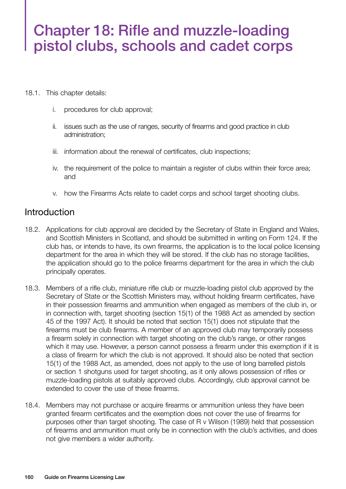# Chapter 18: Rifle and muzzle-loading pistol clubs, schools and cadet corps

- 18.1. This chapter details:
	- i. procedures for club approval;
	- ii. issues such as the use of ranges, security of firearms and good practice in club administration;
	- iii. information about the renewal of certificates, club inspections;
	- iv. the requirement of the police to maintain a register of clubs within their force area; and
	- v. how the Firearms Acts relate to cadet corps and school target shooting clubs.

## **Introduction**

- 18.2. Applications for club approval are decided by the Secretary of State in England and Wales, and Scottish Ministers in Scotland, and should be submitted in writing on Form 124. If the club has, or intends to have, its own firearms, the application is to the local police licensing department for the area in which they will be stored. If the club has no storage facilities, the application should go to the police firearms department for the area in which the club principally operates.
- 18.3. Members of a rifle club, miniature rifle club or muzzle-loading pistol club approved by the Secretary of State or the Scottish Ministers may, without holding firearm certificates, have in their possession firearms and ammunition when engaged as members of the club in, or in connection with, target shooting (section 15(1) of the 1988 Act as amended by section 45 of the 1997 Act). It should be noted that section 15(1) does not stipulate that the firearms must be club firearms. A member of an approved club may temporarily possess a firearm solely in connection with target shooting on the club's range, or other ranges which it may use. However, a person cannot possess a firearm under this exemption if it is a class of firearm for which the club is not approved. It should also be noted that section 15(1) of the 1988 Act, as amended, does not apply to the use of long barrelled pistols or section 1 shotguns used for target shooting, as it only allows possession of rifles or muzzle-loading pistols at suitably approved clubs. Accordingly, club approval cannot be extended to cover the use of these firearms.
- 18.4. Members may not purchase or acquire firearms or ammunition unless they have been granted firearm certificates and the exemption does not cover the use of firearms for purposes other than target shooting. The case of R v Wilson (1989) held that possession of firearms and ammunition must only be in connection with the club's activities, and does not give members a wider authority.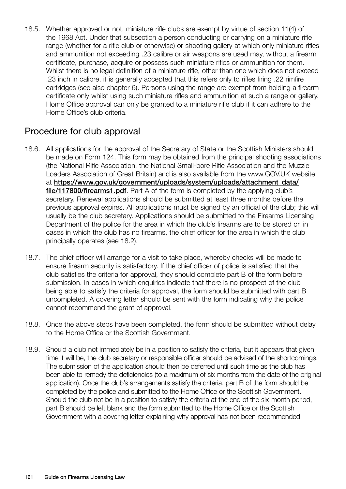18.5. Whether approved or not, miniature rifle clubs are exempt by virtue of section 11(4) of the 1968 Act. Under that subsection a person conducting or carrying on a miniature rifle range (whether for a rifle club or otherwise) or shooting gallery at which only miniature rifles and ammunition not exceeding .23 calibre or air weapons are used may, without a firearm certificate, purchase, acquire or possess such miniature rifles or ammunition for them. Whilst there is no legal definition of a miniature rifle, other than one which does not exceed .23 inch in calibre, it is generally accepted that this refers only to rifles firing .22 rimfire cartridges (see also chapter 6). Persons using the range are exempt from holding a firearm certificate only whilst using such miniature rifles and ammunition at such a range or gallery. Home Office approval can only be granted to a miniature rifle club if it can adhere to the Home Office's club criteria.

## Procedure for club approval

- 18.6. All applications for the approval of the Secretary of State or the Scottish Ministers should be made on Form 124. This form may be obtained from the principal shooting associations (the National Rifle Association, the National Small-bore Rifle Association and the Muzzle Loaders Association of Great Britain) and is also available from the www.GOV.UK website at [https://www.gov.uk/government/uploads/system/uploads/attachment\\_data/](https://www.gov.uk/government/uploads/system/uploads/attachment_data/file/117800/firearms1.pdf) [file/117800/firearms1.pdf](https://www.gov.uk/government/uploads/system/uploads/attachment_data/file/117800/firearms1.pdf). Part A of the form is completed by the applying club's secretary. Renewal applications should be submitted at least three months before the previous approval expires. All applications must be signed by an official of the club; this will usually be the club secretary. Applications should be submitted to the Firearms Licensing Department of the police for the area in which the club's firearms are to be stored or, in cases in which the club has no firearms, the chief officer for the area in which the club principally operates (see 18.2).
- 18.7. The chief officer will arrange for a visit to take place, whereby checks will be made to ensure firearm security is satisfactory. If the chief officer of police is satisfied that the club satisfies the criteria for approval, they should complete part B of the form before submission. In cases in which enquiries indicate that there is no prospect of the club being able to satisfy the criteria for approval, the form should be submitted with part B uncompleted. A covering letter should be sent with the form indicating why the police cannot recommend the grant of approval.
- 18.8. Once the above steps have been completed, the form should be submitted without delay to the Home Office or the Scottish Government.
- 18.9. Should a club not immediately be in a position to satisfy the criteria, but it appears that given time it will be, the club secretary or responsible officer should be advised of the shortcomings. The submission of the application should then be deferred until such time as the club has been able to remedy the deficiencies (to a maximum of six months from the date of the original application). Once the club's arrangements satisfy the criteria, part B of the form should be completed by the police and submitted to the Home Office or the Scottish Government. Should the club not be in a position to satisfy the criteria at the end of the six-month period, part B should be left blank and the form submitted to the Home Office or the Scottish Government with a covering letter explaining why approval has not been recommended.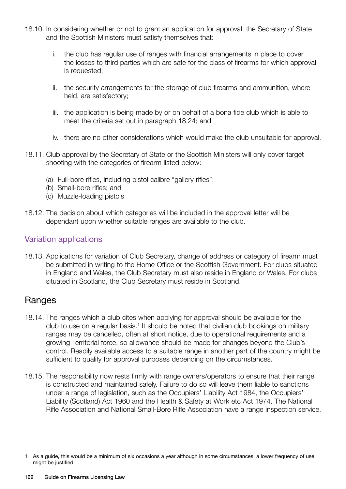- 18.10. In considering whether or not to grant an application for approval, the Secretary of State and the Scottish Ministers must satisfy themselves that:
	- i. the club has regular use of ranges with financial arrangements in place to cover the losses to third parties which are safe for the class of firearms for which approval is requested;
	- ii. the security arrangements for the storage of club firearms and ammunition, where held, are satisfactory;
	- iii. the application is being made by or on behalf of a bona fide club which is able to meet the criteria set out in paragraph 18.24; and
	- iv. there are no other considerations which would make the club unsuitable for approval.
- 18.11. Club approval by the Secretary of State or the Scottish Ministers will only cover target shooting with the categories of firearm listed below:
	- (a) Full-bore rifles, including pistol calibre "gallery rifles";
	- (b) Small-bore rifles; and
	- (c) Muzzle-loading pistols
- 18.12. The decision about which categories will be included in the approval letter will be dependant upon whether suitable ranges are available to the club.

#### Variation applications

18.13. Applications for variation of Club Secretary, change of address or category of firearm must be submitted in writing to the Home Office or the Scottish Government. For clubs situated in England and Wales, the Club Secretary must also reside in England or Wales. For clubs situated in Scotland, the Club Secretary must reside in Scotland.

#### Ranges

- 18.14. The ranges which a club cites when applying for approval should be available for the club to use on a regular basis.<sup>1</sup> It should be noted that civilian club bookings on military ranges may be cancelled, often at short notice, due to operational requirements and a growing Territorial force, so allowance should be made for changes beyond the Club's control. Readily available access to a suitable range in another part of the country might be sufficient to qualify for approval purposes depending on the circumstances.
- 18.15. The responsibility now rests firmly with range owners/operators to ensure that their range is constructed and maintained safely. Failure to do so will leave them liable to sanctions under a range of legislation, such as the Occupiers' Liability Act 1984, the Occupiers' Liability (Scotland) Act 1960 and the Health & Safety at Work etc Act 1974. The National Rifle Association and National Small-Bore Rifle Association have a range inspection service.

As a guide, this would be a minimum of six occasions a year although in some circumstances, a lower frequency of use might be justified.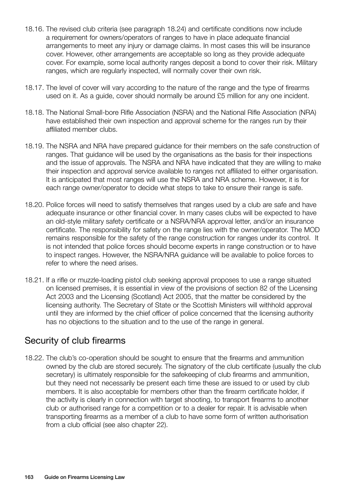- 18.16. The revised club criteria (see paragraph 18.24) and certificate conditions now include a requirement for owners/operators of ranges to have in place adequate financial arrangements to meet any injury or damage claims. In most cases this will be insurance cover. However, other arrangements are acceptable so long as they provide adequate cover. For example, some local authority ranges deposit a bond to cover their risk. Military ranges, which are regularly inspected, will normally cover their own risk.
- 18.17. The level of cover will vary according to the nature of the range and the type of firearms used on it. As a guide, cover should normally be around £5 million for any one incident.
- 18.18. The National Small-bore Rifle Association (NSRA) and the National Rifle Association (NRA) have established their own inspection and approval scheme for the ranges run by their affiliated member clubs.
- 18.19. The NSRA and NRA have prepared guidance for their members on the safe construction of ranges. That guidance will be used by the organisations as the basis for their inspections and the issue of approvals. The NSRA and NRA have indicated that they are willing to make their inspection and approval service available to ranges not affiliated to either organisation. It is anticipated that most ranges will use the NSRA and NRA scheme. However, it is for each range owner/operator to decide what steps to take to ensure their range is safe.
- 18.20. Police forces will need to satisfy themselves that ranges used by a club are safe and have adequate insurance or other financial cover. In many cases clubs will be expected to have an old-style military safety certificate or a NSRA/NRA approval letter, and/or an insurance certificate. The responsibility for safety on the range lies with the owner/operator. The MOD remains responsible for the safety of the range construction for ranges under its control. It is not intended that police forces should become experts in range construction or to have to inspect ranges. However, the NSRA/NRA guidance will be available to police forces to refer to where the need arises.
- 18.21. If a rifle or muzzle-loading pistol club seeking approval proposes to use a range situated on licensed premises, it is essential in view of the provisions of section 82 of the Licensing Act 2003 and the Licensing (Scotland) Act 2005, that the matter be considered by the licensing authority. The Secretary of State or the Scottish Ministers will withhold approval until they are informed by the chief officer of police concerned that the licensing authority has no objections to the situation and to the use of the range in general.

## Security of club firearms

18.22. The club's co-operation should be sought to ensure that the firearms and ammunition owned by the club are stored securely. The signatory of the club certificate (usually the club secretary) is ultimately responsible for the safekeeping of club firearms and ammunition, but they need not necessarily be present each time these are issued to or used by club members. It is also acceptable for members other than the firearm certificate holder, if the activity is clearly in connection with target shooting, to transport firearms to another club or authorised range for a competition or to a dealer for repair. It is advisable when transporting firearms as a member of a club to have some form of written authorisation from a club official (see also chapter 22).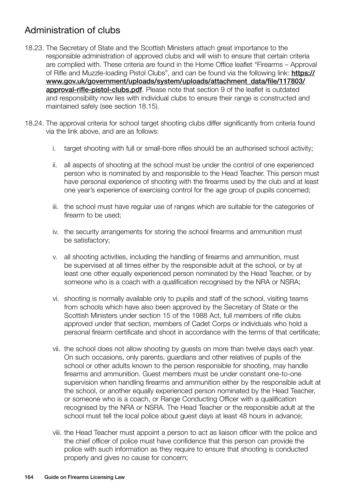# Administration of clubs

- 18.23. The Secretary of State and the Scottish Ministers attach great importance to the responsible administration of approved clubs and will wish to ensure that certain criteria are complied with. These criteria are found in the Home Office leaflet "Firearms – Approval of Rifle and Muzzle-loading Pistol Clubs", and can be found via the following link: [https://](https://www.gov.uk/government/uploads/system/uploads/attachment_data/file/117803/approval-rifle-pistol-clubs.pdf) [www.gov.uk/government/uploads/system/uploads/attachment\\_data/file/117803/](https://www.gov.uk/government/uploads/system/uploads/attachment_data/file/117803/approval-rifle-pistol-clubs.pdf) [approval-rifle-pistol-clubs.pdf](https://www.gov.uk/government/uploads/system/uploads/attachment_data/file/117803/approval-rifle-pistol-clubs.pdf). Please note that section 9 of the leaflet is outdated and responsibility now lies with individual clubs to ensure their range is constructed and maintained safely (see section 18.15).
- 18.24. The approval criteria for school target shooting clubs differ significantly from criteria found via the link above, and are as follows:
	- i. target shooting with full or small-bore rifles should be an authorised school activity;
	- ii. all aspects of shooting at the school must be under the control of one experienced person who is nominated by and responsible to the Head Teacher. This person must have personal experience of shooting with the firearms used by the club and at least one year's experience of exercising control for the age group of pupils concerned;
	- iii. the school must have regular use of ranges which are suitable for the categories of firearm to be used;
	- iv. the security arrangements for storing the school firearms and ammunition must be satisfactory;
	- v. all shooting activities, including the handling of firearms and ammunition, must be supervised at all times either by the responsible adult at the school, or by at least one other equally experienced person nominated by the Head Teacher, or by someone who is a coach with a qualification recognised by the NRA or NSRA;
	- vi. shooting is normally available only to pupils and staff of the school, visiting teams from schools which have also been approved by the Secretary of State or the Scottish Ministers under section 15 of the 1988 Act, full members of rifle clubs approved under that section, members of Cadet Corps or individuals who hold a personal firearm certificate and shoot in accordance with the terms of that certificate;
	- vii. the school does not allow shooting by guests on more than twelve days each year. On such occasions, only parents, guardians and other relatives of pupils of the school or other adults known to the person responsible for shooting, may handle firearms and ammunition. Guest members must be under constant one-to-one supervision when handling firearms and ammunition either by the responsible adult at the school, or another equally experienced person nominated by the Head Teacher, or someone who is a coach, or Range Conducting Officer with a qualification recognised by the NRA or NSRA. The Head Teacher or the responsible adult at the school must tell the local police about guest days at least 48 hours in advance;
	- viii. the Head Teacher must appoint a person to act as liaison officer with the police and the chief officer of police must have confidence that this person can provide the police with such information as they require to ensure that shooting is conducted properly and gives no cause for concern;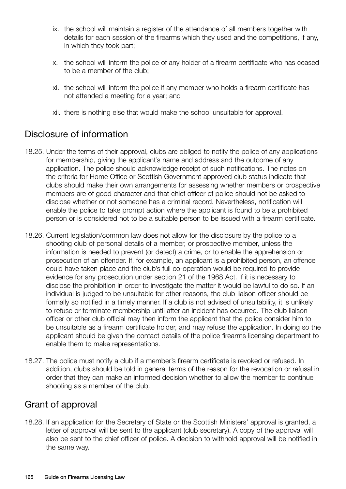- ix. the school will maintain a register of the attendance of all members together with details for each session of the firearms which they used and the competitions, if any, in which they took part;
- x. the school will inform the police of any holder of a firearm certificate who has ceased to be a member of the club;
- xi. the school will inform the police if any member who holds a firearm certificate has not attended a meeting for a year; and
- xii. there is nothing else that would make the school unsuitable for approval.

## Disclosure of information

- 18.25. Under the terms of their approval, clubs are obliged to notify the police of any applications for membership, giving the applicant's name and address and the outcome of any application. The police should acknowledge receipt of such notifications. The notes on the criteria for Home Office or Scottish Government approved club status indicate that clubs should make their own arrangements for assessing whether members or prospective members are of good character and that chief officer of police should not be asked to disclose whether or not someone has a criminal record. Nevertheless, notification will enable the police to take prompt action where the applicant is found to be a prohibited person or is considered not to be a suitable person to be issued with a firearm certificate.
- 18.26. Current legislation/common law does not allow for the disclosure by the police to a shooting club of personal details of a member, or prospective member, unless the information is needed to prevent (or detect) a crime, or to enable the apprehension or prosecution of an offender. If, for example, an applicant is a prohibited person, an offence could have taken place and the club's full co-operation would be required to provide evidence for any prosecution under section 21 of the 1968 Act. If it is necessary to disclose the prohibition in order to investigate the matter it would be lawful to do so. If an individual is judged to be unsuitable for other reasons, the club liaison officer should be formally so notified in a timely manner. If a club is not advised of unsuitability, it is unlikely to refuse or terminate membership until after an incident has occurred. The club liaison officer or other club official may then inform the applicant that the police consider him to be unsuitable as a firearm certificate holder, and may refuse the application. In doing so the applicant should be given the contact details of the police firearms licensing department to enable them to make representations.
- 18.27. The police must notify a club if a member's firearm certificate is revoked or refused. In addition, clubs should be told in general terms of the reason for the revocation or refusal in order that they can make an informed decision whether to allow the member to continue shooting as a member of the club.

## Grant of approval

18.28. If an application for the Secretary of State or the Scottish Ministers' approval is granted, a letter of approval will be sent to the applicant (club secretary). A copy of the approval will also be sent to the chief officer of police. A decision to withhold approval will be notified in the same way.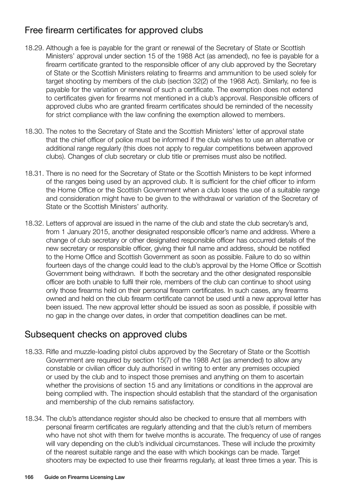# Free firearm certificates for approved clubs

- 18.29. Although a fee is payable for the grant or renewal of the Secretary of State or Scottish Ministers' approval under section 15 of the 1988 Act (as amended), no fee is payable for a firearm certificate granted to the responsible officer of any club approved by the Secretary of State or the Scottish Ministers relating to firearms and ammunition to be used solely for target shooting by members of the club (section 32(2) of the 1968 Act). Similarly, no fee is payable for the variation or renewal of such a certificate. The exemption does not extend to certificates given for firearms not mentioned in a club's approval. Responsible officers of approved clubs who are granted firearm certificates should be reminded of the necessity for strict compliance with the law confining the exemption allowed to members.
- 18.30. The notes to the Secretary of State and the Scottish Ministers' letter of approval state that the chief officer of police must be informed if the club wishes to use an alternative or additional range regularly (this does not apply to regular competitions between approved clubs). Changes of club secretary or club title or premises must also be notified.
- 18.31. There is no need for the Secretary of State or the Scottish Ministers to be kept informed of the ranges being used by an approved club. It is sufficient for the chief officer to inform the Home Office or the Scottish Government when a club loses the use of a suitable range and consideration might have to be given to the withdrawal or variation of the Secretary of State or the Scottish Ministers' authority.
- 18.32. Letters of approval are issued in the name of the club and state the club secretary's and, from 1 January 2015, another designated responsible officer's name and address. Where a change of club secretary or other designated responsible officer has occurred details of the new secretary or responsible officer, giving their full name and address, should be notified to the Home Office and Scottish Government as soon as possible. Failure to do so within fourteen days of the change could lead to the club's approval by the Home Office or Scottish Government being withdrawn. If both the secretary and the other designated responsible officer are both unable to fulfil their role, members of the club can continue to shoot using only those firearms held on their personal firearm certificates. In such cases, any firearms owned and held on the club firearm certificate cannot be used until a new approval letter has been issued. The new approval letter should be issued as soon as possible, if possible with no gap in the change over dates, in order that competition deadlines can be met.

#### Subsequent checks on approved clubs

- 18.33. Rifle and muzzle-loading pistol clubs approved by the Secretary of State or the Scottish Government are required by section 15(7) of the 1988 Act (as amended) to allow any constable or civilian officer duly authorised in writing to enter any premises occupied or used by the club and to inspect those premises and anything on them to ascertain whether the provisions of section 15 and any limitations or conditions in the approval are being complied with. The inspection should establish that the standard of the organisation and membership of the club remains satisfactory.
- 18.34. The club's attendance register should also be checked to ensure that all members with personal firearm certificates are regularly attending and that the club's return of members who have not shot with them for twelve months is accurate. The frequency of use of ranges will vary depending on the club's individual circumstances. These will include the proximity of the nearest suitable range and the ease with which bookings can be made. Target shooters may be expected to use their firearms regularly, at least three times a year. This is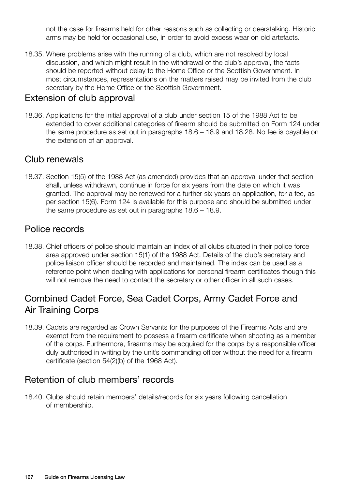not the case for firearms held for other reasons such as collecting or deerstalking. Historic arms may be held for occasional use, in order to avoid excess wear on old artefacts.

18.35. Where problems arise with the running of a club, which are not resolved by local discussion, and which might result in the withdrawal of the club's approval, the facts should be reported without delay to the Home Office or the Scottish Government. In most circumstances, representations on the matters raised may be invited from the club secretary by the Home Office or the Scottish Government.

#### Extension of club approval

18.36. Applications for the initial approval of a club under section 15 of the 1988 Act to be extended to cover additional categories of firearm should be submitted on Form 124 under the same procedure as set out in paragraphs 18.6 – 18.9 and 18.28. No fee is payable on the extension of an approval.

#### Club renewals

18.37. Section 15(5) of the 1988 Act (as amended) provides that an approval under that section shall, unless withdrawn, continue in force for six years from the date on which it was granted. The approval may be renewed for a further six years on application, for a fee, as per section 15(6). Form 124 is available for this purpose and should be submitted under the same procedure as set out in paragraphs 18.6 – 18.9.

## Police records

18.38. Chief officers of police should maintain an index of all clubs situated in their police force area approved under section 15(1) of the 1988 Act. Details of the club's secretary and police liaison officer should be recorded and maintained. The index can be used as a reference point when dealing with applications for personal firearm certificates though this will not remove the need to contact the secretary or other officer in all such cases.

# Combined Cadet Force, Sea Cadet Corps, Army Cadet Force and Air Training Corps

18.39. Cadets are regarded as Crown Servants for the purposes of the Firearms Acts and are exempt from the requirement to possess a firearm certificate when shooting as a member of the corps. Furthermore, firearms may be acquired for the corps by a responsible officer duly authorised in writing by the unit's commanding officer without the need for a firearm certificate (section 54(2)(b) of the 1968 Act).

## Retention of club members' records

18.40. Clubs should retain members' details/records for six years following cancellation of membership.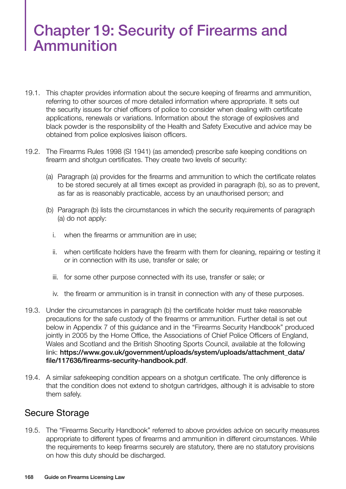# Chapter 19: Security of Firearms and Ammunition

- 19.1. This chapter provides information about the secure keeping of firearms and ammunition, referring to other sources of more detailed information where appropriate. It sets out the security issues for chief officers of police to consider when dealing with certificate applications, renewals or variations. Information about the storage of explosives and black powder is the responsibility of the Health and Safety Executive and advice may be obtained from police explosives liaison officers.
- 19.2. The Firearms Rules 1998 (SI 1941) (as amended) prescribe safe keeping conditions on firearm and shotgun certificates. They create two levels of security:
	- (a) Paragraph (a) provides for the firearms and ammunition to which the certificate relates to be stored securely at all times except as provided in paragraph (b), so as to prevent, as far as is reasonably practicable, access by an unauthorised person; and
	- (b) Paragraph (b) lists the circumstances in which the security requirements of paragraph (a) do not apply:
		- i. when the firearms or ammunition are in use;
		- ii. when certificate holders have the firearm with them for cleaning, repairing or testing it or in connection with its use, transfer or sale; or
		- iii. for some other purpose connected with its use, transfer or sale; or
		- iv. the firearm or ammunition is in transit in connection with any of these purposes.
- 19.3. Under the circumstances in paragraph (b) the certificate holder must take reasonable precautions for the safe custody of the firearms or ammunition. Further detail is set out below in Appendix 7 of this guidance and in the "Firearms Security Handbook" produced jointly in 2005 by the Home Office, the Associations of Chief Police Officers of England, Wales and Scotland and the British Shooting Sports Council, available at the following link: [https://www.gov.uk/government/uploads/system/uploads/attachment\\_data/](https://www.gov.uk/government/uploads/system/uploads/attachment_data/file/117636/firearms-security-handbook.pdf) [file/117636/firearms-security-handbook.pdf](https://www.gov.uk/government/uploads/system/uploads/attachment_data/file/117636/firearms-security-handbook.pdf).
- 19.4. A similar safekeeping condition appears on a shotgun certificate. The only difference is that the condition does not extend to shotgun cartridges, although it is advisable to store them safely.

#### Secure Storage

19.5. The "Firearms Security Handbook" referred to above provides advice on security measures appropriate to different types of firearms and ammunition in different circumstances. While the requirements to keep firearms securely are statutory, there are no statutory provisions on how this duty should be discharged.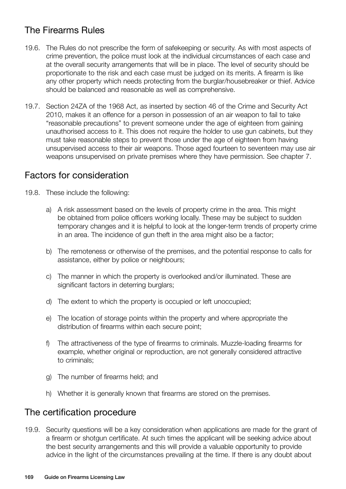# The Firearms Rules

- 19.6. The Rules do not prescribe the form of safekeeping or security. As with most aspects of crime prevention, the police must look at the individual circumstances of each case and at the overall security arrangements that will be in place. The level of security should be proportionate to the risk and each case must be judged on its merits. A firearm is like any other property which needs protecting from the burglar/housebreaker or thief. Advice should be balanced and reasonable as well as comprehensive.
- 19.7. Section 24ZA of the 1968 Act, as inserted by section 46 of the Crime and Security Act 2010, makes it an offence for a person in possession of an air weapon to fail to take "reasonable precautions" to prevent someone under the age of eighteen from gaining unauthorised access to it. This does not require the holder to use gun cabinets, but they must take reasonable steps to prevent those under the age of eighteen from having unsupervised access to their air weapons. Those aged fourteen to seventeen may use air weapons unsupervised on private premises where they have permission. See chapter 7.

## Factors for consideration

- 19.8. These include the following:
	- a) A risk assessment based on the levels of property crime in the area. This might be obtained from police officers working locally. These may be subject to sudden temporary changes and it is helpful to look at the longer-term trends of property crime in an area. The incidence of gun theft in the area might also be a factor;
	- b) The remoteness or otherwise of the premises, and the potential response to calls for assistance, either by police or neighbours;
	- c) The manner in which the property is overlooked and/or illuminated. These are significant factors in deterring burglars;
	- d) The extent to which the property is occupied or left unoccupied;
	- e) The location of storage points within the property and where appropriate the distribution of firearms within each secure point;
	- f) The attractiveness of the type of firearms to criminals. Muzzle-loading firearms for example, whether original or reproduction, are not generally considered attractive to criminals;
	- g) The number of firearms held; and
	- h) Whether it is generally known that firearms are stored on the premises.

## The certification procedure

19.9. Security questions will be a key consideration when applications are made for the grant of a firearm or shotgun certificate. At such times the applicant will be seeking advice about the best security arrangements and this will provide a valuable opportunity to provide advice in the light of the circumstances prevailing at the time. If there is any doubt about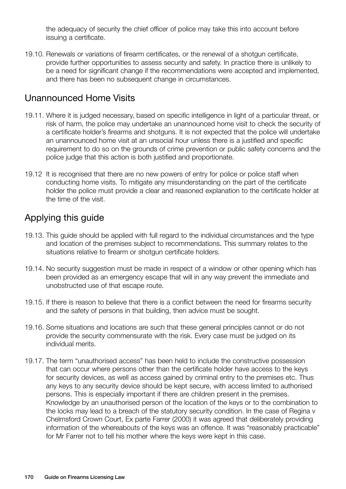the adequacy of security the chief officer of police may take this into account before issuing a certificate.

19.10. Renewals or variations of firearm certificates, or the renewal of a shotgun certificate, provide further opportunities to assess security and safety. In practice there is unlikely to be a need for significant change if the recommendations were accepted and implemented, and there has been no subsequent change in circumstances.

## Unannounced Home Visits

- 19.11. Where it is judged necessary, based on specific intelligence in light of a particular threat, or risk of harm, the police may undertake an unannounced home visit to check the security of a certificate holder's firearms and shotguns. It is not expected that the police will undertake an unannounced home visit at an unsocial hour unless there is a justified and specific requirement to do so on the grounds of crime prevention or public safety concerns and the police judge that this action is both justified and proportionate.
- 19.12 It is recognised that there are no new powers of entry for police or police staff when conducting home visits. To mitigate any misunderstanding on the part of the certificate holder the police must provide a clear and reasoned explanation to the certificate holder at the time of the visit.

## Applying this guide

- 19.13. This guide should be applied with full regard to the individual circumstances and the type and location of the premises subject to recommendations. This summary relates to the situations relative to firearm or shotgun certificate holders.
- 19.14. No security suggestion must be made in respect of a window or other opening which has been provided as an emergency escape that will in any way prevent the immediate and unobstructed use of that escape route.
- 19.15. If there is reason to believe that there is a conflict between the need for firearms security and the safety of persons in that building, then advice must be sought.
- 19.16. Some situations and locations are such that these general principles cannot or do not provide the security commensurate with the risk. Every case must be judged on its individual merits.
- 19.17. The term "unauthorised access" has been held to include the constructive possession that can occur where persons other than the certificate holder have access to the keys for security devices, as well as access gained by criminal entry to the premises etc. Thus any keys to any security device should be kept secure, with access limited to authorised persons. This is especially important if there are children present in the premises. Knowledge by an unauthorised person of the location of the keys or to the combination to the locks may lead to a breach of the statutory security condition. In the case of Regina v Chelmsford Crown Court, Ex parte Farrer (2000) it was agreed that deliberately providing information of the whereabouts of the keys was an offence. It was "reasonably practicable" for Mr Farrer not to tell his mother where the keys were kept in this case.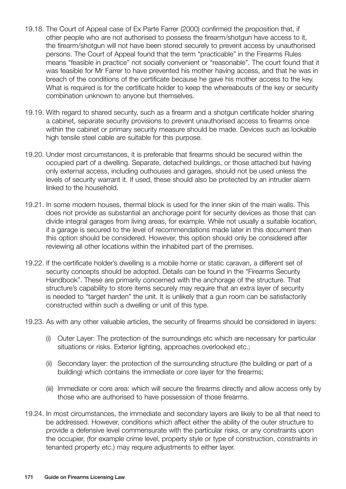- 19.18. The Court of Appeal case of Ex Parte Farrer (2000) confirmed the proposition that, if other people who are not authorised to possess the firearm/shotgun have access to it, the firearm/shotgun will not have been stored securely to prevent access by unauthorised persons. The Court of Appeal found that the term "practicable" in the Firearms Rules means "feasible in practice" not socially convenient or "reasonable". The court found that it was feasible for Mr Farrer to have prevented his mother having access, and that he was in breach of the conditions of the certificate because he gave his mother access to the key. What is required is for the certificate holder to keep the whereabouts of the key or security combination unknown to anyone but themselves.
- 19.19. With regard to shared security, such as a firearm and a shotgun certificate holder sharing a cabinet, separate security provisions to prevent unauthorised access to firearms once within the cabinet or primary security measure should be made. Devices such as lockable high tensile steel cable are suitable for this purpose.
- 19.20. Under most circumstances, it is preferable that firearms should be secured within the occupied part of a dwelling. Separate, detached buildings, or those attached but having only external access, including outhouses and garages, should not be used unless the levels of security warrant it. If used, these should also be protected by an intruder alarm linked to the household.
- 19.21. In some modern houses, thermal block is used for the inner skin of the main walls. This does not provide as substantial an anchorage point for security devices as those that can divide integral garages from living areas, for example. While not usually a suitable location, if a garage is secured to the level of recommendations made later in this document then this option should be considered. However, this option should only be considered after reviewing all other locations within the inhabited part of the premises.
- 19.22. If the certificate holder's dwelling is a mobile home or static caravan, a different set of security concepts should be adopted. Details can be found in the "Firearms Security Handbook". These are primarily concerned with the anchorage of the structure. That structure's capability to store items securely may require that an extra layer of security is needed to "target harden" the unit. It is unlikely that a gun room can be satisfactorily constructed within such a dwelling or unit of this type.
- 19.23. As with any other valuable articles, the security of firearms should be considered in layers:
	- (i) Outer Layer: The protection of the surroundings etc which are necessary for particular situations or risks. Exterior lighting, approaches overlooked etc.;
	- (ii) Secondary layer: the protection of the surrounding structure (the building or part of a building) which contains the immediate or core layer for the firearms;
	- (iii) Immediate or core area: which will secure the firearms directly and allow access only by those who are authorised to have possession of those firearms.
- 19.24. In most circumstances, the immediate and secondary layers are likely to be all that need to be addressed. However, conditions which affect either the ability of the outer structure to provide a defensive level commensurate with the particular risks, or any constraints upon the occupier, (for example crime level, property style or type of construction, constraints in tenanted property etc.) may require adjustments to either layer.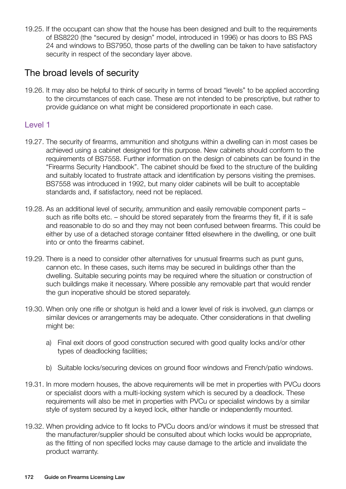19.25. If the occupant can show that the house has been designed and built to the requirements of BS8220 (the "secured by design" model, introduced in 1996) or has doors to BS PAS 24 and windows to BS7950, those parts of the dwelling can be taken to have satisfactory security in respect of the secondary layer above.

## The broad levels of security

19.26. It may also be helpful to think of security in terms of broad "levels" to be applied according to the circumstances of each case. These are not intended to be prescriptive, but rather to provide guidance on what might be considered proportionate in each case.

#### Level 1

- 19.27. The security of firearms, ammunition and shotguns within a dwelling can in most cases be achieved using a cabinet designed for this purpose. New cabinets should conform to the requirements of BS7558. Further information on the design of cabinets can be found in the "Firearms Security Handbook". The cabinet should be fixed to the structure of the building and suitably located to frustrate attack and identification by persons visiting the premises. BS7558 was introduced in 1992, but many older cabinets will be built to acceptable standards and, if satisfactory, need not be replaced.
- 19.28. As an additional level of security, ammunition and easily removable component parts such as rifle bolts etc. – should be stored separately from the firearms they fit, if it is safe and reasonable to do so and they may not been confused between firearms. This could be either by use of a detached storage container fitted elsewhere in the dwelling, or one built into or onto the firearms cabinet.
- 19.29. There is a need to consider other alternatives for unusual firearms such as punt guns, cannon etc. In these cases, such items may be secured in buildings other than the dwelling. Suitable securing points may be required where the situation or construction of such buildings make it necessary. Where possible any removable part that would render the gun inoperative should be stored separately.
- 19.30. When only one rifle or shotgun is held and a lower level of risk is involved, gun clamps or similar devices or arrangements may be adequate. Other considerations in that dwelling might be:
	- a) Final exit doors of good construction secured with good quality locks and/or other types of deadlocking facilities;
	- b) Suitable locks/securing devices on ground floor windows and French/patio windows.
- 19.31. In more modern houses, the above requirements will be met in properties with PVCu doors or specialist doors with a multi-locking system which is secured by a deadlock. These requirements will also be met in properties with PVCu or specialist windows by a similar style of system secured by a keyed lock, either handle or independently mounted.
- 19.32. When providing advice to fit locks to PVCu doors and/or windows it must be stressed that the manufacturer/supplier should be consulted about which locks would be appropriate, as the fitting of non specified locks may cause damage to the article and invalidate the product warranty.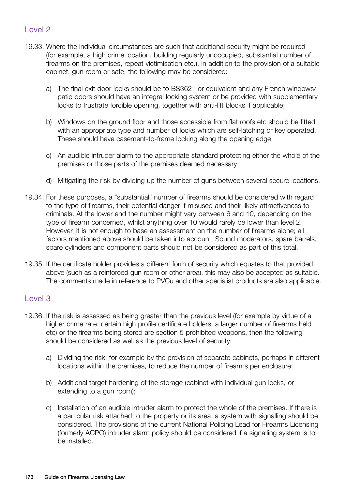#### Level 2

- 19.33. Where the individual circumstances are such that additional security might be required (for example, a high crime location, building regularly unoccupied, substantial number of firearms on the premises, repeat victimisation etc.), in addition to the provision of a suitable cabinet, gun room or safe, the following may be considered:
	- a) The final exit door locks should be to BS3621 or equivalent and any French windows/ patio doors should have an integral locking system or be provided with supplementary locks to frustrate forcible opening, together with anti-lift blocks if applicable;
	- b) Windows on the ground floor and those accessible from flat roofs etc should be fitted with an appropriate type and number of locks which are self-latching or key operated. These should have casement-to-frame locking along the opening edge;
	- c) An audible intruder alarm to the appropriate standard protecting either the whole of the premises or those parts of the premises deemed necessary;
	- d) Mitigating the risk by dividing up the number of guns between several secure locations.
- 19.34. For these purposes, a "substantial" number of firearms should be considered with regard to the type of firearms, their potential danger if misused and their likely attractiveness to criminals. At the lower end the number might vary between 6 and 10, depending on the type of firearm concerned, whilst anything over 10 would rarely be lower than level 2. However, it is not enough to base an assessment on the number of firearms alone; all factors mentioned above should be taken into account. Sound moderators, spare barrels, spare cylinders and component parts should not be considered as part of this total.
- 19.35. If the certificate holder provides a different form of security which equates to that provided above (such as a reinforced gun room or other area), this may also be accepted as suitable. The comments made in reference to PVCu and other specialist products are also applicable.

#### Level 3

- 19.36. If the risk is assessed as being greater than the previous level (for example by virtue of a higher crime rate, certain high profile certificate holders, a larger number of firearms held etc) or the firearms being stored are section 5 prohibited weapons, then the following should be considered as well as the previous level of security:
	- a) Dividing the risk, for example by the provision of separate cabinets, perhaps in different locations within the premises, to reduce the number of firearms per enclosure;
	- b) Additional target hardening of the storage (cabinet with individual gun locks, or extending to a gun room);
	- c) Installation of an audible intruder alarm to protect the whole of the premises. If there is a particular risk attached to the property or its area, a system with signalling should be considered. The provisions of the current National Policing Lead for Firearms Licensing (formerly ACPO) intruder alarm policy should be considered if a signalling system is to be installed.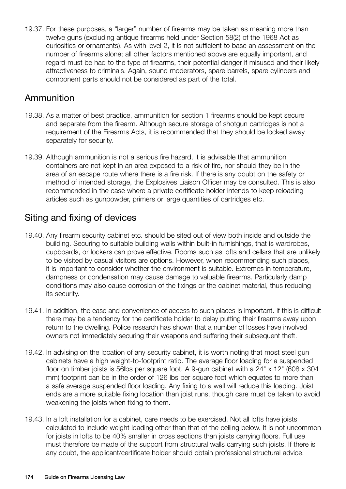19.37. For these purposes, a "larger" number of firearms may be taken as meaning more than twelve guns (excluding antique firearms held under Section 58(2) of the 1968 Act as curiosities or ornaments). As with level 2, it is not sufficient to base an assessment on the number of firearms alone; all other factors mentioned above are equally important, and regard must be had to the type of firearms, their potential danger if misused and their likely attractiveness to criminals. Again, sound moderators, spare barrels, spare cylinders and component parts should not be considered as part of the total.

## Ammunition

- 19.38. As a matter of best practice, ammunition for section 1 firearms should be kept secure and separate from the firearm. Although secure storage of shotgun cartridges is not a requirement of the Firearms Acts, it is recommended that they should be locked away separately for security.
- 19.39. Although ammunition is not a serious fire hazard, it is advisable that ammunition containers are not kept in an area exposed to a risk of fire, nor should they be in the area of an escape route where there is a fire risk. If there is any doubt on the safety or method of intended storage, the Explosives Liaison Officer may be consulted. This is also recommended in the case where a private certificate holder intends to keep reloading articles such as gunpowder, primers or large quantities of cartridges etc.

## Siting and fixing of devices

- 19.40. Any firearm security cabinet etc. should be sited out of view both inside and outside the building. Securing to suitable building walls within built-in furnishings, that is wardrobes, cupboards, or lockers can prove effective. Rooms such as lofts and cellars that are unlikely to be visited by casual visitors are options. However, when recommending such places, it is important to consider whether the environment is suitable. Extremes in temperature, dampness or condensation may cause damage to valuable firearms. Particularly damp conditions may also cause corrosion of the fixings or the cabinet material, thus reducing its security.
- 19.41. In addition, the ease and convenience of access to such places is important. If this is difficult there may be a tendency for the certificate holder to delay putting their firearms away upon return to the dwelling. Police research has shown that a number of losses have involved owners not immediately securing their weapons and suffering their subsequent theft.
- 19.42. In advising on the location of any security cabinet, it is worth noting that most steel gun cabinets have a high weight-to-footprint ratio. The average floor loading for a suspended floor on timber joists is 56lbs per square foot. A 9-gun cabinet with a  $24" \times 12"$  (608 x 304 mm) footprint can be in the order of 126 lbs per square foot which equates to more than a safe average suspended floor loading. Any fixing to a wall will reduce this loading. Joist ends are a more suitable fixing location than joist runs, though care must be taken to avoid weakening the joists when fixing to them.
- 19.43. In a loft installation for a cabinet, care needs to be exercised. Not all lofts have joists calculated to include weight loading other than that of the ceiling below. It is not uncommon for joists in lofts to be 40% smaller in cross sections than joists carrying floors. Full use must therefore be made of the support from structural walls carrying such joists. If there is any doubt, the applicant/certificate holder should obtain professional structural advice.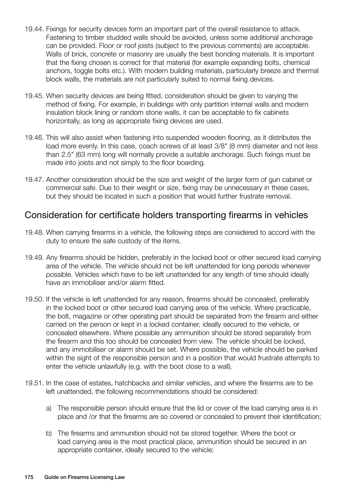- 19.44. Fixings for security devices form an important part of the overall resistance to attack. Fastening to timber studded walls should be avoided, unless some additional anchorage can be provided. Floor or roof joists (subject to the previous comments) are acceptable. Walls of brick, concrete or masonry are usually the best bonding materials. It is important that the fixing chosen is correct for that material (for example expanding bolts, chemical anchors, toggle bolts etc.). With modern building materials, particularly breeze and thermal block walls, the materials are not particularly suited to normal fixing devices.
- 19.45. When security devices are being fitted, consideration should be given to varying the method of fixing. For example, in buildings with only partition internal walls and modern insulation block lining or random stone walls, it can be acceptable to fix cabinets horizontally, as long as appropriate fixing devices are used.
- 19.46. This will also assist when fastening into suspended wooden flooring, as it distributes the load more evenly. In this case, coach screws of at least 3/8" (8 mm) diameter and not less than 2.5" (63 mm) long will normally provide a suitable anchorage. Such fixings must be made into joists and not simply to the floor boarding.
- 19.47. Another consideration should be the size and weight of the larger form of gun cabinet or commercial safe. Due to their weight or size, fixing may be unnecessary in these cases, but they should be located in such a position that would further frustrate removal.

## Consideration for certificate holders transporting firearms in vehicles

- 19.48. When carrying firearms in a vehicle, the following steps are considered to accord with the duty to ensure the safe custody of the items.
- 19.49. Any firearms should be hidden, preferably in the locked boot or other secured load carrying area of the vehicle. The vehicle should not be left unattended for long periods whenever possible. Vehicles which have to be left unattended for any length of time should ideally have an immobiliser and/or alarm fitted.
- 19.50. If the vehicle is left unattended for any reason, firearms should be concealed, preferably in the locked boot or other secured load carrying area of the vehicle. Where practicable, the bolt, magazine or other operating part should be separated from the firearm and either carried on the person or kept in a locked container, ideally secured to the vehicle, or concealed elsewhere. Where possible any ammunition should be stored separately from the firearm and this too should be concealed from view. The vehicle should be locked, and any immobiliser or alarm should be set. Where possible, the vehicle should be parked within the sight of the responsible person and in a position that would frustrate attempts to enter the vehicle unlawfully (e.g. with the boot close to a wall).
- 19.51. In the case of estates, hatchbacks and similar vehicles, and where the firearms are to be left unattended, the following recommendations should be considered:
	- a) The responsible person should ensure that the lid or cover of the load carrying area is in place and /or that the firearms are so covered or concealed to prevent their identification;
	- b) The firearms and ammunition should not be stored together. Where the boot or load carrying area is the most practical place, ammunition should be secured in an appropriate container, ideally secured to the vehicle;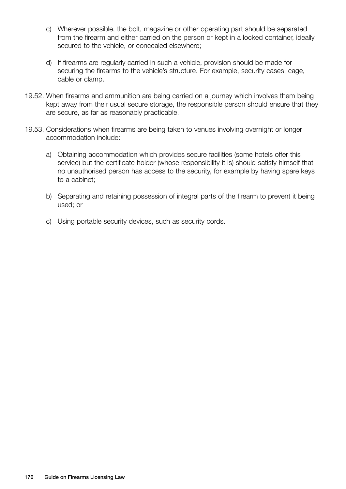- c) Wherever possible, the bolt, magazine or other operating part should be separated from the firearm and either carried on the person or kept in a locked container, ideally secured to the vehicle, or concealed elsewhere;
- d) If firearms are regularly carried in such a vehicle, provision should be made for securing the firearms to the vehicle's structure. For example, security cases, cage, cable or clamp.
- 19.52. When firearms and ammunition are being carried on a journey which involves them being kept away from their usual secure storage, the responsible person should ensure that they are secure, as far as reasonably practicable.
- 19.53. Considerations when firearms are being taken to venues involving overnight or longer accommodation include:
	- a) Obtaining accommodation which provides secure facilities (some hotels offer this service) but the certificate holder (whose responsibility it is) should satisfy himself that no unauthorised person has access to the security, for example by having spare keys to a cabinet;
	- b) Separating and retaining possession of integral parts of the firearm to prevent it being used; or
	- c) Using portable security devices, such as security cords.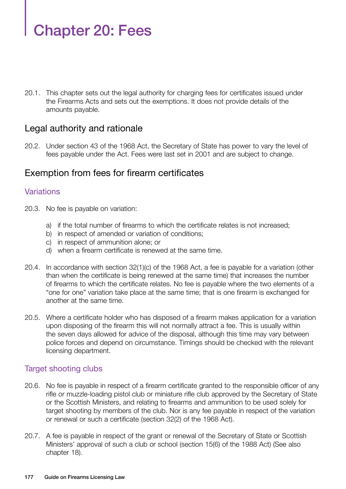# Chapter 20: Fees

20.1. This chapter sets out the legal authority for charging fees for certificates issued under the Firearms Acts and sets out the exemptions. It does not provide details of the amounts payable.

#### Legal authority and rationale

20.2. Under section 43 of the 1968 Act, the Secretary of State has power to vary the level of fees payable under the Act. Fees were last set in 2001 and are subject to change.

#### Exemption from fees for firearm certificates

#### **Variations**

- 20.3. No fee is payable on variation:
	- a) if the total number of firearms to which the certificate relates is not increased;
	- b) in respect of amended or variation of conditions;
	- c) in respect of ammunition alone; or
	- d) when a firearm certificate is renewed at the same time.
- 20.4. In accordance with section 32(1)(c) of the 1968 Act, a fee is payable for a variation (other than when the certificate is being renewed at the same time) that increases the number of firearms to which the certificate relates. No fee is payable where the two elements of a "one for one" variation take place at the same time; that is one firearm is exchanged for another at the same time.
- 20.5. Where a certificate holder who has disposed of a firearm makes application for a variation upon disposing of the firearm this will not normally attract a fee. This is usually within the seven days allowed for advice of the disposal, although this time may vary between police forces and depend on circumstance. Timings should be checked with the relevant licensing department.

#### Target shooting clubs

- 20.6. No fee is payable in respect of a firearm certificate granted to the responsible officer of any rifle or muzzle-loading pistol club or miniature rifle club approved by the Secretary of State or the Scottish Ministers, and relating to firearms and ammunition to be used solely for target shooting by members of the club. Nor is any fee payable in respect of the variation or renewal or such a certificate (section 32(2) of the 1968 Act).
- 20.7. A fee is payable in respect of the grant or renewal of the Secretary of State or Scottish Ministers' approval of such a club or school (section 15(6) of the 1988 Act) (See also chapter 18).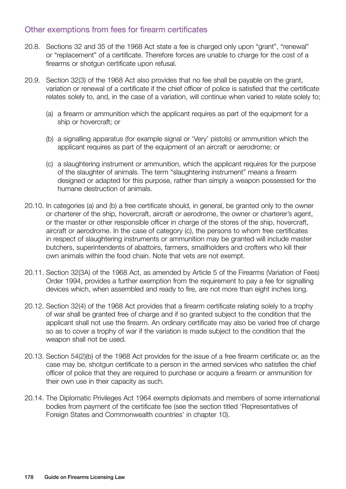#### Other exemptions from fees for firearm certificates

- 20.8. Sections 32 and 35 of the 1968 Act state a fee is charged only upon "grant", "renewal" or "replacement" of a certificate. Therefore forces are unable to charge for the cost of a firearms or shotgun certificate upon refusal.
- 20.9. Section 32(3) of the 1968 Act also provides that no fee shall be payable on the grant, variation or renewal of a certificate if the chief officer of police is satisfied that the certificate relates solely to, and, in the case of a variation, will continue when varied to relate solely to;
	- (a) a firearm or ammunition which the applicant requires as part of the equipment for a ship or hovercraft; or
	- (b) a signalling apparatus (for example signal or 'Very' pistols) or ammunition which the applicant requires as part of the equipment of an aircraft or aerodrome; or
	- (c) a slaughtering instrument or ammunition, which the applicant requires for the purpose of the slaughter of animals. The term "slaughtering instrument" means a firearm designed or adapted for this purpose, rather than simply a weapon possessed for the humane destruction of animals.
- 20.10. In categories (a) and (b) a free certificate should, in general, be granted only to the owner or charterer of the ship, hovercraft, aircraft or aerodrome, the owner or charterer's agent, or the master or other responsible officer in charge of the stores of the ship, hovercraft, aircraft or aerodrome. In the case of category (c), the persons to whom free certificates in respect of slaughtering instruments or ammunition may be granted will include master butchers, superintendents of abattoirs, farmers, smallholders and crofters who kill their own animals within the food chain. Note that vets are not exempt.
- 20.11. Section 32(3A) of the 1968 Act, as amended by Article 5 of the Firearms (Variation of Fees) Order 1994, provides a further exemption from the requirement to pay a fee for signalling devices which, when assembled and ready to fire, are not more than eight inches long.
- 20.12. Section 32(4) of the 1968 Act provides that a firearm certificate relating solely to a trophy of war shall be granted free of charge and if so granted subject to the condition that the applicant shall not use the firearm. An ordinary certificate may also be varied free of charge so as to cover a trophy of war if the variation is made subject to the condition that the weapon shall not be used.
- 20.13. Section 54(2)(b) of the 1968 Act provides for the issue of a free firearm certificate or, as the case may be, shotgun certificate to a person in the armed services who satisfies the chief officer of police that they are required to purchase or acquire a firearm or ammunition for their own use in their capacity as such.
- 20.14. The Diplomatic Privileges Act 1964 exempts diplomats and members of some international bodies from payment of the certificate fee (see the section titled 'Representatives of Foreign States and Commonwealth countries' in chapter 10).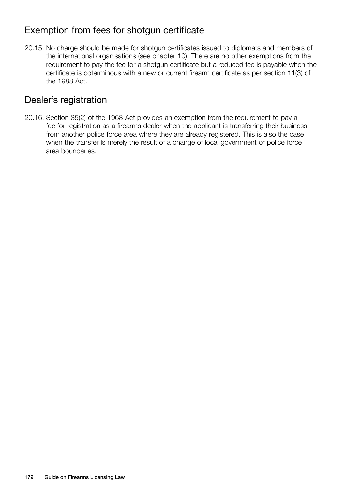# Exemption from fees for shotgun certificate

20.15. No charge should be made for shotgun certificates issued to diplomats and members of the international organisations (see chapter 10). There are no other exemptions from the requirement to pay the fee for a shotgun certificate but a reduced fee is payable when the certificate is coterminous with a new or current firearm certificate as per section 11(3) of the 1988 Act.

#### Dealer's registration

20.16. Section 35(2) of the 1968 Act provides an exemption from the requirement to pay a fee for registration as a firearms dealer when the applicant is transferring their business from another police force area where they are already registered. This is also the case when the transfer is merely the result of a change of local government or police force area boundaries.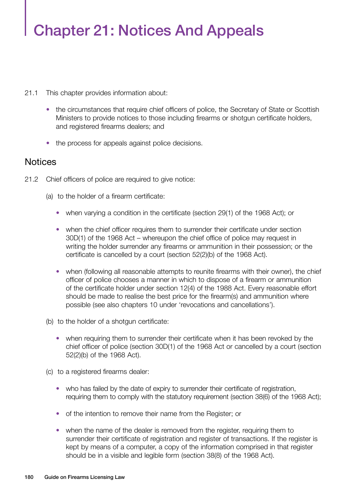# Chapter 21: Notices And Appeals

- 21.1 This chapter provides information about:
	- the circumstances that require chief officers of police, the Secretary of State or Scottish Ministers to provide notices to those including firearms or shotgun certificate holders, and registered firearms dealers; and
	- the process for appeals against police decisions.

#### **Notices**

- 21.2 Chief officers of police are required to give notice:
	- (a) to the holder of a firearm certificate:
		- when varying a condition in the certificate (section 29(1) of the 1968 Act); or
		- when the chief officer requires them to surrender their certificate under section 30D(1) of the 1968 Act – whereupon the chief office of police may request in writing the holder surrender any firearms or ammunition in their possession; or the certificate is cancelled by a court (section 52(2)(b) of the 1968 Act).
		- when (following all reasonable attempts to reunite firearms with their owner), the chief officer of police chooses a manner in which to dispose of a firearm or ammunition of the certificate holder under section 12(4) of the 1988 Act. Every reasonable effort should be made to realise the best price for the firearm(s) and ammunition where possible (see also chapters 10 under 'revocations and cancellations').
	- (b) to the holder of a shotgun certificate:
		- when requiring them to surrender their certificate when it has been revoked by the chief officer of police (section 30D(1) of the 1968 Act or cancelled by a court (section 52(2)(b) of the 1968 Act).
	- (c) to a registered firearms dealer:
		- who has failed by the date of expiry to surrender their certificate of registration, requiring them to comply with the statutory requirement (section 38(6) of the 1968 Act);
		- of the intention to remove their name from the Register; or
		- when the name of the dealer is removed from the register, requiring them to surrender their certificate of registration and register of transactions. If the register is kept by means of a computer, a copy of the information comprised in that register should be in a visible and legible form (section 38(8) of the 1968 Act).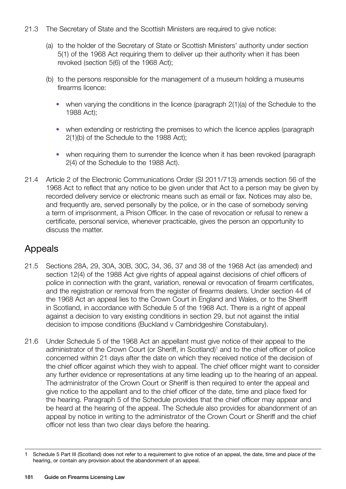- 21.3 The Secretary of State and the Scottish Ministers are required to give notice:
	- (a) to the holder of the Secretary of State or Scottish Ministers' authority under section 5(1) of the 1968 Act requiring them to deliver up their authority when it has been revoked (section 5(6) of the 1968 Act);
	- (b) to the persons responsible for the management of a museum holding a museums firearms licence:
		- when varying the conditions in the licence (paragraph 2(1)(a) of the Schedule to the 1988 Act);
		- when extending or restricting the premises to which the licence applies (paragraph 2(1)(b) of the Schedule to the 1988 Act);
		- when requiring them to surrender the licence when it has been revoked (paragraph) 2(4) of the Schedule to the 1988 Act).
- 21.4 Article 2 of the Electronic Communications Order (SI 2011/713) amends section 56 of the 1968 Act to reflect that any notice to be given under that Act to a person may be given by recorded delivery service or electronic means such as email or fax. Notices may also be, and frequently are, served personally by the police, or in the case of somebody serving a term of imprisonment, a Prison Officer. In the case of revocation or refusal to renew a certificate, personal service, whenever practicable, gives the person an opportunity to discuss the matter.

# Appeals

- 21.5 Sections 28A, 29, 30A, 30B, 30C, 34, 36, 37 and 38 of the 1968 Act (as amended) and section 12(4) of the 1988 Act give rights of appeal against decisions of chief officers of police in connection with the grant, variation, renewal or revocation of firearm certificates, and the registration or removal from the register of firearms dealers. Under section 44 of the 1968 Act an appeal lies to the Crown Court in England and Wales, or to the Sheriff in Scotland, in accordance with Schedule 5 of the 1968 Act. There is a right of appeal against a decision to vary existing conditions in section 29, but not against the initial decision to impose conditions (Buckland v Cambridgeshire Constabulary).
- 21.6 Under Schedule 5 of the 1968 Act an appellant must give notice of their appeal to the administrator of the Crown Court (or Sheriff, in Scotland)<sup>1</sup> and to the chief officer of police concerned within 21 days after the date on which they received notice of the decision of the chief officer against which they wish to appeal. The chief officer might want to consider any further evidence or representations at any time leading up to the hearing of an appeal. The administrator of the Crown Court or Sheriff is then required to enter the appeal and give notice to the appellant and to the chief officer of the date, time and place fixed for the hearing. Paragraph 5 of the Schedule provides that the chief officer may appear and be heard at the hearing of the appeal. The Schedule also provides for abandonment of an appeal by notice in writing to the administrator of the Crown Court or Sheriff and the chief officer not less than two clear days before the hearing.

<sup>1</sup> Schedule 5 Part III (Scotland) does not refer to a requirement to give notice of an appeal, the date, time and place of the hearing, or contain any provision about the abandonment of an appeal.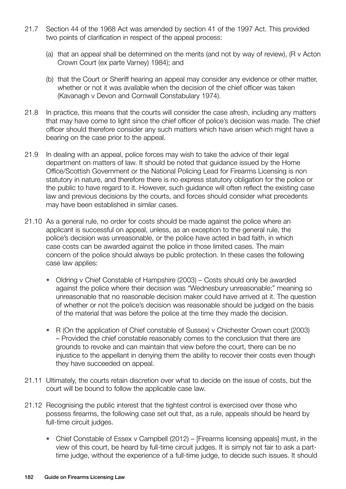- 21.7 Section 44 of the 1968 Act was amended by section 41 of the 1997 Act. This provided two points of clarification in respect of the appeal process:
	- (a) that an appeal shall be determined on the merits (and not by way of review), (R v Acton Crown Court (ex parte Varney) 1984); and
	- (b) that the Court or Sheriff hearing an appeal may consider any evidence or other matter, whether or not it was available when the decision of the chief officer was taken (Kavanagh v Devon and Cornwall Constabulary 1974).
- 21.8 In practice, this means that the courts will consider the case afresh, including any matters that may have come to light since the chief officer of police's decision was made. The chief officer should therefore consider any such matters which have arisen which might have a bearing on the case prior to the appeal.
- 21.9 In dealing with an appeal, police forces may wish to take the advice of their legal department on matters of law. It should be noted that guidance issued by the Home Office/Scottish Government or the National Policing Lead for Firearms Licensing is non statutory in nature, and therefore there is no express statutory obligation for the police or the public to have regard to it. However, such guidance will often reflect the existing case law and previous decisions by the courts, and forces should consider what precedents may have been established in similar cases.
- 21.10 As a general rule, no order for costs should be made against the police where an applicant is successful on appeal, unless, as an exception to the general rule, the police's decision was unreasonable, or the police have acted in bad faith, in which case costs can be awarded against the police in those limited cases. The main concern of the police should always be public protection. In these cases the following case law applies:
	- Oldring v Chief Constable of Hampshire (2003) Costs should only be awarded against the police where their decision was "Wednesbury unreasonable;" meaning so unreasonable that no reasonable decision maker could have arrived at it. The question of whether or not the police's decision was reasonable should be judged on the basis of the material that was before the police at the time they made the decision.
	- R (On the application of Chief constable of Sussex) v Chichester Crown court (2003) – Provided the chief constable reasonably comes to the conclusion that there are grounds to revoke and can maintain that view before the court, there can be no injustice to the appellant in denying them the ability to recover their costs even though they have succeeded on appeal.
- 21.11 Ultimately, the courts retain discretion over what to decide on the issue of costs, but the court will be bound to follow the applicable case law.
- 21.12 Recognising the public interest that the tightest control is exercised over those who possess firearms, the following case set out that, as a rule, appeals should be heard by full-time circuit judges.
	- Chief Constable of Essex v Campbell (2012) [Firearms licensing appeals] must, in the view of this court, be heard by full-time circuit judges. It is simply not fair to ask a parttime judge, without the experience of a full-time judge, to decide such issues. It should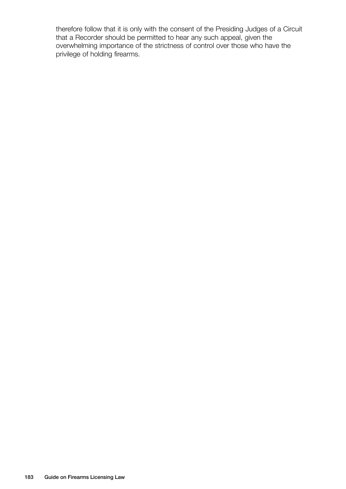therefore follow that it is only with the consent of the Presiding Judges of a Circuit that a Recorder should be permitted to hear any such appeal, given the overwhelming importance of the strictness of control over those who have the privilege of holding firearms.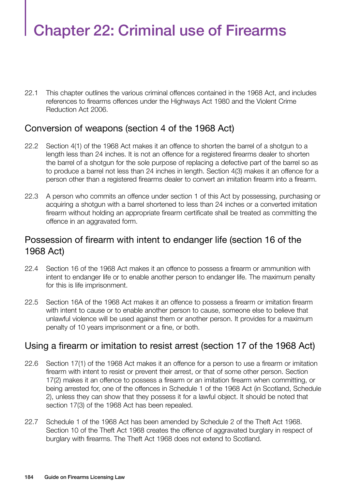# Chapter 22: Criminal use of Firearms

22.1 This chapter outlines the various criminal offences contained in the 1968 Act, and includes references to firearms offences under the Highways Act 1980 and the Violent Crime Reduction Act 2006.

# Conversion of weapons (section 4 of the 1968 Act)

- 22.2 Section 4(1) of the 1968 Act makes it an offence to shorten the barrel of a shotgun to a length less than 24 inches. It is not an offence for a registered firearms dealer to shorten the barrel of a shotgun for the sole purpose of replacing a defective part of the barrel so as to produce a barrel not less than 24 inches in length. Section 4(3) makes it an offence for a person other than a registered firearms dealer to convert an imitation firearm into a firearm.
- 22.3 A person who commits an offence under section 1 of this Act by possessing, purchasing or acquiring a shotgun with a barrel shortened to less than 24 inches or a converted imitation firearm without holding an appropriate firearm certificate shall be treated as committing the offence in an aggravated form.

# Possession of firearm with intent to endanger life (section 16 of the 1968 Act)

- 22.4 Section 16 of the 1968 Act makes it an offence to possess a firearm or ammunition with intent to endanger life or to enable another person to endanger life. The maximum penalty for this is life imprisonment.
- 22.5 Section 16A of the 1968 Act makes it an offence to possess a firearm or imitation firearm with intent to cause or to enable another person to cause, someone else to believe that unlawful violence will be used against them or another person. It provides for a maximum penalty of 10 years imprisonment or a fine, or both.

# Using a firearm or imitation to resist arrest (section 17 of the 1968 Act)

- 22.6 Section 17(1) of the 1968 Act makes it an offence for a person to use a firearm or imitation firearm with intent to resist or prevent their arrest, or that of some other person. Section 17(2) makes it an offence to possess a firearm or an imitation firearm when committing, or being arrested for, one of the offences in Schedule 1 of the 1968 Act (in Scotland, Schedule 2), unless they can show that they possess it for a lawful object. It should be noted that section 17(3) of the 1968 Act has been repealed.
- 22.7 Schedule 1 of the 1968 Act has been amended by Schedule 2 of the Theft Act 1968. Section 10 of the Theft Act 1968 creates the offence of aggravated burglary in respect of burglary with firearms. The Theft Act 1968 does not extend to Scotland.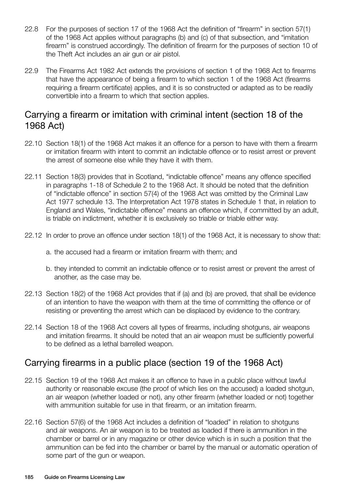- 22.8 For the purposes of section 17 of the 1968 Act the definition of "firearm" in section 57(1) of the 1968 Act applies without paragraphs (b) and (c) of that subsection, and "imitation firearm" is construed accordingly. The definition of firearm for the purposes of section 10 of the Theft Act includes an air gun or air pistol.
- 22.9 The Firearms Act 1982 Act extends the provisions of section 1 of the 1968 Act to firearms that have the appearance of being a firearm to which section 1 of the 1968 Act (firearms requiring a firearm certificate) applies, and it is so constructed or adapted as to be readily convertible into a firearm to which that section applies.

# Carrying a firearm or imitation with criminal intent (section 18 of the 1968 Act)

- 22.10 Section 18(1) of the 1968 Act makes it an offence for a person to have with them a firearm or imitation firearm with intent to commit an indictable offence or to resist arrest or prevent the arrest of someone else while they have it with them.
- 22.11 Section 18(3) provides that in Scotland, "indictable offence" means any offence specified in paragraphs 1-18 of Schedule 2 to the 1968 Act. It should be noted that the definition of "indictable offence" in section 57(4) of the 1968 Act was omitted by the Criminal Law Act 1977 schedule 13. The Interpretation Act 1978 states in Schedule 1 that, in relation to England and Wales, "indictable offence" means an offence which, if committed by an adult, is triable on indictment, whether it is exclusively so triable or triable either way.
- 22.12 In order to prove an offence under section 18(1) of the 1968 Act, it is necessary to show that:
	- a. the accused had a firearm or imitation firearm with them; and
	- b. they intended to commit an indictable offence or to resist arrest or prevent the arrest of another, as the case may be.
- 22.13 Section 18(2) of the 1968 Act provides that if (a) and (b) are proved, that shall be evidence of an intention to have the weapon with them at the time of committing the offence or of resisting or preventing the arrest which can be displaced by evidence to the contrary.
- 22.14 Section 18 of the 1968 Act covers all types of firearms, including shotguns, air weapons and imitation firearms. It should be noted that an air weapon must be sufficiently powerful to be defined as a lethal barrelled weapon.

# Carrying firearms in a public place (section 19 of the 1968 Act)

- 22.15 Section 19 of the 1968 Act makes it an offence to have in a public place without lawful authority or reasonable excuse (the proof of which lies on the accused) a loaded shotgun, an air weapon (whether loaded or not), any other firearm (whether loaded or not) together with ammunition suitable for use in that firearm, or an imitation firearm.
- 22.16 Section 57(6) of the 1968 Act includes a definition of "loaded" in relation to shotguns and air weapons. An air weapon is to be treated as loaded if there is ammunition in the chamber or barrel or in any magazine or other device which is in such a position that the ammunition can be fed into the chamber or barrel by the manual or automatic operation of some part of the gun or weapon.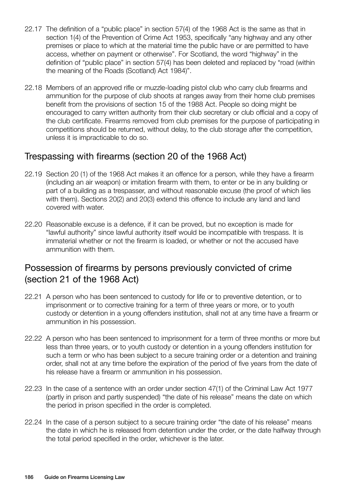- 22.17 The definition of a "public place" in section 57(4) of the 1968 Act is the same as that in section 1(4) of the Prevention of Crime Act 1953, specifically "any highway and any other premises or place to which at the material time the public have or are permitted to have access, whether on payment or otherwise". For Scotland, the word "highway" in the definition of "public place" in section 57(4) has been deleted and replaced by "road (within the meaning of the Roads (Scotland) Act 1984)".
- 22.18 Members of an approved rifle or muzzle-loading pistol club who carry club firearms and ammunition for the purpose of club shoots at ranges away from their home club premises benefit from the provisions of section 15 of the 1988 Act. People so doing might be encouraged to carry written authority from their club secretary or club official and a copy of the club certificate. Firearms removed from club premises for the purpose of participating in competitions should be returned, without delay, to the club storage after the competition, unless it is impracticable to do so.

#### Trespassing with firearms (section 20 of the 1968 Act)

- 22.19 Section 20 (1) of the 1968 Act makes it an offence for a person, while they have a firearm (including an air weapon) or imitation firearm with them, to enter or be in any building or part of a building as a trespasser, and without reasonable excuse (the proof of which lies with them). Sections 20(2) and 20(3) extend this offence to include any land and land covered with water.
- 22.20 Reasonable excuse is a defence, if it can be proved, but no exception is made for "lawful authority" since lawful authority itself would be incompatible with trespass. It is immaterial whether or not the firearm is loaded, or whether or not the accused have ammunition with them.

# Possession of firearms by persons previously convicted of crime (section 21 of the 1968 Act)

- 22.21 A person who has been sentenced to custody for life or to preventive detention, or to imprisonment or to corrective training for a term of three years or more, or to youth custody or detention in a young offenders institution, shall not at any time have a firearm or ammunition in his possession.
- 22.22 A person who has been sentenced to imprisonment for a term of three months or more but less than three years, or to youth custody or detention in a young offenders institution for such a term or who has been subject to a secure training order or a detention and training order, shall not at any time before the expiration of the period of five years from the date of his release have a firearm or ammunition in his possession.
- 22.23 In the case of a sentence with an order under section 47(1) of the Criminal Law Act 1977 (partly in prison and partly suspended) "the date of his release" means the date on which the period in prison specified in the order is completed.
- 22.24 In the case of a person subject to a secure training order "the date of his release" means the date in which he is released from detention under the order, or the date halfway through the total period specified in the order, whichever is the later.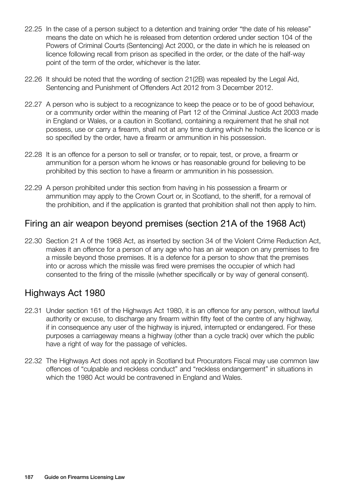- 22.25 In the case of a person subject to a detention and training order "the date of his release" means the date on which he is released from detention ordered under section 104 of the Powers of Criminal Courts (Sentencing) Act 2000, or the date in which he is released on licence following recall from prison as specified in the order, or the date of the half-way point of the term of the order, whichever is the later.
- 22.26 It should be noted that the wording of section 21(2B) was repealed by the Legal Aid, Sentencing and Punishment of Offenders Act 2012 from 3 December 2012.
- 22.27 A person who is subject to a recognizance to keep the peace or to be of good behaviour, or a community order within the meaning of Part 12 of the Criminal Justice Act 2003 made in England or Wales, or a caution in Scotland, containing a requirement that he shall not possess, use or carry a firearm, shall not at any time during which he holds the licence or is so specified by the order, have a firearm or ammunition in his possession.
- 22.28 It is an offence for a person to sell or transfer, or to repair, test, or prove, a firearm or ammunition for a person whom he knows or has reasonable ground for believing to be prohibited by this section to have a firearm or ammunition in his possession.
- 22.29 A person prohibited under this section from having in his possession a firearm or ammunition may apply to the Crown Court or, in Scotland, to the sheriff, for a removal of the prohibition, and if the application is granted that prohibition shall not then apply to him.

# Firing an air weapon beyond premises (section 21A of the 1968 Act)

22.30 Section 21 A of the 1968 Act, as inserted by section 34 of the Violent Crime Reduction Act, makes it an offence for a person of any age who has an air weapon on any premises to fire a missile beyond those premises. It is a defence for a person to show that the premises into or across which the missile was fired were premises the occupier of which had consented to the firing of the missile (whether specifically or by way of general consent).

# Highways Act 1980

- 22.31 Under section 161 of the Highways Act 1980, it is an offence for any person, without lawful authority or excuse, to discharge any firearm within fifty feet of the centre of any highway, if in consequence any user of the highway is injured, interrupted or endangered. For these purposes a carriageway means a highway (other than a cycle track) over which the public have a right of way for the passage of vehicles.
- 22.32 The Highways Act does not apply in Scotland but Procurators Fiscal may use common law offences of "culpable and reckless conduct" and "reckless endangerment" in situations in which the 1980 Act would be contravened in England and Wales.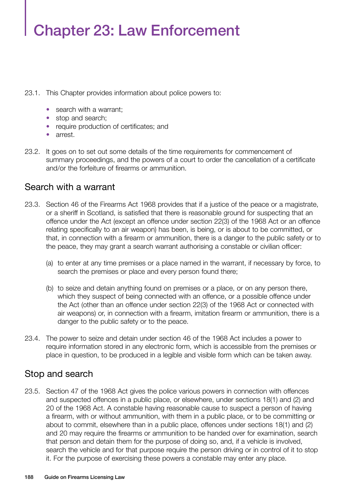# Chapter 23: Law Enforcement

- 23.1. This Chapter provides information about police powers to:
	- search with a warrant;
	- stop and search;
	- require production of certificates; and
	- arrest.
- 23.2. It goes on to set out some details of the time requirements for commencement of summary proceedings, and the powers of a court to order the cancellation of a certificate and/or the forfeiture of firearms or ammunition.

#### Search with a warrant

- 23.3. Section 46 of the Firearms Act 1968 provides that if a justice of the peace or a magistrate, or a sheriff in Scotland, is satisfied that there is reasonable ground for suspecting that an offence under the Act (except an offence under section 22(3) of the 1968 Act or an offence relating specifically to an air weapon) has been, is being, or is about to be committed, or that, in connection with a firearm or ammunition, there is a danger to the public safety or to the peace, they may grant a search warrant authorising a constable or civilian officer:
	- (a) to enter at any time premises or a place named in the warrant, if necessary by force, to search the premises or place and every person found there;
	- (b) to seize and detain anything found on premises or a place, or on any person there, which they suspect of being connected with an offence, or a possible offence under the Act (other than an offence under section 22(3) of the 1968 Act or connected with air weapons) or, in connection with a firearm, imitation firearm or ammunition, there is a danger to the public safety or to the peace.
- 23.4. The power to seize and detain under section 46 of the 1968 Act includes a power to require information stored in any electronic form, which is accessible from the premises or place in question, to be produced in a legible and visible form which can be taken away.

# Stop and search

23.5. Section 47 of the 1968 Act gives the police various powers in connection with offences and suspected offences in a public place, or elsewhere, under sections 18(1) and (2) and 20 of the 1968 Act. A constable having reasonable cause to suspect a person of having a firearm, with or without ammunition, with them in a public place, or to be committing or about to commit, elsewhere than in a public place, offences under sections 18(1) and (2) and 20 may require the firearms or ammunition to be handed over for examination, search that person and detain them for the purpose of doing so, and, if a vehicle is involved, search the vehicle and for that purpose require the person driving or in control of it to stop it. For the purpose of exercising these powers a constable may enter any place.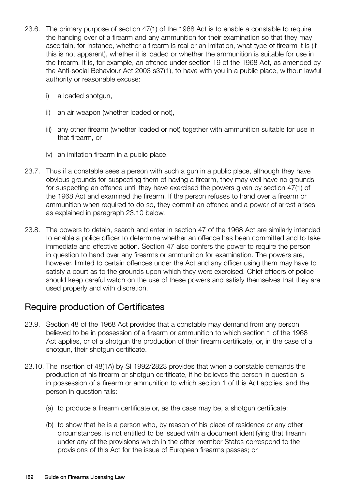- 23.6. The primary purpose of section 47(1) of the 1968 Act is to enable a constable to require the handing over of a firearm and any ammunition for their examination so that they may ascertain, for instance, whether a firearm is real or an imitation, what type of firearm it is (if this is not apparent), whether it is loaded or whether the ammunition is suitable for use in the firearm. It is, for example, an offence under section 19 of the 1968 Act, as amended by the Anti-social Behaviour Act 2003 s37(1), to have with you in a public place, without lawful authority or reasonable excuse:
	- i) a loaded shotgun,
	- ii) an air weapon (whether loaded or not),
	- iii) any other firearm (whether loaded or not) together with ammunition suitable for use in that firearm, or
	- iv) an imitation firearm in a public place.
- 23.7. Thus if a constable sees a person with such a gun in a public place, although they have obvious grounds for suspecting them of having a firearm, they may well have no grounds for suspecting an offence until they have exercised the powers given by section 47(1) of the 1968 Act and examined the firearm. If the person refuses to hand over a firearm or ammunition when required to do so, they commit an offence and a power of arrest arises as explained in paragraph 23.10 below.
- 23.8. The powers to detain, search and enter in section 47 of the 1968 Act are similarly intended to enable a police officer to determine whether an offence has been committed and to take immediate and effective action. Section 47 also confers the power to require the person in question to hand over any firearms or ammunition for examination. The powers are, however, limited to certain offences under the Act and any officer using them may have to satisfy a court as to the grounds upon which they were exercised. Chief officers of police should keep careful watch on the use of these powers and satisfy themselves that they are used properly and with discretion.

#### Require production of Certificates

- 23.9. Section 48 of the 1968 Act provides that a constable may demand from any person believed to be in possession of a firearm or ammunition to which section 1 of the 1968 Act applies, or of a shotgun the production of their firearm certificate, or, in the case of a shotgun, their shotgun certificate.
- 23.10. The insertion of 48(1A) by SI 1992/2823 provides that when a constable demands the production of his firearm or shotgun certificate, if he believes the person in question is in possession of a firearm or ammunition to which section 1 of this Act applies, and the person in question fails:
	- (a) to produce a firearm certificate or, as the case may be, a shotgun certificate;
	- (b) to show that he is a person who, by reason of his place of residence or any other circumstances, is not entitled to be issued with a document identifying that firearm under any of the provisions which in the other member States correspond to the provisions of this Act for the issue of European firearms passes; or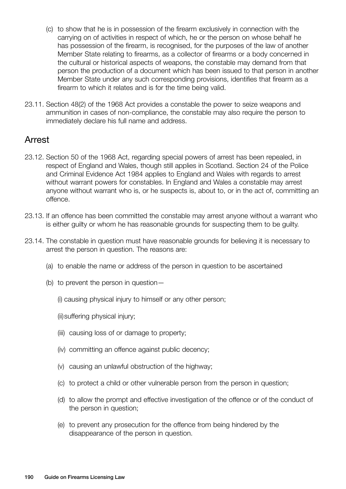- (c) to show that he is in possession of the firearm exclusively in connection with the carrying on of activities in respect of which, he or the person on whose behalf he has possession of the firearm, is recognised, for the purposes of the law of another Member State relating to firearms, as a collector of firearms or a body concerned in the cultural or historical aspects of weapons, the constable may demand from that person the production of a document which has been issued to that person in another Member State under any such corresponding provisions, identifies that firearm as a firearm to which it relates and is for the time being valid.
- 23.11. Section 48(2) of the 1968 Act provides a constable the power to seize weapons and ammunition in cases of non-compliance, the constable may also require the person to immediately declare his full name and address.

#### Arrest

- 23.12. Section 50 of the 1968 Act, regarding special powers of arrest has been repealed, in respect of England and Wales, though still applies in Scotland. Section 24 of the Police and Criminal Evidence Act 1984 applies to England and Wales with regards to arrest without warrant powers for constables. In England and Wales a constable may arrest anyone without warrant who is, or he suspects is, about to, or in the act of, committing an offence.
- 23.13. If an offence has been committed the constable may arrest anyone without a warrant who is either guilty or whom he has reasonable grounds for suspecting them to be guilty.
- 23.14. The constable in question must have reasonable grounds for believing it is necessary to arrest the person in question. The reasons are:
	- (a) to enable the name or address of the person in question to be ascertained
	- (b) to prevent the person in question—
		- (i) causing physical injury to himself or any other person;
		- (ii)suffering physical injury;
		- (iii) causing loss of or damage to property;
		- (iv) committing an offence against public decency;
		- (v) causing an unlawful obstruction of the highway;
		- (c) to protect a child or other vulnerable person from the person in question;
		- (d) to allow the prompt and effective investigation of the offence or of the conduct of the person in question;
		- (e) to prevent any prosecution for the offence from being hindered by the disappearance of the person in question.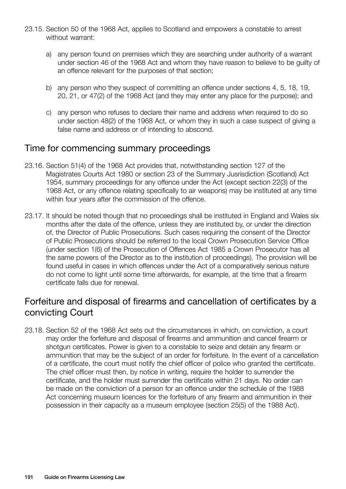- 23.15. Section 50 of the 1968 Act, applies to Scotland and empowers a constable to arrest without warrant:
	- a) any person found on premises which they are searching under authority of a warrant under section 46 of the 1968 Act and whom they have reason to believe to be guilty of an offence relevant for the purposes of that section;
	- b) any person who they suspect of committing an offence under sections 4, 5, 18, 19, 20, 21, or 47(2) of the 1968 Act (and they may enter any place for the purpose); and
	- c) any person who refuses to declare their name and address when required to do so under section 48(2) of the 1968 Act, or whom they in such a case suspect of giving a false name and address or of intending to abscond.

#### Time for commencing summary proceedings

- 23.16. Section 51(4) of the 1968 Act provides that, notwithstanding section 127 of the Magistrates Courts Act 1980 or section 23 of the Summary Jusrisdiction (Scotland) Act 1954, summary proceedings for any offence under the Act (except section 22(3) of the 1968 Act, or any offence relating specifically to air weapons) may be instituted at any time within four years after the commission of the offence.
- 23.17. It should be noted though that no proceedings shall be instituted in England and Wales six months after the date of the offence, unless they are instituted by, or under the direction of, the Director of Public Prosecutions. Such cases requiring the consent of the Director of Public Prosecutions should be referred to the local Crown Prosecution Service Office (under section 1(6) of the Prosecution of Offences Act 1985 a Crown Prosecutor has all the same powers of the Director as to the institution of proceedings). The provision will be found useful in cases in which offences under the Act of a comparatively serious nature do not come to light until some time afterwards, for example, at the time that a firearm certificate falls due for renewal.

# Forfeiture and disposal of firearms and cancellation of certificates by a convicting Court

23.18. Section 52 of the 1968 Act sets out the circumstances in which, on conviction, a court may order the forfeiture and disposal of firearms and ammunition and cancel firearm or shotgun certificates. Power is given to a constable to seize and detain any firearm or ammunition that may be the subject of an order for forfeiture. In the event of a cancellation of a certificate, the court must notify the chief officer of police who granted the certificate. The chief officer must then, by notice in writing, require the holder to surrender the certificate, and the holder must surrender the certificate within 21 days. No order can be made on the conviction of a person for an offence under the schedule of the 1988 Act concerning museum licences for the forfeiture of any firearm and ammunition in their possession in their capacity as a museum employee (section 25(5) of the 1988 Act).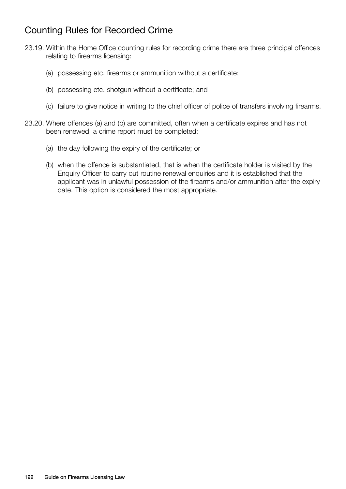# Counting Rules for Recorded Crime

- 23.19. Within the Home Office counting rules for recording crime there are three principal offences relating to firearms licensing:
	- (a) possessing etc. firearms or ammunition without a certificate;
	- (b) possessing etc. shotgun without a certificate; and
	- (c) failure to give notice in writing to the chief officer of police of transfers involving firearms.
- 23.20. Where offences (a) and (b) are committed, often when a certificate expires and has not been renewed, a crime report must be completed:
	- (a) the day following the expiry of the certificate; or
	- (b) when the offence is substantiated, that is when the certificate holder is visited by the Enquiry Officer to carry out routine renewal enquiries and it is established that the applicant was in unlawful possession of the firearms and/or ammunition after the expiry date. This option is considered the most appropriate.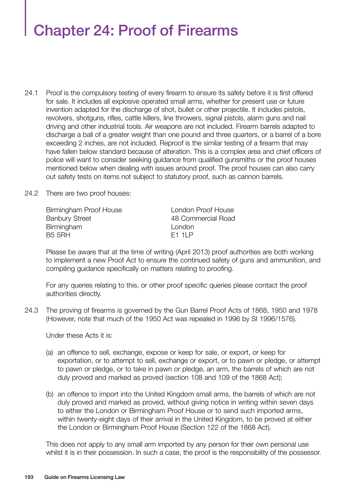# Chapter 24: Proof of Firearms

- 24.1 Proof is the compulsory testing of every firearm to ensure its safety before it is first offered for sale. It includes all explosive operated small arms, whether for present use or future invention adapted for the discharge of shot, bullet or other projectile. It includes pistols, revolvers, shotguns, rifles, cattle killers, line throwers, signal pistols, alarm guns and nail driving and other industrial tools. Air weapons are not included. Firearm barrels adapted to discharge a ball of a greater weight than one pound and three quarters, or a barrel of a bore exceeding 2 inches, are not included. Reproof is the similar testing of a firearm that may have fallen below standard because of alteration. This is a complex area and chief officers of police will want to consider seeking guidance from qualified gunsmiths or the proof houses mentioned below when dealing with issues around proof. The proof houses can also carry out safety tests on items not subject to statutory proof, such as cannon barrels.
- 24.2 There are two proof houses:

| London Proof House |
|--------------------|
| 48 Commercial Road |
| London             |
| F11P               |
|                    |

Please be aware that at the time of writing (April 2013) proof authorities are both working to implement a new Proof Act to ensure the continued safety of guns and ammunition, and compiling guidance specifically on matters relating to proofing.

For any queries relating to this, or other proof specific queries please contact the proof authorities directly.

24.3 The proving of firearms is governed by the Gun Barrel Proof Acts of 1868, 1950 and 1978 (However, note that much of the 1950 Act was repealed in 1996 by SI 1996/1576).

Under these Acts it is:

- (a) an offence to sell, exchange, expose or keep for sale, or export, or keep for exportation, or to attempt to sell, exchange or export, or to pawn or pledge, or attempt to pawn or pledge, or to take in pawn or pledge, an arm, the barrels of which are not duly proved and marked as proved (section 108 and 109 of the 1868 Act);
- (b) an offence to import into the United Kingdom small arms, the barrels of which are not duly proved and marked as proved, without giving notice in writing within seven days to either the London or Birmingham Proof House or to send such imported arms, within twenty-eight days of their arrival in the United Kingdom, to be proved at either the London or Birmingham Proof House (Section 122 of the 1868 Act).

This does not apply to any small arm imported by any person for their own personal use whilst it is in their possession. In such a case, the proof is the responsibility of the possessor.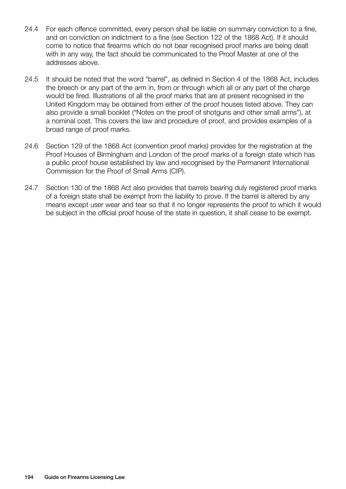- 24.4 For each offence committed, every person shall be liable on summary conviction to a fine, and on conviction on indictment to a fine (see Section 122 of the 1868 Act). If it should come to notice that firearms which do not bear recognised proof marks are being dealt with in any way, the fact should be communicated to the Proof Master at one of the addresses above.
- 24.5 It should be noted that the word "barrel", as defined in Section 4 of the 1868 Act, includes the breech or any part of the arm in, from or through which all or any part of the charge would be fired. Illustrations of all the proof marks that are at present recognised in the United Kingdom may be obtained from either of the proof houses listed above. They can also provide a small booklet ("Notes on the proof of shotguns and other small arms"), at a nominal cost. This covers the law and procedure of proof, and provides examples of a broad range of proof marks.
- 24.6 Section 129 of the 1868 Act (convention proof marks) provides for the registration at the Proof Houses of Birmingham and London of the proof marks of a foreign state which has a public proof house established by law and recognised by the Permanent International Commission for the Proof of Small Arms (CIP).
- 24.7 Section 130 of the 1868 Act also provides that barrels bearing duly registered proof marks of a foreign state shall be exempt from the liability to prove. If the barrel is altered by any means except user wear and tear so that it no longer represents the proof to which it would be subject in the official proof house of the state in question, it shall cease to be exempt.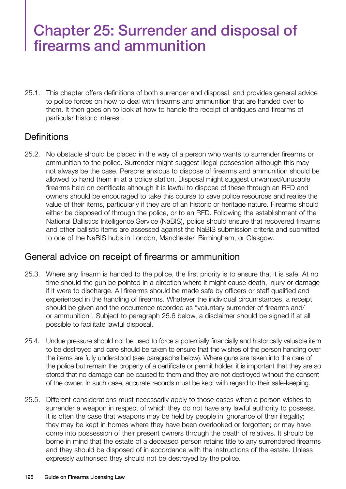# Chapter 25: Surrender and disposal of firearms and ammunition

25.1. This chapter offers definitions of both surrender and disposal, and provides general advice to police forces on how to deal with firearms and ammunition that are handed over to them. It then goes on to look at how to handle the receipt of antiques and firearms of particular historic interest.

# **Definitions**

25.2. No obstacle should be placed in the way of a person who wants to surrender firearms or ammunition to the police. Surrender might suggest illegal possession although this may not always be the case. Persons anxious to dispose of firearms and ammunition should be allowed to hand them in at a police station. Disposal might suggest unwanted/unusable firearms held on certificate although it is lawful to dispose of these through an RFD and owners should be encouraged to take this course to save police resources and realise the value of their items, particularly if they are of an historic or heritage nature. Firearms should either be disposed of through the police, or to an RFD. Following the establishment of the National Ballistics Intelligence Service (NaBIS), police should ensure that recovered firearms and other ballistic items are assessed against the NaBIS submission criteria and submitted to one of the NaBIS hubs in London, Manchester, Birmingham, or Glasgow.

#### General advice on receipt of firearms or ammunition

- 25.3. Where any firearm is handed to the police, the first priority is to ensure that it is safe. At no time should the gun be pointed in a direction where it might cause death, injury or damage if it were to discharge. All firearms should be made safe by officers or staff qualified and experienced in the handling of firearms. Whatever the individual circumstances, a receipt should be given and the occurrence recorded as "voluntary surrender of firearms and/ or ammunition". Subject to paragraph 25.6 below, a disclaimer should be signed if at all possible to facilitate lawful disposal.
- 25.4. Undue pressure should not be used to force a potentially financially and historically valuable item to be destroyed and care should be taken to ensure that the wishes of the person handing over the items are fully understood (see paragraphs below). Where guns are taken into the care of the police but remain the property of a certificate or permit holder, it is important that they are so stored that no damage can be caused to them and they are not destroyed without the consent of the owner. In such case, accurate records must be kept with regard to their safe-keeping.
- 25.5. Different considerations must necessarily apply to those cases when a person wishes to surrender a weapon in respect of which they do not have any lawful authority to possess. It is often the case that weapons may be held by people in ignorance of their illegality; they may be kept in homes where they have been overlooked or forgotten; or may have come into possession of their present owners through the death of relatives. It should be borne in mind that the estate of a deceased person retains title to any surrendered firearms and they should be disposed of in accordance with the instructions of the estate. Unless expressly authorised they should not be destroyed by the police.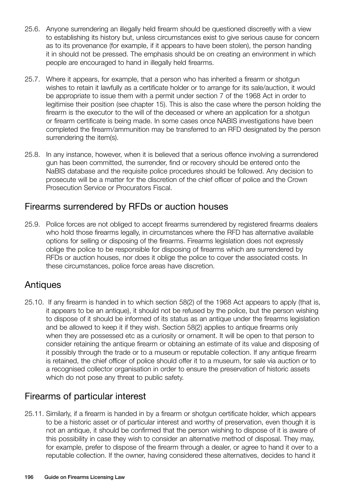- 25.6. Anyone surrendering an illegally held firearm should be questioned discreetly with a view to establishing its history but, unless circumstances exist to give serious cause for concern as to its provenance (for example, if it appears to have been stolen), the person handing it in should not be pressed. The emphasis should be on creating an environment in which people are encouraged to hand in illegally held firearms.
- 25.7. Where it appears, for example, that a person who has inherited a firearm or shotgun wishes to retain it lawfully as a certificate holder or to arrange for its sale/auction, it would be appropriate to issue them with a permit under section 7 of the 1968 Act in order to legitimise their position (see chapter 15). This is also the case where the person holding the firearm is the executor to the will of the deceased or where an application for a shotgun or firearm certificate is being made. In some cases once NABIS investigations have been completed the firearm/ammunition may be transferred to an RFD designated by the person surrendering the item(s).
- 25.8. In any instance, however, when it is believed that a serious offence involving a surrendered gun has been committed, the surrender, find or recovery should be entered onto the NaBIS database and the requisite police procedures should be followed. Any decision to prosecute will be a matter for the discretion of the chief officer of police and the Crown Prosecution Service or Procurators Fiscal.

# Firearms surrendered by RFDs or auction houses

25.9. Police forces are not obliged to accept firearms surrendered by registered firearms dealers who hold those firearms legally, in circumstances where the RFD has alternative available options for selling or disposing of the firearms. Firearms legislation does not expressly oblige the police to be responsible for disposing of firearms which are surrendered by RFDs or auction houses, nor does it oblige the police to cover the associated costs. In these circumstances, police force areas have discretion.

# **Antiques**

25.10. If any firearm is handed in to which section 58(2) of the 1968 Act appears to apply (that is, it appears to be an antique), it should not be refused by the police, but the person wishing to dispose of it should be informed of its status as an antique under the firearms legislation and be allowed to keep it if they wish. Section 58(2) applies to antique firearms only when they are possessed etc as a curiosity or ornament. It will be open to that person to consider retaining the antique firearm or obtaining an estimate of its value and disposing of it possibly through the trade or to a museum or reputable collection. If any antique firearm is retained, the chief officer of police should offer it to a museum, for sale via auction or to a recognised collector organisation in order to ensure the preservation of historic assets which do not pose any threat to public safety.

# Firearms of particular interest

25.11. Similarly, if a firearm is handed in by a firearm or shotgun certificate holder, which appears to be a historic asset or of particular interest and worthy of preservation, even though it is not an antique, it should be confirmed that the person wishing to dispose of it is aware of this possibility in case they wish to consider an alternative method of disposal. They may, for example, prefer to dispose of the firearm through a dealer, or agree to hand it over to a reputable collection. If the owner, having considered these alternatives, decides to hand it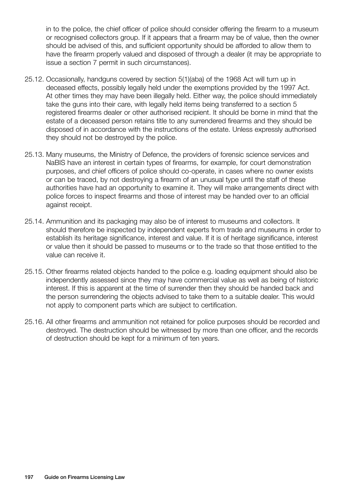in to the police, the chief officer of police should consider offering the firearm to a museum or recognised collectors group. If it appears that a firearm may be of value, then the owner should be advised of this, and sufficient opportunity should be afforded to allow them to have the firearm properly valued and disposed of through a dealer (it may be appropriate to issue a section 7 permit in such circumstances).

- 25.12. Occasionally, handguns covered by section 5(1)(aba) of the 1968 Act will turn up in deceased effects, possibly legally held under the exemptions provided by the 1997 Act. At other times they may have been illegally held. Either way, the police should immediately take the guns into their care, with legally held items being transferred to a section 5 registered firearms dealer or other authorised recipient. It should be borne in mind that the estate of a deceased person retains title to any surrendered firearms and they should be disposed of in accordance with the instructions of the estate. Unless expressly authorised they should not be destroyed by the police.
- 25.13. Many museums, the Ministry of Defence, the providers of forensic science services and NaBIS have an interest in certain types of firearms, for example, for court demonstration purposes, and chief officers of police should co-operate, in cases where no owner exists or can be traced, by not destroying a firearm of an unusual type until the staff of these authorities have had an opportunity to examine it. They will make arrangements direct with police forces to inspect firearms and those of interest may be handed over to an official against receipt.
- 25.14. Ammunition and its packaging may also be of interest to museums and collectors. It should therefore be inspected by independent experts from trade and museums in order to establish its heritage significance, interest and value. If it is of heritage significance, interest or value then it should be passed to museums or to the trade so that those entitled to the value can receive it.
- 25.15. Other firearms related objects handed to the police e.g. loading equipment should also be independently assessed since they may have commercial value as well as being of historic interest. If this is apparent at the time of surrender then they should be handed back and the person surrendering the objects advised to take them to a suitable dealer. This would not apply to component parts which are subject to certification.
- 25.16. All other firearms and ammunition not retained for police purposes should be recorded and destroyed. The destruction should be witnessed by more than one officer, and the records of destruction should be kept for a minimum of ten years.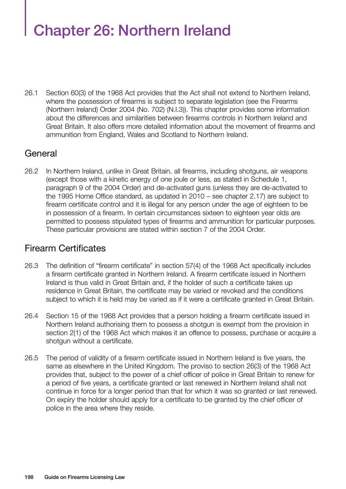# Chapter 26: Northern Ireland

26.1 Section 60(3) of the 1968 Act provides that the Act shall not extend to Northern Ireland, where the possession of firearms is subject to separate legislation (see the Firearms (Northern Ireland) Order 2004 (No. 702) (N.I.3)). This chapter provides some information about the differences and similarities between firearms controls in Northern Ireland and Great Britain. It also offers more detailed information about the movement of firearms and ammunition from England, Wales and Scotland to Northern Ireland.

# General

26.2 In Northern Ireland, unlike in Great Britain, all firearms, including shotguns, air weapons (except those with a kinetic energy of one joule or less, as stated in Schedule 1, paragraph 9 of the 2004 Order) and de-activated guns (unless they are de-activated to the 1995 Home Office standard, as updated in 2010 – see chapter 2.17) are subject to firearm certificate control and it is illegal for any person under the age of eighteen to be in possession of a firearm. In certain circumstances sixteen to eighteen year olds are permitted to possess stipulated types of firearms and ammunition for particular purposes. These particular provisions are stated within section 7 of the 2004 Order.

# Firearm Certificates

- 26.3 The definition of "firearm certificate" in section 57(4) of the 1968 Act specifically includes a firearm certificate granted in Northern Ireland. A firearm certificate issued in Northern Ireland is thus valid in Great Britain and, if the holder of such a certificate takes up residence in Great Britain, the certificate may be varied or revoked and the conditions subject to which it is held may be varied as if it were a certificate granted in Great Britain.
- 26.4 Section 15 of the 1968 Act provides that a person holding a firearm certificate issued in Northern Ireland authorising them to possess a shotgun is exempt from the provision in section 2(1) of the 1968 Act which makes it an offence to possess, purchase or acquire a shotgun without a certificate.
- 26.5 The period of validity of a firearm certificate issued in Northern Ireland is five years, the same as elsewhere in the United Kingdom. The proviso to section 26(3) of the 1968 Act provides that, subject to the power of a chief officer of police in Great Britain to renew for a period of five years, a certificate granted or last renewed in Northern Ireland shall not continue in force for a longer period than that for which it was so granted or last renewed. On expiry the holder should apply for a certificate to be granted by the chief officer of police in the area where they reside.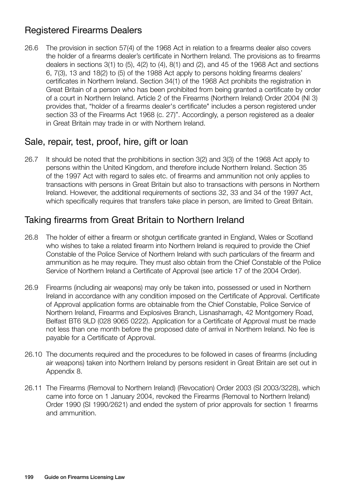# Registered Firearms Dealers

26.6 The provision in section 57(4) of the 1968 Act in relation to a firearms dealer also covers the holder of a firearms dealer's certificate in Northern Ireland. The provisions as to firearms dealers in sections 3(1) to (5), 4(2) to (4), 8(1) and (2), and 45 of the 1968 Act and sections 6, 7(3), 13 and 18(2) to (5) of the 1988 Act apply to persons holding firearms dealers' certificates in Northern Ireland. Section 34(1) of the 1968 Act prohibits the registration in Great Britain of a person who has been prohibited from being granted a certificate by order of a court in Northern Ireland. Article 2 of the Firearms (Northern Ireland) Order 2004 (NI 3) provides that, "holder of a firearms dealer's certificate" includes a person registered under section 33 of the Firearms Act 1968 (c. 27)". Accordingly, a person registered as a dealer in Great Britain may trade in or with Northern Ireland.

# Sale, repair, test, proof, hire, gift or loan

26.7 It should be noted that the prohibitions in section 3(2) and 3(3) of the 1968 Act apply to persons within the United Kingdom, and therefore include Northern Ireland. Section 35 of the 1997 Act with regard to sales etc. of firearms and ammunition not only applies to transactions with persons in Great Britain but also to transactions with persons in Northern Ireland. However, the additional requirements of sections 32, 33 and 34 of the 1997 Act, which specifically requires that transfers take place in person, are limited to Great Britain.

# Taking firearms from Great Britain to Northern Ireland

- 26.8 The holder of either a firearm or shotgun certificate granted in England, Wales or Scotland who wishes to take a related firearm into Northern Ireland is required to provide the Chief Constable of the Police Service of Northern Ireland with such particulars of the firearm and ammunition as he may require. They must also obtain from the Chief Constable of the Police Service of Northern Ireland a Certificate of Approval (see article 17 of the 2004 Order).
- 26.9 Firearms (including air weapons) may only be taken into, possessed or used in Northern Ireland in accordance with any condition imposed on the Certificate of Approval. Certificate of Approval application forms are obtainable from the Chief Constable, Police Service of Northern Ireland, Firearms and Explosives Branch, Lisnasharragh, 42 Montgomery Road, Belfast BT6 9LD (028 9065 0222). Application for a Certificate of Approval must be made not less than one month before the proposed date of arrival in Northern Ireland. No fee is payable for a Certificate of Approval.
- 26.10 The documents required and the procedures to be followed in cases of firearms (including air weapons) taken into Northern Ireland by persons resident in Great Britain are set out in Appendix 8.
- 26.11 The Firearms (Removal to Northern Ireland) (Revocation) Order 2003 (SI 2003/3228), which came into force on 1 January 2004, revoked the Firearms (Removal to Northern Ireland) Order 1990 (SI 1990/2621) and ended the system of prior approvals for section 1 firearms and ammunition.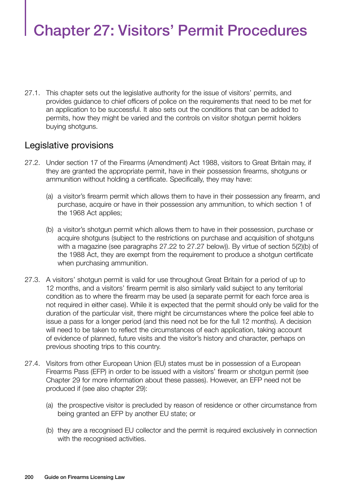# Chapter 27: Visitors' Permit Procedures

27.1. This chapter sets out the legislative authority for the issue of visitors' permits, and provides guidance to chief officers of police on the requirements that need to be met for an application to be successful. It also sets out the conditions that can be added to permits, how they might be varied and the controls on visitor shotgun permit holders buying shotguns.

#### Legislative provisions

- 27.2. Under section 17 of the Firearms (Amendment) Act 1988, visitors to Great Britain may, if they are granted the appropriate permit, have in their possession firearms, shotguns or ammunition without holding a certificate. Specifically, they may have:
	- (a) a visitor's firearm permit which allows them to have in their possession any firearm, and purchase, acquire or have in their possession any ammunition, to which section 1 of the 1968 Act applies;
	- (b) a visitor's shotgun permit which allows them to have in their possession, purchase or acquire shotguns (subject to the restrictions on purchase and acquisition of shotguns with a magazine (see paragraphs 27.22 to 27.27 below)). By virtue of section 5(2)(b) of the 1988 Act, they are exempt from the requirement to produce a shotgun certificate when purchasing ammunition.
- 27.3. A visitors' shotgun permit is valid for use throughout Great Britain for a period of up to 12 months, and a visitors' firearm permit is also similarly valid subject to any territorial condition as to where the firearm may be used (a separate permit for each force area is not required in either case). While it is expected that the permit should only be valid for the duration of the particular visit, there might be circumstances where the police feel able to issue a pass for a longer period (and this need not be for the full 12 months). A decision will need to be taken to reflect the circumstances of each application, taking account of evidence of planned, future visits and the visitor's history and character, perhaps on previous shooting trips to this country.
- 27.4. Visitors from other European Union (EU) states must be in possession of a European Firearms Pass (EFP) in order to be issued with a visitors' firearm or shotgun permit (see Chapter 29 for more information about these passes). However, an EFP need not be produced if (see also chapter 29):
	- (a) the prospective visitor is precluded by reason of residence or other circumstance from being granted an EFP by another EU state; or
	- (b) they are a recognised EU collector and the permit is required exclusively in connection with the recognised activities.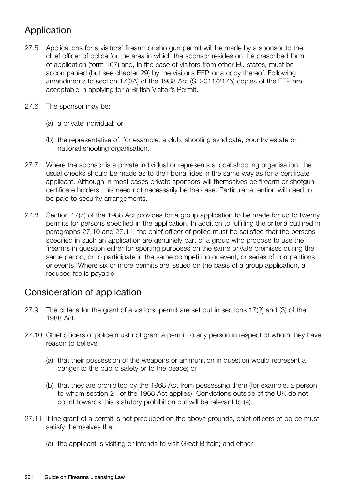# Application

- 27.5. Applications for a visitors' firearm or shotgun permit will be made by a sponsor to the chief officer of police for the area in which the sponsor resides on the prescribed form of application (form 107) and, in the case of visitors from other EU states, must be accompanied (but see chapter 29) by the visitor's EFP, or a copy thereof. Following amendments to section 17(3A) of the 1988 Act (SI 2011/2175) copies of the EFP are acceptable in applying for a British Visitor's Permit.
- 27.6. The sponsor may be:
	- (a) a private individual; or
	- (b) the representative of, for example, a club, shooting syndicate, country estate or national shooting organisation.
- 27.7. Where the sponsor is a private individual or represents a local shooting organisation, the usual checks should be made as to their bona fides in the same way as for a certificate applicant. Although in most cases private sponsors will themselves be firearm or shotgun certificate holders, this need not necessarily be the case. Particular attention will need to be paid to security arrangements.
- 27.8. Section 17(7) of the 1988 Act provides for a group application to be made for up to twenty permits for persons specified in the application. In addition to fulfilling the criteria outlined in paragraphs 27.10 and 27.11, the chief officer of police must be satisfied that the persons specified in such an application are genuinely part of a group who propose to use the firearms in question either for sporting purposes on the same private premises during the same period, or to participate in the same competition or event, or series of competitions or events. Where six or more permits are issued on the basis of a group application, a reduced fee is payable.

# Consideration of application

- 27.9. The criteria for the grant of a visitors' permit are set out in sections 17(2) and (3) of the 1988 Act.
- 27.10. Chief officers of police must not grant a permit to any person in respect of whom they have reason to believe:
	- (a) that their possession of the weapons or ammunition in question would represent a danger to the public safety or to the peace; or
	- (b) that they are prohibited by the 1968 Act from possessing them (for example, a person to whom section 21 of the 1968 Act applies). Convictions outside of the UK do not count towards this statutory prohibition but will be relevant to (a).
- 27.11. If the grant of a permit is not precluded on the above grounds, chief officers of police must satisfy themselves that:
	- (a) the applicant is visiting or intends to visit Great Britain; and either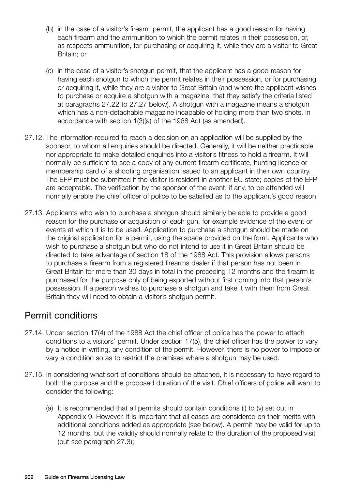- (b) in the case of a visitor's firearm permit, the applicant has a good reason for having each firearm and the ammunition to which the permit relates in their possession, or, as respects ammunition, for purchasing or acquiring it, while they are a visitor to Great Britain; or
- (c) in the case of a visitor's shotgun permit, that the applicant has a good reason for having each shotgun to which the permit relates in their possession, or for purchasing or acquiring it, while they are a visitor to Great Britain (and where the applicant wishes to purchase or acquire a shotgun with a magazine, that they satisfy the criteria listed at paragraphs 27.22 to 27.27 below). A shotgun with a magazine means a shotgun which has a non-detachable magazine incapable of holding more than two shots, in accordance with section 1(3)(a) of the 1968 Act (as amended).
- 27.12. The information required to reach a decision on an application will be supplied by the sponsor, to whom all enquiries should be directed. Generally, it will be neither practicable nor appropriate to make detailed enquiries into a visitor's fitness to hold a firearm. It will normally be sufficient to see a copy of any current firearm certificate, hunting licence or membership card of a shooting organisation issued to an applicant in their own country. The EFP must be submitted if the visitor is resident in another EU state; copies of the EFP are acceptable. The verification by the sponsor of the event, if any, to be attended will normally enable the chief officer of police to be satisfied as to the applicant's good reason.
- 27.13. Applicants who wish to purchase a shotgun should similarly be able to provide a good reason for the purchase or acquisition of each gun, for example evidence of the event or events at which it is to be used. Application to purchase a shotgun should be made on the original application for a permit, using the space provided on the form. Applicants who wish to purchase a shotgun but who do not intend to use it in Great Britain should be directed to take advantage of section 18 of the 1988 Act. This provision allows persons to purchase a firearm from a registered firearms dealer if that person has not been in Great Britain for more than 30 days in total in the preceding 12 months and the firearm is purchased for the purpose only of being exported without first coming into that person's possession. If a person wishes to purchase a shotgun and take it with them from Great Britain they will need to obtain a visitor's shotgun permit.

# Permit conditions

- 27.14. Under section 17(4) of the 1988 Act the chief officer of police has the power to attach conditions to a visitors' permit. Under section 17(5), the chief officer has the power to vary, by a notice in writing, any condition of the permit. However, there is no power to impose or vary a condition so as to restrict the premises where a shotgun may be used.
- 27.15. In considering what sort of conditions should be attached, it is necessary to have regard to both the purpose and the proposed duration of the visit. Chief officers of police will want to consider the following:
	- (a) It is recommended that all permits should contain conditions (i) to (v) set out in Appendix 9. However, it is important that all cases are considered on their merits with additional conditions added as appropriate (see below). A permit may be valid for up to 12 months, but the validity should normally relate to the duration of the proposed visit (but see paragraph 27.3);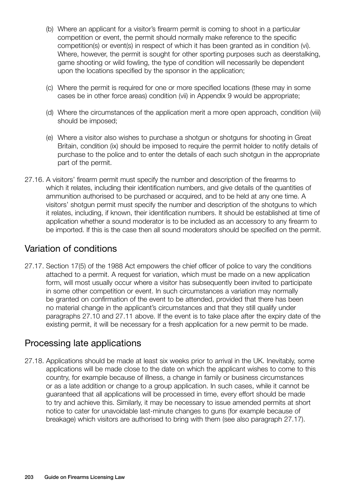- (b) Where an applicant for a visitor's firearm permit is coming to shoot in a particular competition or event, the permit should normally make reference to the specific competition(s) or event(s) in respect of which it has been granted as in condition (vi). Where, however, the permit is sought for other sporting purposes such as deerstalking, game shooting or wild fowling, the type of condition will necessarily be dependent upon the locations specified by the sponsor in the application;
- (c) Where the permit is required for one or more specified locations (these may in some cases be in other force areas) condition (vii) in Appendix 9 would be appropriate;
- (d) Where the circumstances of the application merit a more open approach, condition (viii) should be imposed;
- (e) Where a visitor also wishes to purchase a shotgun or shotguns for shooting in Great Britain, condition (ix) should be imposed to require the permit holder to notify details of purchase to the police and to enter the details of each such shotgun in the appropriate part of the permit.
- 27.16. A visitors' firearm permit must specify the number and description of the firearms to which it relates, including their identification numbers, and give details of the quantities of ammunition authorised to be purchased or acquired, and to be held at any one time. A visitors' shotgun permit must specify the number and description of the shotguns to which it relates, including, if known, their identification numbers. It should be established at time of application whether a sound moderator is to be included as an accessory to any firearm to be imported. If this is the case then all sound moderators should be specified on the permit.

# Variation of conditions

27.17. Section 17(5) of the 1988 Act empowers the chief officer of police to vary the conditions attached to a permit. A request for variation, which must be made on a new application form, will most usually occur where a visitor has subsequently been invited to participate in some other competition or event. In such circumstances a variation may normally be granted on confirmation of the event to be attended, provided that there has been no material change in the applicant's circumstances and that they still qualify under paragraphs 27.10 and 27.11 above. If the event is to take place after the expiry date of the existing permit, it will be necessary for a fresh application for a new permit to be made.

# Processing late applications

27.18. Applications should be made at least six weeks prior to arrival in the UK. Inevitably, some applications will be made close to the date on which the applicant wishes to come to this country, for example because of illness, a change in family or business circumstances or as a late addition or change to a group application. In such cases, while it cannot be guaranteed that all applications will be processed in time, every effort should be made to try and achieve this. Similarly, it may be necessary to issue amended permits at short notice to cater for unavoidable last-minute changes to guns (for example because of breakage) which visitors are authorised to bring with them (see also paragraph 27.17).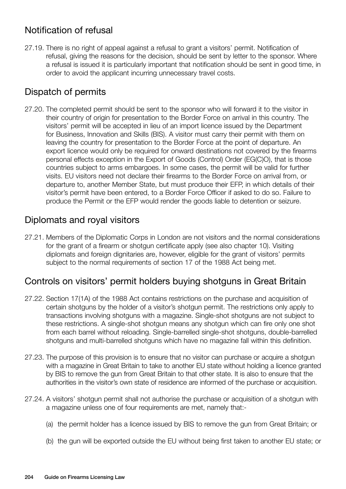# Notification of refusal

27.19. There is no right of appeal against a refusal to grant a visitors' permit. Notification of refusal, giving the reasons for the decision, should be sent by letter to the sponsor. Where a refusal is issued it is particularly important that notification should be sent in good time, in order to avoid the applicant incurring unnecessary travel costs.

# Dispatch of permits

27.20. The completed permit should be sent to the sponsor who will forward it to the visitor in their country of origin for presentation to the Border Force on arrival in this country. The visitors' permit will be accepted in lieu of an import licence issued by the Department for Business, Innovation and Skills (BIS). A visitor must carry their permit with them on leaving the country for presentation to the Border Force at the point of departure. An export licence would only be required for onward destinations not covered by the firearms personal effects exception in the Export of Goods (Control) Order (EG(C)O), that is those countries subject to arms embargoes. In some cases, the permit will be valid for further visits. EU visitors need not declare their firearms to the Border Force on arrival from, or departure to, another Member State, but must produce their EFP, in which details of their visitor's permit have been entered, to a Border Force Officer if asked to do so. Failure to produce the Permit or the EFP would render the goods liable to detention or seizure.

# Diplomats and royal visitors

27.21. Members of the Diplomatic Corps in London are not visitors and the normal considerations for the grant of a firearm or shotgun certificate apply (see also chapter 10). Visiting diplomats and foreign dignitaries are, however, eligible for the grant of visitors' permits subject to the normal requirements of section 17 of the 1988 Act being met.

# Controls on visitors' permit holders buying shotguns in Great Britain

- 27.22. Section 17(1A) of the 1988 Act contains restrictions on the purchase and acquisition of certain shotguns by the holder of a visitor's shotgun permit. The restrictions only apply to transactions involving shotguns with a magazine. Single-shot shotguns are not subject to these restrictions. A single-shot shotgun means any shotgun which can fire only one shot from each barrel without reloading. Single-barrelled single-shot shotguns, double-barrelled shotguns and multi-barrelled shotguns which have no magazine fall within this definition.
- 27.23. The purpose of this provision is to ensure that no visitor can purchase or acquire a shotgun with a magazine in Great Britain to take to another EU state without holding a licence granted by BIS to remove the gun from Great Britain to that other state. It is also to ensure that the authorities in the visitor's own state of residence are informed of the purchase or acquisition.
- 27.24. A visitors' shotgun permit shall not authorise the purchase or acquisition of a shotgun with a magazine unless one of four requirements are met, namely that:-
	- (a) the permit holder has a licence issued by BIS to remove the gun from Great Britain; or
	- (b) the gun will be exported outside the EU without being first taken to another EU state; or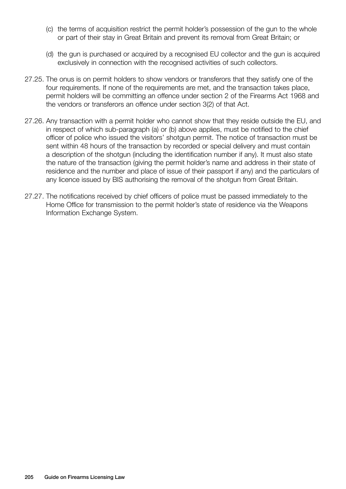- (c) the terms of acquisition restrict the permit holder's possession of the gun to the whole or part of their stay in Great Britain and prevent its removal from Great Britain; or
- (d) the gun is purchased or acquired by a recognised EU collector and the gun is acquired exclusively in connection with the recognised activities of such collectors.
- 27.25. The onus is on permit holders to show vendors or transferors that they satisfy one of the four requirements. If none of the requirements are met, and the transaction takes place, permit holders will be committing an offence under section 2 of the Firearms Act 1968 and the vendors or transferors an offence under section 3(2) of that Act.
- 27.26. Any transaction with a permit holder who cannot show that they reside outside the EU, and in respect of which sub-paragraph (a) or (b) above applies, must be notified to the chief officer of police who issued the visitors' shotgun permit. The notice of transaction must be sent within 48 hours of the transaction by recorded or special delivery and must contain a description of the shotgun (including the identification number if any). It must also state the nature of the transaction (giving the permit holder's name and address in their state of residence and the number and place of issue of their passport if any) and the particulars of any licence issued by BIS authorising the removal of the shotgun from Great Britain.
- 27.27. The notifications received by chief officers of police must be passed immediately to the Home Office for transmission to the permit holder's state of residence via the Weapons Information Exchange System.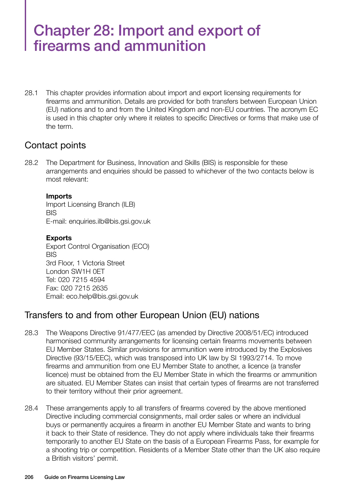# Chapter 28: Import and export of firearms and ammunition

28.1 This chapter provides information about import and export licensing requirements for firearms and ammunition. Details are provided for both transfers between European Union (EU) nations and to and from the United Kingdom and non-EU countries. The acronym EC is used in this chapter only where it relates to specific Directives or forms that make use of the term.

#### Contact points

28.2 The Department for Business, Innovation and Skills (BIS) is responsible for these arrangements and enquiries should be passed to whichever of the two contacts below is most relevant:

#### **Imports**

Import Licensing Branch (ILB) **BIS** E-mail: enquiries.ilb@bis.gsi.gov.uk

#### **Exports**

Export Control Organisation (ECO) BIS 3rd Floor, 1 Victoria Street London SW1H 0ET Tel: 020 7215 4594 Fax: 020 7215 2635 Email: eco.help@bis.gsi.gov.uk

# Transfers to and from other European Union (EU) nations

- 28.3 The Weapons Directive 91/477/EEC (as amended by Directive 2008/51/EC) introduced harmonised community arrangements for licensing certain firearms movements between EU Member States. Similar provisions for ammunition were introduced by the Explosives Directive (93/15/EEC), which was transposed into UK law by SI 1993/2714. To move firearms and ammunition from one EU Member State to another, a licence (a transfer licence) must be obtained from the EU Member State in which the firearms or ammunition are situated. EU Member States can insist that certain types of firearms are not transferred to their territory without their prior agreement.
- 28.4 These arrangements apply to all transfers of firearms covered by the above mentioned Directive including commercial consignments, mail order sales or where an individual buys or permanently acquires a firearm in another EU Member State and wants to bring it back to their State of residence. They do not apply where individuals take their firearms temporarily to another EU State on the basis of a European Firearms Pass, for example for a shooting trip or competition. Residents of a Member State other than the UK also require a British visitors' permit.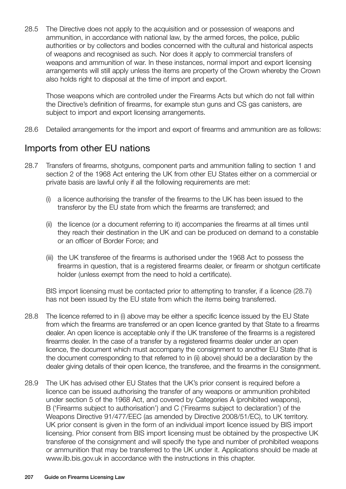28.5 The Directive does not apply to the acquisition and or possession of weapons and ammunition, in accordance with national law, by the armed forces, the police, public authorities or by collectors and bodies concerned with the cultural and historical aspects of weapons and recognised as such. Nor does it apply to commercial transfers of weapons and ammunition of war. In these instances, normal import and export licensing arrangements will still apply unless the items are property of the Crown whereby the Crown also holds right to disposal at the time of import and export.

Those weapons which are controlled under the Firearms Acts but which do not fall within the Directive's definition of firearms, for example stun guns and CS gas canisters, are subject to import and export licensing arrangements.

28.6 Detailed arrangements for the import and export of firearms and ammunition are as follows:

# Imports from other EU nations

- 28.7 Transfers of firearms, shotguns, component parts and ammunition falling to section 1 and section 2 of the 1968 Act entering the UK from other EU States either on a commercial or private basis are lawful only if all the following requirements are met:
	- (i) a licence authorising the transfer of the firearms to the UK has been issued to the transferor by the EU state from which the firearms are transferred; and
	- (ii) the licence (or a document referring to it) accompanies the firearms at all times until they reach their destination in the UK and can be produced on demand to a constable or an officer of Border Force; and
	- (iii) the UK transferee of the firearms is authorised under the 1968 Act to possess the firearms in question, that is a registered firearms dealer, or firearm or shotgun certificate holder (unless exempt from the need to hold a certificate).

BIS import licensing must be contacted prior to attempting to transfer, if a licence (28.7i) has not been issued by the EU state from which the items being transferred.

- 28.8 The licence referred to in (i) above may be either a specific licence issued by the EU State from which the firearms are transferred or an open licence granted by that State to a firearms dealer. An open licence is acceptable only if the UK transferee of the firearms is a registered firearms dealer. In the case of a transfer by a registered firearms dealer under an open licence, the document which must accompany the consignment to another EU State (that is the document corresponding to that referred to in (ii) above) should be a declaration by the dealer giving details of their open licence, the transferee, and the firearms in the consignment.
- 28.9 The UK has advised other EU States that the UK's prior consent is required before a licence can be issued authorising the transfer of any weapons or ammunition prohibited under section 5 of the 1968 Act, and covered by Categories A (prohibited weapons), B ('Firearms subject to authorisation') and C ('Firearms subject to declaration') of the Weapons Directive 91/477/EEC (as amended by Directive 2008/51/EC), to UK territory. UK prior consent is given in the form of an individual import licence issued by BIS import licensing. Prior consent from BIS import licensing must be obtained by the prospective UK transferee of the consignment and will specify the type and number of prohibited weapons or ammunition that may be transferred to the UK under it. Applications should be made at www.ilb.bis.gov.uk in accordance with the instructions in this chapter.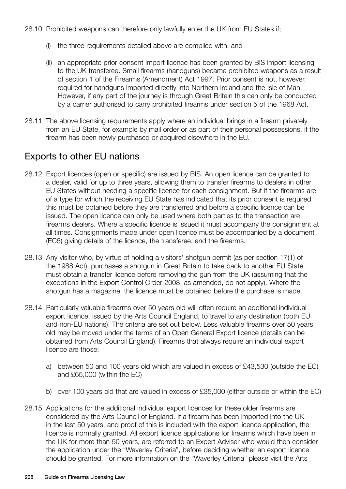- 28.10 Prohibited weapons can therefore only lawfully enter the UK from EU States if;
	- (i) the three requirements detailed above are complied with; and
	- (ii) an appropriate prior consent import licence has been granted by BIS import licensing to the UK transferee. Small firearms (handguns) became prohibited weapons as a result of section 1 of the Firearms (Amendment) Act 1997. Prior consent is not, however, required for handguns imported directly into Northern Ireland and the Isle of Man. However, if any part of the journey is through Great Britain this can only be conducted by a carrier authorised to carry prohibited firearms under section 5 of the 1968 Act.
- 28.11 The above licensing requirements apply where an individual brings in a firearm privately from an EU State, for example by mail order or as part of their personal possessions, if the firearm has been newly purchased or acquired elsewhere in the EU.

# Exports to other EU nations

- 28.12 Export licences (open or specific) are issued by BIS. An open licence can be granted to a dealer, valid for up to three years, allowing them to transfer firearms to dealers in other EU States without needing a specific licence for each consignment. But if the firearms are of a type for which the receiving EU State has indicated that its prior consent is required this must be obtained before they are transferred and before a specific licence can be issued. The open licence can only be used where both parties to the transaction are firearms dealers. Where a specific licence is issued it must accompany the consignment at all times. Consignments made under open licence must be accompanied by a document (EC5) giving details of the licence, the transferee, and the firearms.
- 28.13 Any visitor who, by virtue of holding a visitors' shotgun permit (as per section 17(1) of the 1988 Act), purchases a shotgun in Great Britain to take back to another EU State must obtain a transfer licence before removing the gun from the UK (assuming that the exceptions in the Export Control Order 2008, as amended, do not apply). Where the shotgun has a magazine, the licence must be obtained before the purchase is made.
- 28.14 Particularly valuable firearms over 50 years old will often require an additional individual export licence, issued by the Arts Council England, to travel to any destination (both EU and non-EU nations). The criteria are set out below. Less valuable firearms over 50 years old may be moved under the terms of an Open General Export licence (details can be obtained from Arts Council England). Firearms that always require an individual export licence are those:
	- a) between 50 and 100 years old which are valued in excess of £43,530 (outside the EC) and £65,000 (within the EC)
	- b) over 100 years old that are valued in excess of £35,000 (either outside or within the EC)
- 28.15 Applications for the additional individual export licences for these older firearms are considered by the Arts Council of England. If a firearm has been imported into the UK in the last 50 years, and proof of this is included with the export licence application, the licence is normally granted. All export licence applications for firearms which have been in the UK for more than 50 years, are referred to an Expert Adviser who would then consider the application under the "Waverley Criteria", before deciding whether an export licence should be granted. For more information on the "Waverley Criteria" please visit the Arts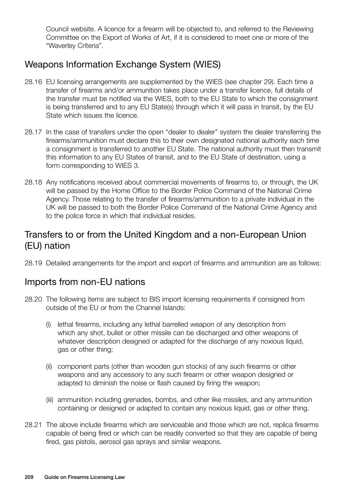Council website. A licence for a firearm will be objected to, and referred to the Reviewing Committee on the Export of Works of Art, if it is considered to meet one or more of the "Waverley Criteria".

# Weapons Information Exchange System (WIES)

- 28.16 EU licensing arrangements are supplemented by the WIES (see chapter 29). Each time a transfer of firearms and/or ammunition takes place under a transfer licence, full details of the transfer must be notified via the WIES, both to the EU State to which the consignment is being transferred and to any EU State(s) through which it will pass in transit, by the EU State which issues the licence.
- 28.17 In the case of transfers under the open "dealer to dealer" system the dealer transferring the firearms/ammunition must declare this to their own designated national authority each time a consignment is transferred to another EU State. The national authority must then transmit this information to any EU States of transit, and to the EU State of destination, using a form corresponding to WIES 3.
- 28.18 Any notifications received about commercial movements of firearms to, or through, the UK will be passed by the Home Office to the Border Police Command of the National Crime Agency. Those relating to the transfer of firearms/ammunition to a private individual in the UK will be passed to both the Border Police Command of the National Crime Agency and to the police force in which that individual resides.

# Transfers to or from the United Kingdom and a non-European Union (EU) nation

28.19 Detailed arrangements for the import and export of firearms and ammunition are as follows:

# Imports from non-EU nations

- 28.20 The following items are subject to BIS import licensing requirements if consigned from outside of the EU or from the Channel Islands:
	- (i) lethal firearms, including any lethal barrelled weapon of any description from which any shot, bullet or other missile can be discharged and other weapons of whatever description designed or adapted for the discharge of any noxious liquid, gas or other thing;
	- (ii) component parts (other than wooden gun stocks) of any such firearms or other weapons and any accessory to any such firearm or other weapon designed or adapted to diminish the noise or flash caused by firing the weapon;
	- (iii) ammunition including grenades, bombs, and other like missiles, and any ammunition containing or designed or adapted to contain any noxious liquid, gas or other thing.
- 28.21 The above include firearms which are serviceable and those which are not, replica firearms capable of being fired or which can be readily converted so that they are capable of being fired, gas pistols, aerosol gas sprays and similar weapons.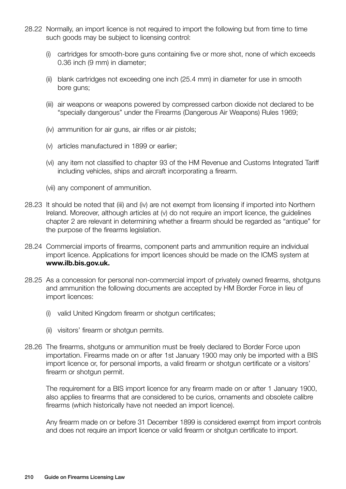- 28.22 Normally, an import licence is not required to import the following but from time to time such goods may be subject to licensing control:
	- (i) cartridges for smooth-bore guns containing five or more shot, none of which exceeds 0.36 inch (9 mm) in diameter;
	- (ii) blank cartridges not exceeding one inch (25.4 mm) in diameter for use in smooth bore guns:
	- (iii) air weapons or weapons powered by compressed carbon dioxide not declared to be "specially dangerous" under the Firearms (Dangerous Air Weapons) Rules 1969;
	- (iv) ammunition for air guns, air rifles or air pistols;
	- (v) articles manufactured in 1899 or earlier;
	- (vi) any item not classified to chapter 93 of the HM Revenue and Customs Integrated Tariff including vehicles, ships and aircraft incorporating a firearm.
	- (vii) any component of ammunition.
- 28.23 It should be noted that (iii) and (iv) are not exempt from licensing if imported into Northern Ireland. Moreover, although articles at (v) do not require an import licence, the guidelines chapter 2 are relevant in determining whether a firearm should be regarded as "antique" for the purpose of the firearms legislation.
- 28.24 Commercial imports of firearms, component parts and ammunition require an individual import licence. Applications for import licences should be made on the ICMS system at **www.ilb.bis.gov.uk.**
- 28.25 As a concession for personal non-commercial import of privately owned firearms, shotguns and ammunition the following documents are accepted by HM Border Force in lieu of import licences:
	- (i) valid United Kingdom firearm or shotgun certificates;
	- (ii) visitors' firearm or shotgun permits.
- 28.26 The firearms, shotguns or ammunition must be freely declared to Border Force upon importation. Firearms made on or after 1st January 1900 may only be imported with a BIS import licence or, for personal imports, a valid firearm or shotgun certificate or a visitors' firearm or shotgun permit.

The requirement for a BIS import licence for any firearm made on or after 1 January 1900, also applies to firearms that are considered to be curios, ornaments and obsolete calibre firearms (which historically have not needed an import licence).

Any firearm made on or before 31 December 1899 is considered exempt from import controls and does not require an import licence or valid firearm or shotgun certificate to import.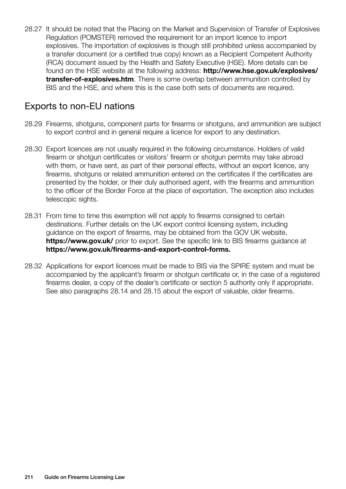28.27 It should be noted that the Placing on the Market and Supervision of Transfer of Explosives Regulation (POMSTER) removed the requirement for an import licence to import explosives. The importation of explosives is though still prohibited unless accompanied by a transfer document (or a certified true copy) known as a Recipient Competent Authority (RCA) document issued by the Health and Safety Executive (HSE). More details can be found on the HSE website at the following address: **http://www.hse.gov.uk/explosives/ transfer-of-explosives.htm**. There is some overlap between ammunition controlled by BIS and the HSE, and where this is the case both sets of documents are required.

# Exports to non-EU nations

- 28.29 Firearms, shotguns, component parts for firearms or shotguns, and ammunition are subject to export control and in general require a licence for export to any destination.
- 28.30 Export licences are not usually required in the following circumstance. Holders of valid firearm or shotgun certificates or visitors' firearm or shotgun permits may take abroad with them, or have sent, as part of their personal effects, without an export licence, any firearms, shotguns or related ammunition entered on the certificates if the certificates are presented by the holder, or their duly authorised agent, with the firearms and ammunition to the officer of the Border Force at the place of exportation. The exception also includes telescopic sights.
- 28.31 From time to time this exemption will not apply to firearms consigned to certain destinations. Further details on the UK export control licensing system, including guidance on the export of firearms, may be obtained from the GOV UK website, **https://www.gov.uk/** prior to export. See the specific link to BIS firearms quidance at **https://www.gov.uk/firearms-and-export-control-forms.**
- 28.32 Applications for export licences must be made to BIS via the SPIRE system and must be accompanied by the applicant's firearm or shotgun certificate or, in the case of a registered firearms dealer, a copy of the dealer's certificate or section 5 authority only if appropriate. See also paragraphs 28.14 and 28.15 about the export of valuable, older firearms.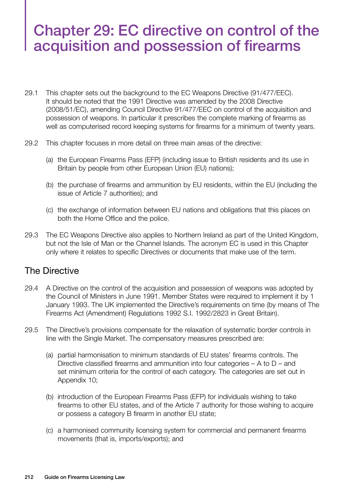# Chapter 29: EC directive on control of the acquisition and possession of firearms

- 29.1 This chapter sets out the background to the EC Weapons Directive (91/477/EEC). It should be noted that the 1991 Directive was amended by the 2008 Directive (2008/51/EC), amending Council Directive 91/477/EEC on control of the acquisition and possession of weapons. In particular it prescribes the complete marking of firearms as well as computerised record keeping systems for firearms for a minimum of twenty years.
- 29.2 This chapter focuses in more detail on three main areas of the directive:
	- (a) the European Firearms Pass (EFP) (including issue to British residents and its use in Britain by people from other European Union (EU) nations);
	- (b) the purchase of firearms and ammunition by EU residents, within the EU (including the issue of Article 7 authorities); and
	- (c) the exchange of information between EU nations and obligations that this places on both the Home Office and the police.
- 29.3 The EC Weapons Directive also applies to Northern Ireland as part of the United Kingdom, but not the Isle of Man or the Channel Islands. The acronym EC is used in this Chapter only where it relates to specific Directives or documents that make use of the term.

#### The Directive

- 29.4 A Directive on the control of the acquisition and possession of weapons was adopted by the Council of Ministers in June 1991. Member States were required to implement it by 1 January 1993. The UK implemented the Directive's requirements on time (by means of The Firearms Act (Amendment) Regulations 1992 S.I. 1992/2823 in Great Britain).
- 29.5 The Directive's provisions compensate for the relaxation of systematic border controls in line with the Single Market. The compensatory measures prescribed are:
	- (a) partial harmonisation to minimum standards of EU states' firearms controls. The Directive classified firearms and ammunition into four categories  $- A$  to  $D -$  and set minimum criteria for the control of each category. The categories are set out in Appendix 10;
	- (b) introduction of the European Firearms Pass (EFP) for individuals wishing to take firearms to other EU states, and of the Article 7 authority for those wishing to acquire or possess a category B firearm in another EU state;
	- (c) a harmonised community licensing system for commercial and permanent firearms movements (that is, imports/exports); and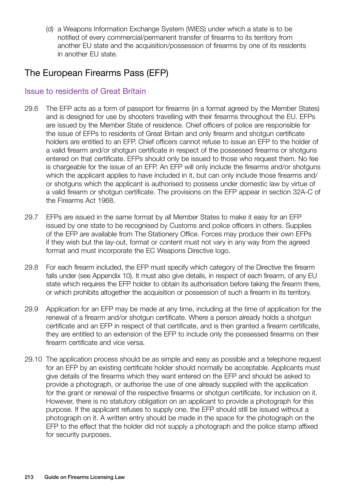(d) a Weapons Information Exchange System (WIES) under which a state is to be notified of every commercial/permanent transfer of firearms to its territory from another EU state and the acquisition/possession of firearms by one of its residents in another EU state.

# The European Firearms Pass (EFP)

#### Issue to residents of Great Britain

- 29.6 The EFP acts as a form of passport for firearms (in a format agreed by the Member States) and is designed for use by shooters travelling with their firearms throughout the EU. EFPs are issued by the Member State of residence. Chief officers of police are responsible for the issue of EFPs to residents of Great Britain and only firearm and shotgun certificate holders are entitled to an EFP. Chief officers cannot refuse to issue an EFP to the holder of a valid firearm and/or shotgun certificate in respect of the possessed firearms or shotguns entered on that certificate. EFPs should only be issued to those who request them. No fee is chargeable for the issue of an EFP. An EFP will only include the firearms and/or shotguns which the applicant applies to have included in it, but can only include those firearms and/ or shotguns which the applicant is authorised to possess under domestic law by virtue of a valid firearm or shotgun certificate. The provisions on the EFP appear in section 32A-C of the Firearms Act 1968.
- 29.7 EFPs are issued in the same format by all Member States to make it easy for an EFP issued by one state to be recognised by Customs and police officers in others. Supplies of the EFP are available from The Stationery Office. Forces may produce their own EFPs if they wish but the lay-out, format or content must not vary in any way from the agreed format and must incorporate the EC Weapons Directive logo.
- 29.8 For each firearm included, the EFP must specify which category of the Directive the firearm falls under (see Appendix 10). It must also give details, in respect of each firearm, of any EU state which requires the EFP holder to obtain its authorisation before taking the firearm there, or which prohibits altogether the acquisition or possession of such a firearm in its territory.
- 29.9 Application for an EFP may be made at any time, including at the time of application for the renewal of a firearm and/or shotgun certificate. Where a person already holds a shotgun certificate and an EFP in respect of that certificate, and is then granted a firearm certificate, they are entitled to an extension of the EFP to include only the possessed firearms on their firearm certificate and vice versa.
- 29.10 The application process should be as simple and easy as possible and a telephone request for an EFP by an existing certificate holder should normally be acceptable. Applicants must give details of the firearms which they want entered on the EFP and should be asked to provide a photograph, or authorise the use of one already supplied with the application for the grant or renewal of the respective firearms or shotgun certificate, for inclusion on it. However, there is no statutory obligation on an applicant to provide a photograph for this purpose. If the applicant refuses to supply one, the EFP should still be issued without a photograph on it. A written entry should be made in the space for the photograph on the EFP to the effect that the holder did not supply a photograph and the police stamp affixed for security purposes.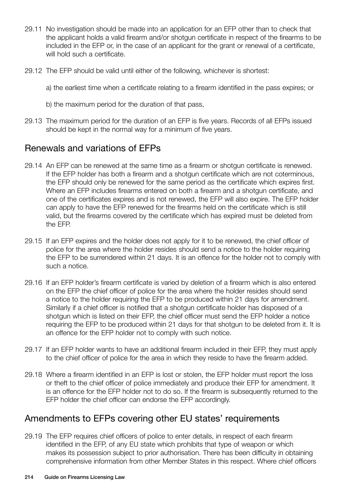- 29.11 No investigation should be made into an application for an EFP other than to check that the applicant holds a valid firearm and/or shotgun certificate in respect of the firearms to be included in the EFP or, in the case of an applicant for the grant or renewal of a certificate, will hold such a certificate.
- 29.12 The EFP should be valid until either of the following, whichever is shortest:

a) the earliest time when a certificate relating to a firearm identified in the pass expires; or

- b) the maximum period for the duration of that pass,
- 29.13 The maximum period for the duration of an EFP is five years. Records of all EFPs issued should be kept in the normal way for a minimum of five years.

# Renewals and variations of EFPs

- 29.14 An EFP can be renewed at the same time as a firearm or shotgun certificate is renewed. If the EFP holder has both a firearm and a shotgun certificate which are not coterminous, the EFP should only be renewed for the same period as the certificate which expires first. Where an EFP includes firearms entered on both a firearm and a shotgun certificate, and one of the certificates expires and is not renewed, the EFP will also expire. The EFP holder can apply to have the EFP renewed for the firearms held on the certificate which is still valid, but the firearms covered by the certificate which has expired must be deleted from the EFP.
- 29.15 If an EFP expires and the holder does not apply for it to be renewed, the chief officer of police for the area where the holder resides should send a notice to the holder requiring the EFP to be surrendered within 21 days. It is an offence for the holder not to comply with such a notice.
- 29.16 If an EFP holder's firearm certificate is varied by deletion of a firearm which is also entered on the EFP the chief officer of police for the area where the holder resides should send a notice to the holder requiring the EFP to be produced within 21 days for amendment. Similarly if a chief officer is notified that a shotgun certificate holder has disposed of a shotgun which is listed on their EFP, the chief officer must send the EFP holder a notice requiring the EFP to be produced within 21 days for that shotgun to be deleted from it. It is an offence for the EFP holder not to comply with such notice.
- 29.17 If an EFP holder wants to have an additional firearm included in their EFP, they must apply to the chief officer of police for the area in which they reside to have the firearm added.
- 29.18 Where a firearm identified in an EFP is lost or stolen, the EFP holder must report the loss or theft to the chief officer of police immediately and produce their EFP for amendment. It is an offence for the EFP holder not to do so. If the firearm is subsequently returned to the EFP holder the chief officer can endorse the EFP accordingly.

# Amendments to EFPs covering other EU states' requirements

29.19 The EFP requires chief officers of police to enter details, in respect of each firearm identified in the EFP, of any EU state which prohibits that type of weapon or which makes its possession subject to prior authorisation. There has been difficulty in obtaining comprehensive information from other Member States in this respect. Where chief officers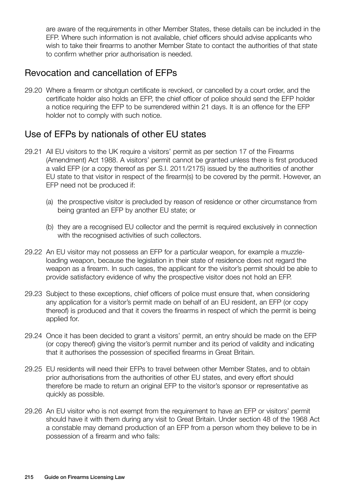are aware of the requirements in other Member States, these details can be included in the EFP. Where such information is not available, chief officers should advise applicants who wish to take their firearms to another Member State to contact the authorities of that state to confirm whether prior authorisation is needed.

# Revocation and cancellation of EFPs

29.20 Where a firearm or shotgun certificate is revoked, or cancelled by a court order, and the certificate holder also holds an EFP, the chief officer of police should send the EFP holder a notice requiring the EFP to be surrendered within 21 days. It is an offence for the EFP holder not to comply with such notice.

#### Use of EFPs by nationals of other EU states

- 29.21 All EU visitors to the UK require a visitors' permit as per section 17 of the Firearms (Amendment) Act 1988. A visitors' permit cannot be granted unless there is first produced a valid EFP (or a copy thereof as per S.I. 2011/2175) issued by the authorities of another EU state to that visitor in respect of the firearm(s) to be covered by the permit. However, an EFP need not be produced if:
	- (a) the prospective visitor is precluded by reason of residence or other circumstance from being granted an EFP by another EU state; or
	- (b) they are a recognised EU collector and the permit is required exclusively in connection with the recognised activities of such collectors.
- 29.22 An EU visitor may not possess an EFP for a particular weapon, for example a muzzleloading weapon, because the legislation in their state of residence does not regard the weapon as a firearm. In such cases, the applicant for the visitor's permit should be able to provide satisfactory evidence of why the prospective visitor does not hold an EFP.
- 29.23 Subject to these exceptions, chief officers of police must ensure that, when considering any application for a visitor's permit made on behalf of an EU resident, an EFP (or copy thereof) is produced and that it covers the firearms in respect of which the permit is being applied for.
- 29.24 Once it has been decided to grant a visitors' permit, an entry should be made on the EFP (or copy thereof) giving the visitor's permit number and its period of validity and indicating that it authorises the possession of specified firearms in Great Britain.
- 29.25 EU residents will need their EFPs to travel between other Member States, and to obtain prior authorisations from the authorities of other EU states, and every effort should therefore be made to return an original EFP to the visitor's sponsor or representative as quickly as possible.
- 29.26 An EU visitor who is not exempt from the requirement to have an EFP or visitors' permit should have it with them during any visit to Great Britain. Under section 48 of the 1968 Act a constable may demand production of an EFP from a person whom they believe to be in possession of a firearm and who fails: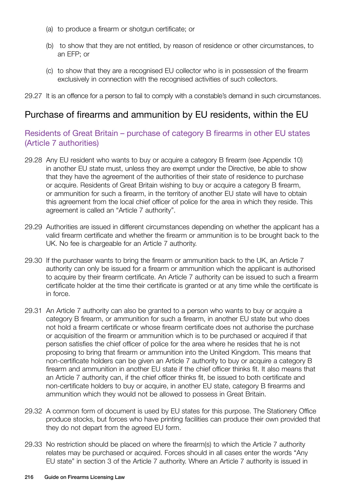- (a) to produce a firearm or shotgun certificate; or
- (b) to show that they are not entitled, by reason of residence or other circumstances, to an EFP; or
- (c) to show that they are a recognised EU collector who is in possession of the firearm exclusively in connection with the recognised activities of such collectors.
- 29.27 It is an offence for a person to fail to comply with a constable's demand in such circumstances.

#### Purchase of firearms and ammunition by EU residents, within the EU

#### Residents of Great Britain – purchase of category B firearms in other EU states (Article 7 authorities)

- 29.28 Any EU resident who wants to buy or acquire a category B firearm (see Appendix 10) in another EU state must, unless they are exempt under the Directive, be able to show that they have the agreement of the authorities of their state of residence to purchase or acquire. Residents of Great Britain wishing to buy or acquire a category B firearm, or ammunition for such a firearm, in the territory of another EU state will have to obtain this agreement from the local chief officer of police for the area in which they reside. This agreement is called an "Article 7 authority".
- 29.29 Authorities are issued in different circumstances depending on whether the applicant has a valid firearm certificate and whether the firearm or ammunition is to be brought back to the UK. No fee is chargeable for an Article 7 authority.
- 29.30 If the purchaser wants to bring the firearm or ammunition back to the UK, an Article 7 authority can only be issued for a firearm or ammunition which the applicant is authorised to acquire by their firearm certificate. An Article 7 authority can be issued to such a firearm certificate holder at the time their certificate is granted or at any time while the certificate is in force.
- 29.31 An Article 7 authority can also be granted to a person who wants to buy or acquire a category B firearm, or ammunition for such a firearm, in another EU state but who does not hold a firearm certificate or whose firearm certificate does not authorise the purchase or acquisition of the firearm or ammunition which is to be purchased or acquired if that person satisfies the chief officer of police for the area where he resides that he is not proposing to bring that firearm or ammunition into the United Kingdom. This means that non-certificate holders can be given an Article 7 authority to buy or acquire a category B firearm and ammunition in another EU state if the chief officer thinks fit. It also means that an Article 7 authority can, if the chief officer thinks fit, be issued to both certificate and non-certificate holders to buy or acquire, in another EU state, category B firearms and ammunition which they would not be allowed to possess in Great Britain.
- 29.32 A common form of document is used by EU states for this purpose. The Stationery Office produce stocks, but forces who have printing facilities can produce their own provided that they do not depart from the agreed EU form.
- 29.33 No restriction should be placed on where the firearm(s) to which the Article 7 authority relates may be purchased or acquired. Forces should in all cases enter the words "Any EU state" in section 3 of the Article 7 authority. Where an Article 7 authority is issued in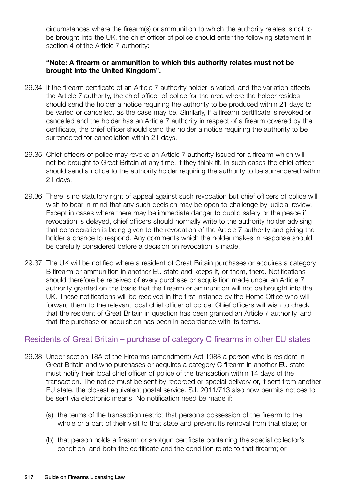circumstances where the firearm(s) or ammunition to which the authority relates is not to be brought into the UK, the chief officer of police should enter the following statement in section 4 of the Article 7 authority:

#### **"Note: A firearm or ammunition to which this authority relates must not be brought into the United Kingdom".**

- 29.34 If the firearm certificate of an Article 7 authority holder is varied, and the variation affects the Article 7 authority, the chief officer of police for the area where the holder resides should send the holder a notice requiring the authority to be produced within 21 days to be varied or cancelled, as the case may be. Similarly, if a firearm certificate is revoked or cancelled and the holder has an Article 7 authority in respect of a firearm covered by the certificate, the chief officer should send the holder a notice requiring the authority to be surrendered for cancellation within 21 days.
- 29.35 Chief officers of police may revoke an Article 7 authority issued for a firearm which will not be brought to Great Britain at any time, if they think fit. In such cases the chief officer should send a notice to the authority holder requiring the authority to be surrendered within 21 days.
- 29.36 There is no statutory right of appeal against such revocation but chief officers of police will wish to bear in mind that any such decision may be open to challenge by judicial review. Except in cases where there may be immediate danger to public safety or the peace if revocation is delayed, chief officers should normally write to the authority holder advising that consideration is being given to the revocation of the Article 7 authority and giving the holder a chance to respond. Any comments which the holder makes in response should be carefully considered before a decision on revocation is made.
- 29.37 The UK will be notified where a resident of Great Britain purchases or acquires a category B firearm or ammunition in another EU state and keeps it, or them, there. Notifications should therefore be received of every purchase or acquisition made under an Article 7 authority granted on the basis that the firearm or ammunition will not be brought into the UK. These notifications will be received in the first instance by the Home Office who will forward them to the relevant local chief officer of police. Chief officers will wish to check that the resident of Great Britain in question has been granted an Article 7 authority, and that the purchase or acquisition has been in accordance with its terms.

#### Residents of Great Britain – purchase of category C firearms in other EU states

- 29.38 Under section 18A of the Firearms (amendment) Act 1988 a person who is resident in Great Britain and who purchases or acquires a category C firearm in another EU state must notify their local chief officer of police of the transaction within 14 days of the transaction. The notice must be sent by recorded or special delivery or, if sent from another EU state, the closest equivalent postal service. S.I. 2011/713 also now permits notices to be sent via electronic means. No notification need be made if:
	- (a) the terms of the transaction restrict that person's possession of the firearm to the whole or a part of their visit to that state and prevent its removal from that state; or
	- (b) that person holds a firearm or shotgun certificate containing the special collector's condition, and both the certificate and the condition relate to that firearm; or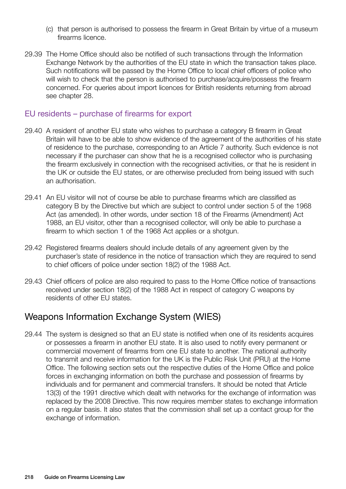- (c) that person is authorised to possess the firearm in Great Britain by virtue of a museum firearms licence.
- 29.39 The Home Office should also be notified of such transactions through the Information Exchange Network by the authorities of the EU state in which the transaction takes place. Such notifications will be passed by the Home Office to local chief officers of police who will wish to check that the person is authorised to purchase/acquire/possess the firearm concerned. For queries about import licences for British residents returning from abroad see chapter 28.

#### EU residents – purchase of firearms for export

- 29.40 A resident of another EU state who wishes to purchase a category B firearm in Great Britain will have to be able to show evidence of the agreement of the authorities of his state of residence to the purchase, corresponding to an Article 7 authority. Such evidence is not necessary if the purchaser can show that he is a recognised collector who is purchasing the firearm exclusively in connection with the recognised activities, or that he is resident in the UK or outside the EU states, or are otherwise precluded from being issued with such an authorisation.
- 29.41 An EU visitor will not of course be able to purchase firearms which are classified as category B by the Directive but which are subject to control under section 5 of the 1968 Act (as amended). In other words, under section 18 of the Firearms (Amendment) Act 1988, an EU visitor, other than a recognised collector, will only be able to purchase a firearm to which section 1 of the 1968 Act applies or a shotgun.
- 29.42 Registered firearms dealers should include details of any agreement given by the purchaser's state of residence in the notice of transaction which they are required to send to chief officers of police under section 18(2) of the 1988 Act.
- 29.43 Chief officers of police are also required to pass to the Home Office notice of transactions received under section 18(2) of the 1988 Act in respect of category C weapons by residents of other EU states.

## Weapons Information Exchange System (WIES)

29.44 The system is designed so that an EU state is notified when one of its residents acquires or possesses a firearm in another EU state. It is also used to notify every permanent or commercial movement of firearms from one EU state to another. The national authority to transmit and receive information for the UK is the Public Risk Unit (PRU) at the Home Office. The following section sets out the respective duties of the Home Office and police forces in exchanging information on both the purchase and possession of firearms by individuals and for permanent and commercial transfers. It should be noted that Article 13(3) of the 1991 directive which dealt with networks for the exchange of information was replaced by the 2008 Directive. This now requires member states to exchange information on a regular basis. It also states that the commission shall set up a contact group for the exchange of information.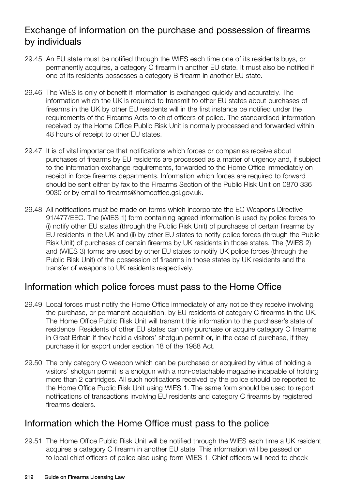## Exchange of information on the purchase and possession of firearms by individuals

- 29.45 An EU state must be notified through the WIES each time one of its residents buys, or permanently acquires, a category C firearm in another EU state. It must also be notified if one of its residents possesses a category B firearm in another EU state.
- 29.46 The WIES is only of benefit if information is exchanged quickly and accurately. The information which the UK is required to transmit to other EU states about purchases of firearms in the UK by other EU residents will in the first instance be notified under the requirements of the Firearms Acts to chief officers of police. The standardised information received by the Home Office Public Risk Unit is normally processed and forwarded within 48 hours of receipt to other EU states.
- 29.47 It is of vital importance that notifications which forces or companies receive about purchases of firearms by EU residents are processed as a matter of urgency and, if subject to the information exchange requirements, forwarded to the Home Office immediately on receipt in force firearms departments. Information which forces are required to forward should be sent either by fax to the Firearms Section of the Public Risk Unit on 0870 336 9030 or by email to firearms@homeoffice.gsi.gov.uk.
- 29.48 All notifications must be made on forms which incorporate the EC Weapons Directive 91/477/EEC. The (WIES 1) form containing agreed information is used by police forces to (i) notify other EU states (through the Public Risk Unit) of purchases of certain firearms by EU residents in the UK and (ii) by other EU states to notify police forces (through the Public Risk Unit) of purchases of certain firearms by UK residents in those states. The (WIES 2) and (WIES 3) forms are used by other EU states to notify UK police forces (through the Public Risk Unit) of the possession of firearms in those states by UK residents and the transfer of weapons to UK residents respectively.

## Information which police forces must pass to the Home Office

- 29.49 Local forces must notify the Home Office immediately of any notice they receive involving the purchase, or permanent acquisition, by EU residents of category C firearms in the UK. The Home Office Public Risk Unit will transmit this information to the purchaser's state of residence. Residents of other EU states can only purchase or acquire category C firearms in Great Britain if they hold a visitors' shotgun permit or, in the case of purchase, if they purchase it for export under section 18 of the 1988 Act.
- 29.50 The only category C weapon which can be purchased or acquired by virtue of holding a visitors' shotgun permit is a shotgun with a non-detachable magazine incapable of holding more than 2 cartridges. All such notifications received by the police should be reported to the Home Office Public Risk Unit using WIES 1. The same form should be used to report notifications of transactions involving EU residents and category C firearms by registered firearms dealers.

## Information which the Home Office must pass to the police

29.51 The Home Office Public Risk Unit will be notified through the WIES each time a UK resident acquires a category C firearm in another EU state. This information will be passed on to local chief officers of police also using form WIES 1. Chief officers will need to check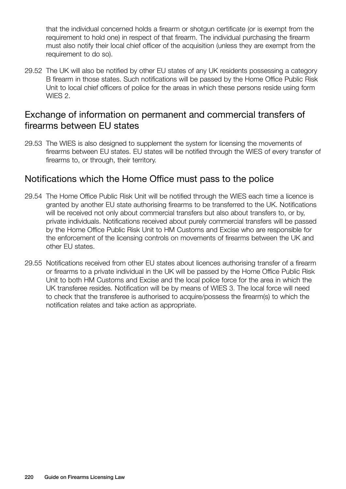that the individual concerned holds a firearm or shotgun certificate (or is exempt from the requirement to hold one) in respect of that firearm. The individual purchasing the firearm must also notify their local chief officer of the acquisition (unless they are exempt from the requirement to do so).

29.52 The UK will also be notified by other EU states of any UK residents possessing a category B firearm in those states. Such notifications will be passed by the Home Office Public Risk Unit to local chief officers of police for the areas in which these persons reside using form WIES 2.

## Exchange of information on permanent and commercial transfers of firearms between EU states

29.53 The WIES is also designed to supplement the system for licensing the movements of firearms between EU states. EU states will be notified through the WIES of every transfer of firearms to, or through, their territory.

## Notifications which the Home Office must pass to the police

- 29.54 The Home Office Public Risk Unit will be notified through the WIES each time a licence is granted by another EU state authorising firearms to be transferred to the UK. Notifications will be received not only about commercial transfers but also about transfers to, or by, private individuals. Notifications received about purely commercial transfers will be passed by the Home Office Public Risk Unit to HM Customs and Excise who are responsible for the enforcement of the licensing controls on movements of firearms between the UK and other EU states.
- 29.55 Notifications received from other EU states about licences authorising transfer of a firearm or firearms to a private individual in the UK will be passed by the Home Office Public Risk Unit to both HM Customs and Excise and the local police force for the area in which the UK transferee resides. Notification will be by means of WIES 3. The local force will need to check that the transferee is authorised to acquire/possess the firearm(s) to which the notification relates and take action as appropriate.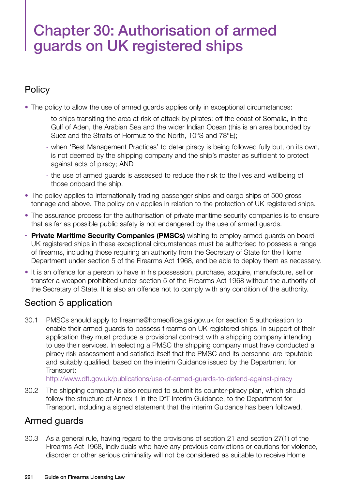## Chapter 30: Authorisation of armed guards on UK registered ships

## **Policy**

- The policy to allow the use of armed guards applies only in exceptional circumstances:
	- to ships transiting the area at risk of attack by pirates: off the coast of Somalia, in the Gulf of Aden, the Arabian Sea and the wider Indian Ocean (this is an area bounded by Suez and the Straits of Hormuz to the North, 10°S and 78°E);
	- when 'Best Management Practices' to deter piracy is being followed fully but, on its own, is not deemed by the shipping company and the ship's master as sufficient to protect against acts of piracy; AND
	- the use of armed guards is assessed to reduce the risk to the lives and wellbeing of those onboard the ship.
- The policy applies to internationally trading passenger ships and cargo ships of 500 gross tonnage and above. The policy only applies in relation to the protection of UK registered ships.
- The assurance process for the authorisation of private maritime security companies is to ensure that as far as possible public safety is not endangered by the use of armed guards.
- **• Private Maritime Security Companies (PMSCs)** wishing to employ armed guards on board UK registered ships in these exceptional circumstances must be authorised to possess a range of firearms, including those requiring an authority from the Secretary of State for the Home Department under section 5 of the Firearms Act 1968, and be able to deploy them as necessary.
- It is an offence for a person to have in his possession, purchase, acquire, manufacture, sell or transfer a weapon prohibited under section 5 of the Firearms Act 1968 without the authority of the Secretary of State. It is also an offence not to comply with any condition of the authority.

## Section 5 application

30.1 PMSCs should apply to [firearms@homeoffice.gsi.gov.uk](mailto:firearms@homeoffice.gsi.gov.uk) for section 5 authorisation to enable their armed guards to possess firearms on UK registered ships. In support of their application they must produce a provisional contract with a shipping company intending to use their services. In selecting a PMSC the shipping company must have conducted a piracy risk assessment and satisfied itself that the PMSC and its personnel are reputable and suitably qualified, based on the interim Guidance issued by the Department for Transport:

<http://www.dft.gov.uk/publications/use>-of-armed-guards-to-defend-against-piracy

30.2 The shipping company is also required to submit its counter-piracy plan, which should follow the structure of Annex 1 in the DfT Interim Guidance, to the Department for Transport, including a signed statement that the interim Guidance has been followed.

## Armed guards

30.3 As a general rule, having regard to the provisions of section 21 and section 27(1) of the Firearms Act 1968, individuals who have any previous convictions or cautions for violence, disorder or other serious criminality will not be considered as suitable to receive Home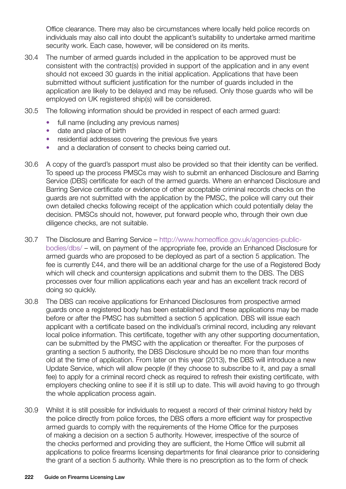Office clearance. There may also be circumstances where locally held police records on individuals may also call into doubt the applicant's suitability to undertake armed maritime security work. Each case, however, will be considered on its merits.

- 30.4 The number of armed guards included in the application to be approved must be consistent with the contract(s) provided in support of the application and in any event should not exceed 30 guards in the initial application. Applications that have been submitted without sufficient justification for the number of guards included in the application are likely to be delayed and may be refused. Only those guards who will be employed on UK registered ship(s) will be considered.
- 30.5 The following information should be provided in respect of each armed guard:
	- full name (including any previous names)
	- date and place of birth
	- residential addresses covering the previous five years
	- and a declaration of consent to checks being carried out.
- 30.6 A copy of the guard's passport must also be provided so that their identity can be verified. To speed up the process PMSCs may wish to submit an enhanced Disclosure and Barring Service (DBS) certificate for each of the armed guards. Where an enhanced Disclosure and Barring Service certificate or evidence of other acceptable criminal records checks on the guards are not submitted with the application by the PMSC, the police will carry out their own detailed checks following receipt of the application which could potentially delay the decision. PMSCs should not, however, put forward people who, through their own due diligence checks, are not suitable.
- 30.7 The Disclosure and Barring Service [http://www.homeoffice.gov.uk/agencies-public](http://www.homeoffice.gov.uk/agencies-public-bodies/dbs)[bodies/dbs/](http://www.homeoffice.gov.uk/agencies-public-bodies/dbs) – will, on payment of the appropriate fee, provide an Enhanced Disclosure for armed guards who are proposed to be deployed as part of a section 5 application. The fee is currently £44, and there will be an additional charge for the use of a Registered Body which will check and countersign applications and submit them to the DBS. The DBS processes over four million applications each year and has an excellent track record of doing so quickly.
- 30.8 The DBS can receive applications for Enhanced Disclosures from prospective armed guards once a registered body has been established and these applications may be made before or after the PMSC has submitted a section 5 application. DBS will issue each applicant with a certificate based on the individual's criminal record, including any relevant local police information. This certificate, together with any other supporting documentation, can be submitted by the PMSC with the application or thereafter. For the purposes of granting a section 5 authority, the DBS Disclosure should be no more than four months old at the time of application. From later on this year (2013), the DBS will introduce a new Update Service, which will allow people (if they choose to subscribe to it, and pay a small fee) to apply for a criminal record check as required to refresh their existing certificate, with employers checking online to see if it is still up to date. This will avoid having to go through the whole application process again.
- 30.9 Whilst it is still possible for individuals to request a record of their criminal history held by the police directly from police forces, the DBS offers a more efficient way for prospective armed guards to comply with the requirements of the Home Office for the purposes of making a decision on a section 5 authority. However, irrespective of the source of the checks performed and providing they are sufficient, the Home Office will submit all applications to police firearms licensing departments for final clearance prior to considering the grant of a section 5 authority. While there is no prescription as to the form of check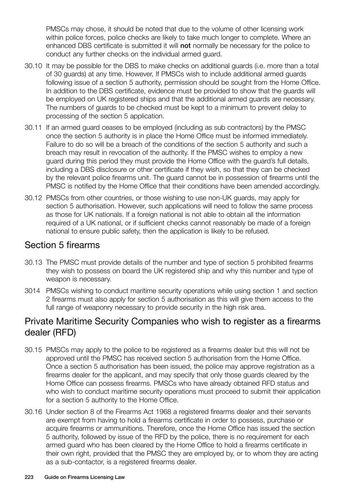PMSCs may chose, it should be noted that due to the volume of other licensing work within police forces, police checks are likely to take much longer to complete. Where an enhanced DBS certificate is submitted it will not normally be necessary for the police to conduct any further checks on the individual armed guard.

- 30.10 It may be possible for the DBS to make checks on additional guards (i.e. more than a total of 30 guards) at any time. However, If PMSCs wish to include additional armed guards following issue of a section 5 authority, permission should be sought from the Home Office. In addition to the DBS certificate, evidence must be provided to show that the guards will be employed on UK registered ships and that the additional armed guards are necessary. The numbers of guards to be checked must be kept to a minimum to prevent delay to processing of the section 5 application.
- 30.11 If an armed guard ceases to be employed (including as sub contractors) by the PMSC once the section 5 authority is in place the Home Office must be informed immediately. Failure to do so will be a breach of the conditions of the section 5 authority and such a breach may result in revocation of the authority. If the PMSC wishes to employ a new guard during this period they must provide the Home Office with the guard's full details, including a DBS disclosure or other certificate if they wish, so that they can be checked by the relevant police firearms unit. The guard cannot be in possession of firearms until the PMSC is notified by the Home Office that their conditions have been amended accordingly.
- 30.12 PMSCs from other countries, or those wishing to use non-UK guards, may apply for section 5 authorisation. However, such applications will need to follow the same process as those for UK nationals. If a foreign national is not able to obtain all the information required of a UK national, or if sufficient checks cannot reasonably be made of a foreign national to ensure public safety, then the application is likely to be refused.

## Section 5 firearms

- 30.13 The PMSC must provide details of the number and type of section 5 prohibited firearms they wish to possess on board the UK registered ship and why this number and type of weapon is necessary.
- 3014 PMSCs wishing to conduct maritime security operations while using section 1 and section 2 firearms must also apply for section 5 authorisation as this will give them access to the full range of weaponry necessary to provide security in the high risk area.

## Private Maritime Security Companies who wish to register as a firearms dealer (RFD)

- 30.15 PMSCs may apply to the police to be registered as a firearms dealer but this will not be approved until the PMSC has received section 5 authorisation from the Home Office. Once a section 5 authorisation has been issued, the police may approve registration as a firearms dealer for the applicant, and may specify that only those guards cleared by the Home Office can possess firearms. PMSCs who have already obtained RFD status and who wish to conduct maritime security operations must proceed to submit their application for a section 5 authority to the Home Office.
- 30.16 Under section 8 of the Firearms Act 1968 a registered firearms dealer and their servants are exempt from having to hold a firearms certificate in order to possess, purchase or acquire firearms or ammunitions. Therefore, once the Home Office has issued the section 5 authority, followed by issue of the RFD by the police, there is no requirement for each armed guard who has been cleared by the Home Office to hold a firearms certificate in their own right, provided that the PMSC they are employed by, or to whom they are acting as a sub-contactor, is a registered firearms dealer.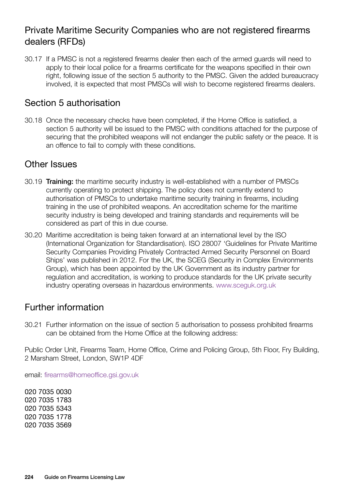## Private Maritime Security Companies who are not registered firearms dealers (RFDs)

30.17 If a PMSC is not a registered firearms dealer then each of the armed guards will need to apply to their local police for a firearms certificate for the weapons specified in their own right, following issue of the section 5 authority to the PMSC. Given the added bureaucracy involved, it is expected that most PMSCs will wish to become registered firearms dealers.

## Section 5 authorisation

30.18 Once the necessary checks have been completed, if the Home Office is satisfied, a section 5 authority will be issued to the PMSC with conditions attached for the purpose of securing that the prohibited weapons will not endanger the public safety or the peace. It is an offence to fail to comply with these conditions.

#### Other Issues

- 30.19 Training: the maritime security industry is well-established with a number of PMSCs currently operating to protect shipping. The policy does not currently extend to authorisation of PMSCs to undertake maritime security training in firearms, including training in the use of prohibited weapons. An accreditation scheme for the maritime security industry is being developed and training standards and requirements will be considered as part of this in due course.
- 30.20 Maritime accreditation is being taken forward at an international level by the ISO (International Organization for Standardisation). ISO 28007 'Guidelines for Private Maritime Security Companies Providing Privately Contracted Armed Security Personnel on Board Ships' was published in 2012. For the UK, the SCEG (Security in Complex Environments Group), which has been appointed by the UK Government as its industry partner for regulation and accreditation, is working to produce standards for the UK private security industry operating overseas in hazardous environments. <www.sceguk.org.uk>

## Further information

30.21 Further information on the issue of section 5 authorisation to possess prohibited firearms can be obtained from the Home Office at the following address:

Public Order Unit, Firearms Team, Home Office, Crime and Policing Group, 5th Floor, Fry Building, 2 Marsham Street, London, SW1P 4DF

email: [firearms@homeoffice.gsi.gov.uk](mailto:firearms@homeoffice.gsi.gov.uk)

020 7035 0030 020 7035 1783 020 7035 5343 020 7035 1778 020 7035 3569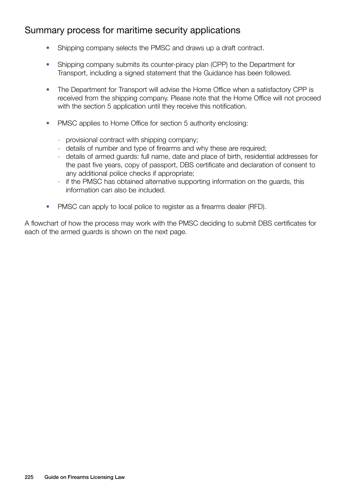## Summary process for maritime security applications

- Shipping company selects the PMSC and draws up a draft contract.
- Shipping company submits its counter-piracy plan (CPP) to the Department for Transport, including a signed statement that the Guidance has been followed.
- The Department for Transport will advise the Home Office when a satisfactory CPP is received from the shipping company. Please note that the Home Office will not proceed with the section 5 application until they receive this notification.
- PMSC applies to Home Office for section 5 authority enclosing:
	- provisional contract with shipping company;
	- details of number and type of firearms and why these are required;
	- details of armed guards: full name, date and place of birth, residential addresses for the past five years, copy of passport, DBS certificate and declaration of consent to any additional police checks if appropriate;
	- if the PMSC has obtained alternative supporting information on the guards, this information can also be included.
- PMSC can apply to local police to register as a firearms dealer (RFD).

A flowchart of how the process may work with the PMSC deciding to submit DBS certificates for each of the armed guards is shown on the next page.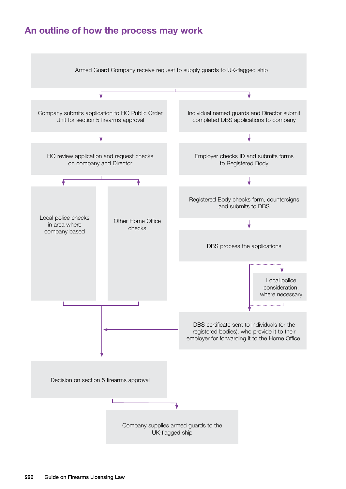## **An outline of how the process may work**

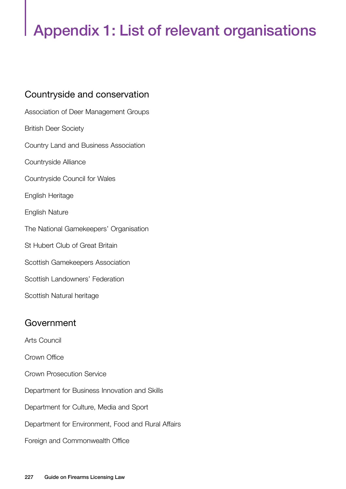# Appendix 1: List of relevant organisations

## Countryside and conservation

Association of Deer Management Groups British Deer Society Country Land and Business Association Countryside Alliance Countryside Council for Wales English Heritage English Nature The National Gamekeepers' Organisation St Hubert Club of Great Britain Scottish Gamekeepers Association Scottish Landowners' Federation Scottish Natural heritage

## Government

Arts Council

Crown Office

- Crown Prosecution Service
- Department for Business Innovation and Skills
- Department for Culture, Media and Sport
- Department for Environment, Food and Rural Affairs
- Foreign and Commonwealth Office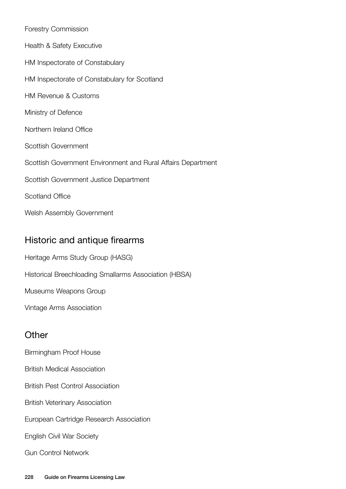| <b>Forestry Commission</b>                                   |
|--------------------------------------------------------------|
| <b>Health &amp; Safety Executive</b>                         |
| HM Inspectorate of Constabulary                              |
| HM Inspectorate of Constabulary for Scotland                 |
| <b>HM Revenue &amp; Customs</b>                              |
| Ministry of Defence                                          |
| Northern Ireland Office                                      |
| Scottish Government                                          |
| Scottish Government Environment and Rural Affairs Department |
| Scottish Government Justice Department                       |
| <b>Scotland Office</b>                                       |
| Welsh Assembly Government                                    |

## Historic and antique firearms

Heritage Arms Study Group (HASG)

Historical Breechloading Smallarms Association (HBSA)

Museums Weapons Group

Vintage Arms Association

## **Other**

- Birmingham Proof House
- British Medical Association
- British Pest Control Association
- British Veterinary Association
- European Cartridge Research Association
- English Civil War Society
- Gun Control Network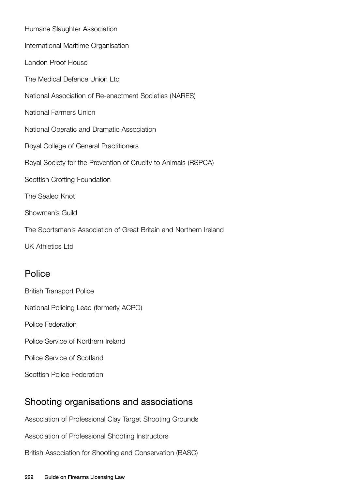Humane Slaughter Association International Maritime Organisation London Proof House The Medical Defence Union Ltd National Association of Re-enactment Societies (NARES) National Farmers Union National Operatic and Dramatic Association Royal College of General Practitioners Royal Society for the Prevention of Cruelty to Animals (RSPCA) Scottish Crofting Foundation The Sealed Knot Showman's Guild The Sportsman's Association of Great Britain and Northern Ireland UK Athletics Ltd

### Police

British Transport Police National Policing Lead (formerly ACPO) Police Federation Police Service of Northern Ireland Police Service of Scotland Scottish Police Federation

## Shooting organisations and associations

Association of Professional Clay Target Shooting Grounds

Association of Professional Shooting Instructors

British Association for Shooting and Conservation (BASC)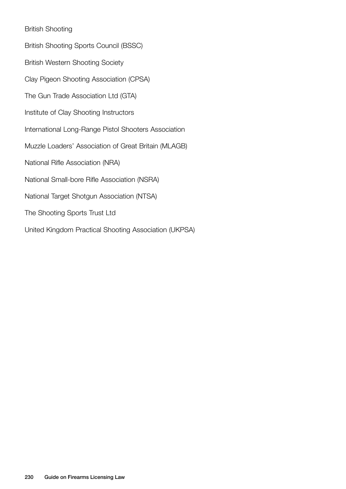#### British Shooting

British Shooting Sports Council (BSSC) British Western Shooting Society Clay Pigeon Shooting Association (CPSA) The Gun Trade Association Ltd (GTA) Institute of Clay Shooting Instructors International Long-Range Pistol Shooters Association Muzzle Loaders' Association of Great Britain (MLAGB) National Rifle Association (NRA) National Small-bore Rifle Association (NSRA) National Target Shotgun Association (NTSA) The Shooting Sports Trust Ltd United Kingdom Practical Shooting Association (UKPSA)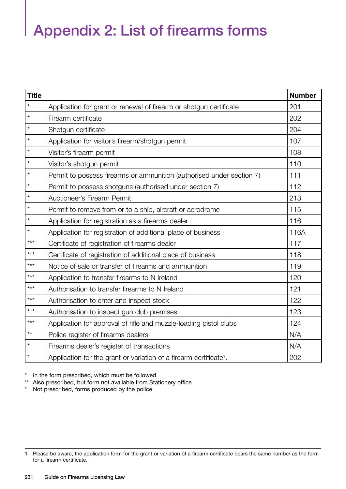# Appendix 2: List of firearms forms

| <b>Title</b> |                                                                                | <b>Number</b> |
|--------------|--------------------------------------------------------------------------------|---------------|
| $\star$      | Application for grant or renewal of firearm or shotgun certificate             | 201           |
| $\star$      | Firearm certificate                                                            | 202           |
| $\star$      | Shotgun certificate                                                            | 204           |
| $\star$      | Application for visitor's firearm/shotgun permit                               | 107           |
| $\star$      | Visitor's firearm permit                                                       | 108           |
| $\star$      | Visitor's shotgun permit                                                       | 110           |
| $\star$      | Permit to possess firearms or ammunition (authorised under section 7)          | 111           |
| $\star$      | Permit to possess shotguns (authorised under section 7)                        | 112           |
| $\star$      | Auctioneer's Firearm Permit                                                    | 213           |
| $\star$      | Permit to remove from or to a ship, aircraft or aerodrome                      | 115           |
| $\star$      | Application for registration as a firearms dealer                              | 116           |
| $\star$      | Application for registration of additional place of business                   | 116A          |
| $***$        | Certificate of registration of firearms dealer                                 | 117           |
| $***$        | Certificate of registration of additional place of business                    | 118           |
| $***$        | Notice of sale or transfer of firearms and ammunition                          | 119           |
| $***$        | Application to transfer firearms to N Ireland                                  | 120           |
| $***$        | Authorisation to transfer firearms to N Ireland                                | 121           |
| $***$        | Authorisation to enter and inspect stock                                       | 122           |
| $***$        | Authorisation to inspect gun club premises                                     | 123           |
| $***$        | Application for approval of rifle and muzzle-loading pistol clubs              | 124           |
| $\star\star$ | Police register of firearms dealers                                            | N/A           |
| $\star$      | Firearms dealer's register of transactions                                     | N/A           |
| $\star$      | Application for the grant or variation of a firearm certificate <sup>1</sup> . | 202           |

\* In the form prescribed, which must be followed

\*\* Also prescribed, but form not available from Stationery office<br>\* Not prescribed forms produced by the police

Not prescribed, forms produced by the police

<sup>1</sup> Please be aware, the application form for the grant or variation of a firearm certificate bears the same number as the form for a firearm certificate.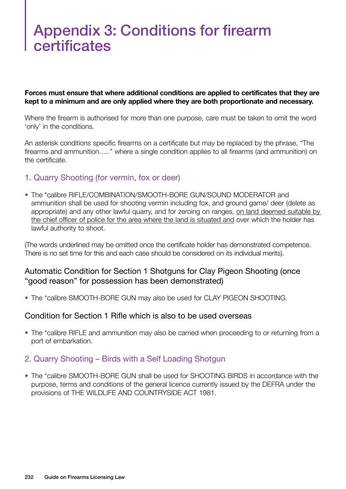## Appendix 3: Conditions for firearm certificates

**Forces must ensure that where additional conditions are applied to certificates that they are kept to a minimum and are only applied where they are both proportionate and necessary.** 

Where the firearm is authorised for more than one purpose, care must be taken to omit the word 'only' in the conditions.

An asterisk conditions specific firearms on a certificate but may be replaced by the phrase, "The firearms and ammunition….." where a single condition applies to all firearms (and ammunition) on the certificate.

#### 1. Quarry Shooting (for vermin, fox or deer)

• The \*calibre RIFLE/COMBINATION/SMOOTH-BORE GUN/SOUND MODERATOR and ammunition shall be used for shooting vermin including fox, and ground game/ deer (delete as appropriate) and any other lawful quarry, and for zeroing on ranges, on land deemed suitable by the chief officer of police for the area where the land is situated and over which the holder has lawful authority to shoot.

(The words underlined may be omitted once the certificate holder has demonstrated competence. There is no set time for this and each case should be considered on its individual merits).

#### Automatic Condition for Section 1 Shotguns for Clay Pigeon Shooting (once "good reason" for possession has been demonstrated)

• The \*calibre SMOOTH-BORE GUN may also be used for CLAY PIGEON SHOOTING.

#### Condition for Section 1 Rifle which is also to be used overseas

• The \*calibre RIFLE and ammunition may also be carried when proceeding to or returning from a port of embarkation.

#### 2. Quarry Shooting – Birds with a Self Loading Shotgun

• The \*calibre SMOOTH-BORE GUN shall be used for SHOOTING BIRDS in accordance with the purpose, terms and conditions of the general licence currently issued by the DEFRA under the provisions of THE WILDLIFE AND COUNTRYSIDE ACT 1981.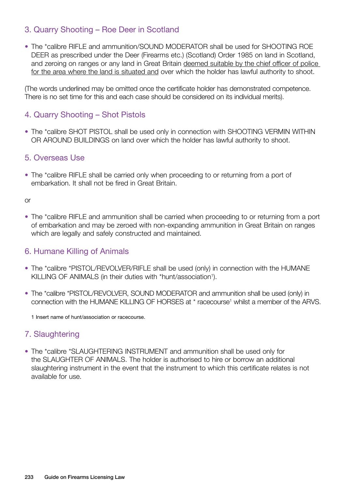#### 3. Quarry Shooting – Roe Deer in Scotland

• The \*calibre RIFLE and ammunition/SOUND MODERATOR shall be used for SHOOTING ROE DEER as prescribed under the Deer (Firearms etc.) (Scotland) Order 1985 on land in Scotland, and zeroing on ranges or any land in Great Britain deemed suitable by the chief officer of police for the area where the land is situated and over which the holder has lawful authority to shoot.

(The words underlined may be omitted once the certificate holder has demonstrated competence. There is no set time for this and each case should be considered on its individual merits).

#### 4. Quarry Shooting – Shot Pistols

• The \*calibre SHOT PISTOL shall be used only in connection with SHOOTING VERMIN WITHIN OR AROUND BUILDINGS on land over which the holder has lawful authority to shoot.

#### 5. Overseas Use

• The \*calibre RIFLE shall be carried only when proceeding to or returning from a port of embarkation. It shall not be fired in Great Britain.

or

• The \*calibre RIFLE and ammunition shall be carried when proceeding to or returning from a port of embarkation and may be zeroed with non-expanding ammunition in Great Britain on ranges which are legally and safely constructed and maintained.

#### 6. Humane Killing of Animals

- The \*calibre \*PISTOL/REVOLVER/RIFLE shall be used (only) in connection with the HUMANE KILLING OF ANIMALS (in their duties with \*hunt/association<sup>1</sup>).
- The \*calibre \*PISTOL/REVOLVER, SOUND MODERATOR and ammunition shall be used (only) in connection with the HUMANE KILLING OF HORSES at \* racecourse<sup>1</sup> whilst a member of the ARVS.

1 Insert name of hunt/association or racecourse.

#### 7. Slaughtering

• The \*calibre \*SLAUGHTERING INSTRUMENT and ammunition shall be used only for the SLAUGHTER OF ANIMALS. The holder is authorised to hire or borrow an additional slaughtering instrument in the event that the instrument to which this certificate relates is not available for use.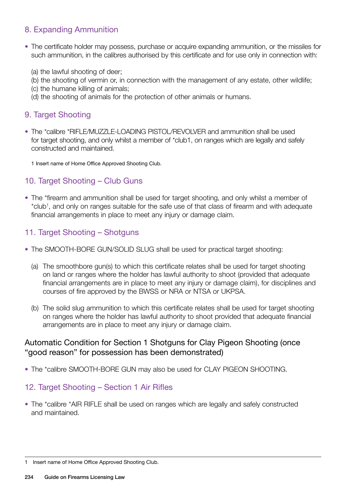### 8. Expanding Ammunition

- The certificate holder may possess, purchase or acquire expanding ammunition, or the missiles for such ammunition, in the calibres authorised by this certificate and for use only in connection with:
	- (a) the lawful shooting of deer;
	- (b) the shooting of vermin or, in connection with the management of any estate, other wildlife;
	- (c) the humane killing of animals;
	- (d) the shooting of animals for the protection of other animals or humans.

#### 9. Target Shooting

- The \*calibre \*RIFLE/MUZZLE-LOADING PISTOL/REVOLVER and ammunition shall be used for target shooting, and only whilst a member of \*club1, on ranges which are legally and safely constructed and maintained.
	- 1 Insert name of Home Office Approved Shooting Club.

#### 10. Target Shooting – Club Guns

• The \*firearm and ammunition shall be used for target shooting, and only whilst a member of \*club<sup>1</sup>, and only on ranges suitable for the safe use of that class of firearm and with adequate financial arrangements in place to meet any injury or damage claim.

#### 11. Target Shooting – Shotguns

- The SMOOTH-BORE GUN/SOLID SLUG shall be used for practical target shooting:
	- (a) The smoothbore gun(s) to which this certificate relates shall be used for target shooting on land or ranges where the holder has lawful authority to shoot (provided that adequate financial arrangements are in place to meet any injury or damage claim), for disciplines and courses of fire approved by the BWSS or NRA or NTSA or UKPSA.
	- (b) The solid slug ammunition to which this certificate relates shall be used for target shooting on ranges where the holder has lawful authority to shoot provided that adequate financial arrangements are in place to meet any injury or damage claim.

#### Automatic Condition for Section 1 Shotguns for Clay Pigeon Shooting (once "good reason" for possession has been demonstrated)

• The \*calibre SMOOTH-BORE GUN may also be used for CLAY PIGEON SHOOTING.

#### 12. Target Shooting – Section 1 Air Rifles

• The \*calibre \*AIR RIFLE shall be used on ranges which are legally and safely constructed and maintained.

<sup>1</sup> Insert name of Home Office Approved Shooting Club.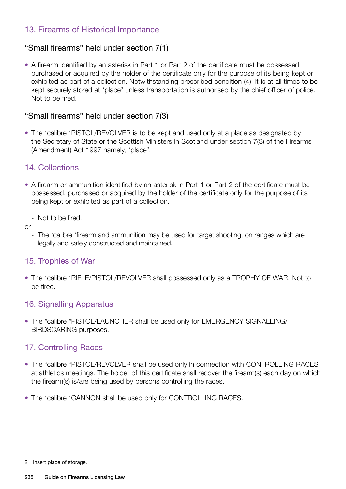### 13. Firearms of Historical Importance

#### "Small firearms" held under section 7(1)

• A firearm identified by an asterisk in Part 1 or Part 2 of the certificate must be possessed, purchased or acquired by the holder of the certificate only for the purpose of its being kept or exhibited as part of a collection. Notwithstanding prescribed condition (4), it is at all times to be kept securely stored at \*place<sup>2</sup> unless transportation is authorised by the chief officer of police. Not to be fired.

#### "Small firearms" held under section 7(3)

• The \*calibre \*PISTOL/REVOLVER is to be kept and used only at a place as designated by the Secretary of State or the Scottish Ministers in Scotland under section 7(3) of the Firearms (Amendment) Act 1997 namely, \*place<sup>2</sup>.

#### 14. Collections

- A firearm or ammunition identified by an asterisk in Part 1 or Part 2 of the certificate must be possessed, purchased or acquired by the holder of the certificate only for the purpose of its being kept or exhibited as part of a collection.
	- Not to be fired.
- or
	- The \*calibre \*firearm and ammunition may be used for target shooting, on ranges which are legally and safely constructed and maintained.

#### 15. Trophies of War

• The \*calibre \*RIFLE/PISTOL/REVOLVER shall possessed only as a TROPHY OF WAR. Not to be fired.

#### 16. Signalling Apparatus

• The \*calibre \*PISTOL/LAUNCHER shall be used only for EMERGENCY SIGNALLING/ BIRDSCARING purposes.

#### 17. Controlling Races

- The \*calibre \*PISTOL/REVOLVER shall be used only in connection with CONTROLLING RACES at athletics meetings. The holder of this certificate shall recover the firearm(s) each day on which the firearm(s) is/are being used by persons controlling the races.
- The \*calibre \*CANNON shall be used only for CONTROLLING RACES.

<sup>2</sup> Insert place of storage.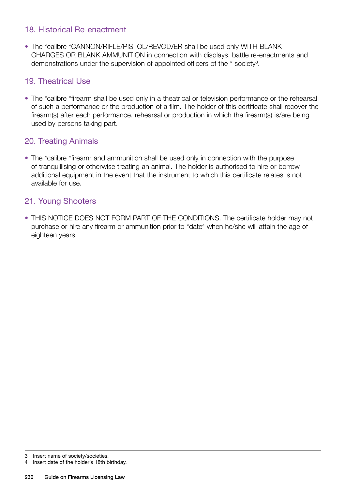#### 18. Historical Re-enactment

• The \*calibre \*CANNON/RIFLE/PISTOL/REVOLVER shall be used only WITH BLANK CHARGES OR BLANK AMMUNITION in connection with displays, battle re-enactments and demonstrations under the supervision of appointed officers of the  $*$  society<sup>3</sup>.

#### 19. Theatrical Use

• The \*calibre \*firearm shall be used only in a theatrical or television performance or the rehearsal of such a performance or the production of a film. The holder of this certificate shall recover the firearm(s) after each performance, rehearsal or production in which the firearm(s) is/are being used by persons taking part.

#### 20. Treating Animals

• The \*calibre \*firearm and ammunition shall be used only in connection with the purpose of tranquillising or otherwise treating an animal. The holder is authorised to hire or borrow additional equipment in the event that the instrument to which this certificate relates is not available for use.

#### 21. Young Shooters

• THIS NOTICE DOES NOT FORM PART OF THE CONDITIONS. The certificate holder may not purchase or hire any firearm or ammunition prior to \*date<sup>4</sup> when he/she will attain the age of eighteen years.

<sup>3</sup> Insert name of society/societies.

<sup>4</sup> Insert date of the holder's 18th birthday.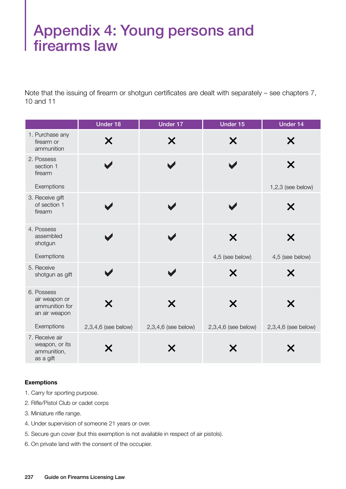## Appendix 4: Young persons and firearms law

Note that the issuing of firearm or shotgun certificates are dealt with separately – see chapters 7, 10 and 11

|                                                                | <b>Under 18</b>     | <b>Under 17</b>       | Under 15            | Under 14                 |
|----------------------------------------------------------------|---------------------|-----------------------|---------------------|--------------------------|
| 1. Purchase any<br>firearm or<br>ammunition                    | Х                   | Х                     | X                   | Х                        |
| 2. Possess<br>section 1<br>firearm<br>Exemptions               |                     |                       |                     | X<br>$1,2,3$ (see below) |
| 3. Receive gift                                                |                     |                       |                     |                          |
| of section 1<br>firearm                                        |                     |                       |                     | Х                        |
| 4. Possess<br>assembled<br>shotgun                             |                     |                       | X                   | X                        |
| Exemptions                                                     |                     |                       | 4,5 (see below)     | 4,5 (see below)          |
| 5. Receive<br>shotgun as gift                                  |                     |                       | X                   | Х                        |
| 6. Possess<br>air weapon or<br>ammunition for<br>an air weapon | Х                   | Х                     | Х                   |                          |
| Exemptions                                                     | 2,3,4,6 (see below) | $2,3,4,6$ (see below) | 2,3,4,6 (see below) | $2,3,4,6$ (see below)    |
| 7. Receive air<br>weapon, or its<br>ammunition,<br>as a gift   | Х                   |                       | Х                   |                          |

#### **Exemptions**

- 1. Carry for sporting purpose.
- 2. Rifle/Pistol Club or cadet corps
- 3. Miniature rifle range.
- 4. Under supervision of someone 21 years or over.
- 5. Secure gun cover (but this exemption is not available in respect of air pistols).
- 6. On private land with the consent of the occupier.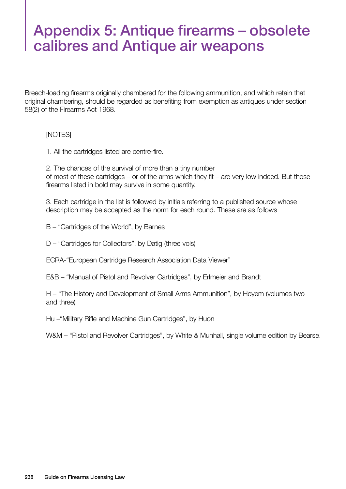## Appendix 5: Antique firearms – obsolete calibres and Antique air weapons

Breech-loading firearms originally chambered for the following ammunition, and which retain that original chambering, should be regarded as benefiting from exemption as antiques under section 58(2) of the Firearms Act 1968.

#### [NOTES]

1. All the cartridges listed are centre-fire.

2. The chances of the survival of more than a tiny number of most of these cartridges – or of the arms which they fit – are very low indeed. But those firearms listed in bold may survive in some quantity.

3. Each cartridge in the list is followed by initials referring to a published source whose description may be accepted as the norm for each round. These are as follows

- B "Cartridges of the World", by Barnes
- D "Cartridges for Collectors", by Datig (three vols)

ECRA-"European Cartridge Research Association Data Viewer"

E&B – "Manual of Pistol and Revolver Cartridges", by Erlmeier and Brandt

H – "The History and Development of Small Arms Ammunition", by Hoyem (volumes two and three)

Hu –"Military Rifle and Machine Gun Cartridges", by Huon

W&M – "Pistol and Revolver Cartridges", by White & Munhall, single volume edition by Bearse.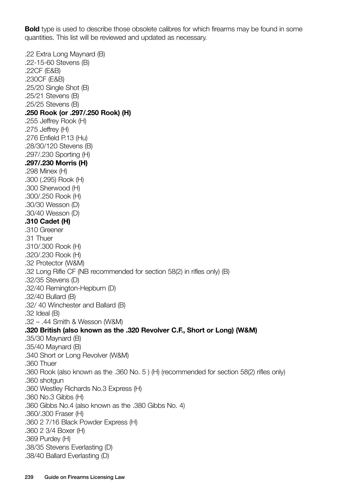**Bold** type is used to describe those obsolete calibres for which firearms may be found in some quantities. This list will be reviewed and updated as necessary.

.22 Extra Long Maynard (B) .22-15-60 Stevens (B) .22CF (E&B) .230CF (E&B) .25/20 Single Shot (B) .25/21 Stevens (B) .25/25 Stevens (B) **.250 Rook (or .297/.250 Rook) (H)** .255 Jeffrey Rook (H) .275 Jeffrey (H) .276 Enfield P.13 (Hu) .28/30/120 Stevens (B) .297/.230 Sporting (H) **.297/.230 Morris (H)**  .298 Minex (H) .300 (.295) Rook (H) .300 Sherwood (H) .300/.250 Rook (H) .30/30 Wesson (D) .30/40 Wesson (D) **.310 Cadet (H)** .310 Greener .31 Thuer .310/.300 Rook (H) .320/.230 Rook (H) .32 Protector (W&M) .32 Long Rifle CF (NB recommended for section 58(2) in rifles only) (B) .32/35 Stevens (D) .32/40 Remington-Hepburn (D) .32/40 Bullard (B) .32/ 40 Winchester and Ballard (B) .32 Ideal (B) .32 – .44 Smith & Wesson (W&M) **.320 British (also known as the .320 Revolver C.F., Short or Long) (W&M)**  .35/30 Maynard (B) .35/40 Maynard (B) .340 Short or Long Revolver (W&M) .360 Thuer .360 Rook (also known as the .360 No. 5 ) (H) (recommended for section 58(2) rifles only) .360 shotgun .360 Westley Richards No.3 Express (H) .360 No.3 Gibbs (H) .360 Gibbs No.4 (also known as the .380 Gibbs No. 4) .360/.300 Fraser (H) .360 2 7/16 Black Powder Express (H) .360 2 3/4 Boxer (H) .369 Purdey (H) .38/35 Stevens Everlasting (D) .38/40 Ballard Everlasting (D)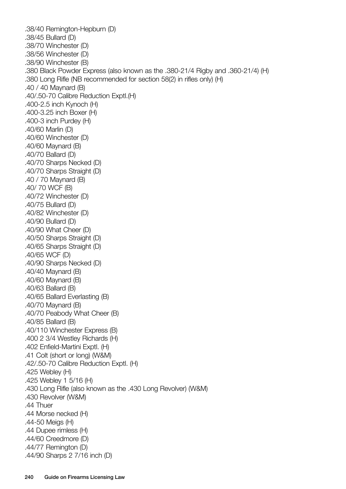.38/40 Remington-Hepburn (D) .38/45 Bullard (D) .38/70 Winchester (D) .38/56 Winchester (D) .38/90 Winchester (B) .380 Black Powder Express (also known as the .380-21/4 Rigby and .360-21/4) (H) .380 Long Rifle (NB recommended for section 58(2) in rifles only) (H) .40 / 40 Maynard (B) .40/.50-70 Calibre Reduction Exptl.(H) .400-2.5 inch Kynoch (H) .400-3.25 inch Boxer (H) .400-3 inch Purdey (H) .40/60 Marlin (D) .40/60 Winchester (D) .40/60 Maynard (B) .40/70 Ballard (D) .40/70 Sharps Necked (D) .40/70 Sharps Straight (D) .40 / 70 Maynard (B) .40/ 70 WCF (B) .40/72 Winchester (D) .40/75 Bullard (D) .40/82 Winchester (D) .40/90 Bullard (D) .40/90 What Cheer (D) .40/50 Sharps Straight (D) .40/65 Sharps Straight (D) .40/65 WCF (D) .40/90 Sharps Necked (D) .40/40 Maynard (B) .40/60 Maynard (B) .40/63 Ballard (B) .40/65 Ballard Everlasting (B) .40/70 Maynard (B) .40/70 Peabody What Cheer (B) .40/85 Ballard (B) .40/110 Winchester Express (B) .400 2 3/4 Westley Richards (H) .402 Enfield-Martini Exptl. (H) .41 Colt (short or long) (W&M) .42/.50-70 Calibre Reduction Exptl. (H) .425 Webley (H) .425 Webley 1 5/16 (H) .430 Long Rifle (also known as the .430 Long Revolver) (W&M) .430 Revolver (W&M) .44 Thuer .44 Morse necked (H) .44-50 Meigs (H) .44 Dupee rimless (H) .44/60 Creedmore (D) .44/77 Remington (D) .44/90 Sharps 2 7/16 inch (D)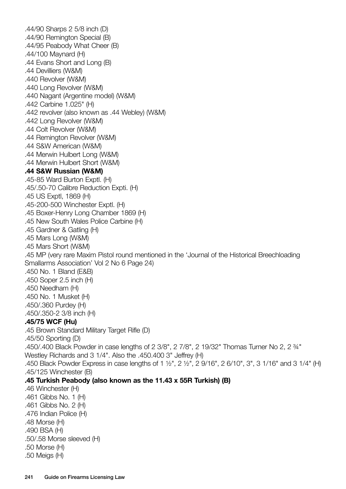.44/90 Sharps 2 5/8 inch (D) .44/90 Remington Special (B) .44/95 Peabody What Cheer (B) .44/100 Maynard (H) .44 Evans Short and Long (B) .44 Devilliers (W&M) .440 Revolver (W&M) .440 Long Revolver (W&M) .440 Nagant (Argentine model) (W&M) .442 Carbine 1.025" (H) .442 revolver (also known as .44 Webley) (W&M) .442 Long Revolver (W&M) .44 Colt Revolver (W&M) .44 Remington Revolver (W&M) .44 S&W American (W&M) .44 Merwin Hulbert Long (W&M) .44 Merwin Hulbert Short (W&M) **.44 S&W Russian (W&M)** .45-85 Ward Burton Exptl. (H) .45/.50-70 Calibre Reduction Expti. (H) .45 US Exptl, 1869 (H) .45-200-500 Winchester Exptl. (H) .45 Boxer-Henry Long Chamber 1869 (H) .45 New South Wales Police Carbine (H) .45 Gardner & Gatling (H) .45 Mars Long (W&M) .45 Mars Short (W&M) .45 MP (very rare Maxim Pistol round mentioned in the 'Journal of the Historical Breechloading Smallarms Association' Vol 2 No 6 Page 24) .450 No. 1 Bland (E&B) .450 Soper 2.5 inch (H) .450 Needham (H) .450 No. 1 Musket (H) .450/.360 Purdey (H) .450/.350-2 3/8 inch (H) **.45/75 WCF (Hu)** .45 Brown Standard Military Target Rifle (D) .45/50 Sporting (D) .450/.400 Black Powder in case lengths of 2 3/8", 2 7/8", 2 19/32" Thomas Turner No 2, 2 ¾" Westley Richards and 3 1/4". Also the .450.400 3" Jeffrey (H) .450 Black Powder Express in case lengths of 1 ½", 2 ½", 2 9/16", 2 6/10", 3", 3 1/16" and 3 1/4" (H) .45/125 Winchester (B) **.45 Turkish Peabody (also known as the 11.43 x 55R Turkish) (B)** .46 Winchester (H) .461 Gibbs No. 1 (H) .461 Gibbs No. 2 (H) .476 Indian Police (H) .48 Morse (H) .490 BSA (H) .50/.58 Morse sleeved (H) .50 Morse (H) .50 Meigs (H)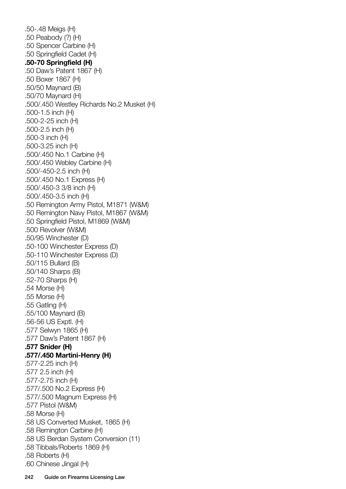.50-.48 Meigs (H) .50 Peabody (?) (H) .50 Spencer Carbine (H) .50 Springfield Cadet (H) **.50-70 Springfield (H)** .50 Daw's Patent 1867 (H) .50 Boxer 1867 (H) .50/50 Maynard (B) .50/70 Maynard (H) .500/.450 Westley Richards No.2 Musket (H) .500-1.5 inch (H) .500-2-25 inch (H) .500-2.5 inch (H) .500-3 inch (H) .500-3.25 inch (H) .500/.450 No.1 Carbine (H) .500/.450 Webley Carbine (H) .500/-450-2.5 inch (H) .500/.450 No.1 Express (H) .500/.450-3 3/8 inch (H) .500/.450-3.5 inch (H) .50 Remington Army Pistol, M1871 (W&M) .50 Remington Navy Pistol, M1867 (W&M) .50 Springfield Pistol, M1869 (W&M) .500 Revolver (W&M) .50/95 Winchester (D) .50-100 Winchester Express (D) .50-110 Winchester Express (D) .50/115 Bullard (B) .50/140 Sharps (B) .52-70 Sharps (H) .54 Morse (H) .55 Morse (H) .55 Gatling (H) .55/100 Maynard (B) .56-56 US Exptl. (H) .577 Selwyn 1865 (H) .577 Daw's Patent 1867 (H) **.577 Snider (H) .577/.450 Martini-Henry (H)** .577-2.25 inch (H) .577 2.5 inch (H) .577-2.75 inch (H) .577/.500 No.2 Express (H) .577/.500 Magnum Express (H) .577 Pistol (W&M) .58 Morse (H) .58 US Converted Musket, 1865 (H) .58 Remington Carbine (H) .58 US Berdan System Conversion (11) .58 Tibbals/Roberts 1869 (H) .58 Roberts (H) .60 Chinese Jingal (H)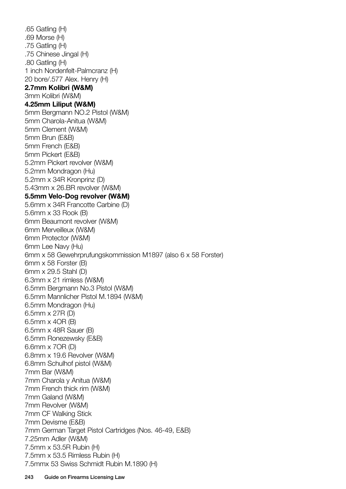.65 Gatling (H) .69 Morse (H) .75 Gatling (H) .75 Chinese Jingal (H) .80 Gatling (H) 1 inch Nordenfelt-Palmcranz (H) 20 bore/.577 Alex. Henry (H) **2.7mm Kolibri (W&M)**  3mm Kolibri (W&M) **4.25mm Liliput (W&M)** 5mm Bergmann NO.2 Pistol (W&M) 5mm Charola-Anitua (W&M) 5mm Clement (W&M) 5mm Brun (E&B) 5mm French (E&B) 5mm Pickert (E&B) 5.2mm Pickert revolver (W&M) 5.2mm Mondragon (Hu) 5.2mm x 34R Kronprinz (D) 5.43mm x 26.BR revolver (W&M) **5.5mm Velo-Dog revolver (W&M)** 5.6mm x 34R Francotte Carbine (D) 5.6mm x 33 Rook (B) 6mm Beaumont revolver (W&M) 6mm Merveilleux (W&M) 6mm Protector (W&M) 6mm Lee Navy (Hu) 6mm x 58 Gewehrprufungskommission M1897 (also 6 x 58 Forster) 6mm x 58 Forster (B) 6mm x 29.5 Stahl (D) 6.3mm x 21 rimless (W&M) 6.5mm Bergmann No.3 Pistol (W&M) 6.5mm Mannlicher Pistol M.1894 (W&M) 6.5mm Mondragon (Hu) 6.5mm x 27R (D) 6.5mm x 4OR (B) 6.5mm x 48R Sauer (B) 6.5mm Ronezewsky (E&B) 6.6mm x 7OR (D) 6.8mm x 19.6 Revolver (W&M) 6.8mm Schulhof pistol (W&M) 7mm Bar (W&M) 7mm Charola y Anitua (W&M) 7mm French thick rim (W&M) 7mm Galand (W&M) 7mm Revolver (W&M) 7mm CF Walking Stick 7mm Devisme (E&B) 7mm German Target Pistol Cartridges (Nos. 46-49, E&B) 7.25mm Adler (W&M) 7.5mm x 53.5R Rubin (H) 7.5mm x 53.5 Rimless Rubin (H) 7.5mmx 53 Swiss Schmidt Rubin M.1890 (H)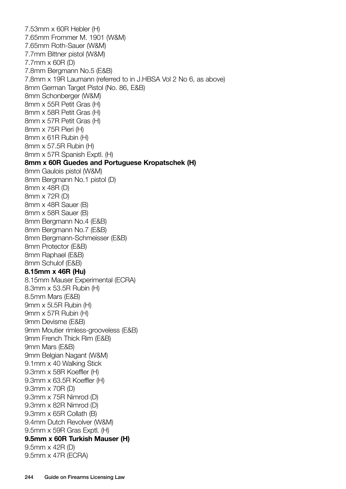7.53mm x 60R Hebler (H) 7.65mm Frommer M. 1901 (W&M) 7.65mm Roth-Sauer (W&M) 7.7mm Bittner pistol (W&M) 7.7mm x 60R (D) 7.8mm Bergmann No.5 (E&B) 7.8mm x 19R Laumann (referred to in J.HBSA Vol 2 No 6, as above) 8mm German Target Pistol (No. 86, E&B) 8mm Schonberger (W&M) 8mm x 55R Petit Gras (H) 8mm x 58R Petit Gras (H) 8mm x 57R Petit Gras (H) 8mm x 75R Pieri (H) 8mm x 61R Rubin (H) 8mm x 57.5R Rubin (H) 8mm x 57R Spanish Exptl. (H) **8mm x 60R Guedes and Portuguese Kropatschek (H)** 8mm Gaulois pistol (W&M) 8mm Bergmann No.1 pistol (D) 8mm x 48R (D) 8mm x 72R (D) 8mm x 48R Sauer (B) 8mm x 58R Sauer (B) 8mm Bergmann No.4 (E&B) 8mm Bergmann No.7 (E&B) 8mm Bergmann-Schmeisser (E&B) 8mm Protector (E&B) 8mm Raphael (E&B) 8mm Schulof (E&B) **8.15mm x 46R (Hu)** 8.15mm Mauser Experimental (ECRA) 8.3mm x 53.5R Rubin (H) 8.5mm Mars (E&B) 9mm x 5l.5R Rubin (H) 9mm x 57R Rubin (H) 9mm Devisme (E&B) 9mm Moutier rimless-grooveless (E&B) 9mm French Thick Rim (E&B) 9mm Mars (E&B) 9mm Belgian Nagant (W&M) 9.1mm x 40 Walking Stick 9.3mm x 58R Koeffler (H) 9.3mm x 63.5R Koeffler (H) 9.3mm x 70R (D) 9.3mm x 75R Nimrod (D) 9.3mm x 82R Nimrod (D) 9.3mm x 65R Collath (B) 9.4mm Dutch Revolver (W&M) 9.5mm x 59R Gras Exptl. (H) **9.5mm x 60R Turkish Mauser (H)** 9.5mm x 42R (D) 9.5mm x 47R (ECRA)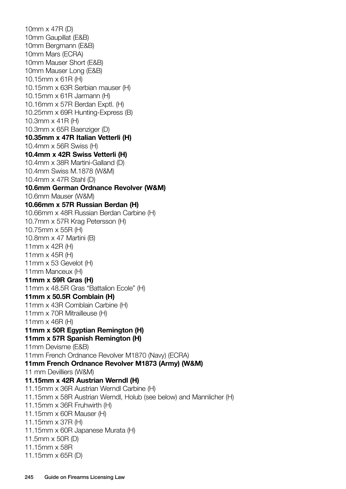10mm x 47R (D) 10mm Gaupillat (E&B) 10mm Bergmann (E&B) 10mm Mars (ECRA) 10mm Mauser Short (E&B) 10mm Mauser Long (E&B) 10.15mm x 61R (H) 10.15mm x 63R Serbian mauser (H) 10.15mm x 61R Jarmann (H) 10.16mm x 57R Berdan Exptl. (H) 10.25mm x 69R Hunting-Express (B) 10.3mm x 41R (H) 10.3mm x 65R Baenziger (D) **10.35mm x 47R Italian Vetterli (H)** 10.4mm x 56R Swiss (H) **10.4mm x 42R Swiss Vetterli (H)** 10.4mm x 38R Martini-Galland (D) 10.4mm Swiss M.1878 (W&M) 10.4mm x 47R Stahl (D) **10.6mm German Ordnance Revolver (W&M)** 10.6mm Mauser (W&M) **10.66mm x 57R Russian Berdan (H)** 10.66mm x 48R Russian Berdan Carbine (H) 10.7mm x 57R Krag Petersson (H) 10.75mm x 55R (H) 10.8mm x 47 Martini (B) 11mm x 42R (H) 11mm x 45R (H) 11mm x 53 Gevelot (H) 11mm Manceux (H) **11mm x 59R Gras (H)** 11mm x 48.5R Gras "Battalion Ecole" (H) **11mm x 50.5R Comblain (H)** 11mm x 43R Comblain Carbine (H) 11mm x 70R Mitrailleuse (H) 11mm x 46R (H) **11mm x 50R Egyptian Remington (H) 11mm x 57R Spanish Remington (H)** 11mm Devisme (E&B) 11mm French Ordnance Revolver M1870 (Navy) (ECRA) **11mm French Ordnance Revolver M1873 (Army) (W&M)**  11 mm Devilliers (W&M) **11.15mm x 42R Austrian Werndl (H)** 11.15mm x 36R Austrian Werndl Carbine (H) 11.15mm x 58R Austrian Werndl, Holub (see below) and Mannlicher (H) 11.15mm x 36R Fruhwirth (H) 11.15mm x 60R Mauser (H) 11.15mm x 37R (H) 11.15mm x 60R Japanese Murata (H) 11.5mm x 50R (D) 11.15mm x 58R 11.15mm x 65R (D)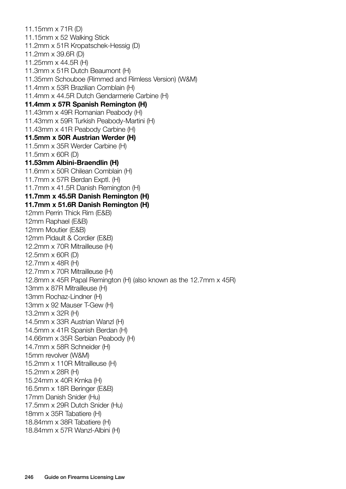11.15mm x 71R (D) 11.15mm x 52 Walking Stick 11.2mm x 51R Kropatschek-Hessig (D) 11.2mm x 39.6R (D) 11.25mm x 44.5R (H) 11.3mm x 51R Dutch Beaumont (H) 11.35mm Schouboe (Rimmed and Rimless Version) (W&M) 11.4mm x 53R Brazilian Comblain (H) 11.4mm x 44.5R Dutch Gendarmerie Carbine (H) **11.4mm x 57R Spanish Remington (H)** 11.43mm x 49R Romanian Peabody (H) 11.43mm x 59R Turkish Peabody-Martini (H) 11.43mm x 41R Peabody Carbine (H) **11.5mm x 50R Austrian Werder (H)** 11.5mm x 35R Werder Carbine (H) 11.5mm x 60R (D) **11.53mm Albini-Braendlin (H)** 11.6mm x 50R Chilean Comblain (H) 11.7mm x 57R Berdan Exptl. (H) 11.7mm x 41.5R Danish Remington (H) **11.7mm x 45.5R Danish Remington (H) 11.7mm x 51.6R Danish Remington (H)** 12mm Perrin Thick Rim (E&B) 12mm Raphael (E&B) 12mm Moutier (E&B) 12mm Pidault & Cordier (E&B) 12.2mm x 70R Mitrailleuse (H) 12.5mm x 60R (D) 12.7mm x 48R (H) 12.7mm x 70R Mitrailleuse (H) 12.8mm x 45R Papal Remington (H) (also known as the 12.7mm x 45R) 13mm x 87R Mitrailleuse (H) 13mm Rochaz-Lindner (H) 13mm x 92 Mauser T-Gew (H) 13.2mm x 32R (H) 14.5mm x 33R Austrian Wanzl (H) 14.5mm x 41R Spanish Berdan (H) 14.66mm x 35R Serbian Peabody (H) 14.7mm x 58R Schneider (H) 15mm revolver (W&M) 15.2mm x 110R Mitrailleuse (H) 15.2mm x 28R (H) 15.24mm x 40R Krnka (H) 16.5mm x 18R Beringer (E&B) 17mm Danish Snider (Hu) 17.5mm x 29R Dutch Snider (Hu) 18mm x 35R Tabatiere (H) 18.84mm x 38R Tabatiere (H) 18.84mm x 57R Wanzl-Albini (H)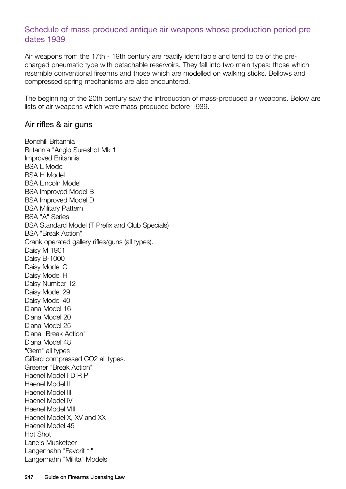#### Schedule of mass-produced antique air weapons whose production period predates 1939

Air weapons from the 17th - 19th century are readily identifiable and tend to be of the precharged pneumatic type with detachable reservoirs. They fall into two main types: those which resemble conventional firearms and those which are modelled on walking sticks. Bellows and compressed spring mechanisms are also encountered.

The beginning of the 20th century saw the introduction of mass-produced air weapons. Below are lists of air weapons which were mass-produced before 1939.

#### Air rifles & air guns

Bonehill Britannia Britannia "Anglo Sureshot Mk 1" Improved Britannia BSA L Model BSA H Model BSA Lincoln Model BSA Improved Model B BSA Improved Model D BSA Military Pattern BSA "A" Series BSA Standard Model (T Prefix and Club Specials) BSA "Break Action" Crank operated gallery rifles/guns (all types). Daisy M 1901 Daisy B-1000 Daisy Model C Daisy Model H Daisy Number 12 Daisy Model 29 Daisy Model 40 Diana Model 16 Diana Model 20 Diana Model 25 Diana "Break Action" Diana Model 48 "Gem" all types Giffard compressed CO2 all types. Greener "Break Action" Haenel Model I D R P Haenel Model II Haenel Model III Haenel Model IV Haenel Model VIII Haenel Model X, XV and XX Haenel Model 45 Hot Shot Lane's Musketeer Langenhahn "Favorit 1" Langenhahn "Millita" Models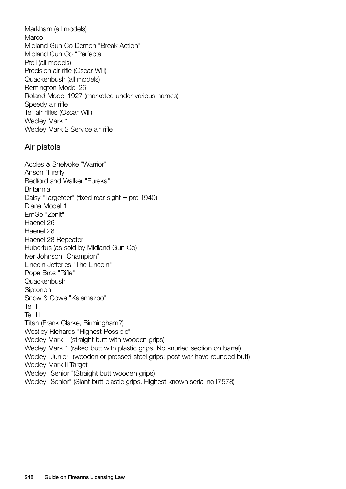Markham (all models) Marco Midland Gun Co Demon "Break Action" Midland Gun Co "Perfecta" Pfeil (all models) Precision air rifle (Oscar Will) Quackenbush (all models) Remington Model 26 Roland Model 1927 (marketed under various names) Speedy air rifle Tell air rifles (Oscar Will) Webley Mark 1 Webley Mark 2 Service air rifle

#### Air pistols

Accles & Shelvoke "Warrior" Anson "Firefly" Bedford and Walker "Eureka" Britannia Daisy "Targeteer" (fixed rear sight = pre 1940) Diana Model 1 EmGe "Zenit" Haenel 26 Haenel 28 Haenel 28 Repeater Hubertus (as sold by Midland Gun Co) Iver Johnson "Champion" Lincoln Jefferies "The Lincoln" Pope Bros "Rifle" **Quackenbush Siptonon** Snow & Cowe "Kalamazoo" Tell II Tell III Titan (Frank Clarke, Birmingham?) Westley Richards "Highest Possible" Webley Mark 1 (straight butt with wooden grips) Webley Mark 1 (raked butt with plastic grips, No knurled section on barrel) Webley "Junior" (wooden or pressed steel grips; post war have rounded butt) Webley Mark II Target Webley "Senior "(Straight butt wooden grips) Webley "Senior" (Slant butt plastic grips. Highest known serial no17578)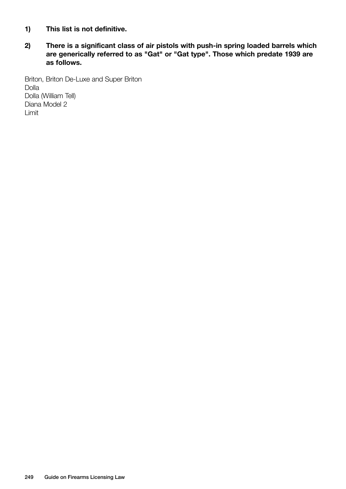- **1) This list is not definitive.**
- **2) There is a significant class of air pistols with push-in spring loaded barrels which are generically referred to as "Gat" or "Gat type". Those which predate 1939 are as follows.**

Briton, Briton De-Luxe and Super Briton Dolla Dolla (William Tell) Diana Model 2 Limit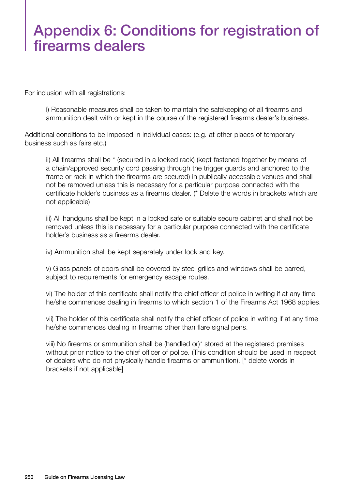## Appendix 6: Conditions for registration of firearms dealers

For inclusion with all registrations:

i) Reasonable measures shall be taken to maintain the safekeeping of all firearms and ammunition dealt with or kept in the course of the registered firearms dealer's business.

Additional conditions to be imposed in individual cases: (e.g. at other places of temporary business such as fairs etc.)

ii) All firearms shall be \* (secured in a locked rack) (kept fastened together by means of a chain/approved security cord passing through the trigger guards and anchored to the frame or rack in which the firearms are secured) in publically accessible venues and shall not be removed unless this is necessary for a particular purpose connected with the certificate holder's business as a firearms dealer. (\* Delete the words in brackets which are not applicable)

iii) All handguns shall be kept in a locked safe or suitable secure cabinet and shall not be removed unless this is necessary for a particular purpose connected with the certificate holder's business as a firearms dealer.

iv) Ammunition shall be kept separately under lock and key.

v) Glass panels of doors shall be covered by steel grilles and windows shall be barred, subject to requirements for emergency escape routes.

vi) The holder of this certificate shall notify the chief officer of police in writing if at any time he/she commences dealing in firearms to which section 1 of the Firearms Act 1968 applies.

vii) The holder of this certificate shall notify the chief officer of police in writing if at any time he/she commences dealing in firearms other than flare signal pens.

viii) No firearms or ammunition shall be (handled or)\* stored at the registered premises without prior notice to the chief officer of police. (This condition should be used in respect of dealers who do not physically handle firearms or ammunition). [\* delete words in brackets if not applicable]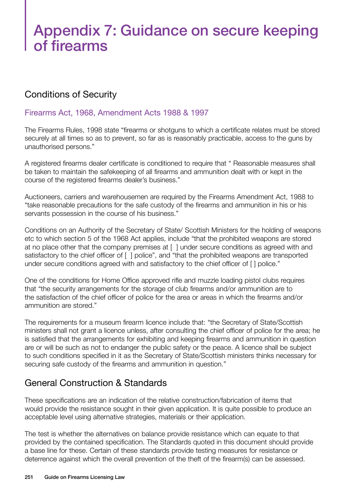## Appendix 7: Guidance on secure keeping of firearms

## Conditions of Security

#### Firearms Act, 1968, Amendment Acts 1988 & 1997

The Firearms Rules, 1998 state "firearms or shotguns to which a certificate relates must be stored securely at all times so as to prevent, so far as is reasonably practicable, access to the guns by unauthorised persons."

A registered firearms dealer certificate is conditioned to require that " Reasonable measures shall be taken to maintain the safekeeping of all firearms and ammunition dealt with or kept in the course of the registered firearms dealer's business."

Auctioneers, carriers and warehousemen are required by the Firearms Amendment Act, 1988 to "take reasonable precautions for the safe custody of the firearms and ammunition in his or his servants possession in the course of his business."

Conditions on an Authority of the Secretary of State/ Scottish Ministers for the holding of weapons etc to which section 5 of the 1968 Act applies, include "that the prohibited weapons are stored at no place other that the company premises at [ ] under secure conditions as agreed with and satisfactory to the chief officer of [ ] police", and "that the prohibited weapons are transported under secure conditions agreed with and satisfactory to the chief officer of [ ] police."

One of the conditions for Home Office approved rifle and muzzle loading pistol clubs requires that "the security arrangements for the storage of club firearms and/or ammunition are to the satisfaction of the chief officer of police for the area or areas in which the firearms and/or ammunition are stored."

The requirements for a museum firearm licence include that: "the Secretary of State/Scottish ministers shall not grant a licence unless, after consulting the chief officer of police for the area; he is satisfied that the arrangements for exhibiting and keeping firearms and ammunition in question are or will be such as not to endanger the public safety or the peace. A licence shall be subject to such conditions specified in it as the Secretary of State/Scottish ministers thinks necessary for securing safe custody of the firearms and ammunition in question."

## General Construction & Standards

These specifications are an indication of the relative construction/fabrication of items that would provide the resistance sought in their given application. It is quite possible to produce an acceptable level using alternative strategies, materials or their application.

The test is whether the alternatives on balance provide resistance which can equate to that provided by the contained specification. The Standards quoted in this document should provide a base line for these. Certain of these standards provide testing measures for resistance or deterrence against which the overall prevention of the theft of the firearm(s) can be assessed.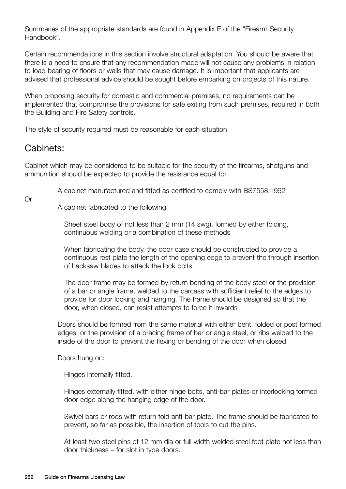Summaries of the appropriate standards are found in Appendix E of the "Firearm Security Handbook".

Certain recommendations in this section involve structural adaptation. You should be aware that there is a need to ensure that any recommendation made will not cause any problems in relation to load bearing of floors or walls that may cause damage. It is important that applicants are advised that professional advice should be sought before embarking on projects of this nature.

When proposing security for domestic and commercial premises, no requirements can be implemented that compromise the provisions for safe exiting from such premises, required in both the Building and Fire Safety controls.

The style of security required must be reasonable for each situation.

### Cabinets:

Cabinet which may be considered to be suitable for the security of the firearms, shotguns and ammunition should be expected to provide the resistance equal to:

A cabinet manufactured and fitted as certified to comply with BS7558:1992

Or

A cabinet fabricated to the following:

Sheet steel body of not less than 2 mm (14 swg), formed by either folding, continuous welding or a combination of these methods

When fabricating the body, the door case should be constructed to provide a continuous rest plate the length of the opening edge to prevent the through insertion of hacksaw blades to attack the lock bolts

The door frame may be formed by return bending of the body steel or the provision of a bar or angle frame, welded to the carcass with sufficient relief to the edges to provide for door locking and hanging. The frame should be designed so that the door, when closed, can resist attempts to force it inwards

Doors should be formed from the same material with either bent, folded or post formed edges, or the provision of a bracing frame of bar or angle steel, or ribs welded to the inside of the door to prevent the flexing or bending of the door when closed.

Doors hung on:

Hinges internally fitted.

 Hinges externally fitted, with either hinge bolts, anti-bar plates or interlocking formed door edge along the hanging edge of the door.

 Swivel bars or rods with return fold anti-bar plate. The frame should be fabricated to prevent, so far as possible, the insertion of tools to cut the pins.

 At least two steel pins of 12 mm dia or full width welded steel foot plate not less than door thickness – for slot in type doors.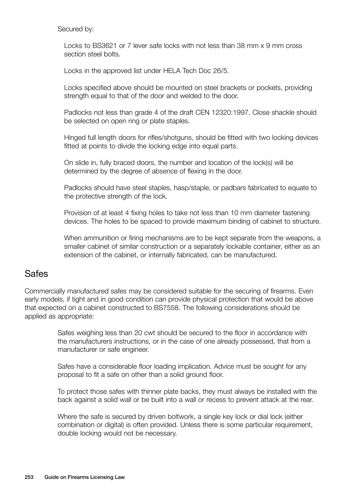Secured by:

 Locks to BS3621 or 7 lever safe locks with not less than 38 mm x 9 mm cross section steel bolts.

Locks in the approved list under HELA Tech Doc 26/5.

Locks specified above should be mounted on steel brackets or pockets, providing strength equal to that of the door and welded to the door.

 Padlocks not less than grade 4 of the draft CEN 12320:1997. Close shackle should be selected on open ring or plate staples.

Hinged full length doors for rifles/shotguns, should be fitted with two locking devices fitted at points to divide the locking edge into equal parts.

On slide in, fully braced doors, the number and location of the lock(s) will be determined by the degree of absence of flexing in the door.

Padlocks should have steel staples, hasp/staple, or padbars fabricated to equate to the protective strength of the lock.

Provision of at least 4 fixing holes to take not less than 10 mm diameter fastening devices. The holes to be spaced to provide maximum binding of cabinet to structure.

When ammunition or firing mechanisms are to be kept separate from the weapons, a smaller cabinet of similar construction or a separately lockable container, either as an extension of the cabinet, or internally fabricated, can be manufactured.

#### Safes

Commercially manufactured safes may be considered suitable for the securing of firearms. Even early models, if tight and in good condition can provide physical protection that would be above that expected on a cabinet constructed to BS7558. The following considerations should be applied as appropriate:

> Safes weighing less than 20 cwt should be secured to the floor in accordance with the manufacturers instructions, or in the case of one already possessed, that from a manufacturer or safe engineer.

Safes have a considerable floor loading implication. Advice must be sought for any proposal to fit a safe on other than a solid ground floor.

To protect those safes with thinner plate backs, they must always be installed with the back against a solid wall or be built into a wall or recess to prevent attack at the rear.

Where the safe is secured by driven boltwork, a single key lock or dial lock (either combination or digital) is often provided. Unless there is some particular requirement, double locking would not be necessary.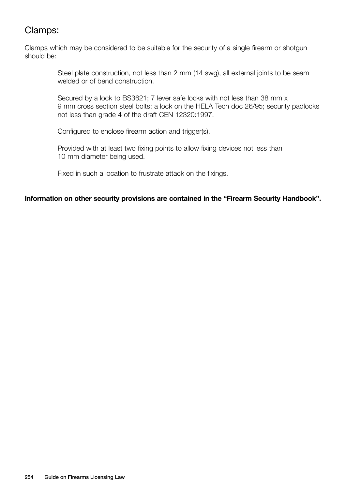## Clamps:

Clamps which may be considered to be suitable for the security of a single firearm or shotgun should be:

> Steel plate construction, not less than 2 mm (14 swg), all external joints to be seam welded or of bend construction.

Secured by a lock to BS3621; 7 lever safe locks with not less than 38 mm x 9 mm cross section steel bolts; a lock on the HELA Tech doc 26/95; security padlocks not less than grade 4 of the draft CEN 12320:1997.

Configured to enclose firearm action and trigger(s).

Provided with at least two fixing points to allow fixing devices not less than 10 mm diameter being used.

Fixed in such a location to frustrate attack on the fixings.

#### **Information on other security provisions are contained in the "Firearm Security Handbook".**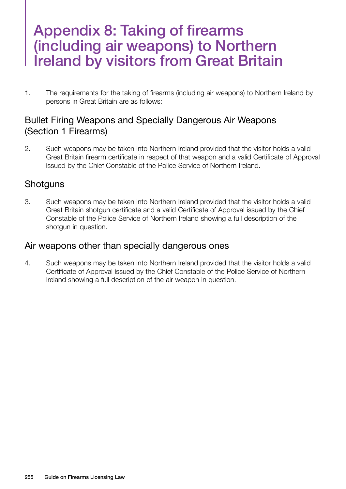## Appendix 8: Taking of firearms (including air weapons) to Northern Ireland by visitors from Great Britain

1. The requirements for the taking of firearms (including air weapons) to Northern Ireland by persons in Great Britain are as follows:

### Bullet Firing Weapons and Specially Dangerous Air Weapons (Section 1 Firearms)

2. Such weapons may be taken into Northern Ireland provided that the visitor holds a valid Great Britain firearm certificate in respect of that weapon and a valid Certificate of Approval issued by the Chief Constable of the Police Service of Northern Ireland.

### **Shotguns**

3. Such weapons may be taken into Northern Ireland provided that the visitor holds a valid Great Britain shotgun certificate and a valid Certificate of Approval issued by the Chief Constable of the Police Service of Northern Ireland showing a full description of the shotgun in question.

#### Air weapons other than specially dangerous ones

4. Such weapons may be taken into Northern Ireland provided that the visitor holds a valid Certificate of Approval issued by the Chief Constable of the Police Service of Northern Ireland showing a full description of the air weapon in question.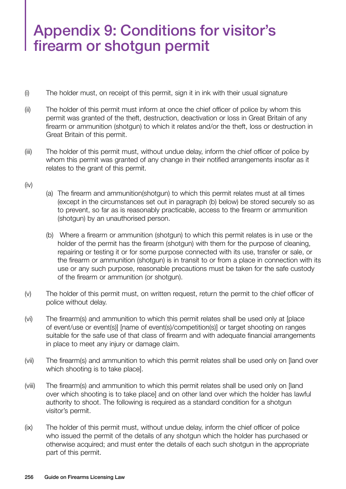# Appendix 9: Conditions for visitor's firearm or shotgun permit

- (i) The holder must, on receipt of this permit, sign it in ink with their usual signature
- (ii) The holder of this permit must inform at once the chief officer of police by whom this permit was granted of the theft, destruction, deactivation or loss in Great Britain of any firearm or ammunition (shotgun) to which it relates and/or the theft, loss or destruction in Great Britain of this permit.
- (iii) The holder of this permit must, without undue delay, inform the chief officer of police by whom this permit was granted of any change in their notified arrangements insofar as it relates to the grant of this permit.
- (iv)
- (a) The firearm and ammunition(shotgun) to which this permit relates must at all times (except in the circumstances set out in paragraph (b) below) be stored securely so as to prevent, so far as is reasonably practicable, access to the firearm or ammunition (shotgun) by an unauthorised person.
- (b) Where a firearm or ammunition (shotgun) to which this permit relates is in use or the holder of the permit has the firearm (shotgun) with them for the purpose of cleaning, repairing or testing it or for some purpose connected with its use, transfer or sale, or the firearm or ammunition (shotgun) is in transit to or from a place in connection with its use or any such purpose, reasonable precautions must be taken for the safe custody of the firearm or ammunition (or shotgun).
- (v) The holder of this permit must, on written request, return the permit to the chief officer of police without delay.
- (vi) The firearm(s) and ammunition to which this permit relates shall be used only at [place of event/use or event(s)] [name of event(s)/competition(s)] or target shooting on ranges suitable for the safe use of that class of firearm and with adequate financial arrangements in place to meet any injury or damage claim.
- (vii) The firearm(s) and ammunition to which this permit relates shall be used only on [land over which shooting is to take place].
- (viii) The firearm(s) and ammunition to which this permit relates shall be used only on [land over which shooting is to take place] and on other land over which the holder has lawful authority to shoot. The following is required as a standard condition for a shotgun visitor's permit.
- (ix) The holder of this permit must, without undue delay, inform the chief officer of police who issued the permit of the details of any shotgun which the holder has purchased or otherwise acquired; and must enter the details of each such shotgun in the appropriate part of this permit.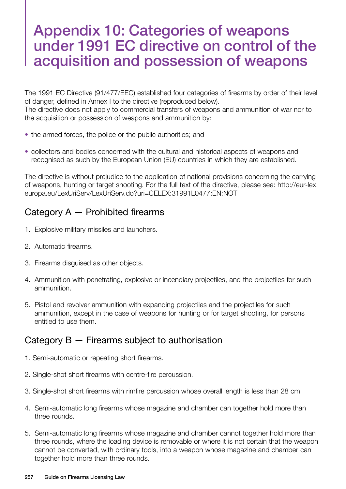## Appendix 10: Categories of weapons under 1991 EC directive on control of the acquisition and possession of weapons

The 1991 EC Directive (91/477/EEC) established four categories of firearms by order of their level of danger, defined in Annex I to the directive (reproduced below). The directive does not apply to commercial transfers of weapons and ammunition of war nor to the acquisition or possession of weapons and ammunition by:

- the armed forces, the police or the public authorities; and
- collectors and bodies concerned with the cultural and historical aspects of weapons and recognised as such by the European Union (EU) countries in which they are established.

The directive is without prejudice to the application of national provisions concerning the carrying of weapons, hunting or target shooting. For the full text of the directive, please see: http://eur-lex. europa.eu/LexUriServ/LexUriServ.do?uri=CELEX:31991L0477:EN:NOT

## Category A — Prohibited firearms

- 1. Explosive military missiles and launchers.
- 2. Automatic firearms.
- 3. Firearms disguised as other objects.
- 4. Ammunition with penetrating, explosive or incendiary projectiles, and the projectiles for such ammunition.
- 5. Pistol and revolver ammunition with expanding projectiles and the projectiles for such ammunition, except in the case of weapons for hunting or for target shooting, for persons entitled to use them.

### Category B — Firearms subject to authorisation

- 1. Semi-automatic or repeating short firearms.
- 2. Single-shot short firearms with centre-fire percussion.
- 3. Single-shot short firearms with rimfire percussion whose overall length is less than 28 cm.
- 4. Semi-automatic long firearms whose magazine and chamber can together hold more than three rounds.
- 5. Semi-automatic long firearms whose magazine and chamber cannot together hold more than three rounds, where the loading device is removable or where it is not certain that the weapon cannot be converted, with ordinary tools, into a weapon whose magazine and chamber can together hold more than three rounds.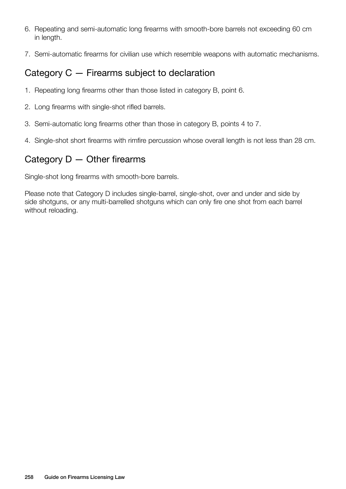- 6. Repeating and semi-automatic long firearms with smooth-bore barrels not exceeding 60 cm in length.
- 7. Semi-automatic firearms for civilian use which resemble weapons with automatic mechanisms.

### Category C — Firearms subject to declaration

- 1. Repeating long firearms other than those listed in category B, point 6.
- 2. Long firearms with single-shot rifled barrels.
- 3. Semi-automatic long firearms other than those in category B, points 4 to 7.
- 4. Single-shot short firearms with rimfire percussion whose overall length is not less than 28 cm.

### Category  $D -$  Other firearms

Single-shot long firearms with smooth-bore barrels.

Please note that Category D includes single-barrel, single-shot, over and under and side by side shotguns, or any multi-barrelled shotguns which can only fire one shot from each barrel without reloading.